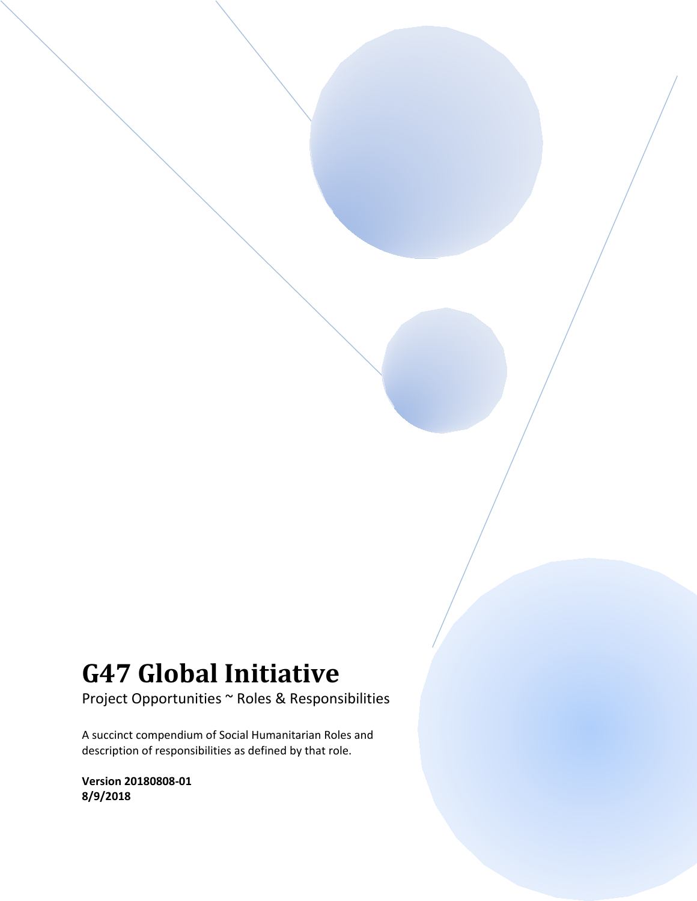# **G47 Global Initiative**

Project Opportunities ~ Roles & Responsibilities

A succinct compendium of Social Humanitarian Roles and description of responsibilities as defined by that role.

**Version 20180808-01 8/9/2018**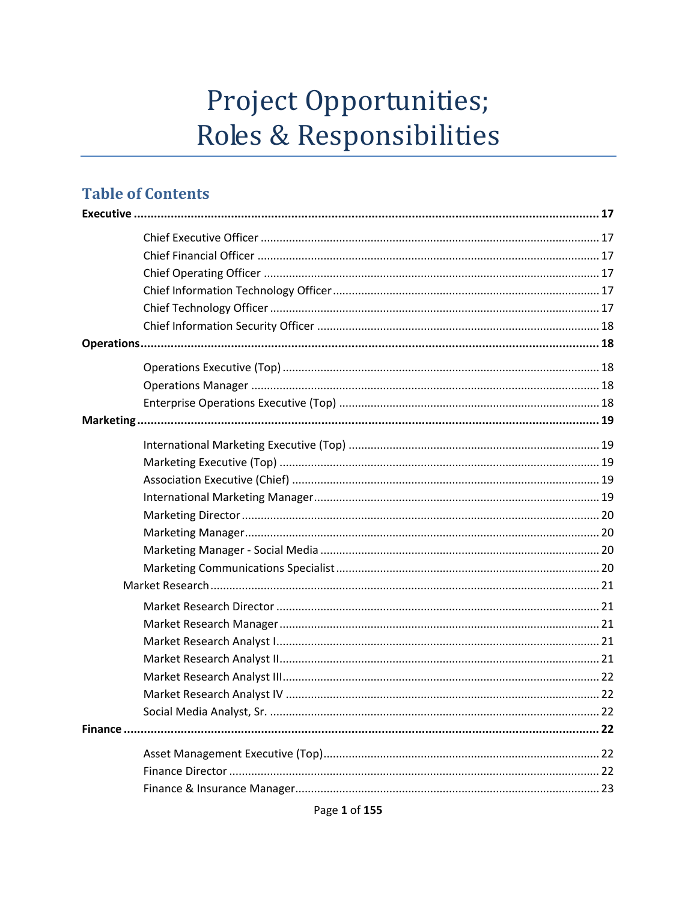# Project Opportunities; Roles & Responsibilities

# **Table of Contents**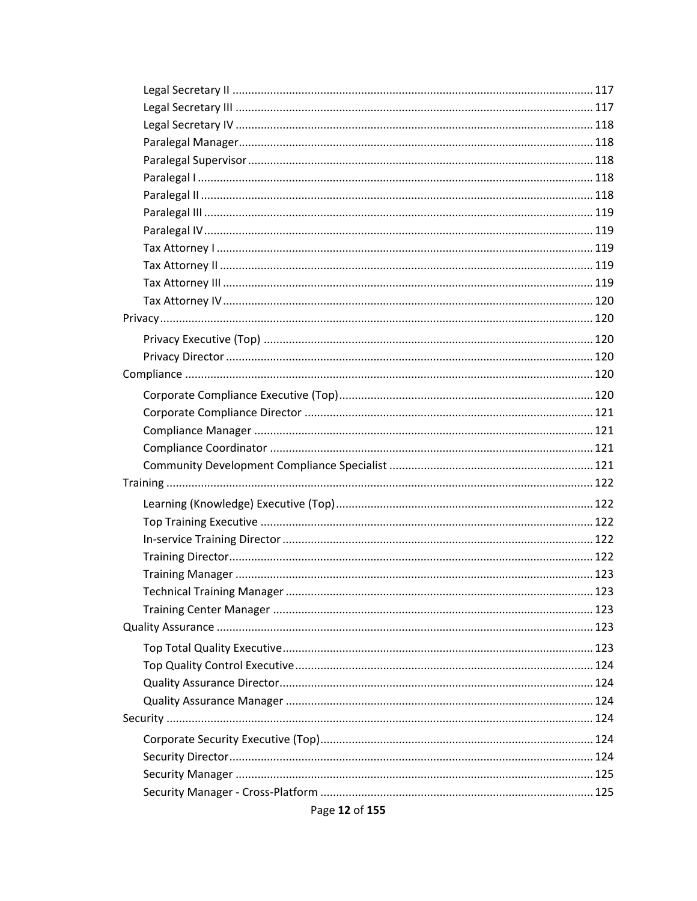| 123 |
|-----|
|     |
|     |
|     |
|     |
|     |
|     |
|     |
|     |
|     |
|     |
|     |
|     |

Page 12 of 155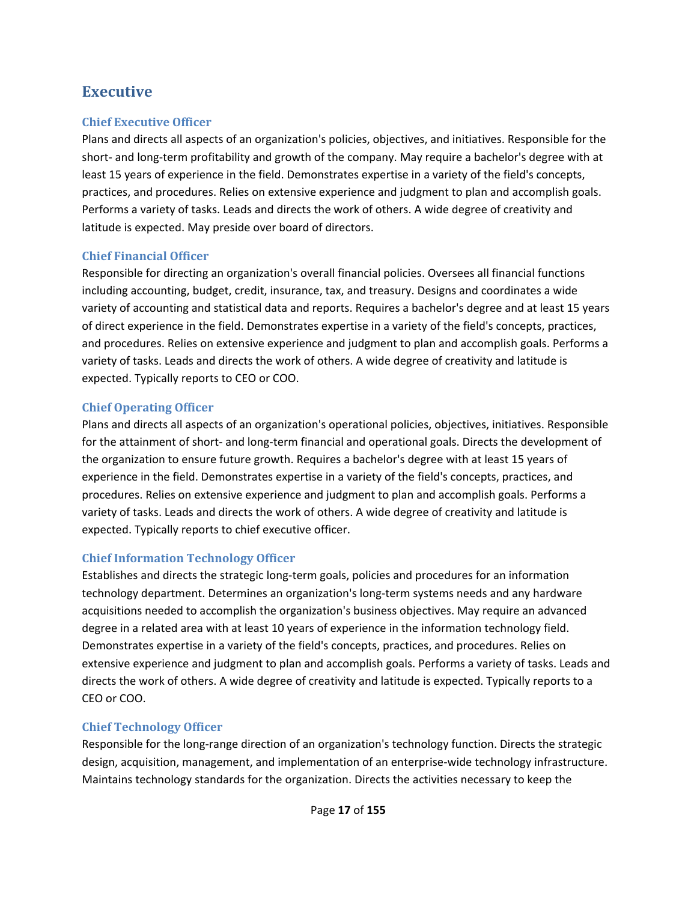# <span id="page-17-0"></span>**Executive**

## <span id="page-17-1"></span>**Chief Executive Officer**

Plans and directs all aspects of an organization's policies, objectives, and initiatives. Responsible for the short- and long-term profitability and growth of the company. May require a bachelor's degree with at least 15 years of experience in the field. Demonstrates expertise in a variety of the field's concepts, practices, and procedures. Relies on extensive experience and judgment to plan and accomplish goals. Performs a variety of tasks. Leads and directs the work of others. A wide degree of creativity and latitude is expected. May preside over board of directors.

## <span id="page-17-2"></span>**Chief Financial Officer**

Responsible for directing an organization's overall financial policies. Oversees all financial functions including accounting, budget, credit, insurance, tax, and treasury. Designs and coordinates a wide variety of accounting and statistical data and reports. Requires a bachelor's degree and at least 15 years of direct experience in the field. Demonstrates expertise in a variety of the field's concepts, practices, and procedures. Relies on extensive experience and judgment to plan and accomplish goals. Performs a variety of tasks. Leads and directs the work of others. A wide degree of creativity and latitude is expected. Typically reports to CEO or COO.

## <span id="page-17-3"></span>**Chief Operating Officer**

Plans and directs all aspects of an organization's operational policies, objectives, initiatives. Responsible for the attainment of short- and long-term financial and operational goals. Directs the development of the organization to ensure future growth. Requires a bachelor's degree with at least 15 years of experience in the field. Demonstrates expertise in a variety of the field's concepts, practices, and procedures. Relies on extensive experience and judgment to plan and accomplish goals. Performs a variety of tasks. Leads and directs the work of others. A wide degree of creativity and latitude is expected. Typically reports to chief executive officer.

## <span id="page-17-4"></span>**Chief Information Technology Officer**

Establishes and directs the strategic long-term goals, policies and procedures for an information technology department. Determines an organization's long-term systems needs and any hardware acquisitions needed to accomplish the organization's business objectives. May require an advanced degree in a related area with at least 10 years of experience in the information technology field. Demonstrates expertise in a variety of the field's concepts, practices, and procedures. Relies on extensive experience and judgment to plan and accomplish goals. Performs a variety of tasks. Leads and directs the work of others. A wide degree of creativity and latitude is expected. Typically reports to a CEO or COO.

## <span id="page-17-5"></span>**Chief Technology Officer**

Responsible for the long-range direction of an organization's technology function. Directs the strategic design, acquisition, management, and implementation of an enterprise-wide technology infrastructure. Maintains technology standards for the organization. Directs the activities necessary to keep the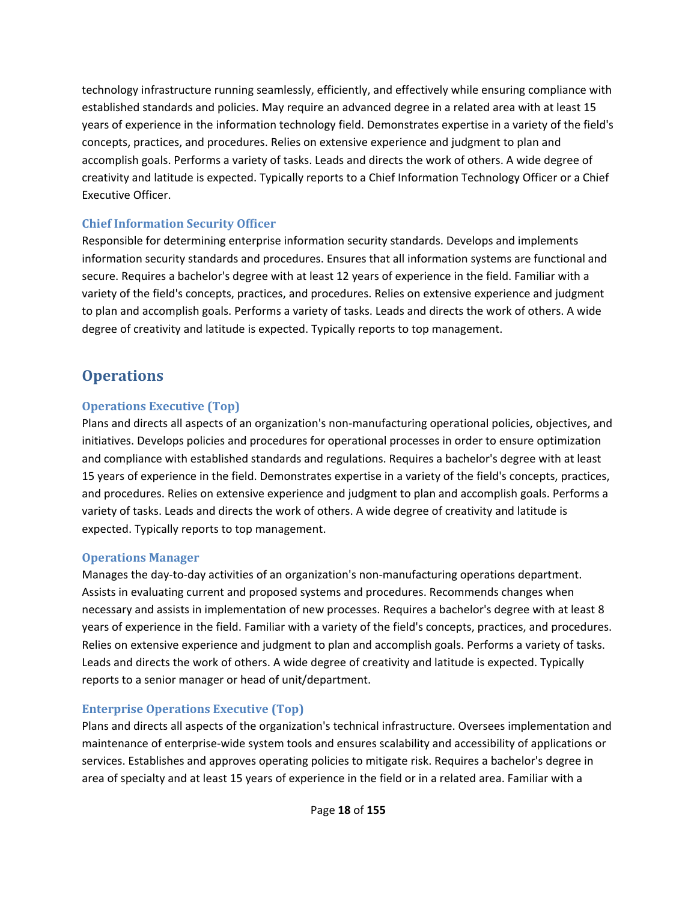technology infrastructure running seamlessly, efficiently, and effectively while ensuring compliance with established standards and policies. May require an advanced degree in a related area with at least 15 years of experience in the information technology field. Demonstrates expertise in a variety of the field's concepts, practices, and procedures. Relies on extensive experience and judgment to plan and accomplish goals. Performs a variety of tasks. Leads and directs the work of others. A wide degree of creativity and latitude is expected. Typically reports to a Chief Information Technology Officer or a Chief Executive Officer.

#### <span id="page-18-0"></span>**Chief Information Security Officer**

Responsible for determining enterprise information security standards. Develops and implements information security standards and procedures. Ensures that all information systems are functional and secure. Requires a bachelor's degree with at least 12 years of experience in the field. Familiar with a variety of the field's concepts, practices, and procedures. Relies on extensive experience and judgment to plan and accomplish goals. Performs a variety of tasks. Leads and directs the work of others. A wide degree of creativity and latitude is expected. Typically reports to top management.

# <span id="page-18-1"></span>**Operations**

## <span id="page-18-2"></span>**Operations Executive (Top)**

Plans and directs all aspects of an organization's non-manufacturing operational policies, objectives, and initiatives. Develops policies and procedures for operational processes in order to ensure optimization and compliance with established standards and regulations. Requires a bachelor's degree with at least 15 years of experience in the field. Demonstrates expertise in a variety of the field's concepts, practices, and procedures. Relies on extensive experience and judgment to plan and accomplish goals. Performs a variety of tasks. Leads and directs the work of others. A wide degree of creativity and latitude is expected. Typically reports to top management.

## <span id="page-18-3"></span>**Operations Manager**

Manages the day-to-day activities of an organization's non-manufacturing operations department. Assists in evaluating current and proposed systems and procedures. Recommends changes when necessary and assists in implementation of new processes. Requires a bachelor's degree with at least 8 years of experience in the field. Familiar with a variety of the field's concepts, practices, and procedures. Relies on extensive experience and judgment to plan and accomplish goals. Performs a variety of tasks. Leads and directs the work of others. A wide degree of creativity and latitude is expected. Typically reports to a senior manager or head of unit/department.

## <span id="page-18-4"></span>**Enterprise Operations Executive (Top)**

Plans and directs all aspects of the organization's technical infrastructure. Oversees implementation and maintenance of enterprise-wide system tools and ensures scalability and accessibility of applications or services. Establishes and approves operating policies to mitigate risk. Requires a bachelor's degree in area of specialty and at least 15 years of experience in the field or in a related area. Familiar with a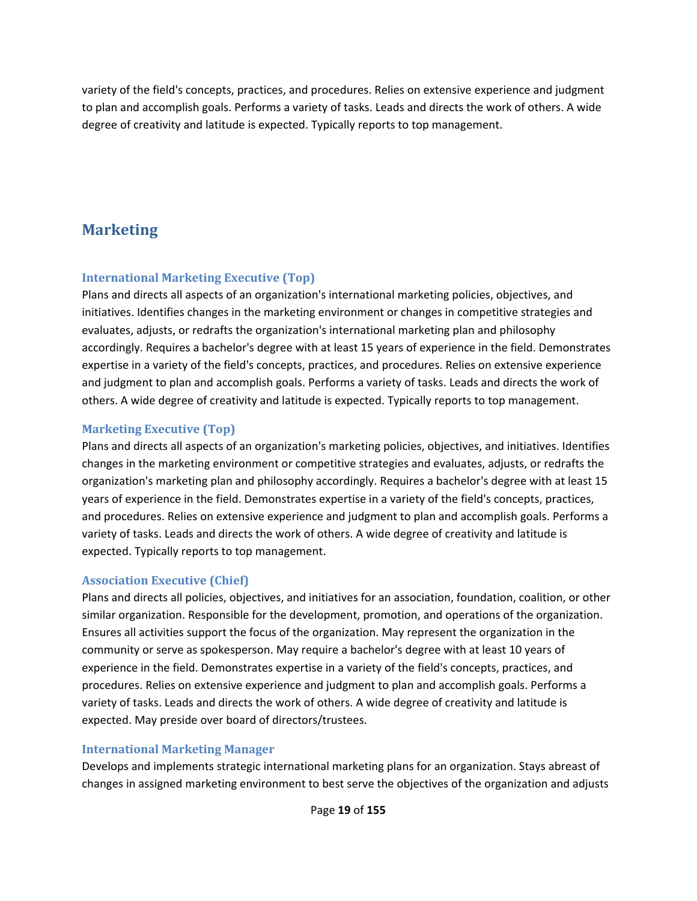variety of the field's concepts, practices, and procedures. Relies on extensive experience and judgment to plan and accomplish goals. Performs a variety of tasks. Leads and directs the work of others. A wide degree of creativity and latitude is expected. Typically reports to top management.

# <span id="page-19-0"></span>**Marketing**

## <span id="page-19-1"></span>**International Marketing Executive (Top)**

Plans and directs all aspects of an organization's international marketing policies, objectives, and initiatives. Identifies changes in the marketing environment or changes in competitive strategies and evaluates, adjusts, or redrafts the organization's international marketing plan and philosophy accordingly. Requires a bachelor's degree with at least 15 years of experience in the field. Demonstrates expertise in a variety of the field's concepts, practices, and procedures. Relies on extensive experience and judgment to plan and accomplish goals. Performs a variety of tasks. Leads and directs the work of others. A wide degree of creativity and latitude is expected. Typically reports to top management.

## <span id="page-19-2"></span>**Marketing Executive (Top)**

Plans and directs all aspects of an organization's marketing policies, objectives, and initiatives. Identifies changes in the marketing environment or competitive strategies and evaluates, adjusts, or redrafts the organization's marketing plan and philosophy accordingly. Requires a bachelor's degree with at least 15 years of experience in the field. Demonstrates expertise in a variety of the field's concepts, practices, and procedures. Relies on extensive experience and judgment to plan and accomplish goals. Performs a variety of tasks. Leads and directs the work of others. A wide degree of creativity and latitude is expected. Typically reports to top management.

## <span id="page-19-3"></span>**Association Executive (Chief)**

Plans and directs all policies, objectives, and initiatives for an association, foundation, coalition, or other similar organization. Responsible for the development, promotion, and operations of the organization. Ensures all activities support the focus of the organization. May represent the organization in the community or serve as spokesperson. May require a bachelor's degree with at least 10 years of experience in the field. Demonstrates expertise in a variety of the field's concepts, practices, and procedures. Relies on extensive experience and judgment to plan and accomplish goals. Performs a variety of tasks. Leads and directs the work of others. A wide degree of creativity and latitude is expected. May preside over board of directors/trustees.

## <span id="page-19-4"></span>**International Marketing Manager**

Develops and implements strategic international marketing plans for an organization. Stays abreast of changes in assigned marketing environment to best serve the objectives of the organization and adjusts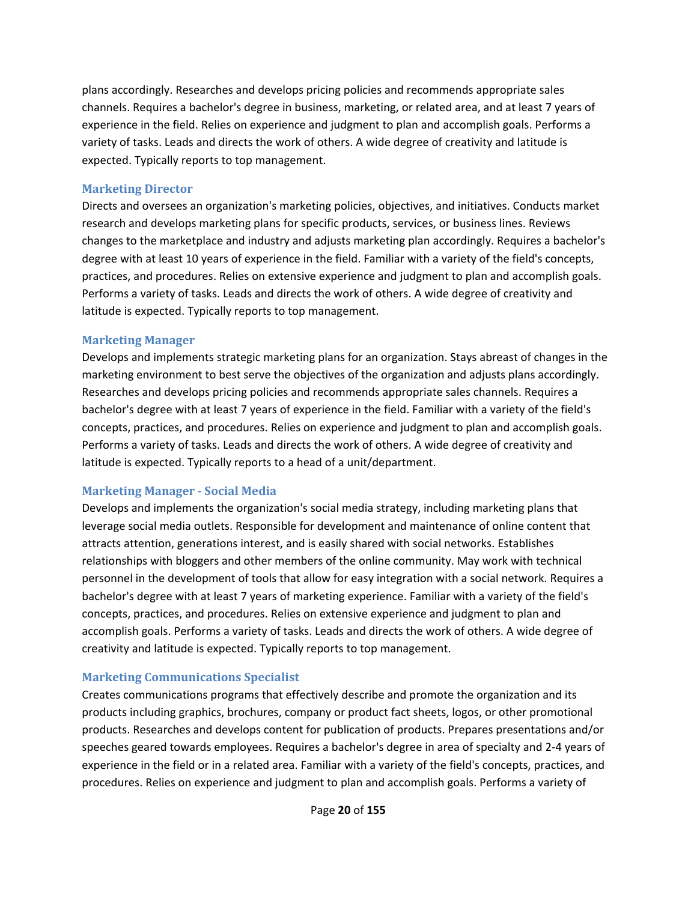plans accordingly. Researches and develops pricing policies and recommends appropriate sales channels. Requires a bachelor's degree in business, marketing, or related area, and at least 7 years of experience in the field. Relies on experience and judgment to plan and accomplish goals. Performs a variety of tasks. Leads and directs the work of others. A wide degree of creativity and latitude is expected. Typically reports to top management.

## <span id="page-20-0"></span>**Marketing Director**

Directs and oversees an organization's marketing policies, objectives, and initiatives. Conducts market research and develops marketing plans for specific products, services, or business lines. Reviews changes to the marketplace and industry and adjusts marketing plan accordingly. Requires a bachelor's degree with at least 10 years of experience in the field. Familiar with a variety of the field's concepts, practices, and procedures. Relies on extensive experience and judgment to plan and accomplish goals. Performs a variety of tasks. Leads and directs the work of others. A wide degree of creativity and latitude is expected. Typically reports to top management.

## <span id="page-20-1"></span>**Marketing Manager**

Develops and implements strategic marketing plans for an organization. Stays abreast of changes in the marketing environment to best serve the objectives of the organization and adjusts plans accordingly. Researches and develops pricing policies and recommends appropriate sales channels. Requires a bachelor's degree with at least 7 years of experience in the field. Familiar with a variety of the field's concepts, practices, and procedures. Relies on experience and judgment to plan and accomplish goals. Performs a variety of tasks. Leads and directs the work of others. A wide degree of creativity and latitude is expected. Typically reports to a head of a unit/department.

## <span id="page-20-2"></span>**Marketing Manager - Social Media**

Develops and implements the organization's social media strategy, including marketing plans that leverage social media outlets. Responsible for development and maintenance of online content that attracts attention, generations interest, and is easily shared with social networks. Establishes relationships with bloggers and other members of the online community. May work with technical personnel in the development of tools that allow for easy integration with a social network. Requires a bachelor's degree with at least 7 years of marketing experience. Familiar with a variety of the field's concepts, practices, and procedures. Relies on extensive experience and judgment to plan and accomplish goals. Performs a variety of tasks. Leads and directs the work of others. A wide degree of creativity and latitude is expected. Typically reports to top management.

## <span id="page-20-3"></span>**Marketing Communications Specialist**

Creates communications programs that effectively describe and promote the organization and its products including graphics, brochures, company or product fact sheets, logos, or other promotional products. Researches and develops content for publication of products. Prepares presentations and/or speeches geared towards employees. Requires a bachelor's degree in area of specialty and 2-4 years of experience in the field or in a related area. Familiar with a variety of the field's concepts, practices, and procedures. Relies on experience and judgment to plan and accomplish goals. Performs a variety of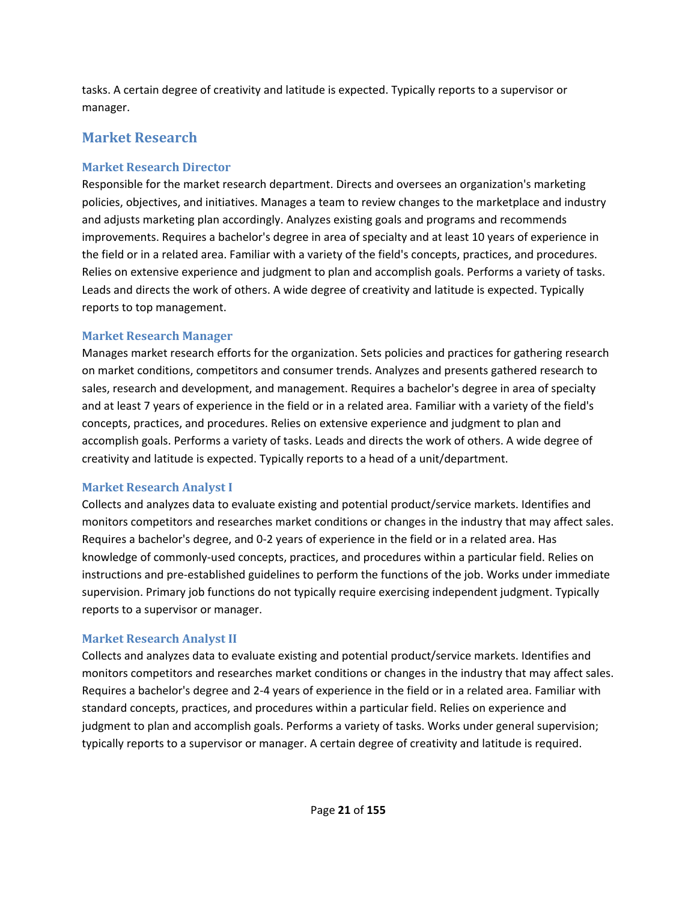tasks. A certain degree of creativity and latitude is expected. Typically reports to a supervisor or manager.

## <span id="page-21-0"></span>**Market Research**

## <span id="page-21-1"></span>**Market Research Director**

Responsible for the market research department. Directs and oversees an organization's marketing policies, objectives, and initiatives. Manages a team to review changes to the marketplace and industry and adjusts marketing plan accordingly. Analyzes existing goals and programs and recommends improvements. Requires a bachelor's degree in area of specialty and at least 10 years of experience in the field or in a related area. Familiar with a variety of the field's concepts, practices, and procedures. Relies on extensive experience and judgment to plan and accomplish goals. Performs a variety of tasks. Leads and directs the work of others. A wide degree of creativity and latitude is expected. Typically reports to top management.

## <span id="page-21-2"></span>**Market Research Manager**

Manages market research efforts for the organization. Sets policies and practices for gathering research on market conditions, competitors and consumer trends. Analyzes and presents gathered research to sales, research and development, and management. Requires a bachelor's degree in area of specialty and at least 7 years of experience in the field or in a related area. Familiar with a variety of the field's concepts, practices, and procedures. Relies on extensive experience and judgment to plan and accomplish goals. Performs a variety of tasks. Leads and directs the work of others. A wide degree of creativity and latitude is expected. Typically reports to a head of a unit/department.

## <span id="page-21-3"></span>**Market Research Analyst I**

Collects and analyzes data to evaluate existing and potential product/service markets. Identifies and monitors competitors and researches market conditions or changes in the industry that may affect sales. Requires a bachelor's degree, and 0-2 years of experience in the field or in a related area. Has knowledge of commonly-used concepts, practices, and procedures within a particular field. Relies on instructions and pre-established guidelines to perform the functions of the job. Works under immediate supervision. Primary job functions do not typically require exercising independent judgment. Typically reports to a supervisor or manager.

## <span id="page-21-4"></span>**Market Research Analyst II**

Collects and analyzes data to evaluate existing and potential product/service markets. Identifies and monitors competitors and researches market conditions or changes in the industry that may affect sales. Requires a bachelor's degree and 2-4 years of experience in the field or in a related area. Familiar with standard concepts, practices, and procedures within a particular field. Relies on experience and judgment to plan and accomplish goals. Performs a variety of tasks. Works under general supervision; typically reports to a supervisor or manager. A certain degree of creativity and latitude is required.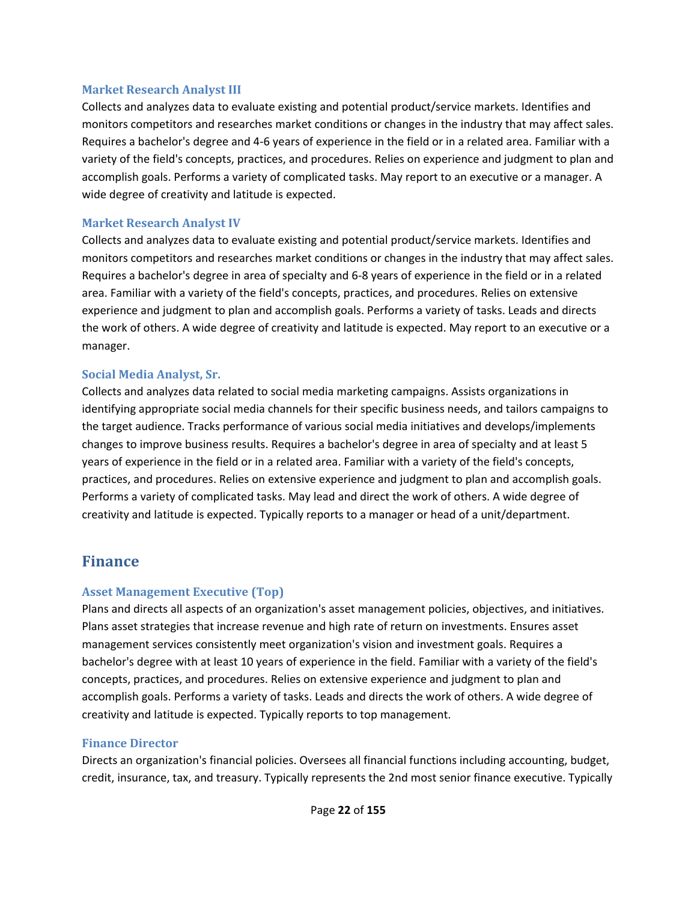#### <span id="page-22-0"></span>**Market Research Analyst III**

Collects and analyzes data to evaluate existing and potential product/service markets. Identifies and monitors competitors and researches market conditions or changes in the industry that may affect sales. Requires a bachelor's degree and 4-6 years of experience in the field or in a related area. Familiar with a variety of the field's concepts, practices, and procedures. Relies on experience and judgment to plan and accomplish goals. Performs a variety of complicated tasks. May report to an executive or a manager. A wide degree of creativity and latitude is expected.

#### <span id="page-22-1"></span>**Market Research Analyst IV**

Collects and analyzes data to evaluate existing and potential product/service markets. Identifies and monitors competitors and researches market conditions or changes in the industry that may affect sales. Requires a bachelor's degree in area of specialty and 6-8 years of experience in the field or in a related area. Familiar with a variety of the field's concepts, practices, and procedures. Relies on extensive experience and judgment to plan and accomplish goals. Performs a variety of tasks. Leads and directs the work of others. A wide degree of creativity and latitude is expected. May report to an executive or a manager.

#### <span id="page-22-2"></span>**Social Media Analyst, Sr.**

Collects and analyzes data related to social media marketing campaigns. Assists organizations in identifying appropriate social media channels for their specific business needs, and tailors campaigns to the target audience. Tracks performance of various social media initiatives and develops/implements changes to improve business results. Requires a bachelor's degree in area of specialty and at least 5 years of experience in the field or in a related area. Familiar with a variety of the field's concepts, practices, and procedures. Relies on extensive experience and judgment to plan and accomplish goals. Performs a variety of complicated tasks. May lead and direct the work of others. A wide degree of creativity and latitude is expected. Typically reports to a manager or head of a unit/department.

## <span id="page-22-3"></span>**Finance**

#### <span id="page-22-4"></span>**Asset Management Executive (Top)**

Plans and directs all aspects of an organization's asset management policies, objectives, and initiatives. Plans asset strategies that increase revenue and high rate of return on investments. Ensures asset management services consistently meet organization's vision and investment goals. Requires a bachelor's degree with at least 10 years of experience in the field. Familiar with a variety of the field's concepts, practices, and procedures. Relies on extensive experience and judgment to plan and accomplish goals. Performs a variety of tasks. Leads and directs the work of others. A wide degree of creativity and latitude is expected. Typically reports to top management.

#### <span id="page-22-5"></span>**Finance Director**

Directs an organization's financial policies. Oversees all financial functions including accounting, budget, credit, insurance, tax, and treasury. Typically represents the 2nd most senior finance executive. Typically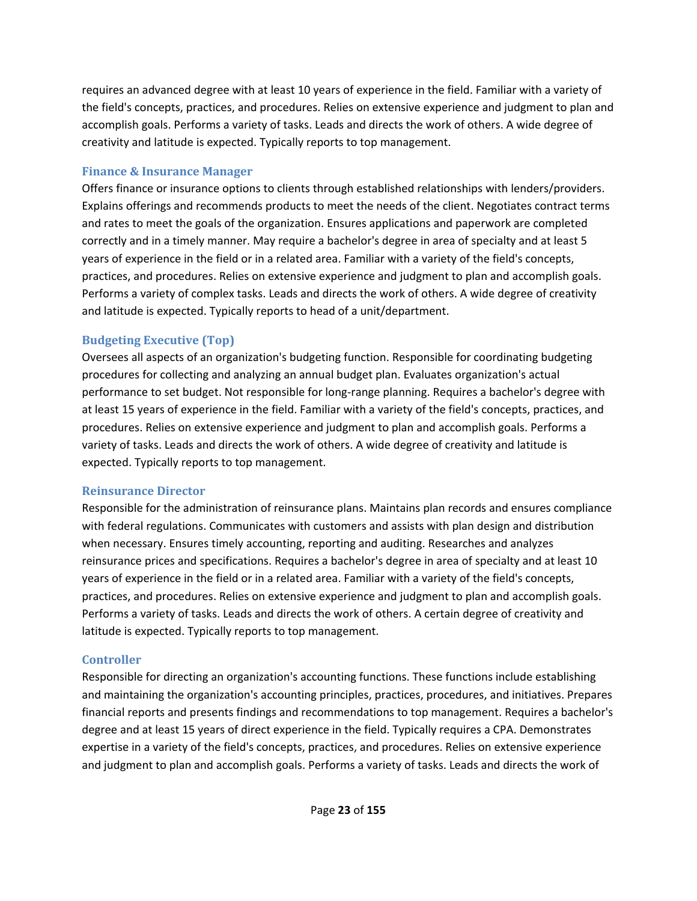requires an advanced degree with at least 10 years of experience in the field. Familiar with a variety of the field's concepts, practices, and procedures. Relies on extensive experience and judgment to plan and accomplish goals. Performs a variety of tasks. Leads and directs the work of others. A wide degree of creativity and latitude is expected. Typically reports to top management.

#### <span id="page-23-0"></span>**Finance & Insurance Manager**

Offers finance or insurance options to clients through established relationships with lenders/providers. Explains offerings and recommends products to meet the needs of the client. Negotiates contract terms and rates to meet the goals of the organization. Ensures applications and paperwork are completed correctly and in a timely manner. May require a bachelor's degree in area of specialty and at least 5 years of experience in the field or in a related area. Familiar with a variety of the field's concepts, practices, and procedures. Relies on extensive experience and judgment to plan and accomplish goals. Performs a variety of complex tasks. Leads and directs the work of others. A wide degree of creativity and latitude is expected. Typically reports to head of a unit/department.

## <span id="page-23-1"></span>**Budgeting Executive (Top)**

Oversees all aspects of an organization's budgeting function. Responsible for coordinating budgeting procedures for collecting and analyzing an annual budget plan. Evaluates organization's actual performance to set budget. Not responsible for long-range planning. Requires a bachelor's degree with at least 15 years of experience in the field. Familiar with a variety of the field's concepts, practices, and procedures. Relies on extensive experience and judgment to plan and accomplish goals. Performs a variety of tasks. Leads and directs the work of others. A wide degree of creativity and latitude is expected. Typically reports to top management.

## <span id="page-23-2"></span>**Reinsurance Director**

Responsible for the administration of reinsurance plans. Maintains plan records and ensures compliance with federal regulations. Communicates with customers and assists with plan design and distribution when necessary. Ensures timely accounting, reporting and auditing. Researches and analyzes reinsurance prices and specifications. Requires a bachelor's degree in area of specialty and at least 10 years of experience in the field or in a related area. Familiar with a variety of the field's concepts, practices, and procedures. Relies on extensive experience and judgment to plan and accomplish goals. Performs a variety of tasks. Leads and directs the work of others. A certain degree of creativity and latitude is expected. Typically reports to top management.

## <span id="page-23-3"></span>**Controller**

Responsible for directing an organization's accounting functions. These functions include establishing and maintaining the organization's accounting principles, practices, procedures, and initiatives. Prepares financial reports and presents findings and recommendations to top management. Requires a bachelor's degree and at least 15 years of direct experience in the field. Typically requires a CPA. Demonstrates expertise in a variety of the field's concepts, practices, and procedures. Relies on extensive experience and judgment to plan and accomplish goals. Performs a variety of tasks. Leads and directs the work of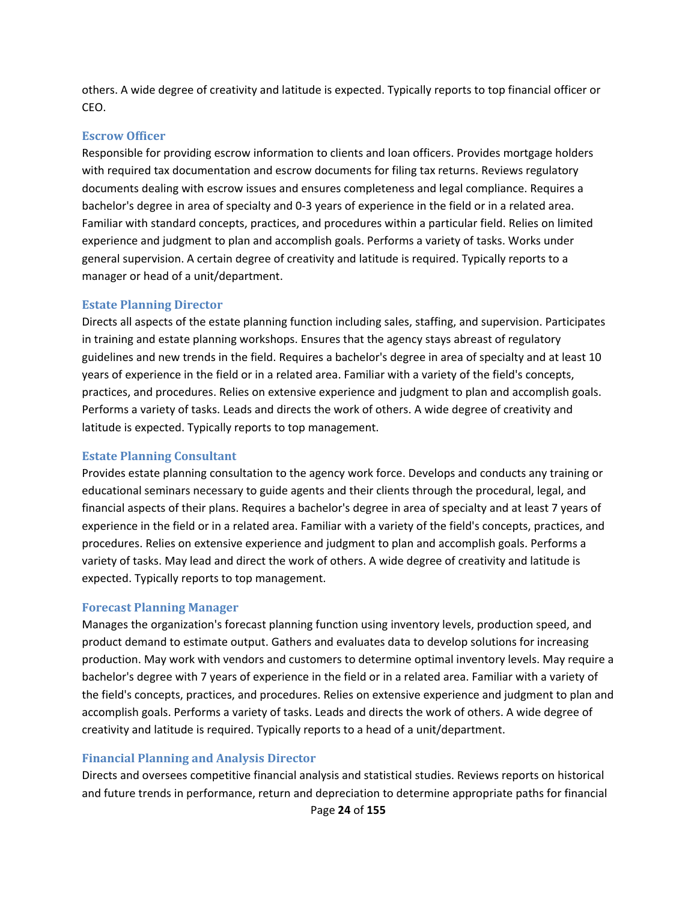others. A wide degree of creativity and latitude is expected. Typically reports to top financial officer or CEO.

#### <span id="page-24-0"></span>**Escrow Officer**

Responsible for providing escrow information to clients and loan officers. Provides mortgage holders with required tax documentation and escrow documents for filing tax returns. Reviews regulatory documents dealing with escrow issues and ensures completeness and legal compliance. Requires a bachelor's degree in area of specialty and 0-3 years of experience in the field or in a related area. Familiar with standard concepts, practices, and procedures within a particular field. Relies on limited experience and judgment to plan and accomplish goals. Performs a variety of tasks. Works under general supervision. A certain degree of creativity and latitude is required. Typically reports to a manager or head of a unit/department.

#### <span id="page-24-1"></span>**Estate Planning Director**

Directs all aspects of the estate planning function including sales, staffing, and supervision. Participates in training and estate planning workshops. Ensures that the agency stays abreast of regulatory guidelines and new trends in the field. Requires a bachelor's degree in area of specialty and at least 10 years of experience in the field or in a related area. Familiar with a variety of the field's concepts, practices, and procedures. Relies on extensive experience and judgment to plan and accomplish goals. Performs a variety of tasks. Leads and directs the work of others. A wide degree of creativity and latitude is expected. Typically reports to top management.

#### <span id="page-24-2"></span>**Estate Planning Consultant**

Provides estate planning consultation to the agency work force. Develops and conducts any training or educational seminars necessary to guide agents and their clients through the procedural, legal, and financial aspects of their plans. Requires a bachelor's degree in area of specialty and at least 7 years of experience in the field or in a related area. Familiar with a variety of the field's concepts, practices, and procedures. Relies on extensive experience and judgment to plan and accomplish goals. Performs a variety of tasks. May lead and direct the work of others. A wide degree of creativity and latitude is expected. Typically reports to top management.

#### <span id="page-24-3"></span>**Forecast Planning Manager**

Manages the organization's forecast planning function using inventory levels, production speed, and product demand to estimate output. Gathers and evaluates data to develop solutions for increasing production. May work with vendors and customers to determine optimal inventory levels. May require a bachelor's degree with 7 years of experience in the field or in a related area. Familiar with a variety of the field's concepts, practices, and procedures. Relies on extensive experience and judgment to plan and accomplish goals. Performs a variety of tasks. Leads and directs the work of others. A wide degree of creativity and latitude is required. Typically reports to a head of a unit/department.

#### <span id="page-24-4"></span>**Financial Planning and Analysis Director**

Directs and oversees competitive financial analysis and statistical studies. Reviews reports on historical and future trends in performance, return and depreciation to determine appropriate paths for financial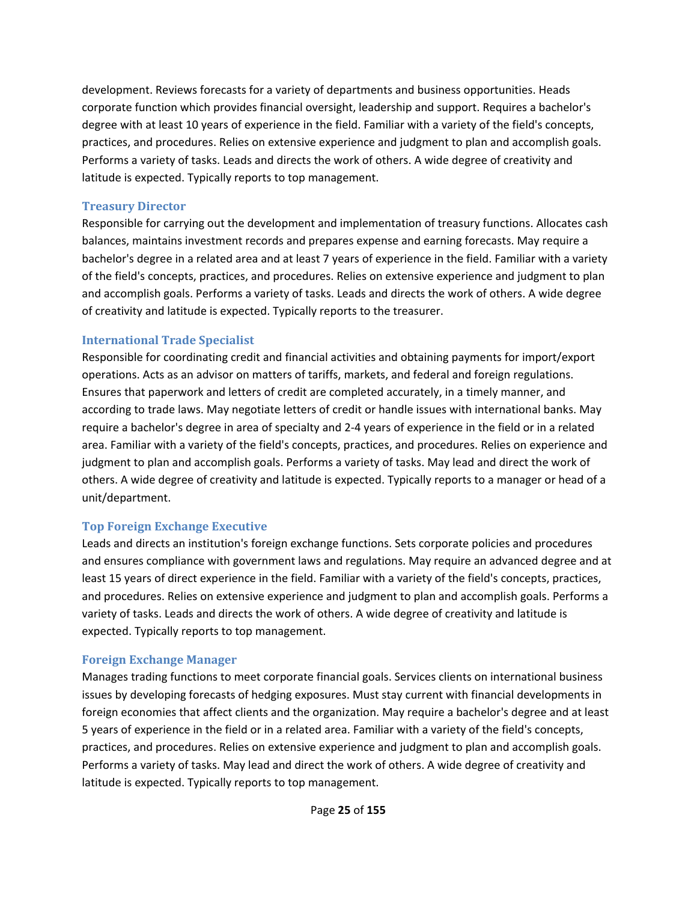development. Reviews forecasts for a variety of departments and business opportunities. Heads corporate function which provides financial oversight, leadership and support. Requires a bachelor's degree with at least 10 years of experience in the field. Familiar with a variety of the field's concepts, practices, and procedures. Relies on extensive experience and judgment to plan and accomplish goals. Performs a variety of tasks. Leads and directs the work of others. A wide degree of creativity and latitude is expected. Typically reports to top management.

#### <span id="page-25-0"></span>**Treasury Director**

Responsible for carrying out the development and implementation of treasury functions. Allocates cash balances, maintains investment records and prepares expense and earning forecasts. May require a bachelor's degree in a related area and at least 7 years of experience in the field. Familiar with a variety of the field's concepts, practices, and procedures. Relies on extensive experience and judgment to plan and accomplish goals. Performs a variety of tasks. Leads and directs the work of others. A wide degree of creativity and latitude is expected. Typically reports to the treasurer.

## <span id="page-25-1"></span>**International Trade Specialist**

Responsible for coordinating credit and financial activities and obtaining payments for import/export operations. Acts as an advisor on matters of tariffs, markets, and federal and foreign regulations. Ensures that paperwork and letters of credit are completed accurately, in a timely manner, and according to trade laws. May negotiate letters of credit or handle issues with international banks. May require a bachelor's degree in area of specialty and 2-4 years of experience in the field or in a related area. Familiar with a variety of the field's concepts, practices, and procedures. Relies on experience and judgment to plan and accomplish goals. Performs a variety of tasks. May lead and direct the work of others. A wide degree of creativity and latitude is expected. Typically reports to a manager or head of a unit/department.

## <span id="page-25-2"></span>**Top Foreign Exchange Executive**

Leads and directs an institution's foreign exchange functions. Sets corporate policies and procedures and ensures compliance with government laws and regulations. May require an advanced degree and at least 15 years of direct experience in the field. Familiar with a variety of the field's concepts, practices, and procedures. Relies on extensive experience and judgment to plan and accomplish goals. Performs a variety of tasks. Leads and directs the work of others. A wide degree of creativity and latitude is expected. Typically reports to top management.

## <span id="page-25-3"></span>**Foreign Exchange Manager**

Manages trading functions to meet corporate financial goals. Services clients on international business issues by developing forecasts of hedging exposures. Must stay current with financial developments in foreign economies that affect clients and the organization. May require a bachelor's degree and at least 5 years of experience in the field or in a related area. Familiar with a variety of the field's concepts, practices, and procedures. Relies on extensive experience and judgment to plan and accomplish goals. Performs a variety of tasks. May lead and direct the work of others. A wide degree of creativity and latitude is expected. Typically reports to top management.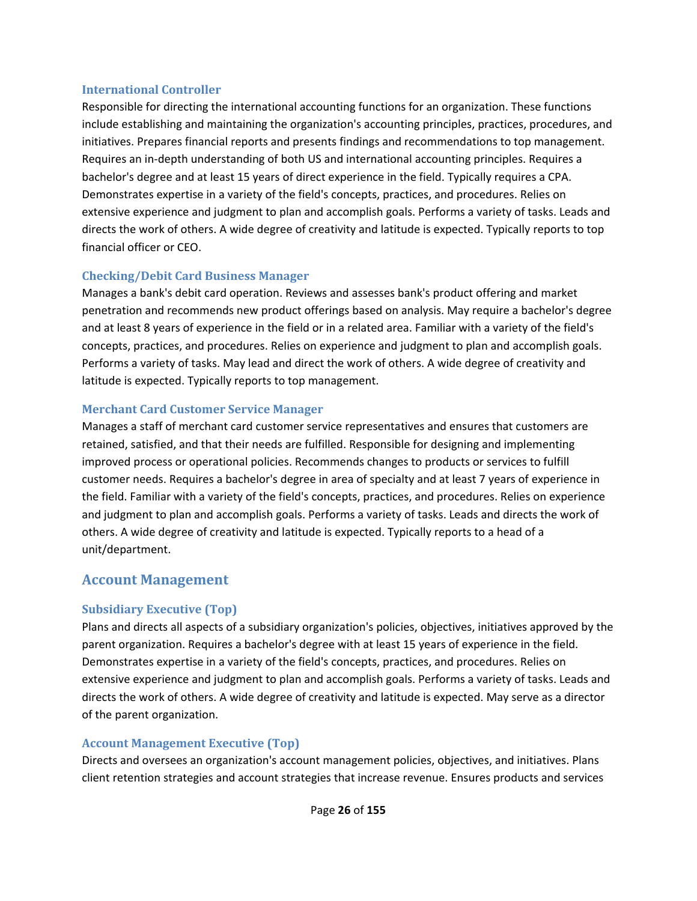#### <span id="page-26-0"></span>**International Controller**

Responsible for directing the international accounting functions for an organization. These functions include establishing and maintaining the organization's accounting principles, practices, procedures, and initiatives. Prepares financial reports and presents findings and recommendations to top management. Requires an in-depth understanding of both US and international accounting principles. Requires a bachelor's degree and at least 15 years of direct experience in the field. Typically requires a CPA. Demonstrates expertise in a variety of the field's concepts, practices, and procedures. Relies on extensive experience and judgment to plan and accomplish goals. Performs a variety of tasks. Leads and directs the work of others. A wide degree of creativity and latitude is expected. Typically reports to top financial officer or CEO.

## <span id="page-26-1"></span>**Checking/Debit Card Business Manager**

Manages a bank's debit card operation. Reviews and assesses bank's product offering and market penetration and recommends new product offerings based on analysis. May require a bachelor's degree and at least 8 years of experience in the field or in a related area. Familiar with a variety of the field's concepts, practices, and procedures. Relies on experience and judgment to plan and accomplish goals. Performs a variety of tasks. May lead and direct the work of others. A wide degree of creativity and latitude is expected. Typically reports to top management.

## <span id="page-26-2"></span>**Merchant Card Customer Service Manager**

Manages a staff of merchant card customer service representatives and ensures that customers are retained, satisfied, and that their needs are fulfilled. Responsible for designing and implementing improved process or operational policies. Recommends changes to products or services to fulfill customer needs. Requires a bachelor's degree in area of specialty and at least 7 years of experience in the field. Familiar with a variety of the field's concepts, practices, and procedures. Relies on experience and judgment to plan and accomplish goals. Performs a variety of tasks. Leads and directs the work of others. A wide degree of creativity and latitude is expected. Typically reports to a head of a unit/department.

## <span id="page-26-3"></span>**Account Management**

## <span id="page-26-4"></span>**Subsidiary Executive (Top)**

Plans and directs all aspects of a subsidiary organization's policies, objectives, initiatives approved by the parent organization. Requires a bachelor's degree with at least 15 years of experience in the field. Demonstrates expertise in a variety of the field's concepts, practices, and procedures. Relies on extensive experience and judgment to plan and accomplish goals. Performs a variety of tasks. Leads and directs the work of others. A wide degree of creativity and latitude is expected. May serve as a director of the parent organization.

#### <span id="page-26-5"></span>**Account Management Executive (Top)**

Directs and oversees an organization's account management policies, objectives, and initiatives. Plans client retention strategies and account strategies that increase revenue. Ensures products and services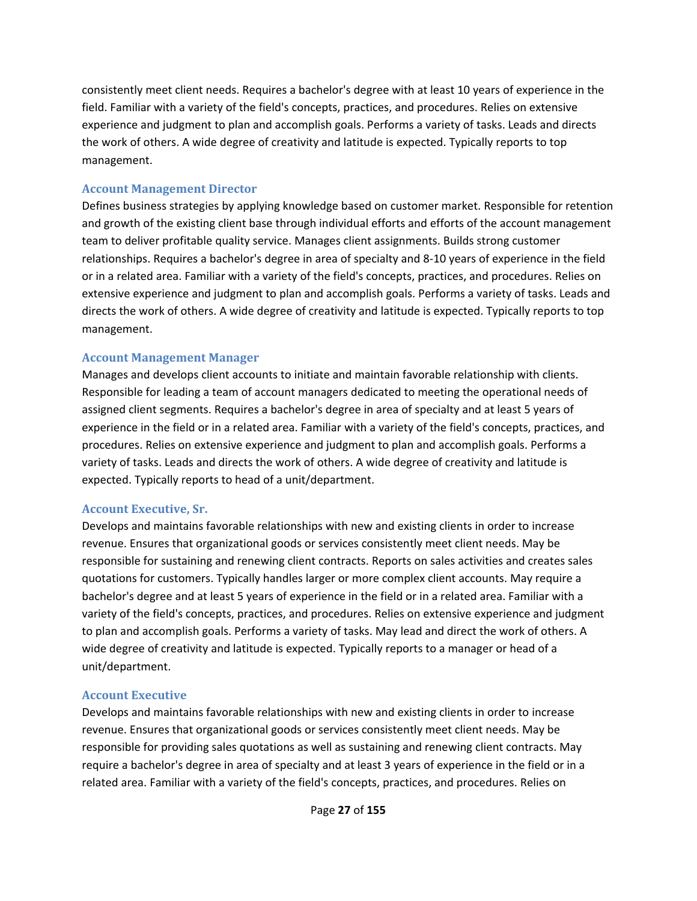consistently meet client needs. Requires a bachelor's degree with at least 10 years of experience in the field. Familiar with a variety of the field's concepts, practices, and procedures. Relies on extensive experience and judgment to plan and accomplish goals. Performs a variety of tasks. Leads and directs the work of others. A wide degree of creativity and latitude is expected. Typically reports to top management.

#### <span id="page-27-0"></span>**Account Management Director**

Defines business strategies by applying knowledge based on customer market. Responsible for retention and growth of the existing client base through individual efforts and efforts of the account management team to deliver profitable quality service. Manages client assignments. Builds strong customer relationships. Requires a bachelor's degree in area of specialty and 8-10 years of experience in the field or in a related area. Familiar with a variety of the field's concepts, practices, and procedures. Relies on extensive experience and judgment to plan and accomplish goals. Performs a variety of tasks. Leads and directs the work of others. A wide degree of creativity and latitude is expected. Typically reports to top management.

#### <span id="page-27-1"></span>**Account Management Manager**

Manages and develops client accounts to initiate and maintain favorable relationship with clients. Responsible for leading a team of account managers dedicated to meeting the operational needs of assigned client segments. Requires a bachelor's degree in area of specialty and at least 5 years of experience in the field or in a related area. Familiar with a variety of the field's concepts, practices, and procedures. Relies on extensive experience and judgment to plan and accomplish goals. Performs a variety of tasks. Leads and directs the work of others. A wide degree of creativity and latitude is expected. Typically reports to head of a unit/department.

#### <span id="page-27-2"></span>**Account Executive, Sr.**

Develops and maintains favorable relationships with new and existing clients in order to increase revenue. Ensures that organizational goods or services consistently meet client needs. May be responsible for sustaining and renewing client contracts. Reports on sales activities and creates sales quotations for customers. Typically handles larger or more complex client accounts. May require a bachelor's degree and at least 5 years of experience in the field or in a related area. Familiar with a variety of the field's concepts, practices, and procedures. Relies on extensive experience and judgment to plan and accomplish goals. Performs a variety of tasks. May lead and direct the work of others. A wide degree of creativity and latitude is expected. Typically reports to a manager or head of a unit/department.

#### <span id="page-27-3"></span>**Account Executive**

Develops and maintains favorable relationships with new and existing clients in order to increase revenue. Ensures that organizational goods or services consistently meet client needs. May be responsible for providing sales quotations as well as sustaining and renewing client contracts. May require a bachelor's degree in area of specialty and at least 3 years of experience in the field or in a related area. Familiar with a variety of the field's concepts, practices, and procedures. Relies on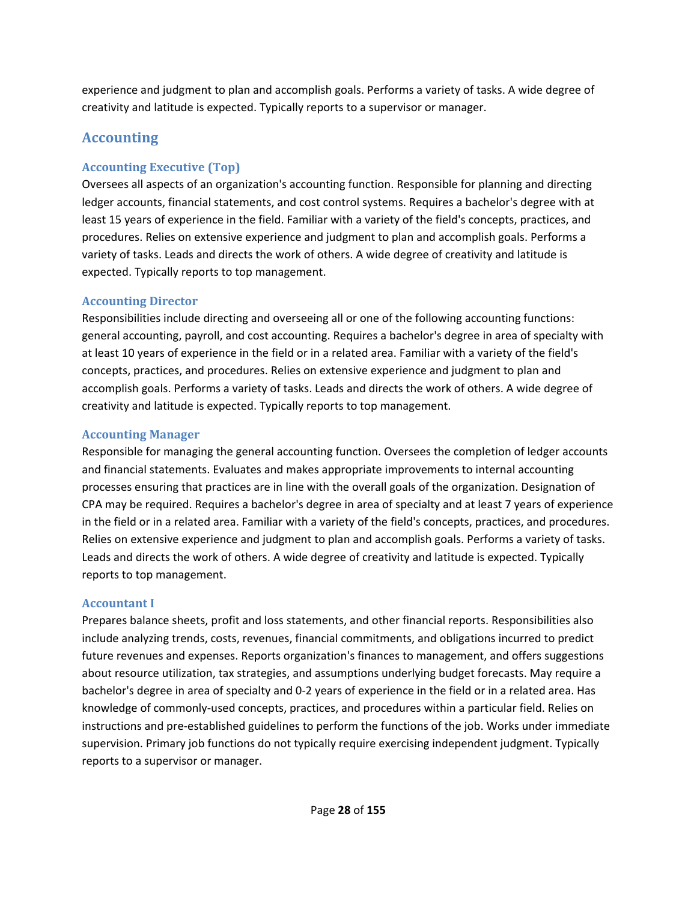experience and judgment to plan and accomplish goals. Performs a variety of tasks. A wide degree of creativity and latitude is expected. Typically reports to a supervisor or manager.

# <span id="page-28-0"></span>**Accounting**

## <span id="page-28-1"></span>**Accounting Executive (Top)**

Oversees all aspects of an organization's accounting function. Responsible for planning and directing ledger accounts, financial statements, and cost control systems. Requires a bachelor's degree with at least 15 years of experience in the field. Familiar with a variety of the field's concepts, practices, and procedures. Relies on extensive experience and judgment to plan and accomplish goals. Performs a variety of tasks. Leads and directs the work of others. A wide degree of creativity and latitude is expected. Typically reports to top management.

## <span id="page-28-2"></span>**Accounting Director**

Responsibilities include directing and overseeing all or one of the following accounting functions: general accounting, payroll, and cost accounting. Requires a bachelor's degree in area of specialty with at least 10 years of experience in the field or in a related area. Familiar with a variety of the field's concepts, practices, and procedures. Relies on extensive experience and judgment to plan and accomplish goals. Performs a variety of tasks. Leads and directs the work of others. A wide degree of creativity and latitude is expected. Typically reports to top management.

## <span id="page-28-3"></span>**Accounting Manager**

Responsible for managing the general accounting function. Oversees the completion of ledger accounts and financial statements. Evaluates and makes appropriate improvements to internal accounting processes ensuring that practices are in line with the overall goals of the organization. Designation of CPA may be required. Requires a bachelor's degree in area of specialty and at least 7 years of experience in the field or in a related area. Familiar with a variety of the field's concepts, practices, and procedures. Relies on extensive experience and judgment to plan and accomplish goals. Performs a variety of tasks. Leads and directs the work of others. A wide degree of creativity and latitude is expected. Typically reports to top management.

## <span id="page-28-4"></span>**Accountant I**

Prepares balance sheets, profit and loss statements, and other financial reports. Responsibilities also include analyzing trends, costs, revenues, financial commitments, and obligations incurred to predict future revenues and expenses. Reports organization's finances to management, and offers suggestions about resource utilization, tax strategies, and assumptions underlying budget forecasts. May require a bachelor's degree in area of specialty and 0-2 years of experience in the field or in a related area. Has knowledge of commonly-used concepts, practices, and procedures within a particular field. Relies on instructions and pre-established guidelines to perform the functions of the job. Works under immediate supervision. Primary job functions do not typically require exercising independent judgment. Typically reports to a supervisor or manager.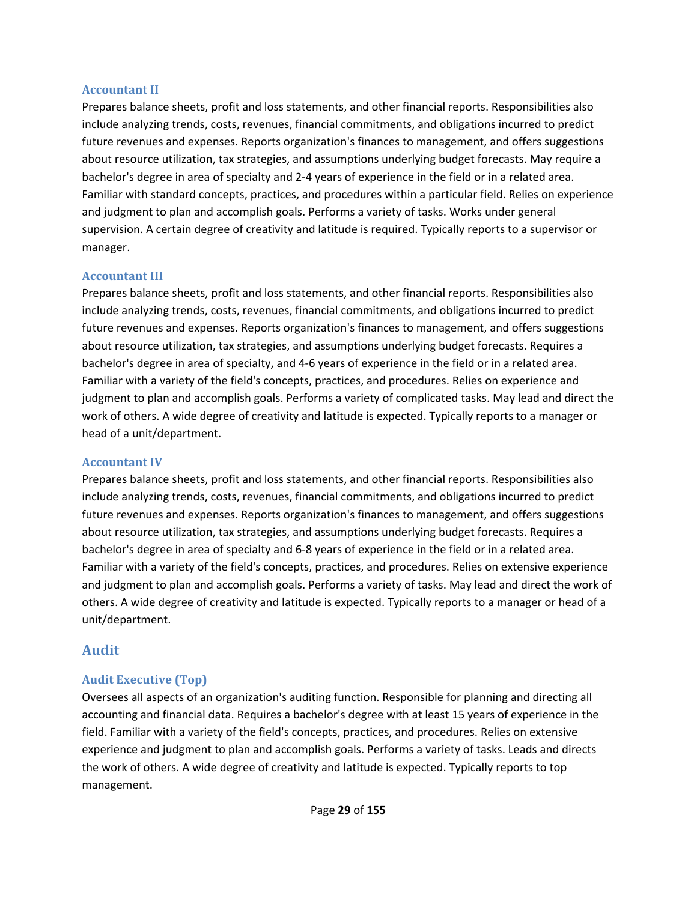#### <span id="page-29-0"></span>**Accountant II**

Prepares balance sheets, profit and loss statements, and other financial reports. Responsibilities also include analyzing trends, costs, revenues, financial commitments, and obligations incurred to predict future revenues and expenses. Reports organization's finances to management, and offers suggestions about resource utilization, tax strategies, and assumptions underlying budget forecasts. May require a bachelor's degree in area of specialty and 2-4 years of experience in the field or in a related area. Familiar with standard concepts, practices, and procedures within a particular field. Relies on experience and judgment to plan and accomplish goals. Performs a variety of tasks. Works under general supervision. A certain degree of creativity and latitude is required. Typically reports to a supervisor or manager.

#### <span id="page-29-1"></span>**Accountant III**

Prepares balance sheets, profit and loss statements, and other financial reports. Responsibilities also include analyzing trends, costs, revenues, financial commitments, and obligations incurred to predict future revenues and expenses. Reports organization's finances to management, and offers suggestions about resource utilization, tax strategies, and assumptions underlying budget forecasts. Requires a bachelor's degree in area of specialty, and 4-6 years of experience in the field or in a related area. Familiar with a variety of the field's concepts, practices, and procedures. Relies on experience and judgment to plan and accomplish goals. Performs a variety of complicated tasks. May lead and direct the work of others. A wide degree of creativity and latitude is expected. Typically reports to a manager or head of a unit/department.

#### <span id="page-29-2"></span>**Accountant IV**

Prepares balance sheets, profit and loss statements, and other financial reports. Responsibilities also include analyzing trends, costs, revenues, financial commitments, and obligations incurred to predict future revenues and expenses. Reports organization's finances to management, and offers suggestions about resource utilization, tax strategies, and assumptions underlying budget forecasts. Requires a bachelor's degree in area of specialty and 6-8 years of experience in the field or in a related area. Familiar with a variety of the field's concepts, practices, and procedures. Relies on extensive experience and judgment to plan and accomplish goals. Performs a variety of tasks. May lead and direct the work of others. A wide degree of creativity and latitude is expected. Typically reports to a manager or head of a unit/department.

## <span id="page-29-3"></span>**Audit**

#### <span id="page-29-4"></span>**Audit Executive (Top)**

Oversees all aspects of an organization's auditing function. Responsible for planning and directing all accounting and financial data. Requires a bachelor's degree with at least 15 years of experience in the field. Familiar with a variety of the field's concepts, practices, and procedures. Relies on extensive experience and judgment to plan and accomplish goals. Performs a variety of tasks. Leads and directs the work of others. A wide degree of creativity and latitude is expected. Typically reports to top management.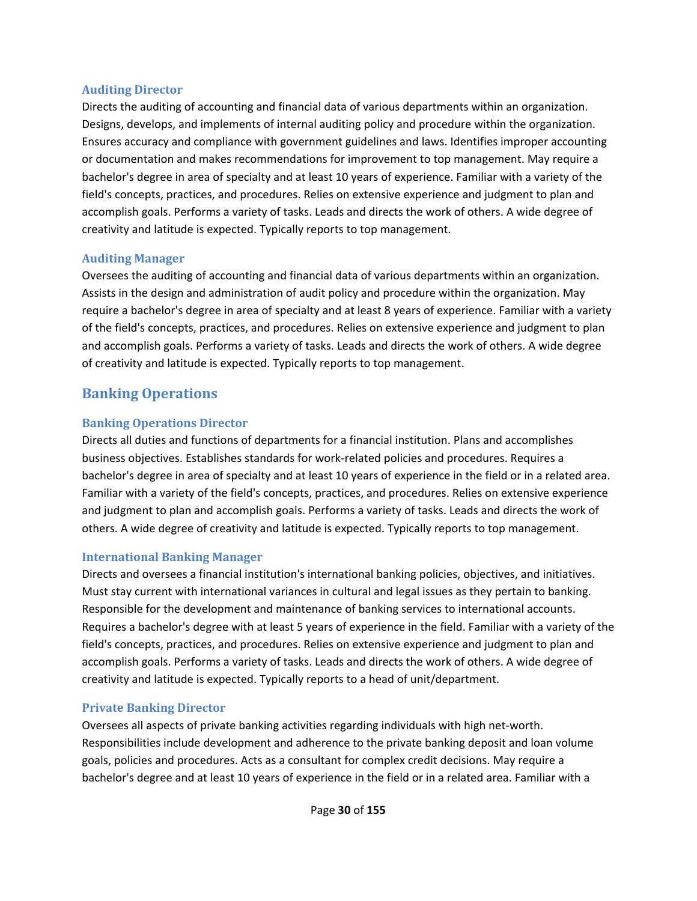#### <span id="page-30-0"></span>**Auditing Director**

Directs the auditing of accounting and financial data of various departments within an organization. Designs, develops, and implements of internal auditing policy and procedure within the organization. Ensures accuracy and compliance with government guidelines and laws. Identifies improper accounting or documentation and makes recommendations for improvement to top management. May require a bachelor's degree in area of specialty and at least 10 years of experience. Familiar with a variety of the field's concepts, practices, and procedures. Relies on extensive experience and judgment to plan and accomplish goals. Performs a variety of tasks. Leads and directs the work of others. A wide degree of creativity and latitude is expected. Typically reports to top management.

#### <span id="page-30-1"></span>**Auditing Manager**

Oversees the auditing of accounting and financial data of various departments within an organization. Assists in the design and administration of audit policy and procedure within the organization. May require a bachelor's degree in area of specialty and at least 8 years of experience. Familiar with a variety of the field's concepts, practices, and procedures. Relies on extensive experience and judgment to plan and accomplish goals. Performs a variety of tasks. Leads and directs the work of others. A wide degree of creativity and latitude is expected. Typically reports to top management.

## <span id="page-30-2"></span>**Banking Operations**

#### <span id="page-30-3"></span>**Banking Operations Director**

Directs all duties and functions of departments for a financial institution. Plans and accomplishes business objectives. Establishes standards for work-related policies and procedures. Requires a bachelor's degree in area of specialty and at least 10 years of experience in the field or in a related area. Familiar with a variety of the field's concepts, practices, and procedures. Relies on extensive experience and judgment to plan and accomplish goals. Performs a variety of tasks. Leads and directs the work of others. A wide degree of creativity and latitude is expected. Typically reports to top management.

#### <span id="page-30-4"></span>**International Banking Manager**

Directs and oversees a financial institution's international banking policies, objectives, and initiatives. Must stay current with international variances in cultural and legal issues as they pertain to banking. Responsible for the development and maintenance of banking services to international accounts. Requires a bachelor's degree with at least 5 years of experience in the field. Familiar with a variety of the field's concepts, practices, and procedures. Relies on extensive experience and judgment to plan and accomplish goals. Performs a variety of tasks. Leads and directs the work of others. A wide degree of creativity and latitude is expected. Typically reports to a head of unit/department.

#### <span id="page-30-5"></span>**Private Banking Director**

Oversees all aspects of private banking activities regarding individuals with high net-worth. Responsibilities include development and adherence to the private banking deposit and loan volume goals, policies and procedures. Acts as a consultant for complex credit decisions. May require a bachelor's degree and at least 10 years of experience in the field or in a related area. Familiar with a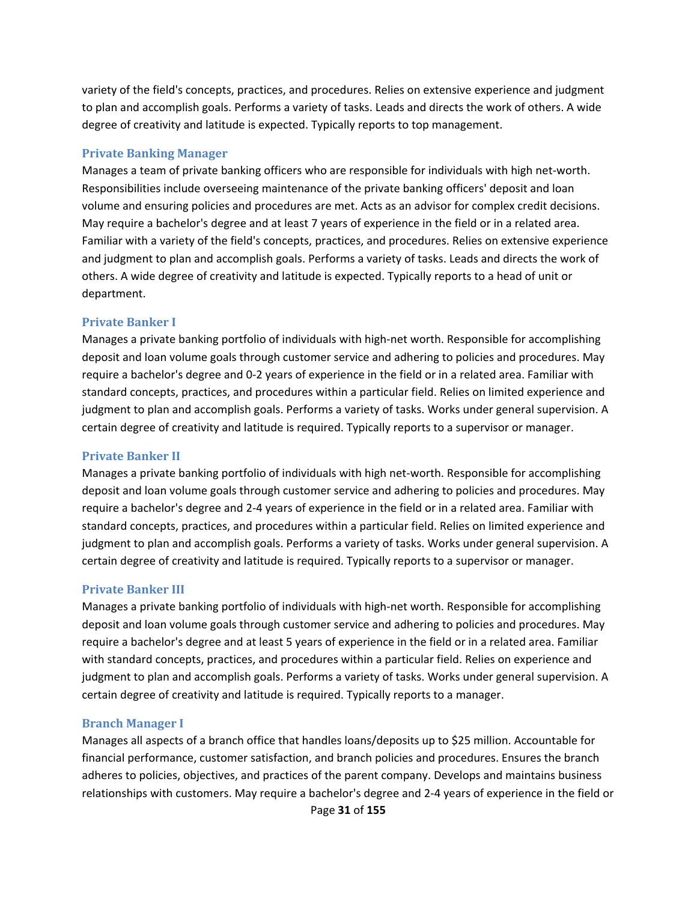variety of the field's concepts, practices, and procedures. Relies on extensive experience and judgment to plan and accomplish goals. Performs a variety of tasks. Leads and directs the work of others. A wide degree of creativity and latitude is expected. Typically reports to top management.

#### <span id="page-31-0"></span>**Private Banking Manager**

Manages a team of private banking officers who are responsible for individuals with high net-worth. Responsibilities include overseeing maintenance of the private banking officers' deposit and loan volume and ensuring policies and procedures are met. Acts as an advisor for complex credit decisions. May require a bachelor's degree and at least 7 years of experience in the field or in a related area. Familiar with a variety of the field's concepts, practices, and procedures. Relies on extensive experience and judgment to plan and accomplish goals. Performs a variety of tasks. Leads and directs the work of others. A wide degree of creativity and latitude is expected. Typically reports to a head of unit or department.

#### <span id="page-31-1"></span>**Private Banker I**

Manages a private banking portfolio of individuals with high-net worth. Responsible for accomplishing deposit and loan volume goals through customer service and adhering to policies and procedures. May require a bachelor's degree and 0-2 years of experience in the field or in a related area. Familiar with standard concepts, practices, and procedures within a particular field. Relies on limited experience and judgment to plan and accomplish goals. Performs a variety of tasks. Works under general supervision. A certain degree of creativity and latitude is required. Typically reports to a supervisor or manager.

#### <span id="page-31-2"></span>**Private Banker II**

Manages a private banking portfolio of individuals with high net-worth. Responsible for accomplishing deposit and loan volume goals through customer service and adhering to policies and procedures. May require a bachelor's degree and 2-4 years of experience in the field or in a related area. Familiar with standard concepts, practices, and procedures within a particular field. Relies on limited experience and judgment to plan and accomplish goals. Performs a variety of tasks. Works under general supervision. A certain degree of creativity and latitude is required. Typically reports to a supervisor or manager.

#### <span id="page-31-3"></span>**Private Banker III**

Manages a private banking portfolio of individuals with high-net worth. Responsible for accomplishing deposit and loan volume goals through customer service and adhering to policies and procedures. May require a bachelor's degree and at least 5 years of experience in the field or in a related area. Familiar with standard concepts, practices, and procedures within a particular field. Relies on experience and judgment to plan and accomplish goals. Performs a variety of tasks. Works under general supervision. A certain degree of creativity and latitude is required. Typically reports to a manager.

#### <span id="page-31-4"></span>**Branch Manager I**

Manages all aspects of a branch office that handles loans/deposits up to \$25 million. Accountable for financial performance, customer satisfaction, and branch policies and procedures. Ensures the branch adheres to policies, objectives, and practices of the parent company. Develops and maintains business relationships with customers. May require a bachelor's degree and 2-4 years of experience in the field or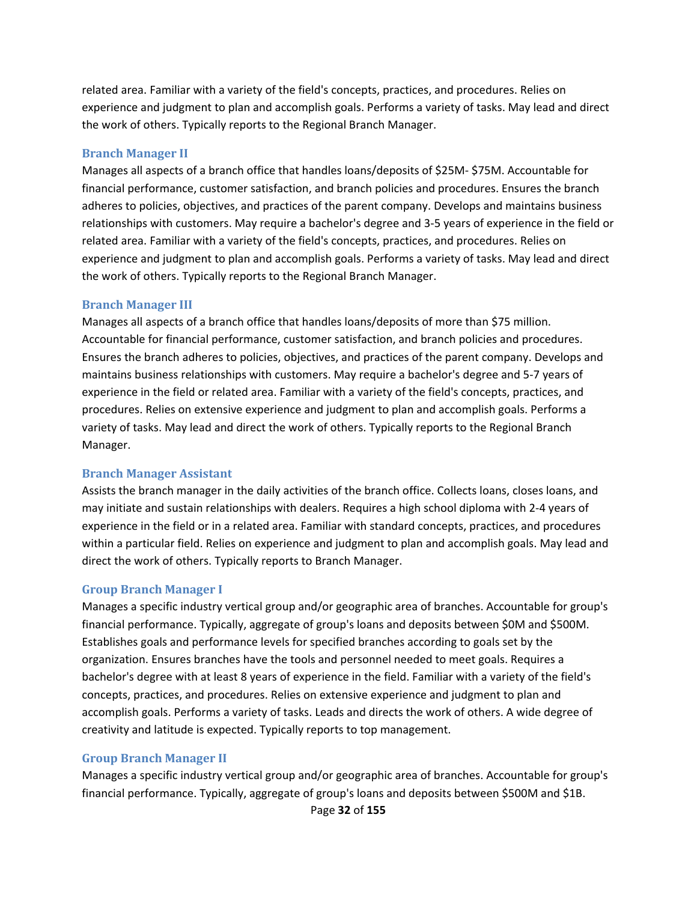related area. Familiar with a variety of the field's concepts, practices, and procedures. Relies on experience and judgment to plan and accomplish goals. Performs a variety of tasks. May lead and direct the work of others. Typically reports to the Regional Branch Manager.

#### <span id="page-32-0"></span>**Branch Manager II**

Manages all aspects of a branch office that handles loans/deposits of \$25M- \$75M. Accountable for financial performance, customer satisfaction, and branch policies and procedures. Ensures the branch adheres to policies, objectives, and practices of the parent company. Develops and maintains business relationships with customers. May require a bachelor's degree and 3-5 years of experience in the field or related area. Familiar with a variety of the field's concepts, practices, and procedures. Relies on experience and judgment to plan and accomplish goals. Performs a variety of tasks. May lead and direct the work of others. Typically reports to the Regional Branch Manager.

#### <span id="page-32-1"></span>**Branch Manager III**

Manages all aspects of a branch office that handles loans/deposits of more than \$75 million. Accountable for financial performance, customer satisfaction, and branch policies and procedures. Ensures the branch adheres to policies, objectives, and practices of the parent company. Develops and maintains business relationships with customers. May require a bachelor's degree and 5-7 years of experience in the field or related area. Familiar with a variety of the field's concepts, practices, and procedures. Relies on extensive experience and judgment to plan and accomplish goals. Performs a variety of tasks. May lead and direct the work of others. Typically reports to the Regional Branch Manager.

#### <span id="page-32-2"></span>**Branch Manager Assistant**

Assists the branch manager in the daily activities of the branch office. Collects loans, closes loans, and may initiate and sustain relationships with dealers. Requires a high school diploma with 2-4 years of experience in the field or in a related area. Familiar with standard concepts, practices, and procedures within a particular field. Relies on experience and judgment to plan and accomplish goals. May lead and direct the work of others. Typically reports to Branch Manager.

#### <span id="page-32-3"></span>**Group Branch Manager I**

Manages a specific industry vertical group and/or geographic area of branches. Accountable for group's financial performance. Typically, aggregate of group's loans and deposits between \$0M and \$500M. Establishes goals and performance levels for specified branches according to goals set by the organization. Ensures branches have the tools and personnel needed to meet goals. Requires a bachelor's degree with at least 8 years of experience in the field. Familiar with a variety of the field's concepts, practices, and procedures. Relies on extensive experience and judgment to plan and accomplish goals. Performs a variety of tasks. Leads and directs the work of others. A wide degree of creativity and latitude is expected. Typically reports to top management.

#### <span id="page-32-4"></span>**Group Branch Manager II**

Manages a specific industry vertical group and/or geographic area of branches. Accountable for group's financial performance. Typically, aggregate of group's loans and deposits between \$500M and \$1B.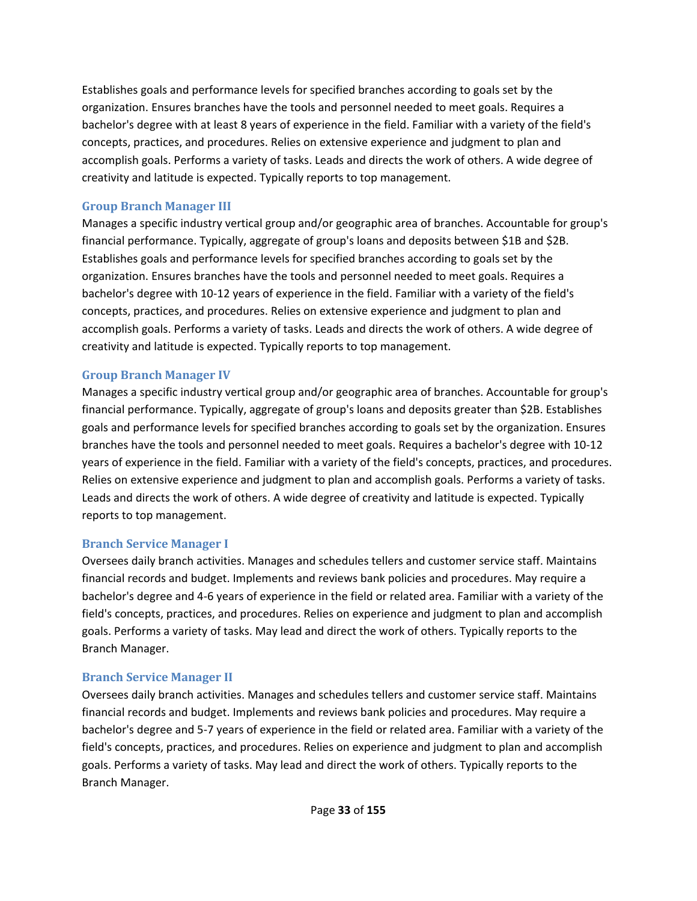Establishes goals and performance levels for specified branches according to goals set by the organization. Ensures branches have the tools and personnel needed to meet goals. Requires a bachelor's degree with at least 8 years of experience in the field. Familiar with a variety of the field's concepts, practices, and procedures. Relies on extensive experience and judgment to plan and accomplish goals. Performs a variety of tasks. Leads and directs the work of others. A wide degree of creativity and latitude is expected. Typically reports to top management.

## <span id="page-33-0"></span>**Group Branch Manager III**

Manages a specific industry vertical group and/or geographic area of branches. Accountable for group's financial performance. Typically, aggregate of group's loans and deposits between \$1B and \$2B. Establishes goals and performance levels for specified branches according to goals set by the organization. Ensures branches have the tools and personnel needed to meet goals. Requires a bachelor's degree with 10-12 years of experience in the field. Familiar with a variety of the field's concepts, practices, and procedures. Relies on extensive experience and judgment to plan and accomplish goals. Performs a variety of tasks. Leads and directs the work of others. A wide degree of creativity and latitude is expected. Typically reports to top management.

## <span id="page-33-1"></span>**Group Branch Manager IV**

Manages a specific industry vertical group and/or geographic area of branches. Accountable for group's financial performance. Typically, aggregate of group's loans and deposits greater than \$2B. Establishes goals and performance levels for specified branches according to goals set by the organization. Ensures branches have the tools and personnel needed to meet goals. Requires a bachelor's degree with 10-12 years of experience in the field. Familiar with a variety of the field's concepts, practices, and procedures. Relies on extensive experience and judgment to plan and accomplish goals. Performs a variety of tasks. Leads and directs the work of others. A wide degree of creativity and latitude is expected. Typically reports to top management.

## <span id="page-33-2"></span>**Branch Service Manager I**

Oversees daily branch activities. Manages and schedules tellers and customer service staff. Maintains financial records and budget. Implements and reviews bank policies and procedures. May require a bachelor's degree and 4-6 years of experience in the field or related area. Familiar with a variety of the field's concepts, practices, and procedures. Relies on experience and judgment to plan and accomplish goals. Performs a variety of tasks. May lead and direct the work of others. Typically reports to the Branch Manager.

## <span id="page-33-3"></span>**Branch Service Manager II**

Oversees daily branch activities. Manages and schedules tellers and customer service staff. Maintains financial records and budget. Implements and reviews bank policies and procedures. May require a bachelor's degree and 5-7 years of experience in the field or related area. Familiar with a variety of the field's concepts, practices, and procedures. Relies on experience and judgment to plan and accomplish goals. Performs a variety of tasks. May lead and direct the work of others. Typically reports to the Branch Manager.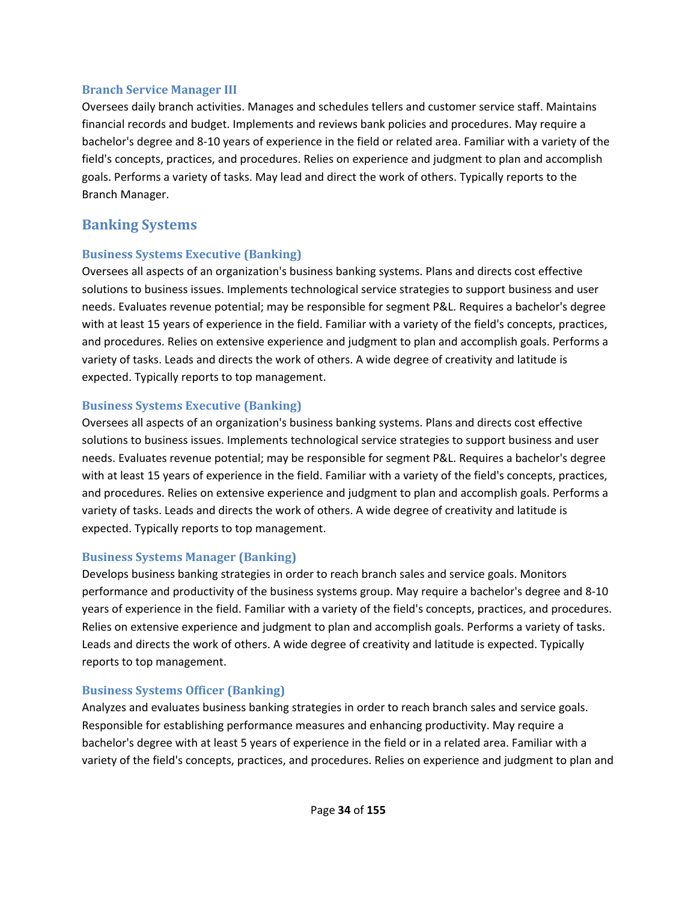#### <span id="page-34-0"></span>**Branch Service Manager III**

Oversees daily branch activities. Manages and schedules tellers and customer service staff. Maintains financial records and budget. Implements and reviews bank policies and procedures. May require a bachelor's degree and 8-10 years of experience in the field or related area. Familiar with a variety of the field's concepts, practices, and procedures. Relies on experience and judgment to plan and accomplish goals. Performs a variety of tasks. May lead and direct the work of others. Typically reports to the Branch Manager.

## <span id="page-34-1"></span>**Banking Systems**

## <span id="page-34-2"></span>**Business Systems Executive (Banking)**

Oversees all aspects of an organization's business banking systems. Plans and directs cost effective solutions to business issues. Implements technological service strategies to support business and user needs. Evaluates revenue potential; may be responsible for segment P&L. Requires a bachelor's degree with at least 15 years of experience in the field. Familiar with a variety of the field's concepts, practices, and procedures. Relies on extensive experience and judgment to plan and accomplish goals. Performs a variety of tasks. Leads and directs the work of others. A wide degree of creativity and latitude is expected. Typically reports to top management.

## <span id="page-34-3"></span>**Business Systems Executive (Banking)**

Oversees all aspects of an organization's business banking systems. Plans and directs cost effective solutions to business issues. Implements technological service strategies to support business and user needs. Evaluates revenue potential; may be responsible for segment P&L. Requires a bachelor's degree with at least 15 years of experience in the field. Familiar with a variety of the field's concepts, practices, and procedures. Relies on extensive experience and judgment to plan and accomplish goals. Performs a variety of tasks. Leads and directs the work of others. A wide degree of creativity and latitude is expected. Typically reports to top management.

## <span id="page-34-4"></span>**Business Systems Manager (Banking)**

Develops business banking strategies in order to reach branch sales and service goals. Monitors performance and productivity of the business systems group. May require a bachelor's degree and 8-10 years of experience in the field. Familiar with a variety of the field's concepts, practices, and procedures. Relies on extensive experience and judgment to plan and accomplish goals. Performs a variety of tasks. Leads and directs the work of others. A wide degree of creativity and latitude is expected. Typically reports to top management.

#### <span id="page-34-5"></span>**Business Systems Officer (Banking)**

Analyzes and evaluates business banking strategies in order to reach branch sales and service goals. Responsible for establishing performance measures and enhancing productivity. May require a bachelor's degree with at least 5 years of experience in the field or in a related area. Familiar with a variety of the field's concepts, practices, and procedures. Relies on experience and judgment to plan and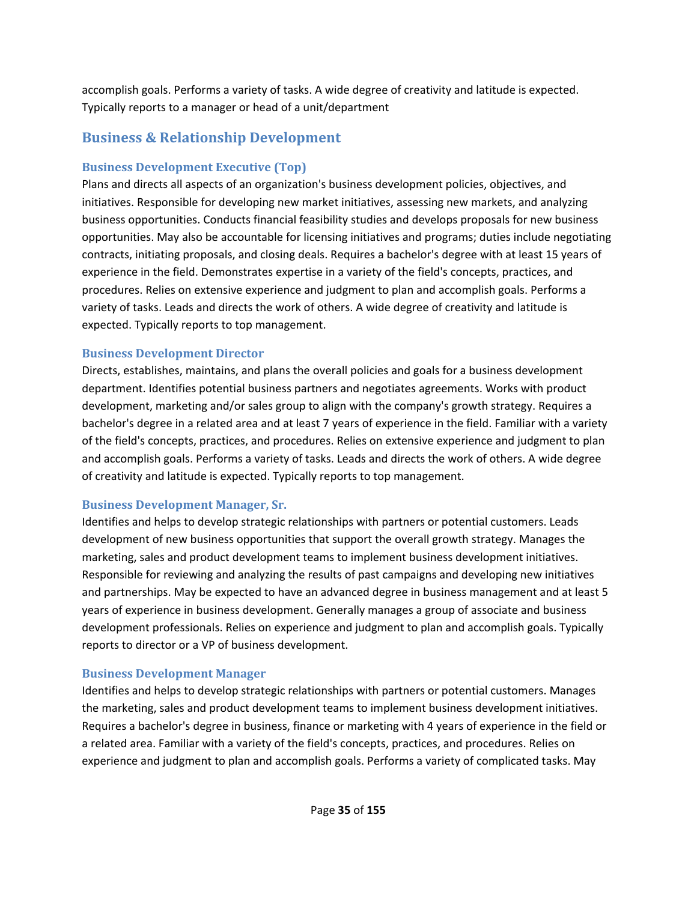accomplish goals. Performs a variety of tasks. A wide degree of creativity and latitude is expected. Typically reports to a manager or head of a unit/department

# <span id="page-35-0"></span>**Business & Relationship Development**

## <span id="page-35-1"></span>**Business Development Executive (Top)**

Plans and directs all aspects of an organization's business development policies, objectives, and initiatives. Responsible for developing new market initiatives, assessing new markets, and analyzing business opportunities. Conducts financial feasibility studies and develops proposals for new business opportunities. May also be accountable for licensing initiatives and programs; duties include negotiating contracts, initiating proposals, and closing deals. Requires a bachelor's degree with at least 15 years of experience in the field. Demonstrates expertise in a variety of the field's concepts, practices, and procedures. Relies on extensive experience and judgment to plan and accomplish goals. Performs a variety of tasks. Leads and directs the work of others. A wide degree of creativity and latitude is expected. Typically reports to top management.

## <span id="page-35-2"></span>**Business Development Director**

Directs, establishes, maintains, and plans the overall policies and goals for a business development department. Identifies potential business partners and negotiates agreements. Works with product development, marketing and/or sales group to align with the company's growth strategy. Requires a bachelor's degree in a related area and at least 7 years of experience in the field. Familiar with a variety of the field's concepts, practices, and procedures. Relies on extensive experience and judgment to plan and accomplish goals. Performs a variety of tasks. Leads and directs the work of others. A wide degree of creativity and latitude is expected. Typically reports to top management.

## <span id="page-35-3"></span>**Business Development Manager, Sr.**

Identifies and helps to develop strategic relationships with partners or potential customers. Leads development of new business opportunities that support the overall growth strategy. Manages the marketing, sales and product development teams to implement business development initiatives. Responsible for reviewing and analyzing the results of past campaigns and developing new initiatives and partnerships. May be expected to have an advanced degree in business management and at least 5 years of experience in business development. Generally manages a group of associate and business development professionals. Relies on experience and judgment to plan and accomplish goals. Typically reports to director or a VP of business development.

## <span id="page-35-4"></span>**Business Development Manager**

Identifies and helps to develop strategic relationships with partners or potential customers. Manages the marketing, sales and product development teams to implement business development initiatives. Requires a bachelor's degree in business, finance or marketing with 4 years of experience in the field or a related area. Familiar with a variety of the field's concepts, practices, and procedures. Relies on experience and judgment to plan and accomplish goals. Performs a variety of complicated tasks. May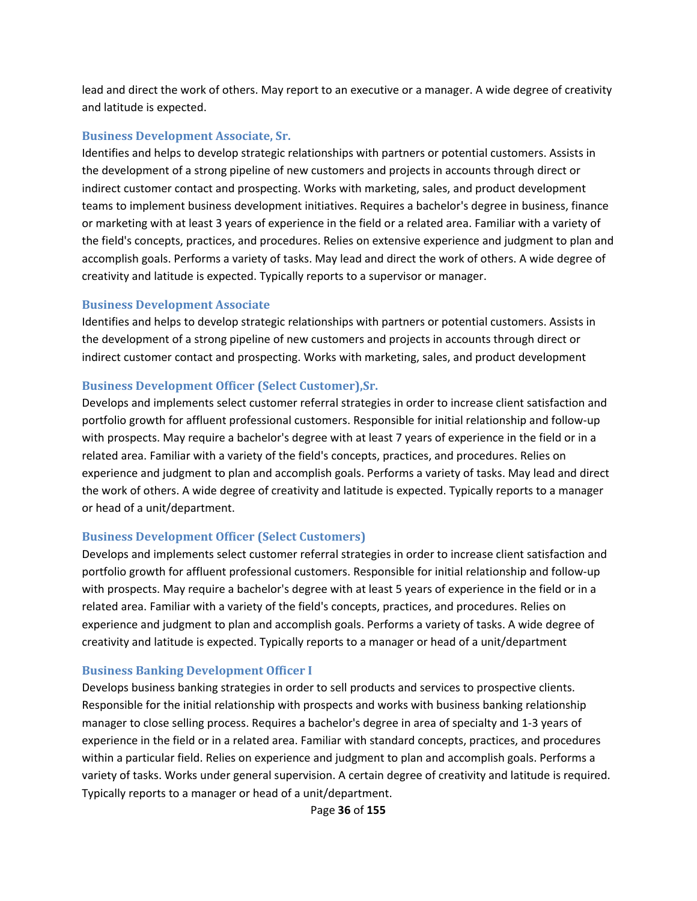lead and direct the work of others. May report to an executive or a manager. A wide degree of creativity and latitude is expected.

#### **Business Development Associate, Sr.**

Identifies and helps to develop strategic relationships with partners or potential customers. Assists in the development of a strong pipeline of new customers and projects in accounts through direct or indirect customer contact and prospecting. Works with marketing, sales, and product development teams to implement business development initiatives. Requires a bachelor's degree in business, finance or marketing with at least 3 years of experience in the field or a related area. Familiar with a variety of the field's concepts, practices, and procedures. Relies on extensive experience and judgment to plan and accomplish goals. Performs a variety of tasks. May lead and direct the work of others. A wide degree of creativity and latitude is expected. Typically reports to a supervisor or manager.

#### **Business Development Associate**

Identifies and helps to develop strategic relationships with partners or potential customers. Assists in the development of a strong pipeline of new customers and projects in accounts through direct or indirect customer contact and prospecting. Works with marketing, sales, and product development

## **Business Development Officer (Select Customer),Sr.**

Develops and implements select customer referral strategies in order to increase client satisfaction and portfolio growth for affluent professional customers. Responsible for initial relationship and follow-up with prospects. May require a bachelor's degree with at least 7 years of experience in the field or in a related area. Familiar with a variety of the field's concepts, practices, and procedures. Relies on experience and judgment to plan and accomplish goals. Performs a variety of tasks. May lead and direct the work of others. A wide degree of creativity and latitude is expected. Typically reports to a manager or head of a unit/department.

### **Business Development Officer (Select Customers)**

Develops and implements select customer referral strategies in order to increase client satisfaction and portfolio growth for affluent professional customers. Responsible for initial relationship and follow-up with prospects. May require a bachelor's degree with at least 5 years of experience in the field or in a related area. Familiar with a variety of the field's concepts, practices, and procedures. Relies on experience and judgment to plan and accomplish goals. Performs a variety of tasks. A wide degree of creativity and latitude is expected. Typically reports to a manager or head of a unit/department

### **Business Banking Development Officer I**

Develops business banking strategies in order to sell products and services to prospective clients. Responsible for the initial relationship with prospects and works with business banking relationship manager to close selling process. Requires a bachelor's degree in area of specialty and 1-3 years of experience in the field or in a related area. Familiar with standard concepts, practices, and procedures within a particular field. Relies on experience and judgment to plan and accomplish goals. Performs a variety of tasks. Works under general supervision. A certain degree of creativity and latitude is required. Typically reports to a manager or head of a unit/department.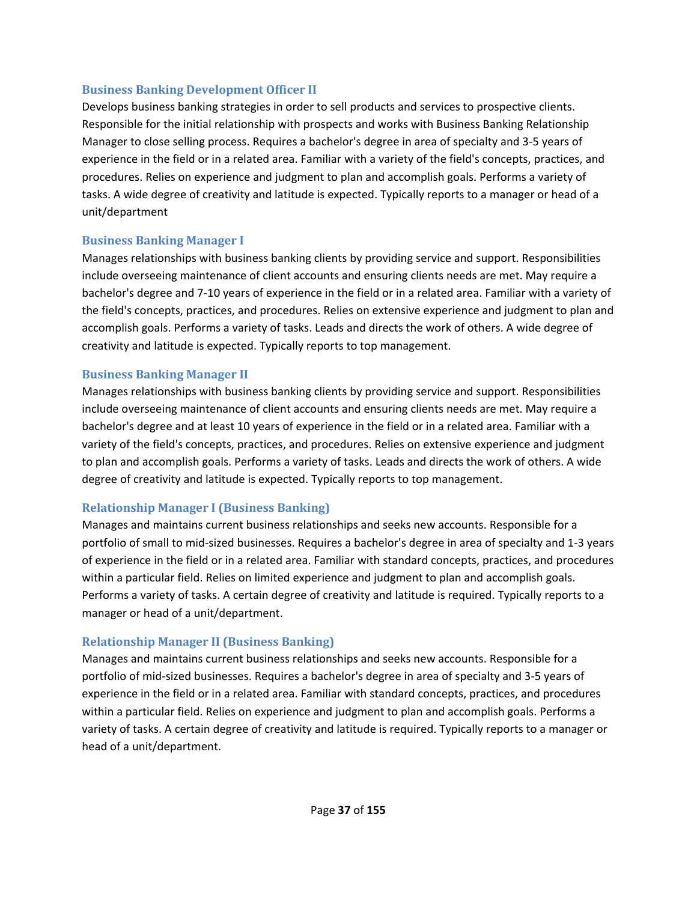#### **Business Banking Development Officer II**

Develops business banking strategies in order to sell products and services to prospective clients. Responsible for the initial relationship with prospects and works with Business Banking Relationship Manager to close selling process. Requires a bachelor's degree in area of specialty and 3-5 years of experience in the field or in a related area. Familiar with a variety of the field's concepts, practices, and procedures. Relies on experience and judgment to plan and accomplish goals. Performs a variety of tasks. A wide degree of creativity and latitude is expected. Typically reports to a manager or head of a unit/department

### **Business Banking Manager I**

Manages relationships with business banking clients by providing service and support. Responsibilities include overseeing maintenance of client accounts and ensuring clients needs are met. May require a bachelor's degree and 7-10 years of experience in the field or in a related area. Familiar with a variety of the field's concepts, practices, and procedures. Relies on extensive experience and judgment to plan and accomplish goals. Performs a variety of tasks. Leads and directs the work of others. A wide degree of creativity and latitude is expected. Typically reports to top management.

### **Business Banking Manager II**

Manages relationships with business banking clients by providing service and support. Responsibilities include overseeing maintenance of client accounts and ensuring clients needs are met. May require a bachelor's degree and at least 10 years of experience in the field or in a related area. Familiar with a variety of the field's concepts, practices, and procedures. Relies on extensive experience and judgment to plan and accomplish goals. Performs a variety of tasks. Leads and directs the work of others. A wide degree of creativity and latitude is expected. Typically reports to top management.

### **Relationship Manager I (Business Banking)**

Manages and maintains current business relationships and seeks new accounts. Responsible for a portfolio of small to mid-sized businesses. Requires a bachelor's degree in area of specialty and 1-3 years of experience in the field or in a related area. Familiar with standard concepts, practices, and procedures within a particular field. Relies on limited experience and judgment to plan and accomplish goals. Performs a variety of tasks. A certain degree of creativity and latitude is required. Typically reports to a manager or head of a unit/department.

# **Relationship Manager II (Business Banking)**

Manages and maintains current business relationships and seeks new accounts. Responsible for a portfolio of mid-sized businesses. Requires a bachelor's degree in area of specialty and 3-5 years of experience in the field or in a related area. Familiar with standard concepts, practices, and procedures within a particular field. Relies on experience and judgment to plan and accomplish goals. Performs a variety of tasks. A certain degree of creativity and latitude is required. Typically reports to a manager or head of a unit/department.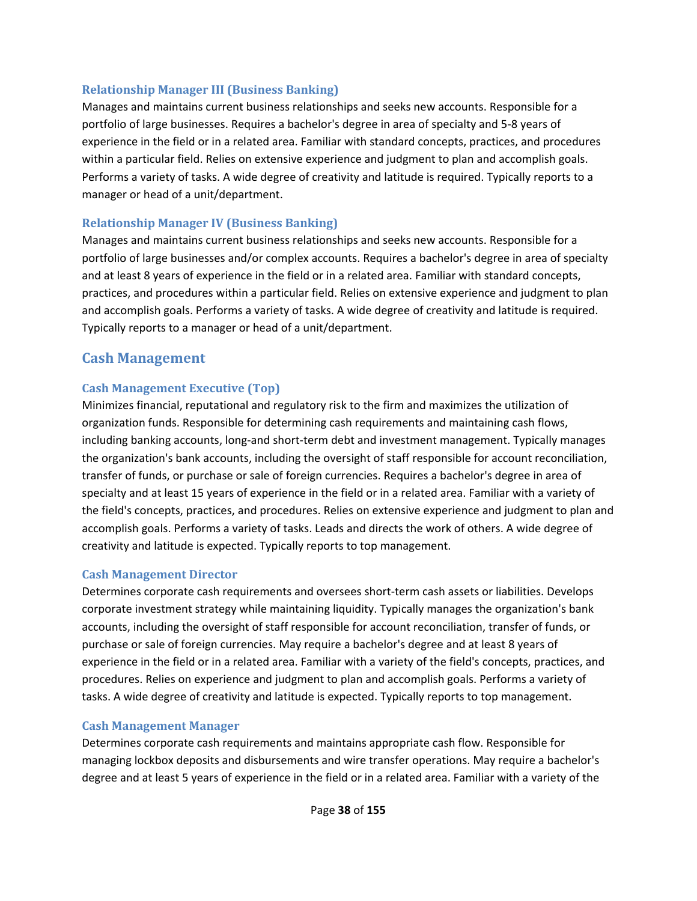### **Relationship Manager III (Business Banking)**

Manages and maintains current business relationships and seeks new accounts. Responsible for a portfolio of large businesses. Requires a bachelor's degree in area of specialty and 5-8 years of experience in the field or in a related area. Familiar with standard concepts, practices, and procedures within a particular field. Relies on extensive experience and judgment to plan and accomplish goals. Performs a variety of tasks. A wide degree of creativity and latitude is required. Typically reports to a manager or head of a unit/department.

#### **Relationship Manager IV (Business Banking)**

Manages and maintains current business relationships and seeks new accounts. Responsible for a portfolio of large businesses and/or complex accounts. Requires a bachelor's degree in area of specialty and at least 8 years of experience in the field or in a related area. Familiar with standard concepts, practices, and procedures within a particular field. Relies on extensive experience and judgment to plan and accomplish goals. Performs a variety of tasks. A wide degree of creativity and latitude is required. Typically reports to a manager or head of a unit/department.

# **Cash Management**

## **Cash Management Executive (Top)**

Minimizes financial, reputational and regulatory risk to the firm and maximizes the utilization of organization funds. Responsible for determining cash requirements and maintaining cash flows, including banking accounts, long-and short-term debt and investment management. Typically manages the organization's bank accounts, including the oversight of staff responsible for account reconciliation, transfer of funds, or purchase or sale of foreign currencies. Requires a bachelor's degree in area of specialty and at least 15 years of experience in the field or in a related area. Familiar with a variety of the field's concepts, practices, and procedures. Relies on extensive experience and judgment to plan and accomplish goals. Performs a variety of tasks. Leads and directs the work of others. A wide degree of creativity and latitude is expected. Typically reports to top management.

### **Cash Management Director**

Determines corporate cash requirements and oversees short-term cash assets or liabilities. Develops corporate investment strategy while maintaining liquidity. Typically manages the organization's bank accounts, including the oversight of staff responsible for account reconciliation, transfer of funds, or purchase or sale of foreign currencies. May require a bachelor's degree and at least 8 years of experience in the field or in a related area. Familiar with a variety of the field's concepts, practices, and procedures. Relies on experience and judgment to plan and accomplish goals. Performs a variety of tasks. A wide degree of creativity and latitude is expected. Typically reports to top management.

### **Cash Management Manager**

Determines corporate cash requirements and maintains appropriate cash flow. Responsible for managing lockbox deposits and disbursements and wire transfer operations. May require a bachelor's degree and at least 5 years of experience in the field or in a related area. Familiar with a variety of the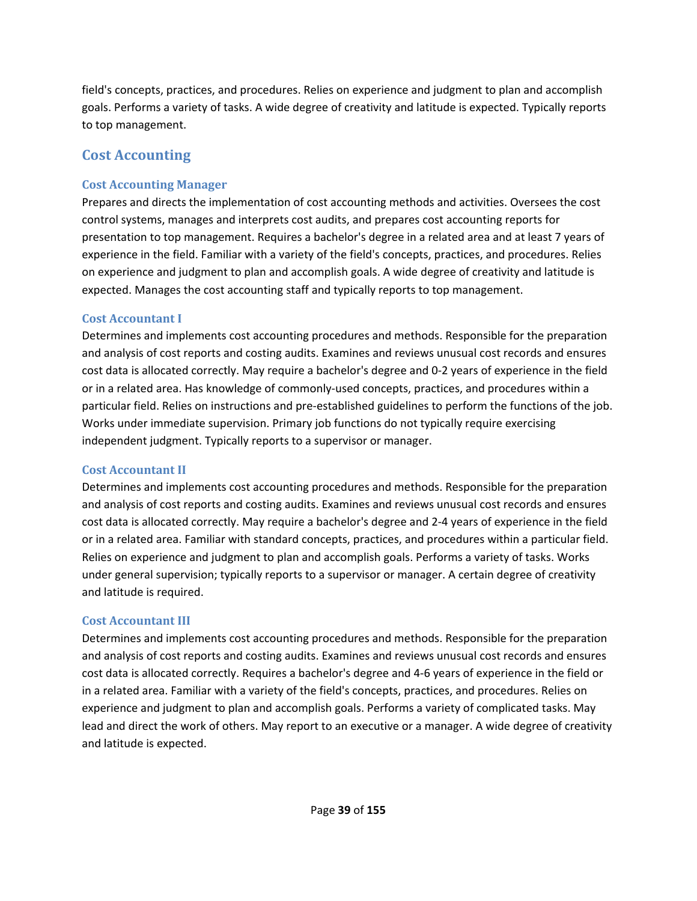field's concepts, practices, and procedures. Relies on experience and judgment to plan and accomplish goals. Performs a variety of tasks. A wide degree of creativity and latitude is expected. Typically reports to top management.

# **Cost Accounting**

# **Cost Accounting Manager**

Prepares and directs the implementation of cost accounting methods and activities. Oversees the cost control systems, manages and interprets cost audits, and prepares cost accounting reports for presentation to top management. Requires a bachelor's degree in a related area and at least 7 years of experience in the field. Familiar with a variety of the field's concepts, practices, and procedures. Relies on experience and judgment to plan and accomplish goals. A wide degree of creativity and latitude is expected. Manages the cost accounting staff and typically reports to top management.

## **Cost Accountant I**

Determines and implements cost accounting procedures and methods. Responsible for the preparation and analysis of cost reports and costing audits. Examines and reviews unusual cost records and ensures cost data is allocated correctly. May require a bachelor's degree and 0-2 years of experience in the field or in a related area. Has knowledge of commonly-used concepts, practices, and procedures within a particular field. Relies on instructions and pre-established guidelines to perform the functions of the job. Works under immediate supervision. Primary job functions do not typically require exercising independent judgment. Typically reports to a supervisor or manager.

### **Cost Accountant II**

Determines and implements cost accounting procedures and methods. Responsible for the preparation and analysis of cost reports and costing audits. Examines and reviews unusual cost records and ensures cost data is allocated correctly. May require a bachelor's degree and 2-4 years of experience in the field or in a related area. Familiar with standard concepts, practices, and procedures within a particular field. Relies on experience and judgment to plan and accomplish goals. Performs a variety of tasks. Works under general supervision; typically reports to a supervisor or manager. A certain degree of creativity and latitude is required.

# **Cost Accountant III**

Determines and implements cost accounting procedures and methods. Responsible for the preparation and analysis of cost reports and costing audits. Examines and reviews unusual cost records and ensures cost data is allocated correctly. Requires a bachelor's degree and 4-6 years of experience in the field or in a related area. Familiar with a variety of the field's concepts, practices, and procedures. Relies on experience and judgment to plan and accomplish goals. Performs a variety of complicated tasks. May lead and direct the work of others. May report to an executive or a manager. A wide degree of creativity and latitude is expected.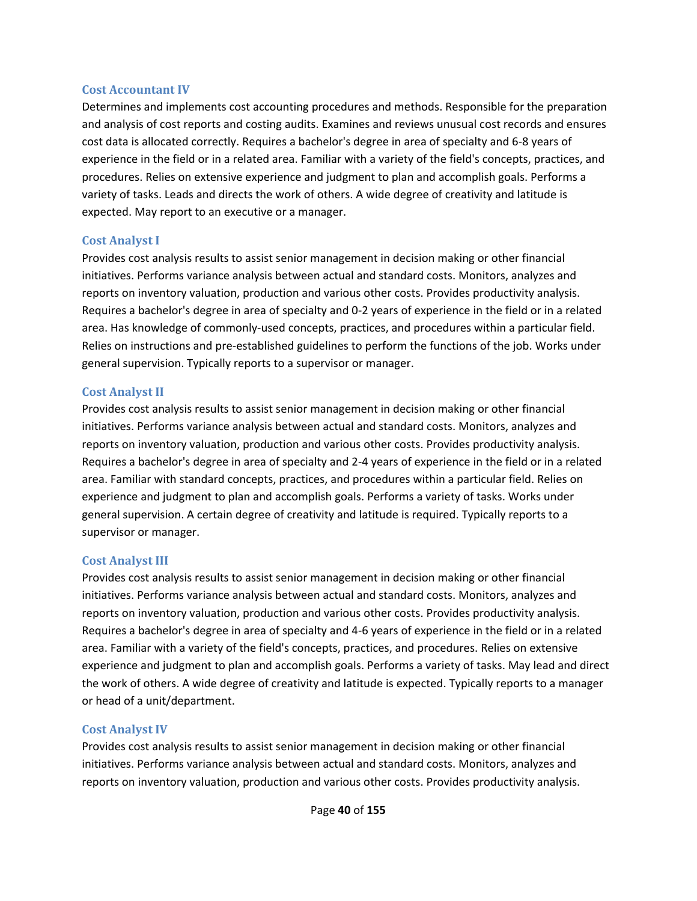#### **Cost Accountant IV**

Determines and implements cost accounting procedures and methods. Responsible for the preparation and analysis of cost reports and costing audits. Examines and reviews unusual cost records and ensures cost data is allocated correctly. Requires a bachelor's degree in area of specialty and 6-8 years of experience in the field or in a related area. Familiar with a variety of the field's concepts, practices, and procedures. Relies on extensive experience and judgment to plan and accomplish goals. Performs a variety of tasks. Leads and directs the work of others. A wide degree of creativity and latitude is expected. May report to an executive or a manager.

#### **Cost Analyst I**

Provides cost analysis results to assist senior management in decision making or other financial initiatives. Performs variance analysis between actual and standard costs. Monitors, analyzes and reports on inventory valuation, production and various other costs. Provides productivity analysis. Requires a bachelor's degree in area of specialty and 0-2 years of experience in the field or in a related area. Has knowledge of commonly-used concepts, practices, and procedures within a particular field. Relies on instructions and pre-established guidelines to perform the functions of the job. Works under general supervision. Typically reports to a supervisor or manager.

#### **Cost Analyst II**

Provides cost analysis results to assist senior management in decision making or other financial initiatives. Performs variance analysis between actual and standard costs. Monitors, analyzes and reports on inventory valuation, production and various other costs. Provides productivity analysis. Requires a bachelor's degree in area of specialty and 2-4 years of experience in the field or in a related area. Familiar with standard concepts, practices, and procedures within a particular field. Relies on experience and judgment to plan and accomplish goals. Performs a variety of tasks. Works under general supervision. A certain degree of creativity and latitude is required. Typically reports to a supervisor or manager.

#### **Cost Analyst III**

Provides cost analysis results to assist senior management in decision making or other financial initiatives. Performs variance analysis between actual and standard costs. Monitors, analyzes and reports on inventory valuation, production and various other costs. Provides productivity analysis. Requires a bachelor's degree in area of specialty and 4-6 years of experience in the field or in a related area. Familiar with a variety of the field's concepts, practices, and procedures. Relies on extensive experience and judgment to plan and accomplish goals. Performs a variety of tasks. May lead and direct the work of others. A wide degree of creativity and latitude is expected. Typically reports to a manager or head of a unit/department.

### **Cost Analyst IV**

Provides cost analysis results to assist senior management in decision making or other financial initiatives. Performs variance analysis between actual and standard costs. Monitors, analyzes and reports on inventory valuation, production and various other costs. Provides productivity analysis.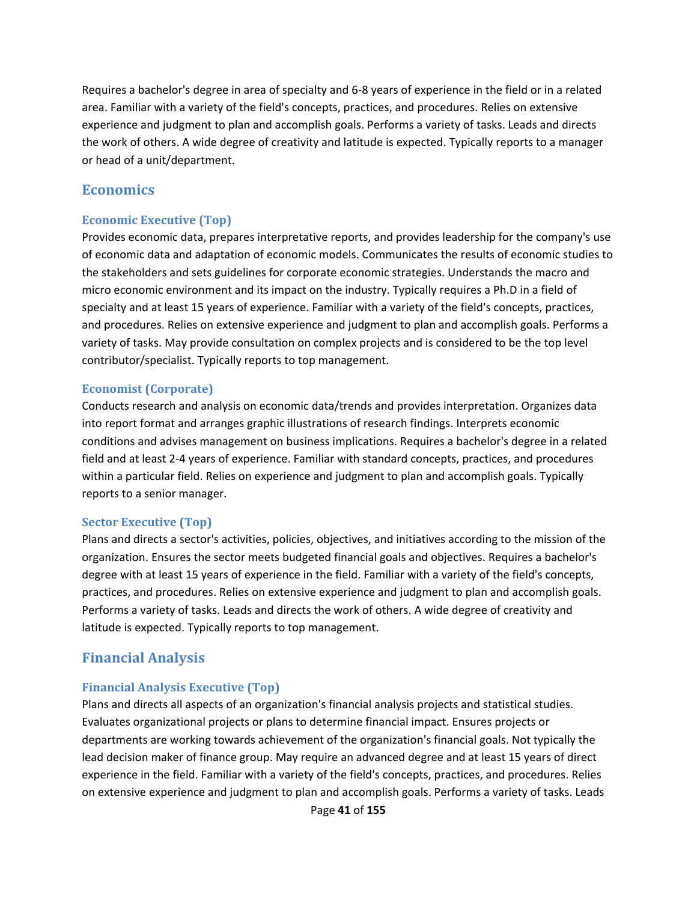Requires a bachelor's degree in area of specialty and 6-8 years of experience in the field or in a related area. Familiar with a variety of the field's concepts, practices, and procedures. Relies on extensive experience and judgment to plan and accomplish goals. Performs a variety of tasks. Leads and directs the work of others. A wide degree of creativity and latitude is expected. Typically reports to a manager or head of a unit/department.

#### **Economics**

#### **Economic Executive (Top)**

Provides economic data, prepares interpretative reports, and provides leadership for the company's use of economic data and adaptation of economic models. Communicates the results of economic studies to the stakeholders and sets guidelines for corporate economic strategies. Understands the macro and micro economic environment and its impact on the industry. Typically requires a Ph.D in a field of specialty and at least 15 years of experience. Familiar with a variety of the field's concepts, practices, and procedures. Relies on extensive experience and judgment to plan and accomplish goals. Performs a variety of tasks. May provide consultation on complex projects and is considered to be the top level contributor/specialist. Typically reports to top management.

#### **Economist (Corporate)**

Conducts research and analysis on economic data/trends and provides interpretation. Organizes data into report format and arranges graphic illustrations of research findings. Interprets economic conditions and advises management on business implications. Requires a bachelor's degree in a related field and at least 2-4 years of experience. Familiar with standard concepts, practices, and procedures within a particular field. Relies on experience and judgment to plan and accomplish goals. Typically reports to a senior manager.

#### **Sector Executive (Top)**

Plans and directs a sector's activities, policies, objectives, and initiatives according to the mission of the organization. Ensures the sector meets budgeted financial goals and objectives. Requires a bachelor's degree with at least 15 years of experience in the field. Familiar with a variety of the field's concepts, practices, and procedures. Relies on extensive experience and judgment to plan and accomplish goals. Performs a variety of tasks. Leads and directs the work of others. A wide degree of creativity and latitude is expected. Typically reports to top management.

### **Financial Analysis**

#### **Financial Analysis Executive (Top)**

Plans and directs all aspects of an organization's financial analysis projects and statistical studies. Evaluates organizational projects or plans to determine financial impact. Ensures projects or departments are working towards achievement of the organization's financial goals. Not typically the lead decision maker of finance group. May require an advanced degree and at least 15 years of direct experience in the field. Familiar with a variety of the field's concepts, practices, and procedures. Relies on extensive experience and judgment to plan and accomplish goals. Performs a variety of tasks. Leads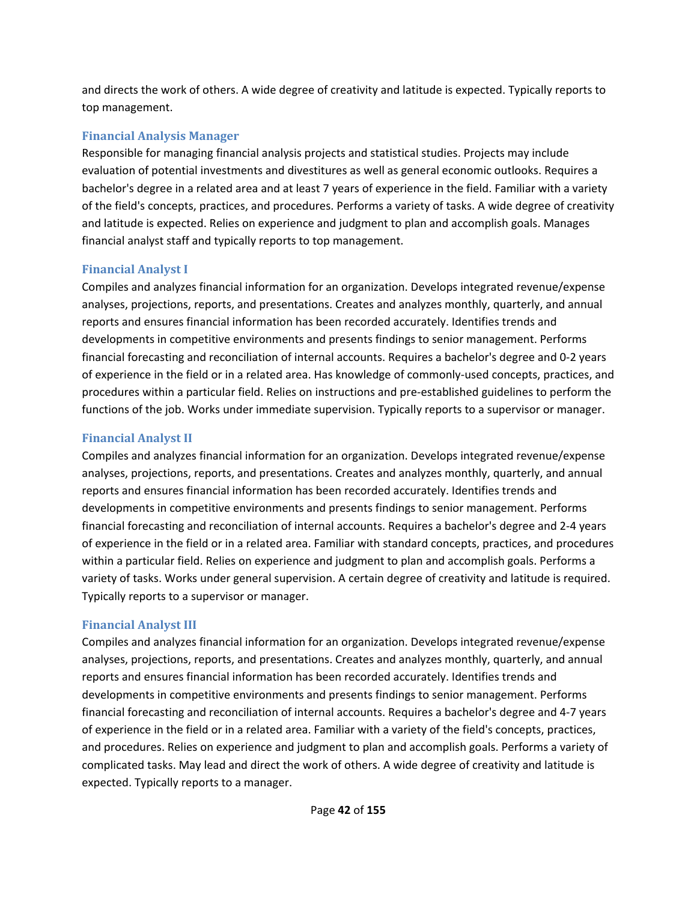and directs the work of others. A wide degree of creativity and latitude is expected. Typically reports to top management.

## **Financial Analysis Manager**

Responsible for managing financial analysis projects and statistical studies. Projects may include evaluation of potential investments and divestitures as well as general economic outlooks. Requires a bachelor's degree in a related area and at least 7 years of experience in the field. Familiar with a variety of the field's concepts, practices, and procedures. Performs a variety of tasks. A wide degree of creativity and latitude is expected. Relies on experience and judgment to plan and accomplish goals. Manages financial analyst staff and typically reports to top management.

# **Financial Analyst I**

Compiles and analyzes financial information for an organization. Develops integrated revenue/expense analyses, projections, reports, and presentations. Creates and analyzes monthly, quarterly, and annual reports and ensures financial information has been recorded accurately. Identifies trends and developments in competitive environments and presents findings to senior management. Performs financial forecasting and reconciliation of internal accounts. Requires a bachelor's degree and 0-2 years of experience in the field or in a related area. Has knowledge of commonly-used concepts, practices, and procedures within a particular field. Relies on instructions and pre-established guidelines to perform the functions of the job. Works under immediate supervision. Typically reports to a supervisor or manager.

## **Financial Analyst II**

Compiles and analyzes financial information for an organization. Develops integrated revenue/expense analyses, projections, reports, and presentations. Creates and analyzes monthly, quarterly, and annual reports and ensures financial information has been recorded accurately. Identifies trends and developments in competitive environments and presents findings to senior management. Performs financial forecasting and reconciliation of internal accounts. Requires a bachelor's degree and 2-4 years of experience in the field or in a related area. Familiar with standard concepts, practices, and procedures within a particular field. Relies on experience and judgment to plan and accomplish goals. Performs a variety of tasks. Works under general supervision. A certain degree of creativity and latitude is required. Typically reports to a supervisor or manager.

### **Financial Analyst III**

Compiles and analyzes financial information for an organization. Develops integrated revenue/expense analyses, projections, reports, and presentations. Creates and analyzes monthly, quarterly, and annual reports and ensures financial information has been recorded accurately. Identifies trends and developments in competitive environments and presents findings to senior management. Performs financial forecasting and reconciliation of internal accounts. Requires a bachelor's degree and 4-7 years of experience in the field or in a related area. Familiar with a variety of the field's concepts, practices, and procedures. Relies on experience and judgment to plan and accomplish goals. Performs a variety of complicated tasks. May lead and direct the work of others. A wide degree of creativity and latitude is expected. Typically reports to a manager.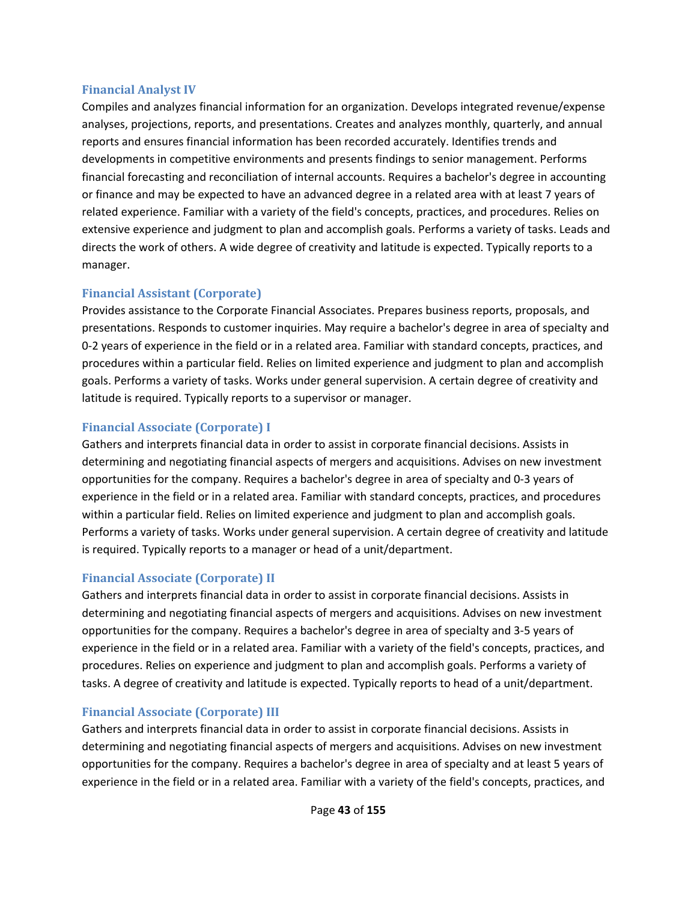#### **Financial Analyst IV**

Compiles and analyzes financial information for an organization. Develops integrated revenue/expense analyses, projections, reports, and presentations. Creates and analyzes monthly, quarterly, and annual reports and ensures financial information has been recorded accurately. Identifies trends and developments in competitive environments and presents findings to senior management. Performs financial forecasting and reconciliation of internal accounts. Requires a bachelor's degree in accounting or finance and may be expected to have an advanced degree in a related area with at least 7 years of related experience. Familiar with a variety of the field's concepts, practices, and procedures. Relies on extensive experience and judgment to plan and accomplish goals. Performs a variety of tasks. Leads and directs the work of others. A wide degree of creativity and latitude is expected. Typically reports to a manager.

## **Financial Assistant (Corporate)**

Provides assistance to the Corporate Financial Associates. Prepares business reports, proposals, and presentations. Responds to customer inquiries. May require a bachelor's degree in area of specialty and 0-2 years of experience in the field or in a related area. Familiar with standard concepts, practices, and procedures within a particular field. Relies on limited experience and judgment to plan and accomplish goals. Performs a variety of tasks. Works under general supervision. A certain degree of creativity and latitude is required. Typically reports to a supervisor or manager.

## **Financial Associate (Corporate) I**

Gathers and interprets financial data in order to assist in corporate financial decisions. Assists in determining and negotiating financial aspects of mergers and acquisitions. Advises on new investment opportunities for the company. Requires a bachelor's degree in area of specialty and 0-3 years of experience in the field or in a related area. Familiar with standard concepts, practices, and procedures within a particular field. Relies on limited experience and judgment to plan and accomplish goals. Performs a variety of tasks. Works under general supervision. A certain degree of creativity and latitude is required. Typically reports to a manager or head of a unit/department.

# **Financial Associate (Corporate) II**

Gathers and interprets financial data in order to assist in corporate financial decisions. Assists in determining and negotiating financial aspects of mergers and acquisitions. Advises on new investment opportunities for the company. Requires a bachelor's degree in area of specialty and 3-5 years of experience in the field or in a related area. Familiar with a variety of the field's concepts, practices, and procedures. Relies on experience and judgment to plan and accomplish goals. Performs a variety of tasks. A degree of creativity and latitude is expected. Typically reports to head of a unit/department.

# **Financial Associate (Corporate) III**

Gathers and interprets financial data in order to assist in corporate financial decisions. Assists in determining and negotiating financial aspects of mergers and acquisitions. Advises on new investment opportunities for the company. Requires a bachelor's degree in area of specialty and at least 5 years of experience in the field or in a related area. Familiar with a variety of the field's concepts, practices, and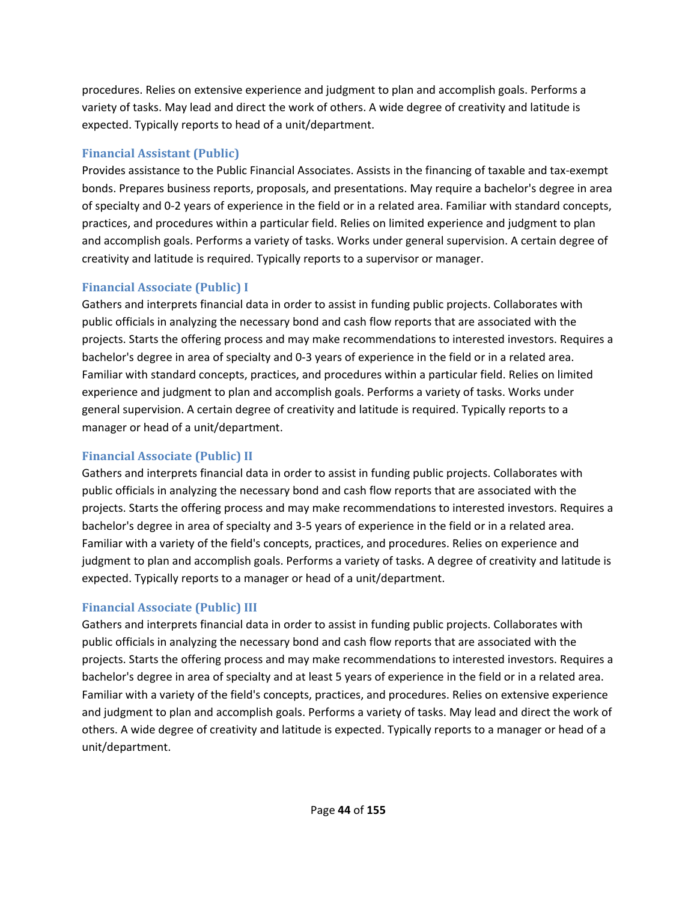procedures. Relies on extensive experience and judgment to plan and accomplish goals. Performs a variety of tasks. May lead and direct the work of others. A wide degree of creativity and latitude is expected. Typically reports to head of a unit/department.

# **Financial Assistant (Public)**

Provides assistance to the Public Financial Associates. Assists in the financing of taxable and tax-exempt bonds. Prepares business reports, proposals, and presentations. May require a bachelor's degree in area of specialty and 0-2 years of experience in the field or in a related area. Familiar with standard concepts, practices, and procedures within a particular field. Relies on limited experience and judgment to plan and accomplish goals. Performs a variety of tasks. Works under general supervision. A certain degree of creativity and latitude is required. Typically reports to a supervisor or manager.

# **Financial Associate (Public) I**

Gathers and interprets financial data in order to assist in funding public projects. Collaborates with public officials in analyzing the necessary bond and cash flow reports that are associated with the projects. Starts the offering process and may make recommendations to interested investors. Requires a bachelor's degree in area of specialty and 0-3 years of experience in the field or in a related area. Familiar with standard concepts, practices, and procedures within a particular field. Relies on limited experience and judgment to plan and accomplish goals. Performs a variety of tasks. Works under general supervision. A certain degree of creativity and latitude is required. Typically reports to a manager or head of a unit/department.

# **Financial Associate (Public) II**

Gathers and interprets financial data in order to assist in funding public projects. Collaborates with public officials in analyzing the necessary bond and cash flow reports that are associated with the projects. Starts the offering process and may make recommendations to interested investors. Requires a bachelor's degree in area of specialty and 3-5 years of experience in the field or in a related area. Familiar with a variety of the field's concepts, practices, and procedures. Relies on experience and judgment to plan and accomplish goals. Performs a variety of tasks. A degree of creativity and latitude is expected. Typically reports to a manager or head of a unit/department.

# **Financial Associate (Public) III**

Gathers and interprets financial data in order to assist in funding public projects. Collaborates with public officials in analyzing the necessary bond and cash flow reports that are associated with the projects. Starts the offering process and may make recommendations to interested investors. Requires a bachelor's degree in area of specialty and at least 5 years of experience in the field or in a related area. Familiar with a variety of the field's concepts, practices, and procedures. Relies on extensive experience and judgment to plan and accomplish goals. Performs a variety of tasks. May lead and direct the work of others. A wide degree of creativity and latitude is expected. Typically reports to a manager or head of a unit/department.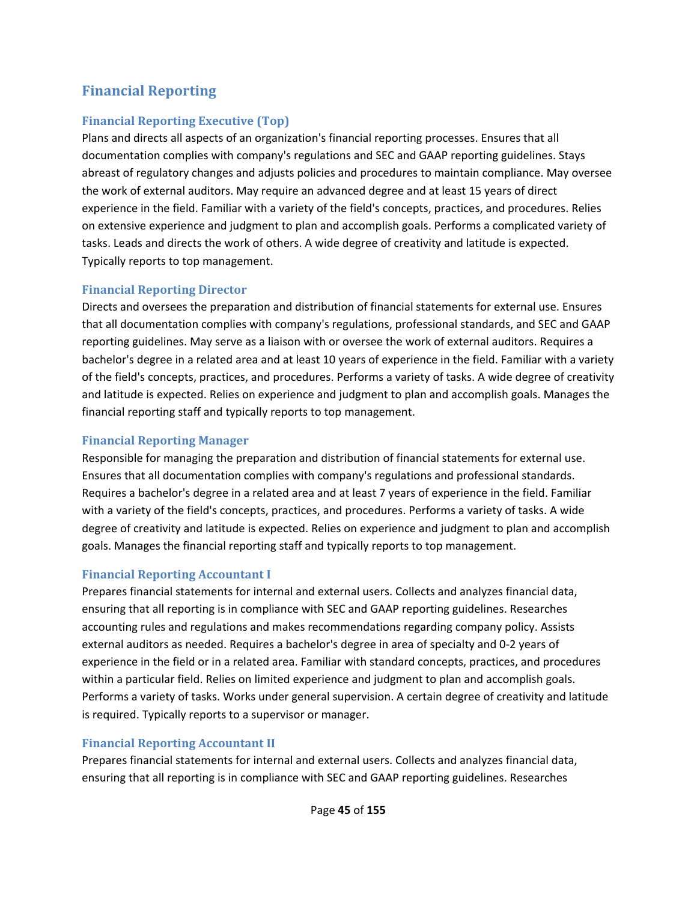# **Financial Reporting**

# **Financial Reporting Executive (Top)**

Plans and directs all aspects of an organization's financial reporting processes. Ensures that all documentation complies with company's regulations and SEC and GAAP reporting guidelines. Stays abreast of regulatory changes and adjusts policies and procedures to maintain compliance. May oversee the work of external auditors. May require an advanced degree and at least 15 years of direct experience in the field. Familiar with a variety of the field's concepts, practices, and procedures. Relies on extensive experience and judgment to plan and accomplish goals. Performs a complicated variety of tasks. Leads and directs the work of others. A wide degree of creativity and latitude is expected. Typically reports to top management.

# **Financial Reporting Director**

Directs and oversees the preparation and distribution of financial statements for external use. Ensures that all documentation complies with company's regulations, professional standards, and SEC and GAAP reporting guidelines. May serve as a liaison with or oversee the work of external auditors. Requires a bachelor's degree in a related area and at least 10 years of experience in the field. Familiar with a variety of the field's concepts, practices, and procedures. Performs a variety of tasks. A wide degree of creativity and latitude is expected. Relies on experience and judgment to plan and accomplish goals. Manages the financial reporting staff and typically reports to top management.

# **Financial Reporting Manager**

Responsible for managing the preparation and distribution of financial statements for external use. Ensures that all documentation complies with company's regulations and professional standards. Requires a bachelor's degree in a related area and at least 7 years of experience in the field. Familiar with a variety of the field's concepts, practices, and procedures. Performs a variety of tasks. A wide degree of creativity and latitude is expected. Relies on experience and judgment to plan and accomplish goals. Manages the financial reporting staff and typically reports to top management.

# **Financial Reporting Accountant I**

Prepares financial statements for internal and external users. Collects and analyzes financial data, ensuring that all reporting is in compliance with SEC and GAAP reporting guidelines. Researches accounting rules and regulations and makes recommendations regarding company policy. Assists external auditors as needed. Requires a bachelor's degree in area of specialty and 0-2 years of experience in the field or in a related area. Familiar with standard concepts, practices, and procedures within a particular field. Relies on limited experience and judgment to plan and accomplish goals. Performs a variety of tasks. Works under general supervision. A certain degree of creativity and latitude is required. Typically reports to a supervisor or manager.

# **Financial Reporting Accountant II**

Prepares financial statements for internal and external users. Collects and analyzes financial data, ensuring that all reporting is in compliance with SEC and GAAP reporting guidelines. Researches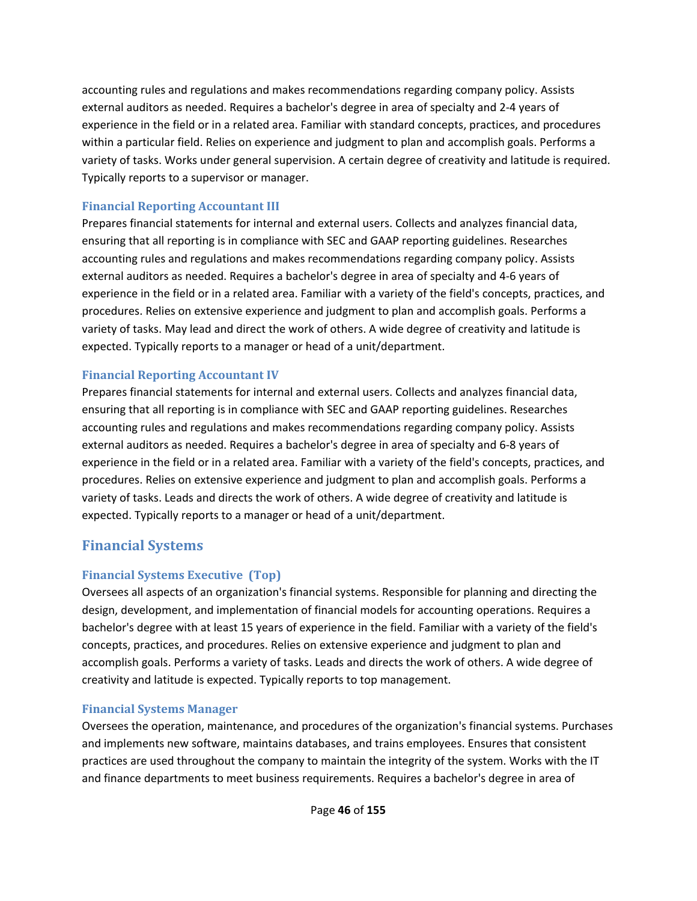accounting rules and regulations and makes recommendations regarding company policy. Assists external auditors as needed. Requires a bachelor's degree in area of specialty and 2-4 years of experience in the field or in a related area. Familiar with standard concepts, practices, and procedures within a particular field. Relies on experience and judgment to plan and accomplish goals. Performs a variety of tasks. Works under general supervision. A certain degree of creativity and latitude is required. Typically reports to a supervisor or manager.

## **Financial Reporting Accountant III**

Prepares financial statements for internal and external users. Collects and analyzes financial data, ensuring that all reporting is in compliance with SEC and GAAP reporting guidelines. Researches accounting rules and regulations and makes recommendations regarding company policy. Assists external auditors as needed. Requires a bachelor's degree in area of specialty and 4-6 years of experience in the field or in a related area. Familiar with a variety of the field's concepts, practices, and procedures. Relies on extensive experience and judgment to plan and accomplish goals. Performs a variety of tasks. May lead and direct the work of others. A wide degree of creativity and latitude is expected. Typically reports to a manager or head of a unit/department.

## **Financial Reporting Accountant IV**

Prepares financial statements for internal and external users. Collects and analyzes financial data, ensuring that all reporting is in compliance with SEC and GAAP reporting guidelines. Researches accounting rules and regulations and makes recommendations regarding company policy. Assists external auditors as needed. Requires a bachelor's degree in area of specialty and 6-8 years of experience in the field or in a related area. Familiar with a variety of the field's concepts, practices, and procedures. Relies on extensive experience and judgment to plan and accomplish goals. Performs a variety of tasks. Leads and directs the work of others. A wide degree of creativity and latitude is expected. Typically reports to a manager or head of a unit/department.

# **Financial Systems**

# **Financial Systems Executive (Top)**

Oversees all aspects of an organization's financial systems. Responsible for planning and directing the design, development, and implementation of financial models for accounting operations. Requires a bachelor's degree with at least 15 years of experience in the field. Familiar with a variety of the field's concepts, practices, and procedures. Relies on extensive experience and judgment to plan and accomplish goals. Performs a variety of tasks. Leads and directs the work of others. A wide degree of creativity and latitude is expected. Typically reports to top management.

# **Financial Systems Manager**

Oversees the operation, maintenance, and procedures of the organization's financial systems. Purchases and implements new software, maintains databases, and trains employees. Ensures that consistent practices are used throughout the company to maintain the integrity of the system. Works with the IT and finance departments to meet business requirements. Requires a bachelor's degree in area of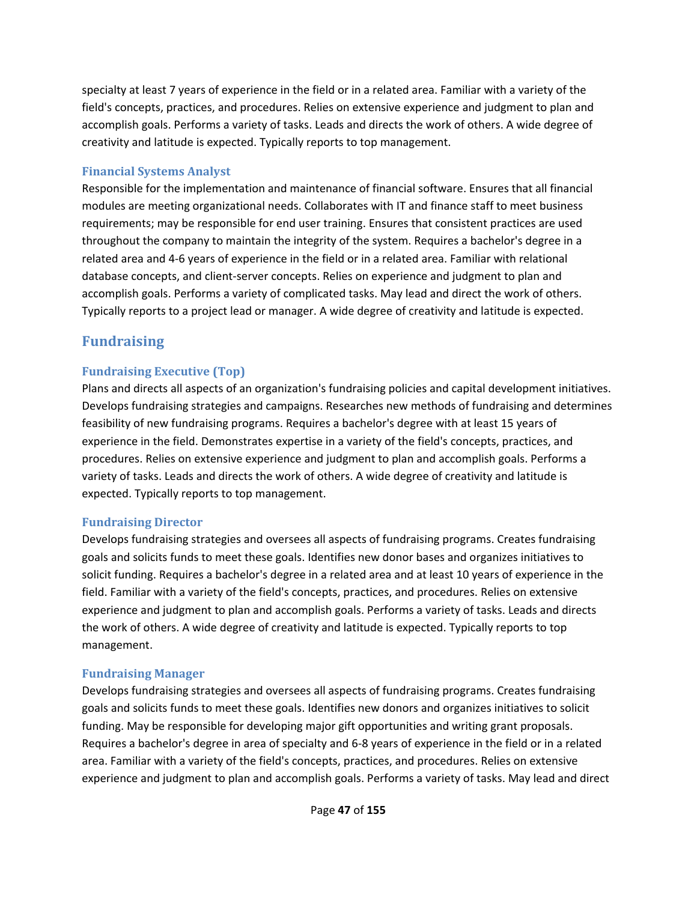specialty at least 7 years of experience in the field or in a related area. Familiar with a variety of the field's concepts, practices, and procedures. Relies on extensive experience and judgment to plan and accomplish goals. Performs a variety of tasks. Leads and directs the work of others. A wide degree of creativity and latitude is expected. Typically reports to top management.

### **Financial Systems Analyst**

Responsible for the implementation and maintenance of financial software. Ensures that all financial modules are meeting organizational needs. Collaborates with IT and finance staff to meet business requirements; may be responsible for end user training. Ensures that consistent practices are used throughout the company to maintain the integrity of the system. Requires a bachelor's degree in a related area and 4-6 years of experience in the field or in a related area. Familiar with relational database concepts, and client-server concepts. Relies on experience and judgment to plan and accomplish goals. Performs a variety of complicated tasks. May lead and direct the work of others. Typically reports to a project lead or manager. A wide degree of creativity and latitude is expected.

# **Fundraising**

# **Fundraising Executive (Top)**

Plans and directs all aspects of an organization's fundraising policies and capital development initiatives. Develops fundraising strategies and campaigns. Researches new methods of fundraising and determines feasibility of new fundraising programs. Requires a bachelor's degree with at least 15 years of experience in the field. Demonstrates expertise in a variety of the field's concepts, practices, and procedures. Relies on extensive experience and judgment to plan and accomplish goals. Performs a variety of tasks. Leads and directs the work of others. A wide degree of creativity and latitude is expected. Typically reports to top management.

# **Fundraising Director**

Develops fundraising strategies and oversees all aspects of fundraising programs. Creates fundraising goals and solicits funds to meet these goals. Identifies new donor bases and organizes initiatives to solicit funding. Requires a bachelor's degree in a related area and at least 10 years of experience in the field. Familiar with a variety of the field's concepts, practices, and procedures. Relies on extensive experience and judgment to plan and accomplish goals. Performs a variety of tasks. Leads and directs the work of others. A wide degree of creativity and latitude is expected. Typically reports to top management.

# **Fundraising Manager**

Develops fundraising strategies and oversees all aspects of fundraising programs. Creates fundraising goals and solicits funds to meet these goals. Identifies new donors and organizes initiatives to solicit funding. May be responsible for developing major gift opportunities and writing grant proposals. Requires a bachelor's degree in area of specialty and 6-8 years of experience in the field or in a related area. Familiar with a variety of the field's concepts, practices, and procedures. Relies on extensive experience and judgment to plan and accomplish goals. Performs a variety of tasks. May lead and direct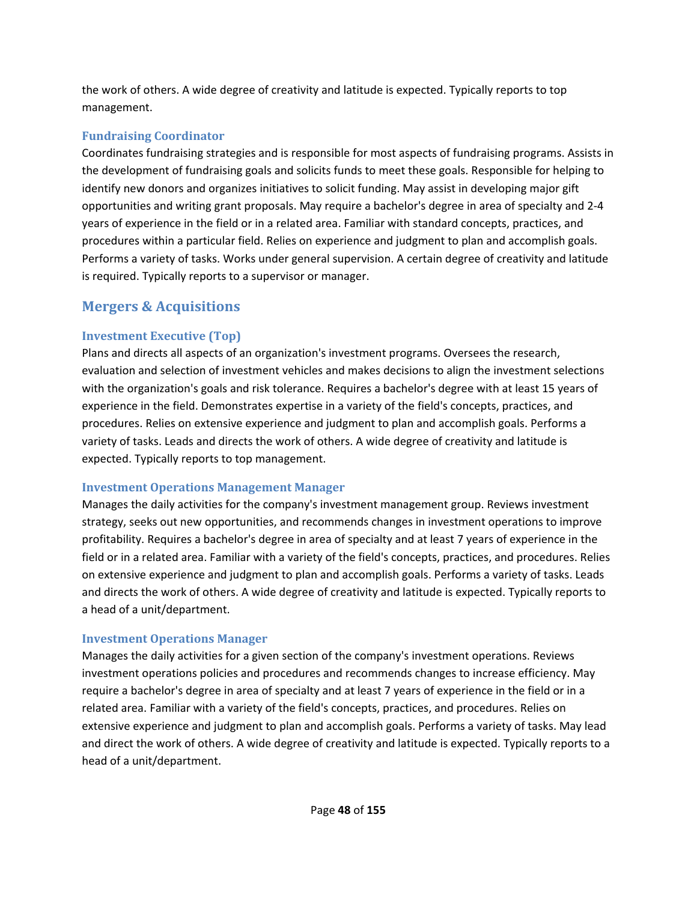the work of others. A wide degree of creativity and latitude is expected. Typically reports to top management.

# **Fundraising Coordinator**

Coordinates fundraising strategies and is responsible for most aspects of fundraising programs. Assists in the development of fundraising goals and solicits funds to meet these goals. Responsible for helping to identify new donors and organizes initiatives to solicit funding. May assist in developing major gift opportunities and writing grant proposals. May require a bachelor's degree in area of specialty and 2-4 years of experience in the field or in a related area. Familiar with standard concepts, practices, and procedures within a particular field. Relies on experience and judgment to plan and accomplish goals. Performs a variety of tasks. Works under general supervision. A certain degree of creativity and latitude is required. Typically reports to a supervisor or manager.

# **Mergers & Acquisitions**

## **Investment Executive (Top)**

Plans and directs all aspects of an organization's investment programs. Oversees the research, evaluation and selection of investment vehicles and makes decisions to align the investment selections with the organization's goals and risk tolerance. Requires a bachelor's degree with at least 15 years of experience in the field. Demonstrates expertise in a variety of the field's concepts, practices, and procedures. Relies on extensive experience and judgment to plan and accomplish goals. Performs a variety of tasks. Leads and directs the work of others. A wide degree of creativity and latitude is expected. Typically reports to top management.

### **Investment Operations Management Manager**

Manages the daily activities for the company's investment management group. Reviews investment strategy, seeks out new opportunities, and recommends changes in investment operations to improve profitability. Requires a bachelor's degree in area of specialty and at least 7 years of experience in the field or in a related area. Familiar with a variety of the field's concepts, practices, and procedures. Relies on extensive experience and judgment to plan and accomplish goals. Performs a variety of tasks. Leads and directs the work of others. A wide degree of creativity and latitude is expected. Typically reports to a head of a unit/department.

# **Investment Operations Manager**

Manages the daily activities for a given section of the company's investment operations. Reviews investment operations policies and procedures and recommends changes to increase efficiency. May require a bachelor's degree in area of specialty and at least 7 years of experience in the field or in a related area. Familiar with a variety of the field's concepts, practices, and procedures. Relies on extensive experience and judgment to plan and accomplish goals. Performs a variety of tasks. May lead and direct the work of others. A wide degree of creativity and latitude is expected. Typically reports to a head of a unit/department.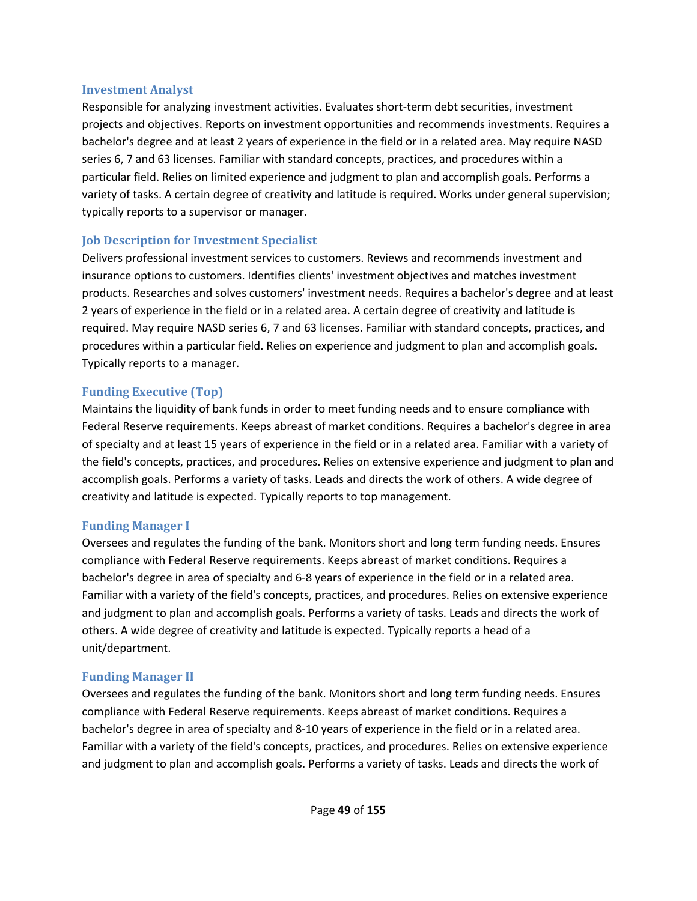#### **Investment Analyst**

Responsible for analyzing investment activities. Evaluates short-term debt securities, investment projects and objectives. Reports on investment opportunities and recommends investments. Requires a bachelor's degree and at least 2 years of experience in the field or in a related area. May require NASD series 6, 7 and 63 licenses. Familiar with standard concepts, practices, and procedures within a particular field. Relies on limited experience and judgment to plan and accomplish goals. Performs a variety of tasks. A certain degree of creativity and latitude is required. Works under general supervision; typically reports to a supervisor or manager.

## **Job Description for Investment Specialist**

Delivers professional investment services to customers. Reviews and recommends investment and insurance options to customers. Identifies clients' investment objectives and matches investment products. Researches and solves customers' investment needs. Requires a bachelor's degree and at least 2 years of experience in the field or in a related area. A certain degree of creativity and latitude is required. May require NASD series 6, 7 and 63 licenses. Familiar with standard concepts, practices, and procedures within a particular field. Relies on experience and judgment to plan and accomplish goals. Typically reports to a manager.

# **Funding Executive (Top)**

Maintains the liquidity of bank funds in order to meet funding needs and to ensure compliance with Federal Reserve requirements. Keeps abreast of market conditions. Requires a bachelor's degree in area of specialty and at least 15 years of experience in the field or in a related area. Familiar with a variety of the field's concepts, practices, and procedures. Relies on extensive experience and judgment to plan and accomplish goals. Performs a variety of tasks. Leads and directs the work of others. A wide degree of creativity and latitude is expected. Typically reports to top management.

# **Funding Manager I**

Oversees and regulates the funding of the bank. Monitors short and long term funding needs. Ensures compliance with Federal Reserve requirements. Keeps abreast of market conditions. Requires a bachelor's degree in area of specialty and 6-8 years of experience in the field or in a related area. Familiar with a variety of the field's concepts, practices, and procedures. Relies on extensive experience and judgment to plan and accomplish goals. Performs a variety of tasks. Leads and directs the work of others. A wide degree of creativity and latitude is expected. Typically reports a head of a unit/department.

# **Funding Manager II**

Oversees and regulates the funding of the bank. Monitors short and long term funding needs. Ensures compliance with Federal Reserve requirements. Keeps abreast of market conditions. Requires a bachelor's degree in area of specialty and 8-10 years of experience in the field or in a related area. Familiar with a variety of the field's concepts, practices, and procedures. Relies on extensive experience and judgment to plan and accomplish goals. Performs a variety of tasks. Leads and directs the work of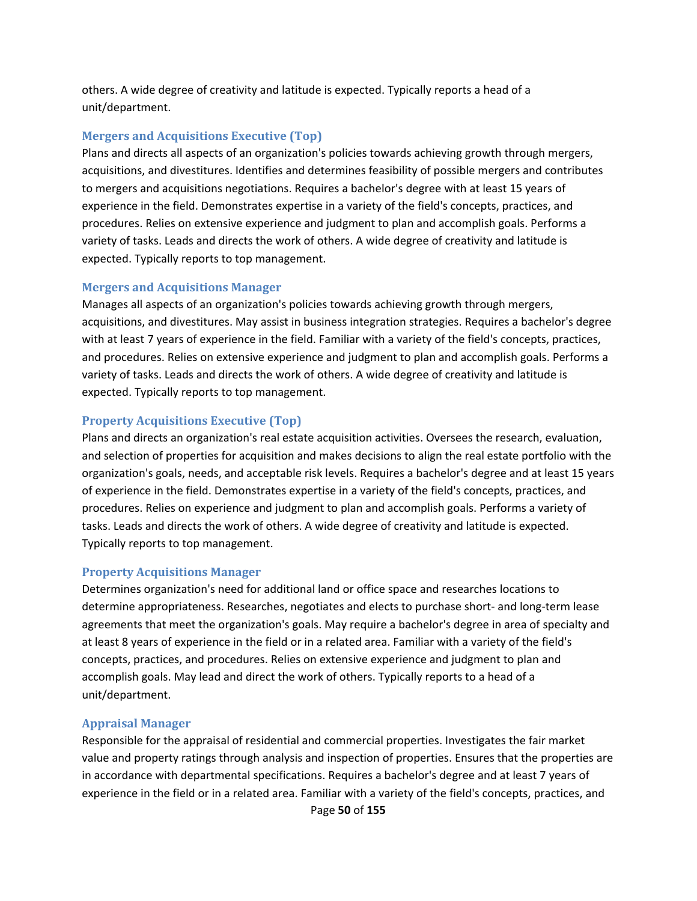others. A wide degree of creativity and latitude is expected. Typically reports a head of a unit/department.

#### **Mergers and Acquisitions Executive (Top)**

Plans and directs all aspects of an organization's policies towards achieving growth through mergers, acquisitions, and divestitures. Identifies and determines feasibility of possible mergers and contributes to mergers and acquisitions negotiations. Requires a bachelor's degree with at least 15 years of experience in the field. Demonstrates expertise in a variety of the field's concepts, practices, and procedures. Relies on extensive experience and judgment to plan and accomplish goals. Performs a variety of tasks. Leads and directs the work of others. A wide degree of creativity and latitude is expected. Typically reports to top management.

#### **Mergers and Acquisitions Manager**

Manages all aspects of an organization's policies towards achieving growth through mergers, acquisitions, and divestitures. May assist in business integration strategies. Requires a bachelor's degree with at least 7 years of experience in the field. Familiar with a variety of the field's concepts, practices, and procedures. Relies on extensive experience and judgment to plan and accomplish goals. Performs a variety of tasks. Leads and directs the work of others. A wide degree of creativity and latitude is expected. Typically reports to top management.

#### **Property Acquisitions Executive (Top)**

Plans and directs an organization's real estate acquisition activities. Oversees the research, evaluation, and selection of properties for acquisition and makes decisions to align the real estate portfolio with the organization's goals, needs, and acceptable risk levels. Requires a bachelor's degree and at least 15 years of experience in the field. Demonstrates expertise in a variety of the field's concepts, practices, and procedures. Relies on experience and judgment to plan and accomplish goals. Performs a variety of tasks. Leads and directs the work of others. A wide degree of creativity and latitude is expected. Typically reports to top management.

#### **Property Acquisitions Manager**

Determines organization's need for additional land or office space and researches locations to determine appropriateness. Researches, negotiates and elects to purchase short- and long-term lease agreements that meet the organization's goals. May require a bachelor's degree in area of specialty and at least 8 years of experience in the field or in a related area. Familiar with a variety of the field's concepts, practices, and procedures. Relies on extensive experience and judgment to plan and accomplish goals. May lead and direct the work of others. Typically reports to a head of a unit/department.

#### **Appraisal Manager**

Responsible for the appraisal of residential and commercial properties. Investigates the fair market value and property ratings through analysis and inspection of properties. Ensures that the properties are in accordance with departmental specifications. Requires a bachelor's degree and at least 7 years of experience in the field or in a related area. Familiar with a variety of the field's concepts, practices, and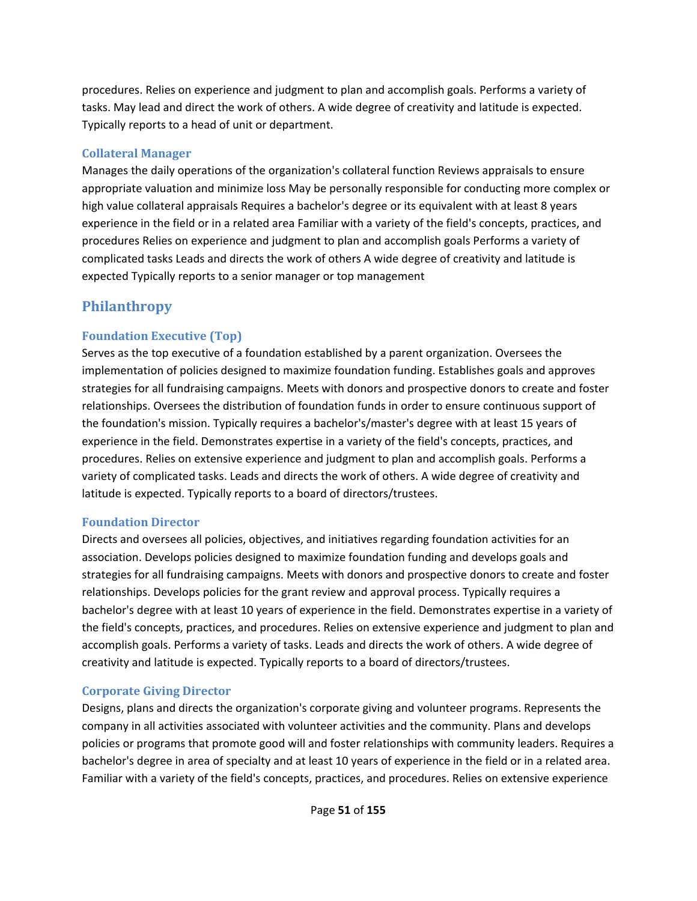procedures. Relies on experience and judgment to plan and accomplish goals. Performs a variety of tasks. May lead and direct the work of others. A wide degree of creativity and latitude is expected. Typically reports to a head of unit or department.

## **Collateral Manager**

Manages the daily operations of the organization's collateral function Reviews appraisals to ensure appropriate valuation and minimize loss May be personally responsible for conducting more complex or high value collateral appraisals Requires a bachelor's degree or its equivalent with at least 8 years experience in the field or in a related area Familiar with a variety of the field's concepts, practices, and procedures Relies on experience and judgment to plan and accomplish goals Performs a variety of complicated tasks Leads and directs the work of others A wide degree of creativity and latitude is expected Typically reports to a senior manager or top management

# **Philanthropy**

## **Foundation Executive (Top)**

Serves as the top executive of a foundation established by a parent organization. Oversees the implementation of policies designed to maximize foundation funding. Establishes goals and approves strategies for all fundraising campaigns. Meets with donors and prospective donors to create and foster relationships. Oversees the distribution of foundation funds in order to ensure continuous support of the foundation's mission. Typically requires a bachelor's/master's degree with at least 15 years of experience in the field. Demonstrates expertise in a variety of the field's concepts, practices, and procedures. Relies on extensive experience and judgment to plan and accomplish goals. Performs a variety of complicated tasks. Leads and directs the work of others. A wide degree of creativity and latitude is expected. Typically reports to a board of directors/trustees.

# **Foundation Director**

Directs and oversees all policies, objectives, and initiatives regarding foundation activities for an association. Develops policies designed to maximize foundation funding and develops goals and strategies for all fundraising campaigns. Meets with donors and prospective donors to create and foster relationships. Develops policies for the grant review and approval process. Typically requires a bachelor's degree with at least 10 years of experience in the field. Demonstrates expertise in a variety of the field's concepts, practices, and procedures. Relies on extensive experience and judgment to plan and accomplish goals. Performs a variety of tasks. Leads and directs the work of others. A wide degree of creativity and latitude is expected. Typically reports to a board of directors/trustees.

# **Corporate Giving Director**

Designs, plans and directs the organization's corporate giving and volunteer programs. Represents the company in all activities associated with volunteer activities and the community. Plans and develops policies or programs that promote good will and foster relationships with community leaders. Requires a bachelor's degree in area of specialty and at least 10 years of experience in the field or in a related area. Familiar with a variety of the field's concepts, practices, and procedures. Relies on extensive experience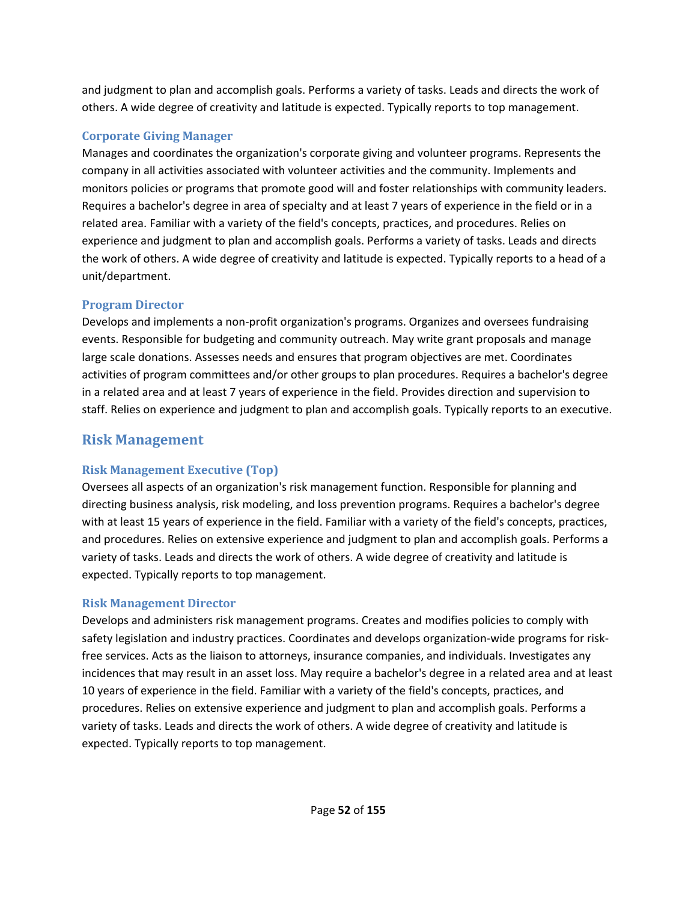and judgment to plan and accomplish goals. Performs a variety of tasks. Leads and directs the work of others. A wide degree of creativity and latitude is expected. Typically reports to top management.

# **Corporate Giving Manager**

Manages and coordinates the organization's corporate giving and volunteer programs. Represents the company in all activities associated with volunteer activities and the community. Implements and monitors policies or programs that promote good will and foster relationships with community leaders. Requires a bachelor's degree in area of specialty and at least 7 years of experience in the field or in a related area. Familiar with a variety of the field's concepts, practices, and procedures. Relies on experience and judgment to plan and accomplish goals. Performs a variety of tasks. Leads and directs the work of others. A wide degree of creativity and latitude is expected. Typically reports to a head of a unit/department.

# **Program Director**

Develops and implements a non-profit organization's programs. Organizes and oversees fundraising events. Responsible for budgeting and community outreach. May write grant proposals and manage large scale donations. Assesses needs and ensures that program objectives are met. Coordinates activities of program committees and/or other groups to plan procedures. Requires a bachelor's degree in a related area and at least 7 years of experience in the field. Provides direction and supervision to staff. Relies on experience and judgment to plan and accomplish goals. Typically reports to an executive.

# **Risk Management**

# **Risk Management Executive (Top)**

Oversees all aspects of an organization's risk management function. Responsible for planning and directing business analysis, risk modeling, and loss prevention programs. Requires a bachelor's degree with at least 15 years of experience in the field. Familiar with a variety of the field's concepts, practices, and procedures. Relies on extensive experience and judgment to plan and accomplish goals. Performs a variety of tasks. Leads and directs the work of others. A wide degree of creativity and latitude is expected. Typically reports to top management.

# **Risk Management Director**

Develops and administers risk management programs. Creates and modifies policies to comply with safety legislation and industry practices. Coordinates and develops organization-wide programs for riskfree services. Acts as the liaison to attorneys, insurance companies, and individuals. Investigates any incidences that may result in an asset loss. May require a bachelor's degree in a related area and at least 10 years of experience in the field. Familiar with a variety of the field's concepts, practices, and procedures. Relies on extensive experience and judgment to plan and accomplish goals. Performs a variety of tasks. Leads and directs the work of others. A wide degree of creativity and latitude is expected. Typically reports to top management.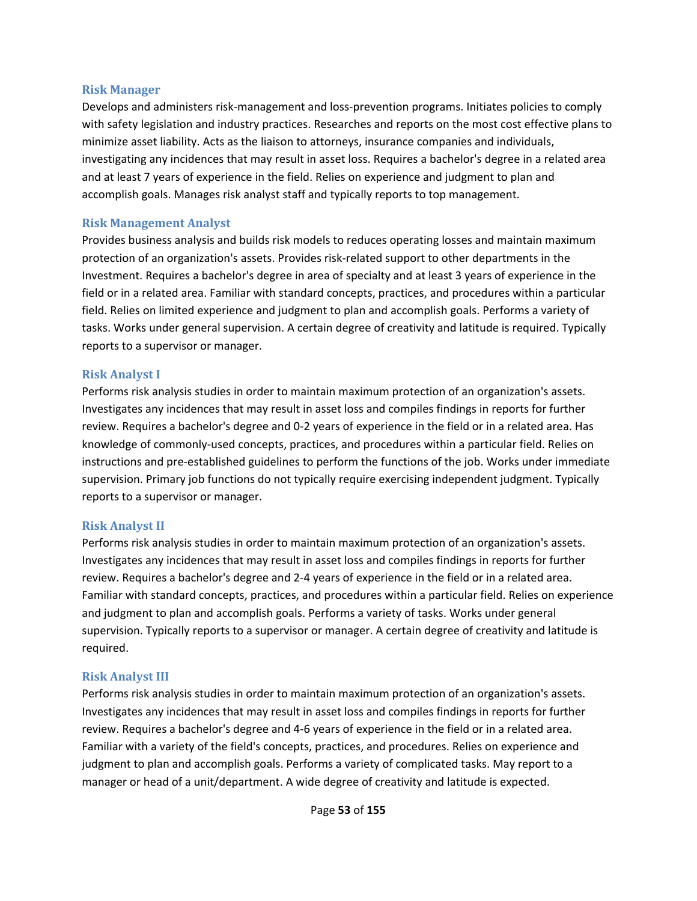#### **Risk Manager**

Develops and administers risk-management and loss-prevention programs. Initiates policies to comply with safety legislation and industry practices. Researches and reports on the most cost effective plans to minimize asset liability. Acts as the liaison to attorneys, insurance companies and individuals, investigating any incidences that may result in asset loss. Requires a bachelor's degree in a related area and at least 7 years of experience in the field. Relies on experience and judgment to plan and accomplish goals. Manages risk analyst staff and typically reports to top management.

#### **Risk Management Analyst**

Provides business analysis and builds risk models to reduces operating losses and maintain maximum protection of an organization's assets. Provides risk-related support to other departments in the Investment. Requires a bachelor's degree in area of specialty and at least 3 years of experience in the field or in a related area. Familiar with standard concepts, practices, and procedures within a particular field. Relies on limited experience and judgment to plan and accomplish goals. Performs a variety of tasks. Works under general supervision. A certain degree of creativity and latitude is required. Typically reports to a supervisor or manager.

#### **Risk Analyst I**

Performs risk analysis studies in order to maintain maximum protection of an organization's assets. Investigates any incidences that may result in asset loss and compiles findings in reports for further review. Requires a bachelor's degree and 0-2 years of experience in the field or in a related area. Has knowledge of commonly-used concepts, practices, and procedures within a particular field. Relies on instructions and pre-established guidelines to perform the functions of the job. Works under immediate supervision. Primary job functions do not typically require exercising independent judgment. Typically reports to a supervisor or manager.

### **Risk Analyst II**

Performs risk analysis studies in order to maintain maximum protection of an organization's assets. Investigates any incidences that may result in asset loss and compiles findings in reports for further review. Requires a bachelor's degree and 2-4 years of experience in the field or in a related area. Familiar with standard concepts, practices, and procedures within a particular field. Relies on experience and judgment to plan and accomplish goals. Performs a variety of tasks. Works under general supervision. Typically reports to a supervisor or manager. A certain degree of creativity and latitude is required.

### **Risk Analyst III**

Performs risk analysis studies in order to maintain maximum protection of an organization's assets. Investigates any incidences that may result in asset loss and compiles findings in reports for further review. Requires a bachelor's degree and 4-6 years of experience in the field or in a related area. Familiar with a variety of the field's concepts, practices, and procedures. Relies on experience and judgment to plan and accomplish goals. Performs a variety of complicated tasks. May report to a manager or head of a unit/department. A wide degree of creativity and latitude is expected.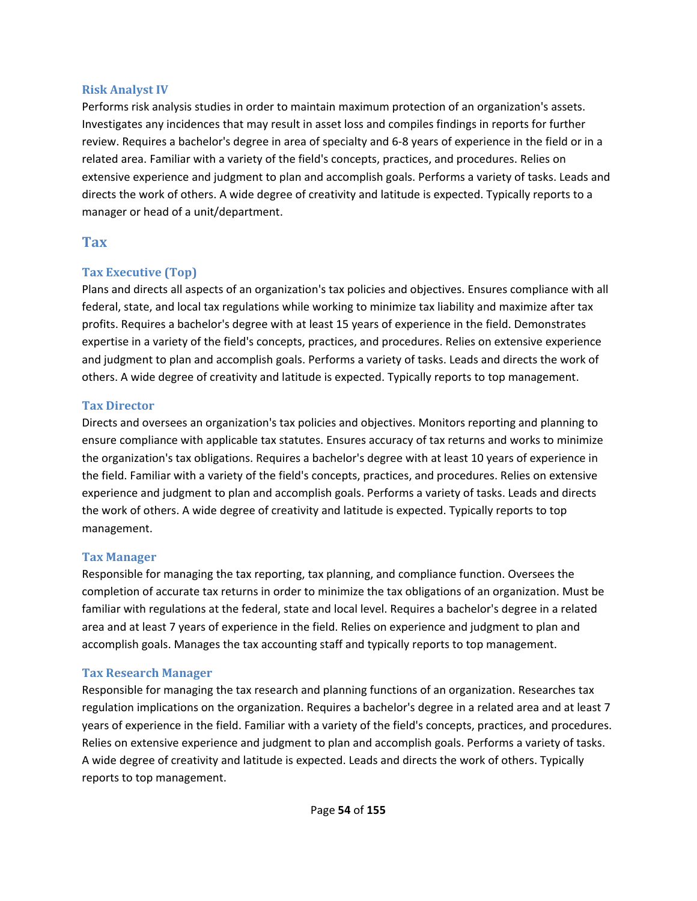#### **Risk Analyst IV**

Performs risk analysis studies in order to maintain maximum protection of an organization's assets. Investigates any incidences that may result in asset loss and compiles findings in reports for further review. Requires a bachelor's degree in area of specialty and 6-8 years of experience in the field or in a related area. Familiar with a variety of the field's concepts, practices, and procedures. Relies on extensive experience and judgment to plan and accomplish goals. Performs a variety of tasks. Leads and directs the work of others. A wide degree of creativity and latitude is expected. Typically reports to a manager or head of a unit/department.

# **Tax**

# **Tax Executive (Top)**

Plans and directs all aspects of an organization's tax policies and objectives. Ensures compliance with all federal, state, and local tax regulations while working to minimize tax liability and maximize after tax profits. Requires a bachelor's degree with at least 15 years of experience in the field. Demonstrates expertise in a variety of the field's concepts, practices, and procedures. Relies on extensive experience and judgment to plan and accomplish goals. Performs a variety of tasks. Leads and directs the work of others. A wide degree of creativity and latitude is expected. Typically reports to top management.

## **Tax Director**

Directs and oversees an organization's tax policies and objectives. Monitors reporting and planning to ensure compliance with applicable tax statutes. Ensures accuracy of tax returns and works to minimize the organization's tax obligations. Requires a bachelor's degree with at least 10 years of experience in the field. Familiar with a variety of the field's concepts, practices, and procedures. Relies on extensive experience and judgment to plan and accomplish goals. Performs a variety of tasks. Leads and directs the work of others. A wide degree of creativity and latitude is expected. Typically reports to top management.

# **Tax Manager**

Responsible for managing the tax reporting, tax planning, and compliance function. Oversees the completion of accurate tax returns in order to minimize the tax obligations of an organization. Must be familiar with regulations at the federal, state and local level. Requires a bachelor's degree in a related area and at least 7 years of experience in the field. Relies on experience and judgment to plan and accomplish goals. Manages the tax accounting staff and typically reports to top management.

# **Tax Research Manager**

Responsible for managing the tax research and planning functions of an organization. Researches tax regulation implications on the organization. Requires a bachelor's degree in a related area and at least 7 years of experience in the field. Familiar with a variety of the field's concepts, practices, and procedures. Relies on extensive experience and judgment to plan and accomplish goals. Performs a variety of tasks. A wide degree of creativity and latitude is expected. Leads and directs the work of others. Typically reports to top management.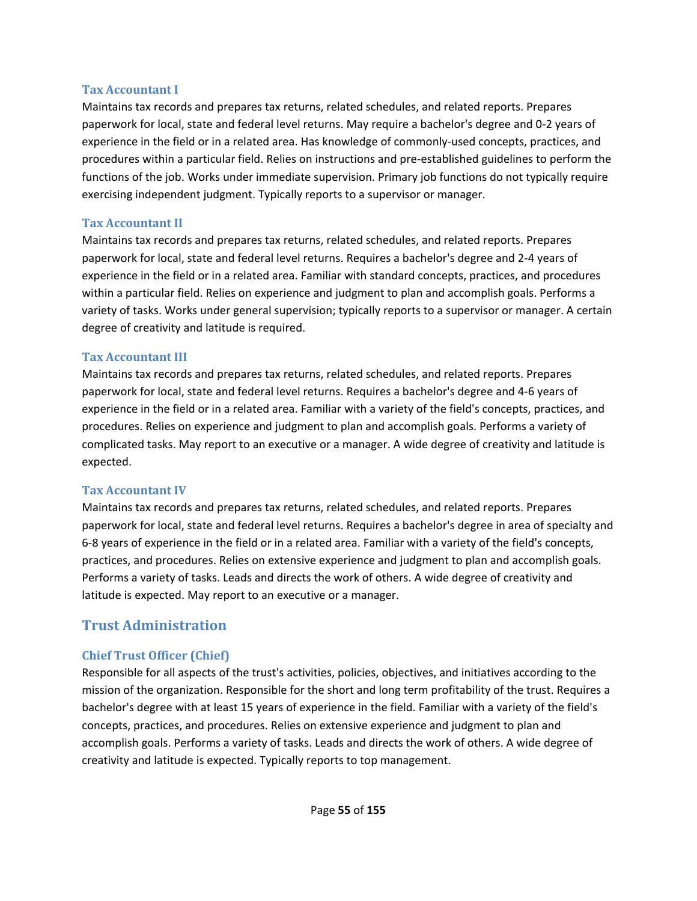#### **Tax Accountant I**

Maintains tax records and prepares tax returns, related schedules, and related reports. Prepares paperwork for local, state and federal level returns. May require a bachelor's degree and 0-2 years of experience in the field or in a related area. Has knowledge of commonly-used concepts, practices, and procedures within a particular field. Relies on instructions and pre-established guidelines to perform the functions of the job. Works under immediate supervision. Primary job functions do not typically require exercising independent judgment. Typically reports to a supervisor or manager.

#### **Tax Accountant II**

Maintains tax records and prepares tax returns, related schedules, and related reports. Prepares paperwork for local, state and federal level returns. Requires a bachelor's degree and 2-4 years of experience in the field or in a related area. Familiar with standard concepts, practices, and procedures within a particular field. Relies on experience and judgment to plan and accomplish goals. Performs a variety of tasks. Works under general supervision; typically reports to a supervisor or manager. A certain degree of creativity and latitude is required.

### **Tax Accountant III**

Maintains tax records and prepares tax returns, related schedules, and related reports. Prepares paperwork for local, state and federal level returns. Requires a bachelor's degree and 4-6 years of experience in the field or in a related area. Familiar with a variety of the field's concepts, practices, and procedures. Relies on experience and judgment to plan and accomplish goals. Performs a variety of complicated tasks. May report to an executive or a manager. A wide degree of creativity and latitude is expected.

### **Tax Accountant IV**

Maintains tax records and prepares tax returns, related schedules, and related reports. Prepares paperwork for local, state and federal level returns. Requires a bachelor's degree in area of specialty and 6-8 years of experience in the field or in a related area. Familiar with a variety of the field's concepts, practices, and procedures. Relies on extensive experience and judgment to plan and accomplish goals. Performs a variety of tasks. Leads and directs the work of others. A wide degree of creativity and latitude is expected. May report to an executive or a manager.

# **Trust Administration**

# **Chief Trust Officer (Chief)**

Responsible for all aspects of the trust's activities, policies, objectives, and initiatives according to the mission of the organization. Responsible for the short and long term profitability of the trust. Requires a bachelor's degree with at least 15 years of experience in the field. Familiar with a variety of the field's concepts, practices, and procedures. Relies on extensive experience and judgment to plan and accomplish goals. Performs a variety of tasks. Leads and directs the work of others. A wide degree of creativity and latitude is expected. Typically reports to top management.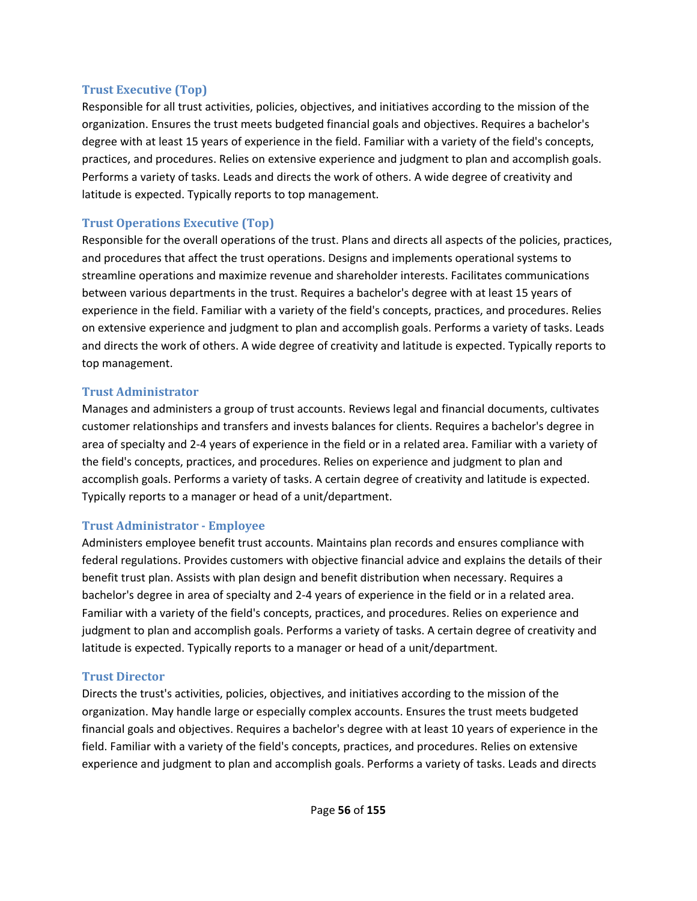#### **Trust Executive (Top)**

Responsible for all trust activities, policies, objectives, and initiatives according to the mission of the organization. Ensures the trust meets budgeted financial goals and objectives. Requires a bachelor's degree with at least 15 years of experience in the field. Familiar with a variety of the field's concepts, practices, and procedures. Relies on extensive experience and judgment to plan and accomplish goals. Performs a variety of tasks. Leads and directs the work of others. A wide degree of creativity and latitude is expected. Typically reports to top management.

#### **Trust Operations Executive (Top)**

Responsible for the overall operations of the trust. Plans and directs all aspects of the policies, practices, and procedures that affect the trust operations. Designs and implements operational systems to streamline operations and maximize revenue and shareholder interests. Facilitates communications between various departments in the trust. Requires a bachelor's degree with at least 15 years of experience in the field. Familiar with a variety of the field's concepts, practices, and procedures. Relies on extensive experience and judgment to plan and accomplish goals. Performs a variety of tasks. Leads and directs the work of others. A wide degree of creativity and latitude is expected. Typically reports to top management.

### **Trust Administrator**

Manages and administers a group of trust accounts. Reviews legal and financial documents, cultivates customer relationships and transfers and invests balances for clients. Requires a bachelor's degree in area of specialty and 2-4 years of experience in the field or in a related area. Familiar with a variety of the field's concepts, practices, and procedures. Relies on experience and judgment to plan and accomplish goals. Performs a variety of tasks. A certain degree of creativity and latitude is expected. Typically reports to a manager or head of a unit/department.

### **Trust Administrator - Employee**

Administers employee benefit trust accounts. Maintains plan records and ensures compliance with federal regulations. Provides customers with objective financial advice and explains the details of their benefit trust plan. Assists with plan design and benefit distribution when necessary. Requires a bachelor's degree in area of specialty and 2-4 years of experience in the field or in a related area. Familiar with a variety of the field's concepts, practices, and procedures. Relies on experience and judgment to plan and accomplish goals. Performs a variety of tasks. A certain degree of creativity and latitude is expected. Typically reports to a manager or head of a unit/department.

### **Trust Director**

Directs the trust's activities, policies, objectives, and initiatives according to the mission of the organization. May handle large or especially complex accounts. Ensures the trust meets budgeted financial goals and objectives. Requires a bachelor's degree with at least 10 years of experience in the field. Familiar with a variety of the field's concepts, practices, and procedures. Relies on extensive experience and judgment to plan and accomplish goals. Performs a variety of tasks. Leads and directs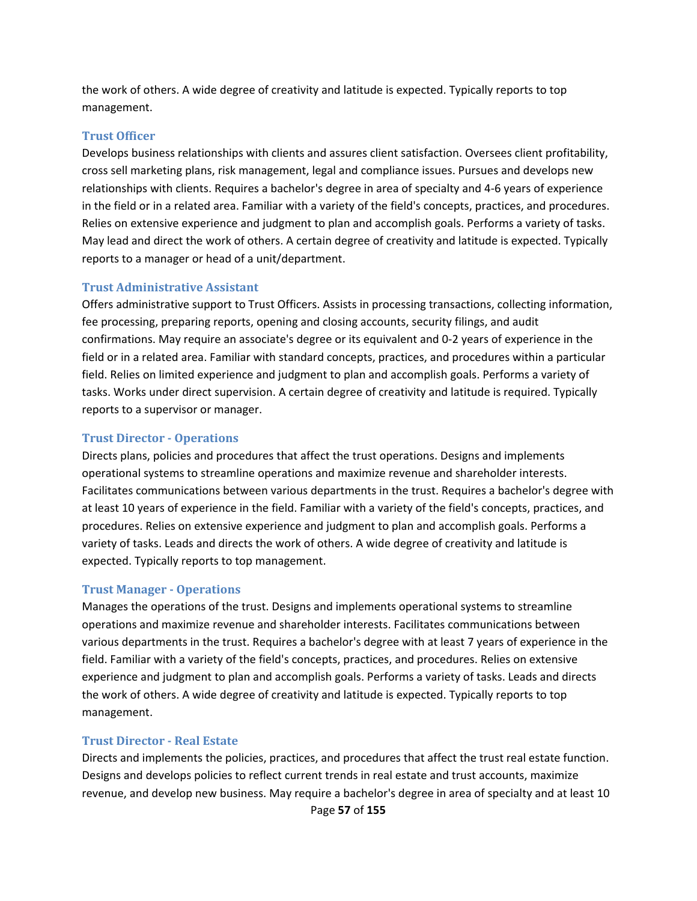the work of others. A wide degree of creativity and latitude is expected. Typically reports to top management.

#### **Trust Officer**

Develops business relationships with clients and assures client satisfaction. Oversees client profitability, cross sell marketing plans, risk management, legal and compliance issues. Pursues and develops new relationships with clients. Requires a bachelor's degree in area of specialty and 4-6 years of experience in the field or in a related area. Familiar with a variety of the field's concepts, practices, and procedures. Relies on extensive experience and judgment to plan and accomplish goals. Performs a variety of tasks. May lead and direct the work of others. A certain degree of creativity and latitude is expected. Typically reports to a manager or head of a unit/department.

#### **Trust Administrative Assistant**

Offers administrative support to Trust Officers. Assists in processing transactions, collecting information, fee processing, preparing reports, opening and closing accounts, security filings, and audit confirmations. May require an associate's degree or its equivalent and 0-2 years of experience in the field or in a related area. Familiar with standard concepts, practices, and procedures within a particular field. Relies on limited experience and judgment to plan and accomplish goals. Performs a variety of tasks. Works under direct supervision. A certain degree of creativity and latitude is required. Typically reports to a supervisor or manager.

#### **Trust Director - Operations**

Directs plans, policies and procedures that affect the trust operations. Designs and implements operational systems to streamline operations and maximize revenue and shareholder interests. Facilitates communications between various departments in the trust. Requires a bachelor's degree with at least 10 years of experience in the field. Familiar with a variety of the field's concepts, practices, and procedures. Relies on extensive experience and judgment to plan and accomplish goals. Performs a variety of tasks. Leads and directs the work of others. A wide degree of creativity and latitude is expected. Typically reports to top management.

#### **Trust Manager - Operations**

Manages the operations of the trust. Designs and implements operational systems to streamline operations and maximize revenue and shareholder interests. Facilitates communications between various departments in the trust. Requires a bachelor's degree with at least 7 years of experience in the field. Familiar with a variety of the field's concepts, practices, and procedures. Relies on extensive experience and judgment to plan and accomplish goals. Performs a variety of tasks. Leads and directs the work of others. A wide degree of creativity and latitude is expected. Typically reports to top management.

#### **Trust Director - Real Estate**

Directs and implements the policies, practices, and procedures that affect the trust real estate function. Designs and develops policies to reflect current trends in real estate and trust accounts, maximize revenue, and develop new business. May require a bachelor's degree in area of specialty and at least 10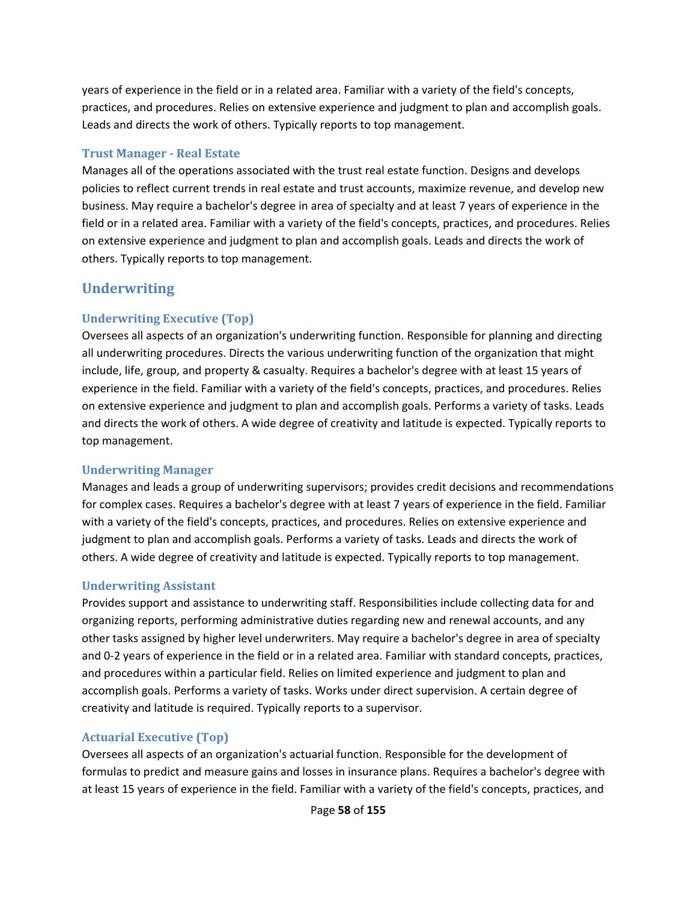years of experience in the field or in a related area. Familiar with a variety of the field's concepts, practices, and procedures. Relies on extensive experience and judgment to plan and accomplish goals. Leads and directs the work of others. Typically reports to top management.

### **Trust Manager - Real Estate**

Manages all of the operations associated with the trust real estate function. Designs and develops policies to reflect current trends in real estate and trust accounts, maximize revenue, and develop new business. May require a bachelor's degree in area of specialty and at least 7 years of experience in the field or in a related area. Familiar with a variety of the field's concepts, practices, and procedures. Relies on extensive experience and judgment to plan and accomplish goals. Leads and directs the work of others. Typically reports to top management.

# **Underwriting**

## **Underwriting Executive (Top)**

Oversees all aspects of an organization's underwriting function. Responsible for planning and directing all underwriting procedures. Directs the various underwriting function of the organization that might include, life, group, and property & casualty. Requires a bachelor's degree with at least 15 years of experience in the field. Familiar with a variety of the field's concepts, practices, and procedures. Relies on extensive experience and judgment to plan and accomplish goals. Performs a variety of tasks. Leads and directs the work of others. A wide degree of creativity and latitude is expected. Typically reports to top management.

### **Underwriting Manager**

Manages and leads a group of underwriting supervisors; provides credit decisions and recommendations for complex cases. Requires a bachelor's degree with at least 7 years of experience in the field. Familiar with a variety of the field's concepts, practices, and procedures. Relies on extensive experience and judgment to plan and accomplish goals. Performs a variety of tasks. Leads and directs the work of others. A wide degree of creativity and latitude is expected. Typically reports to top management.

### **Underwriting Assistant**

Provides support and assistance to underwriting staff. Responsibilities include collecting data for and organizing reports, performing administrative duties regarding new and renewal accounts, and any other tasks assigned by higher level underwriters. May require a bachelor's degree in area of specialty and 0-2 years of experience in the field or in a related area. Familiar with standard concepts, practices, and procedures within a particular field. Relies on limited experience and judgment to plan and accomplish goals. Performs a variety of tasks. Works under direct supervision. A certain degree of creativity and latitude is required. Typically reports to a supervisor.

### **Actuarial Executive (Top)**

Oversees all aspects of an organization's actuarial function. Responsible for the development of formulas to predict and measure gains and losses in insurance plans. Requires a bachelor's degree with at least 15 years of experience in the field. Familiar with a variety of the field's concepts, practices, and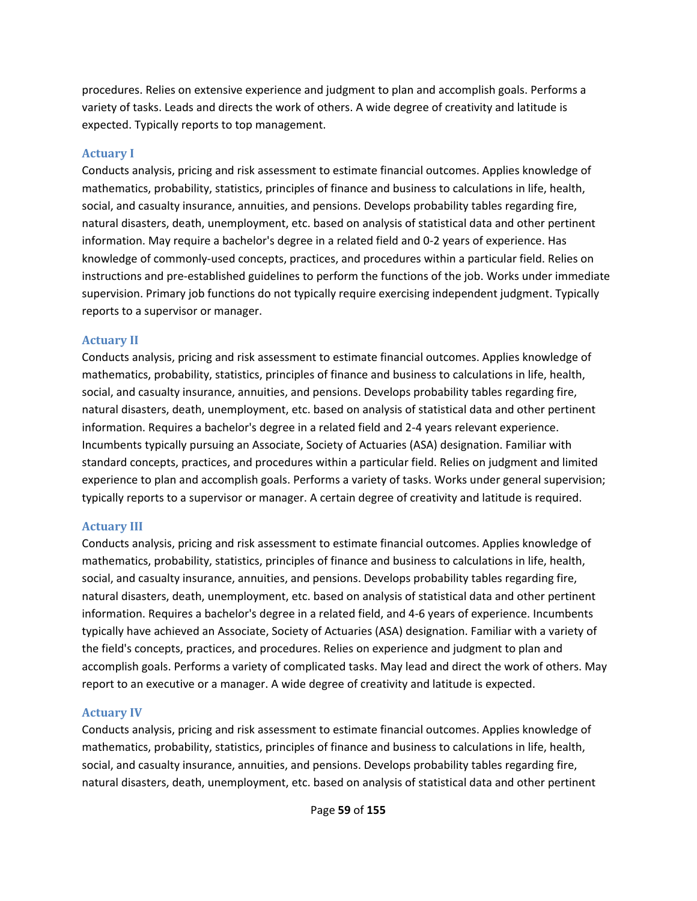procedures. Relies on extensive experience and judgment to plan and accomplish goals. Performs a variety of tasks. Leads and directs the work of others. A wide degree of creativity and latitude is expected. Typically reports to top management.

### **Actuary I**

Conducts analysis, pricing and risk assessment to estimate financial outcomes. Applies knowledge of mathematics, probability, statistics, principles of finance and business to calculations in life, health, social, and casualty insurance, annuities, and pensions. Develops probability tables regarding fire, natural disasters, death, unemployment, etc. based on analysis of statistical data and other pertinent information. May require a bachelor's degree in a related field and 0-2 years of experience. Has knowledge of commonly-used concepts, practices, and procedures within a particular field. Relies on instructions and pre-established guidelines to perform the functions of the job. Works under immediate supervision. Primary job functions do not typically require exercising independent judgment. Typically reports to a supervisor or manager.

### **Actuary II**

Conducts analysis, pricing and risk assessment to estimate financial outcomes. Applies knowledge of mathematics, probability, statistics, principles of finance and business to calculations in life, health, social, and casualty insurance, annuities, and pensions. Develops probability tables regarding fire, natural disasters, death, unemployment, etc. based on analysis of statistical data and other pertinent information. Requires a bachelor's degree in a related field and 2-4 years relevant experience. Incumbents typically pursuing an Associate, Society of Actuaries (ASA) designation. Familiar with standard concepts, practices, and procedures within a particular field. Relies on judgment and limited experience to plan and accomplish goals. Performs a variety of tasks. Works under general supervision; typically reports to a supervisor or manager. A certain degree of creativity and latitude is required.

# **Actuary III**

Conducts analysis, pricing and risk assessment to estimate financial outcomes. Applies knowledge of mathematics, probability, statistics, principles of finance and business to calculations in life, health, social, and casualty insurance, annuities, and pensions. Develops probability tables regarding fire, natural disasters, death, unemployment, etc. based on analysis of statistical data and other pertinent information. Requires a bachelor's degree in a related field, and 4-6 years of experience. Incumbents typically have achieved an Associate, Society of Actuaries (ASA) designation. Familiar with a variety of the field's concepts, practices, and procedures. Relies on experience and judgment to plan and accomplish goals. Performs a variety of complicated tasks. May lead and direct the work of others. May report to an executive or a manager. A wide degree of creativity and latitude is expected.

# **Actuary IV**

Conducts analysis, pricing and risk assessment to estimate financial outcomes. Applies knowledge of mathematics, probability, statistics, principles of finance and business to calculations in life, health, social, and casualty insurance, annuities, and pensions. Develops probability tables regarding fire, natural disasters, death, unemployment, etc. based on analysis of statistical data and other pertinent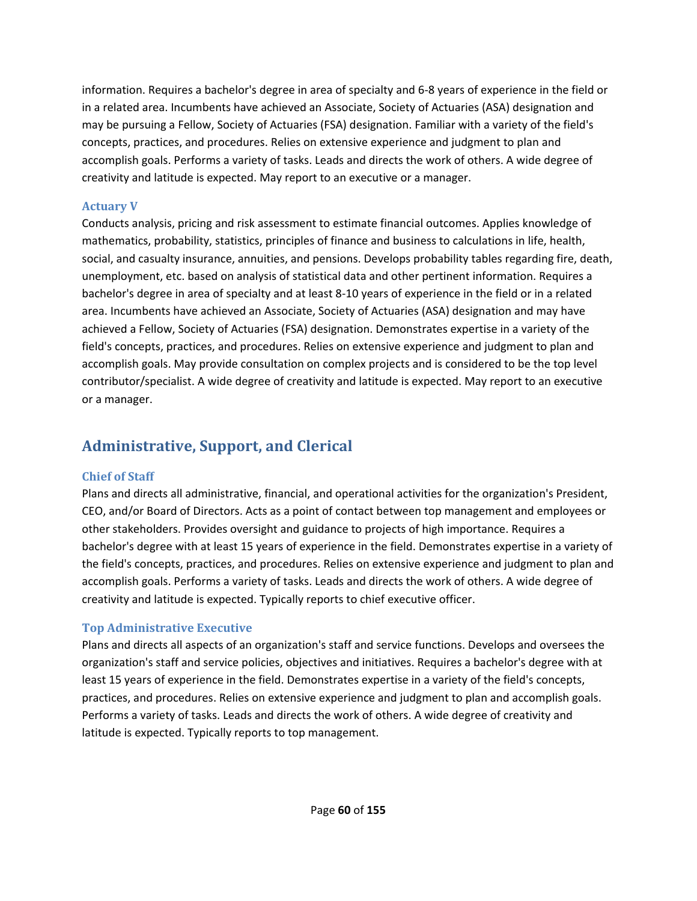information. Requires a bachelor's degree in area of specialty and 6-8 years of experience in the field or in a related area. Incumbents have achieved an Associate, Society of Actuaries (ASA) designation and may be pursuing a Fellow, Society of Actuaries (FSA) designation. Familiar with a variety of the field's concepts, practices, and procedures. Relies on extensive experience and judgment to plan and accomplish goals. Performs a variety of tasks. Leads and directs the work of others. A wide degree of creativity and latitude is expected. May report to an executive or a manager.

## **Actuary V**

Conducts analysis, pricing and risk assessment to estimate financial outcomes. Applies knowledge of mathematics, probability, statistics, principles of finance and business to calculations in life, health, social, and casualty insurance, annuities, and pensions. Develops probability tables regarding fire, death, unemployment, etc. based on analysis of statistical data and other pertinent information. Requires a bachelor's degree in area of specialty and at least 8-10 years of experience in the field or in a related area. Incumbents have achieved an Associate, Society of Actuaries (ASA) designation and may have achieved a Fellow, Society of Actuaries (FSA) designation. Demonstrates expertise in a variety of the field's concepts, practices, and procedures. Relies on extensive experience and judgment to plan and accomplish goals. May provide consultation on complex projects and is considered to be the top level contributor/specialist. A wide degree of creativity and latitude is expected. May report to an executive or a manager.

# **Administrative, Support, and Clerical**

### **Chief of Staff**

Plans and directs all administrative, financial, and operational activities for the organization's President, CEO, and/or Board of Directors. Acts as a point of contact between top management and employees or other stakeholders. Provides oversight and guidance to projects of high importance. Requires a bachelor's degree with at least 15 years of experience in the field. Demonstrates expertise in a variety of the field's concepts, practices, and procedures. Relies on extensive experience and judgment to plan and accomplish goals. Performs a variety of tasks. Leads and directs the work of others. A wide degree of creativity and latitude is expected. Typically reports to chief executive officer.

# **Top Administrative Executive**

Plans and directs all aspects of an organization's staff and service functions. Develops and oversees the organization's staff and service policies, objectives and initiatives. Requires a bachelor's degree with at least 15 years of experience in the field. Demonstrates expertise in a variety of the field's concepts, practices, and procedures. Relies on extensive experience and judgment to plan and accomplish goals. Performs a variety of tasks. Leads and directs the work of others. A wide degree of creativity and latitude is expected. Typically reports to top management.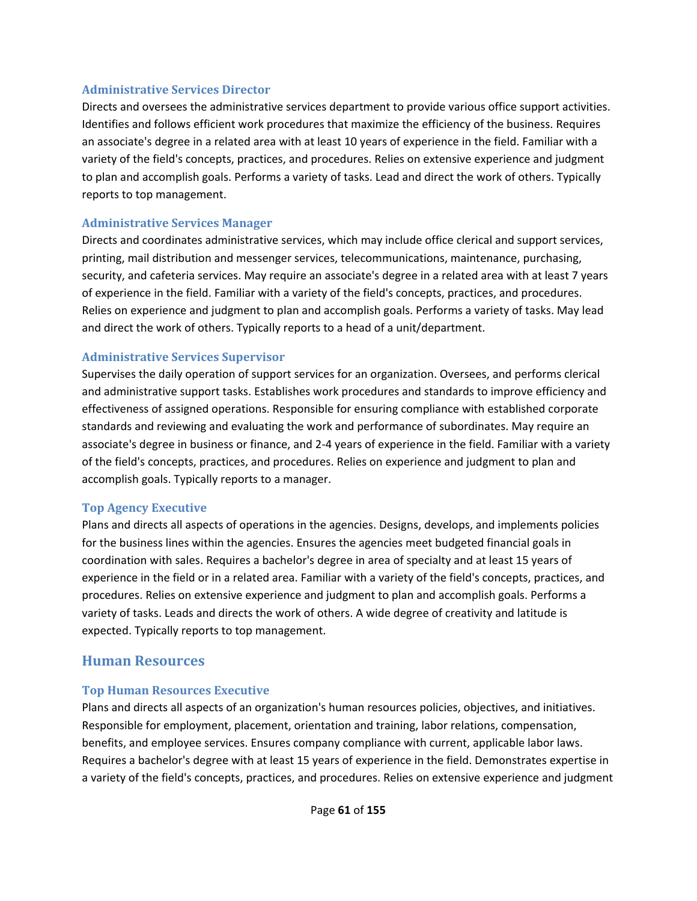#### **Administrative Services Director**

Directs and oversees the administrative services department to provide various office support activities. Identifies and follows efficient work procedures that maximize the efficiency of the business. Requires an associate's degree in a related area with at least 10 years of experience in the field. Familiar with a variety of the field's concepts, practices, and procedures. Relies on extensive experience and judgment to plan and accomplish goals. Performs a variety of tasks. Lead and direct the work of others. Typically reports to top management.

#### **Administrative Services Manager**

Directs and coordinates administrative services, which may include office clerical and support services, printing, mail distribution and messenger services, telecommunications, maintenance, purchasing, security, and cafeteria services. May require an associate's degree in a related area with at least 7 years of experience in the field. Familiar with a variety of the field's concepts, practices, and procedures. Relies on experience and judgment to plan and accomplish goals. Performs a variety of tasks. May lead and direct the work of others. Typically reports to a head of a unit/department.

### **Administrative Services Supervisor**

Supervises the daily operation of support services for an organization. Oversees, and performs clerical and administrative support tasks. Establishes work procedures and standards to improve efficiency and effectiveness of assigned operations. Responsible for ensuring compliance with established corporate standards and reviewing and evaluating the work and performance of subordinates. May require an associate's degree in business or finance, and 2-4 years of experience in the field. Familiar with a variety of the field's concepts, practices, and procedures. Relies on experience and judgment to plan and accomplish goals. Typically reports to a manager.

### **Top Agency Executive**

Plans and directs all aspects of operations in the agencies. Designs, develops, and implements policies for the business lines within the agencies. Ensures the agencies meet budgeted financial goals in coordination with sales. Requires a bachelor's degree in area of specialty and at least 15 years of experience in the field or in a related area. Familiar with a variety of the field's concepts, practices, and procedures. Relies on extensive experience and judgment to plan and accomplish goals. Performs a variety of tasks. Leads and directs the work of others. A wide degree of creativity and latitude is expected. Typically reports to top management.

# **Human Resources**

### **Top Human Resources Executive**

Plans and directs all aspects of an organization's human resources policies, objectives, and initiatives. Responsible for employment, placement, orientation and training, labor relations, compensation, benefits, and employee services. Ensures company compliance with current, applicable labor laws. Requires a bachelor's degree with at least 15 years of experience in the field. Demonstrates expertise in a variety of the field's concepts, practices, and procedures. Relies on extensive experience and judgment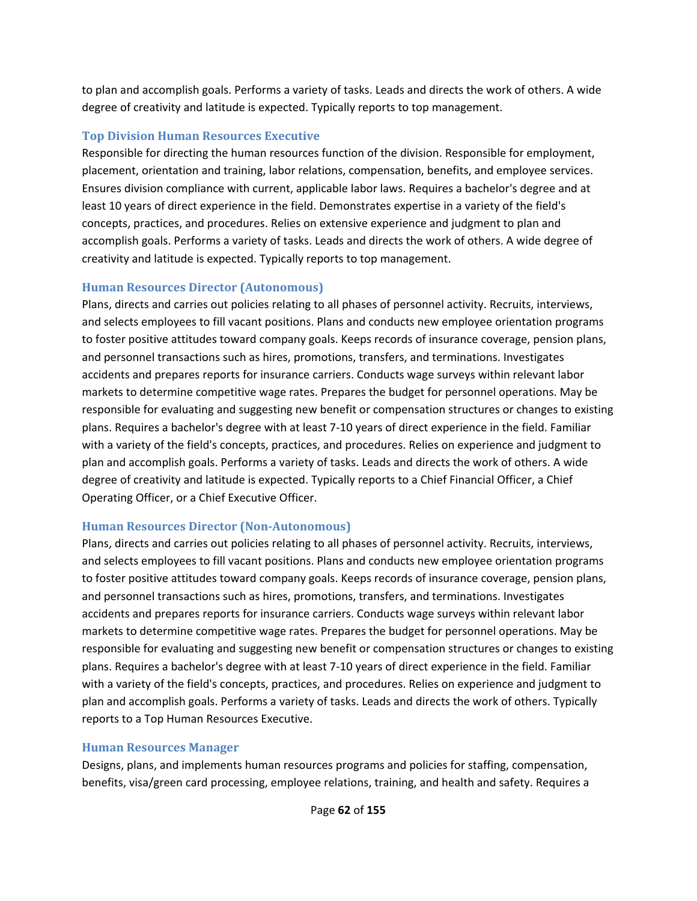to plan and accomplish goals. Performs a variety of tasks. Leads and directs the work of others. A wide degree of creativity and latitude is expected. Typically reports to top management.

## **Top Division Human Resources Executive**

Responsible for directing the human resources function of the division. Responsible for employment, placement, orientation and training, labor relations, compensation, benefits, and employee services. Ensures division compliance with current, applicable labor laws. Requires a bachelor's degree and at least 10 years of direct experience in the field. Demonstrates expertise in a variety of the field's concepts, practices, and procedures. Relies on extensive experience and judgment to plan and accomplish goals. Performs a variety of tasks. Leads and directs the work of others. A wide degree of creativity and latitude is expected. Typically reports to top management.

## **Human Resources Director (Autonomous)**

Plans, directs and carries out policies relating to all phases of personnel activity. Recruits, interviews, and selects employees to fill vacant positions. Plans and conducts new employee orientation programs to foster positive attitudes toward company goals. Keeps records of insurance coverage, pension plans, and personnel transactions such as hires, promotions, transfers, and terminations. Investigates accidents and prepares reports for insurance carriers. Conducts wage surveys within relevant labor markets to determine competitive wage rates. Prepares the budget for personnel operations. May be responsible for evaluating and suggesting new benefit or compensation structures or changes to existing plans. Requires a bachelor's degree with at least 7-10 years of direct experience in the field. Familiar with a variety of the field's concepts, practices, and procedures. Relies on experience and judgment to plan and accomplish goals. Performs a variety of tasks. Leads and directs the work of others. A wide degree of creativity and latitude is expected. Typically reports to a Chief Financial Officer, a Chief Operating Officer, or a Chief Executive Officer.

# **Human Resources Director (Non-Autonomous)**

Plans, directs and carries out policies relating to all phases of personnel activity. Recruits, interviews, and selects employees to fill vacant positions. Plans and conducts new employee orientation programs to foster positive attitudes toward company goals. Keeps records of insurance coverage, pension plans, and personnel transactions such as hires, promotions, transfers, and terminations. Investigates accidents and prepares reports for insurance carriers. Conducts wage surveys within relevant labor markets to determine competitive wage rates. Prepares the budget for personnel operations. May be responsible for evaluating and suggesting new benefit or compensation structures or changes to existing plans. Requires a bachelor's degree with at least 7-10 years of direct experience in the field. Familiar with a variety of the field's concepts, practices, and procedures. Relies on experience and judgment to plan and accomplish goals. Performs a variety of tasks. Leads and directs the work of others. Typically reports to a Top Human Resources Executive.

### **Human Resources Manager**

Designs, plans, and implements human resources programs and policies for staffing, compensation, benefits, visa/green card processing, employee relations, training, and health and safety. Requires a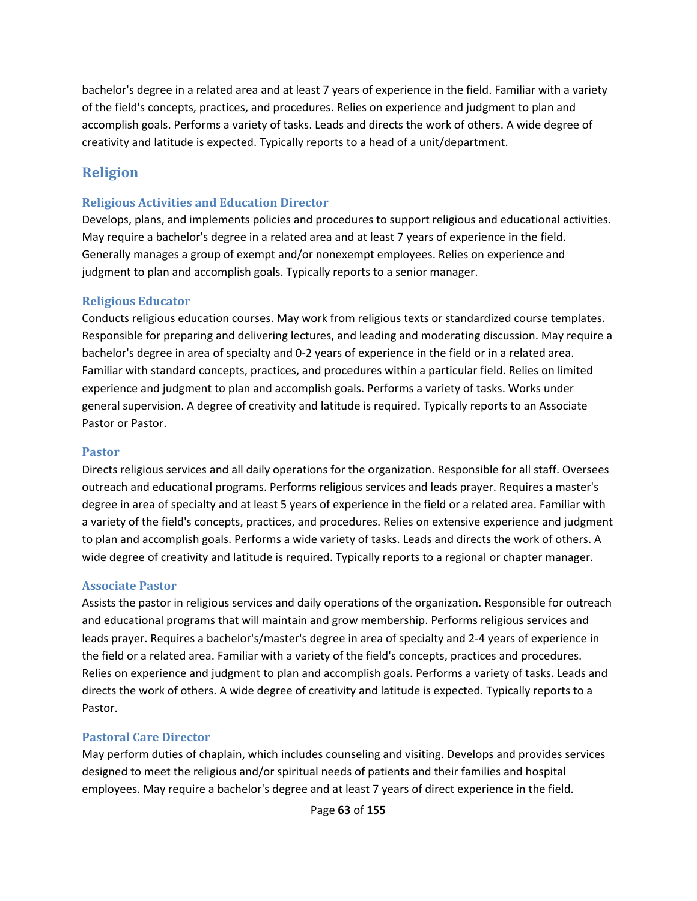bachelor's degree in a related area and at least 7 years of experience in the field. Familiar with a variety of the field's concepts, practices, and procedures. Relies on experience and judgment to plan and accomplish goals. Performs a variety of tasks. Leads and directs the work of others. A wide degree of creativity and latitude is expected. Typically reports to a head of a unit/department.

# **Religion**

#### **Religious Activities and Education Director**

Develops, plans, and implements policies and procedures to support religious and educational activities. May require a bachelor's degree in a related area and at least 7 years of experience in the field. Generally manages a group of exempt and/or nonexempt employees. Relies on experience and judgment to plan and accomplish goals. Typically reports to a senior manager.

#### **Religious Educator**

Conducts religious education courses. May work from religious texts or standardized course templates. Responsible for preparing and delivering lectures, and leading and moderating discussion. May require a bachelor's degree in area of specialty and 0-2 years of experience in the field or in a related area. Familiar with standard concepts, practices, and procedures within a particular field. Relies on limited experience and judgment to plan and accomplish goals. Performs a variety of tasks. Works under general supervision. A degree of creativity and latitude is required. Typically reports to an Associate Pastor or Pastor.

#### **Pastor**

Directs religious services and all daily operations for the organization. Responsible for all staff. Oversees outreach and educational programs. Performs religious services and leads prayer. Requires a master's degree in area of specialty and at least 5 years of experience in the field or a related area. Familiar with a variety of the field's concepts, practices, and procedures. Relies on extensive experience and judgment to plan and accomplish goals. Performs a wide variety of tasks. Leads and directs the work of others. A wide degree of creativity and latitude is required. Typically reports to a regional or chapter manager.

#### **Associate Pastor**

Assists the pastor in religious services and daily operations of the organization. Responsible for outreach and educational programs that will maintain and grow membership. Performs religious services and leads prayer. Requires a bachelor's/master's degree in area of specialty and 2-4 years of experience in the field or a related area. Familiar with a variety of the field's concepts, practices and procedures. Relies on experience and judgment to plan and accomplish goals. Performs a variety of tasks. Leads and directs the work of others. A wide degree of creativity and latitude is expected. Typically reports to a Pastor.

#### **Pastoral Care Director**

May perform duties of chaplain, which includes counseling and visiting. Develops and provides services designed to meet the religious and/or spiritual needs of patients and their families and hospital employees. May require a bachelor's degree and at least 7 years of direct experience in the field.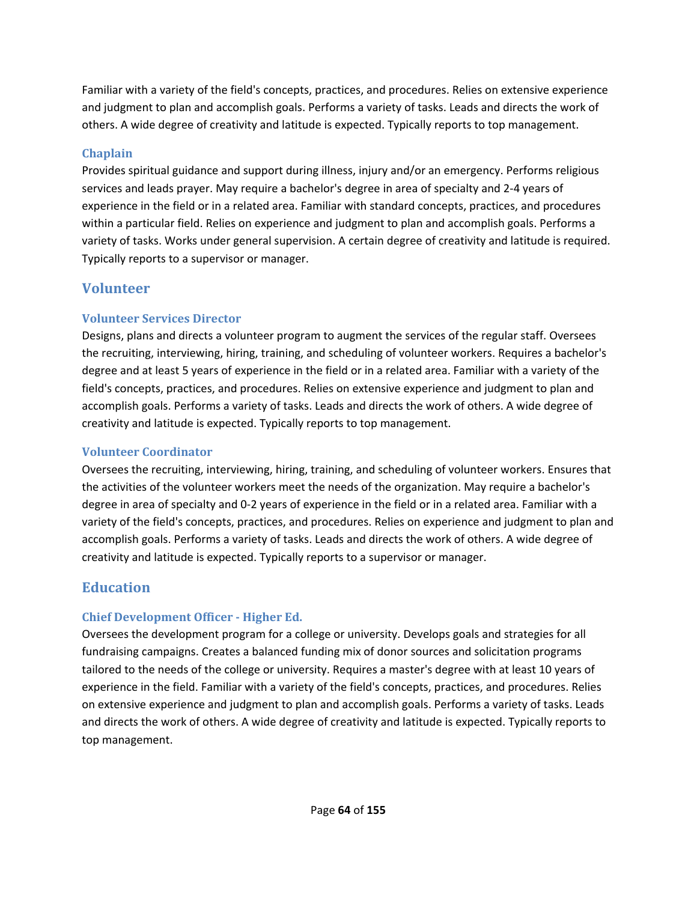Familiar with a variety of the field's concepts, practices, and procedures. Relies on extensive experience and judgment to plan and accomplish goals. Performs a variety of tasks. Leads and directs the work of others. A wide degree of creativity and latitude is expected. Typically reports to top management.

# **Chaplain**

Provides spiritual guidance and support during illness, injury and/or an emergency. Performs religious services and leads prayer. May require a bachelor's degree in area of specialty and 2-4 years of experience in the field or in a related area. Familiar with standard concepts, practices, and procedures within a particular field. Relies on experience and judgment to plan and accomplish goals. Performs a variety of tasks. Works under general supervision. A certain degree of creativity and latitude is required. Typically reports to a supervisor or manager.

# **Volunteer**

# **Volunteer Services Director**

Designs, plans and directs a volunteer program to augment the services of the regular staff. Oversees the recruiting, interviewing, hiring, training, and scheduling of volunteer workers. Requires a bachelor's degree and at least 5 years of experience in the field or in a related area. Familiar with a variety of the field's concepts, practices, and procedures. Relies on extensive experience and judgment to plan and accomplish goals. Performs a variety of tasks. Leads and directs the work of others. A wide degree of creativity and latitude is expected. Typically reports to top management.

# **Volunteer Coordinator**

Oversees the recruiting, interviewing, hiring, training, and scheduling of volunteer workers. Ensures that the activities of the volunteer workers meet the needs of the organization. May require a bachelor's degree in area of specialty and 0-2 years of experience in the field or in a related area. Familiar with a variety of the field's concepts, practices, and procedures. Relies on experience and judgment to plan and accomplish goals. Performs a variety of tasks. Leads and directs the work of others. A wide degree of creativity and latitude is expected. Typically reports to a supervisor or manager.

# **Education**

# **Chief Development Officer - Higher Ed.**

Oversees the development program for a college or university. Develops goals and strategies for all fundraising campaigns. Creates a balanced funding mix of donor sources and solicitation programs tailored to the needs of the college or university. Requires a master's degree with at least 10 years of experience in the field. Familiar with a variety of the field's concepts, practices, and procedures. Relies on extensive experience and judgment to plan and accomplish goals. Performs a variety of tasks. Leads and directs the work of others. A wide degree of creativity and latitude is expected. Typically reports to top management.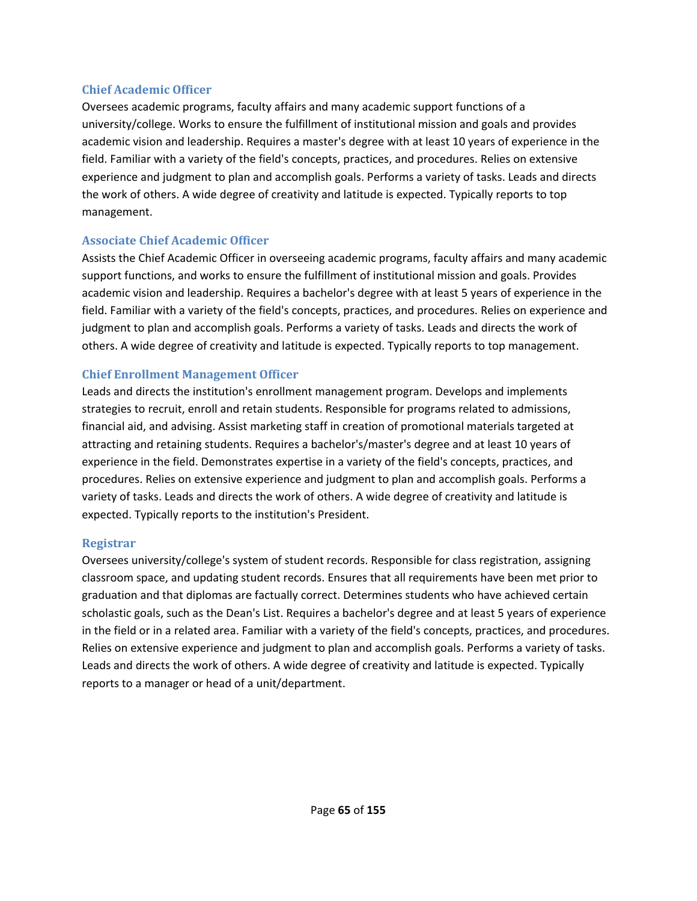#### **Chief Academic Officer**

Oversees academic programs, faculty affairs and many academic support functions of a university/college. Works to ensure the fulfillment of institutional mission and goals and provides academic vision and leadership. Requires a master's degree with at least 10 years of experience in the field. Familiar with a variety of the field's concepts, practices, and procedures. Relies on extensive experience and judgment to plan and accomplish goals. Performs a variety of tasks. Leads and directs the work of others. A wide degree of creativity and latitude is expected. Typically reports to top management.

### **Associate Chief Academic Officer**

Assists the Chief Academic Officer in overseeing academic programs, faculty affairs and many academic support functions, and works to ensure the fulfillment of institutional mission and goals. Provides academic vision and leadership. Requires a bachelor's degree with at least 5 years of experience in the field. Familiar with a variety of the field's concepts, practices, and procedures. Relies on experience and judgment to plan and accomplish goals. Performs a variety of tasks. Leads and directs the work of others. A wide degree of creativity and latitude is expected. Typically reports to top management.

### **Chief Enrollment Management Officer**

Leads and directs the institution's enrollment management program. Develops and implements strategies to recruit, enroll and retain students. Responsible for programs related to admissions, financial aid, and advising. Assist marketing staff in creation of promotional materials targeted at attracting and retaining students. Requires a bachelor's/master's degree and at least 10 years of experience in the field. Demonstrates expertise in a variety of the field's concepts, practices, and procedures. Relies on extensive experience and judgment to plan and accomplish goals. Performs a variety of tasks. Leads and directs the work of others. A wide degree of creativity and latitude is expected. Typically reports to the institution's President.

### **Registrar**

Oversees university/college's system of student records. Responsible for class registration, assigning classroom space, and updating student records. Ensures that all requirements have been met prior to graduation and that diplomas are factually correct. Determines students who have achieved certain scholastic goals, such as the Dean's List. Requires a bachelor's degree and at least 5 years of experience in the field or in a related area. Familiar with a variety of the field's concepts, practices, and procedures. Relies on extensive experience and judgment to plan and accomplish goals. Performs a variety of tasks. Leads and directs the work of others. A wide degree of creativity and latitude is expected. Typically reports to a manager or head of a unit/department.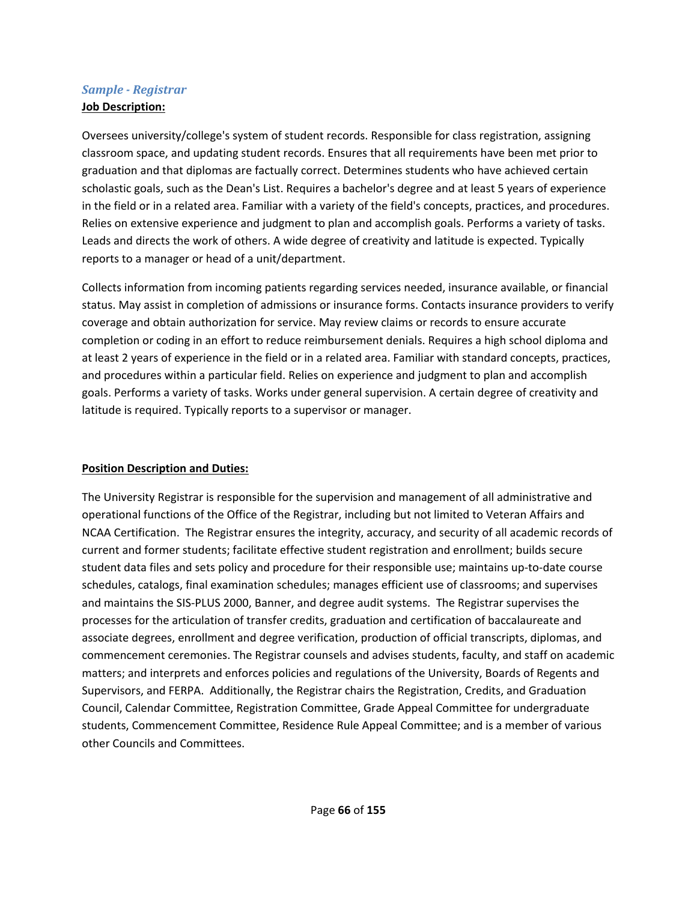#### *Sample - Registrar* **Job Description:**

Oversees university/college's system of student records. Responsible for class registration, assigning classroom space, and updating student records. Ensures that all requirements have been met prior to graduation and that diplomas are factually correct. Determines students who have achieved certain scholastic goals, such as the Dean's List. Requires a bachelor's degree and at least 5 years of experience in the field or in a related area. Familiar with a variety of the field's concepts, practices, and procedures. Relies on extensive experience and judgment to plan and accomplish goals. Performs a variety of tasks. Leads and directs the work of others. A wide degree of creativity and latitude is expected. Typically reports to a manager or head of a unit/department.

Collects information from incoming patients regarding services needed, insurance available, or financial status. May assist in completion of admissions or insurance forms. Contacts insurance providers to verify coverage and obtain authorization for service. May review claims or records to ensure accurate completion or coding in an effort to reduce reimbursement denials. Requires a high school diploma and at least 2 years of experience in the field or in a related area. Familiar with standard concepts, practices, and procedures within a particular field. Relies on experience and judgment to plan and accomplish goals. Performs a variety of tasks. Works under general supervision. A certain degree of creativity and latitude is required. Typically reports to a supervisor or manager.

### **Position Description and Duties:**

The University Registrar is responsible for the supervision and management of all administrative and operational functions of the Office of the Registrar, including but not limited to Veteran Affairs and NCAA Certification. The Registrar ensures the integrity, accuracy, and security of all academic records of current and former students; facilitate effective student registration and enrollment; builds secure student data files and sets policy and procedure for their responsible use; maintains up-to-date course schedules, catalogs, final examination schedules; manages efficient use of classrooms; and supervises and maintains the SIS-PLUS 2000, Banner, and degree audit systems. The Registrar supervises the processes for the articulation of transfer credits, graduation and certification of baccalaureate and associate degrees, enrollment and degree verification, production of official transcripts, diplomas, and commencement ceremonies. The Registrar counsels and advises students, faculty, and staff on academic matters; and interprets and enforces policies and regulations of the University, Boards of Regents and Supervisors, and FERPA. Additionally, the Registrar chairs the Registration, Credits, and Graduation Council, Calendar Committee, Registration Committee, Grade Appeal Committee for undergraduate students, Commencement Committee, Residence Rule Appeal Committee; and is a member of various other Councils and Committees.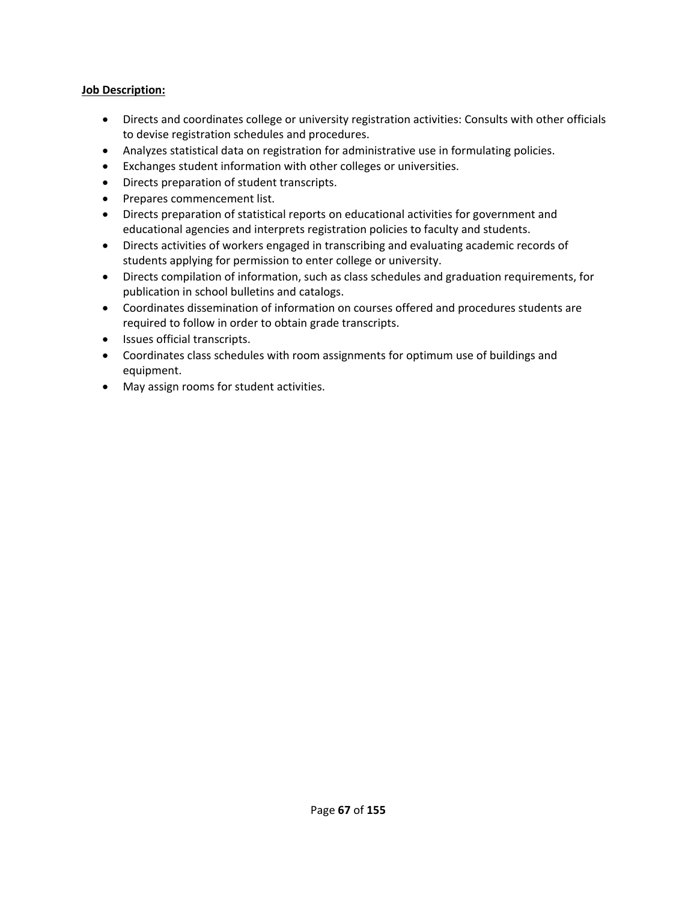#### **Job Description:**

- Directs and coordinates college or university registration activities: Consults with other officials to devise registration schedules and procedures.
- Analyzes statistical data on registration for administrative use in formulating policies.
- Exchanges student information with other colleges or universities.
- Directs preparation of student transcripts.
- Prepares commencement list.
- Directs preparation of statistical reports on educational activities for government and educational agencies and interprets registration policies to faculty and students.
- Directs activities of workers engaged in transcribing and evaluating academic records of students applying for permission to enter college or university.
- Directs compilation of information, such as class schedules and graduation requirements, for publication in school bulletins and catalogs.
- Coordinates dissemination of information on courses offered and procedures students are required to follow in order to obtain grade transcripts.
- Issues official transcripts.
- Coordinates class schedules with room assignments for optimum use of buildings and equipment.
- May assign rooms for student activities.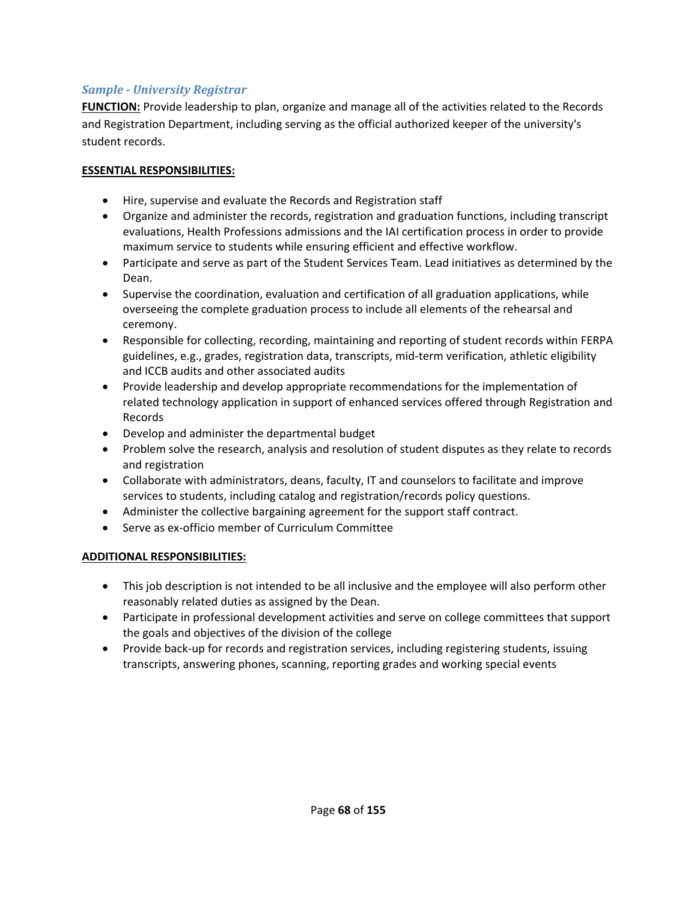### *Sample - University Registrar*

**FUNCTION:** Provide leadership to plan, organize and manage all of the activities related to the Records and Registration Department, including serving as the official authorized keeper of the university's student records.

#### **ESSENTIAL RESPONSIBILITIES:**

- Hire, supervise and evaluate the Records and Registration staff
- Organize and administer the records, registration and graduation functions, including transcript evaluations, Health Professions admissions and the IAI certification process in order to provide maximum service to students while ensuring efficient and effective workflow.
- Participate and serve as part of the Student Services Team. Lead initiatives as determined by the Dean.
- Supervise the coordination, evaluation and certification of all graduation applications, while overseeing the complete graduation process to include all elements of the rehearsal and ceremony.
- Responsible for collecting, recording, maintaining and reporting of student records within FERPA guidelines, e.g., grades, registration data, transcripts, mid-term verification, athletic eligibility and ICCB audits and other associated audits
- Provide leadership and develop appropriate recommendations for the implementation of related technology application in support of enhanced services offered through Registration and Records
- Develop and administer the departmental budget
- Problem solve the research, analysis and resolution of student disputes as they relate to records and registration
- Collaborate with administrators, deans, faculty, IT and counselors to facilitate and improve services to students, including catalog and registration/records policy questions.
- Administer the collective bargaining agreement for the support staff contract.
- Serve as ex-officio member of Curriculum Committee

### **ADDITIONAL RESPONSIBILITIES:**

- This job description is not intended to be all inclusive and the employee will also perform other reasonably related duties as assigned by the Dean.
- Participate in professional development activities and serve on college committees that support the goals and objectives of the division of the college
- Provide back-up for records and registration services, including registering students, issuing transcripts, answering phones, scanning, reporting grades and working special events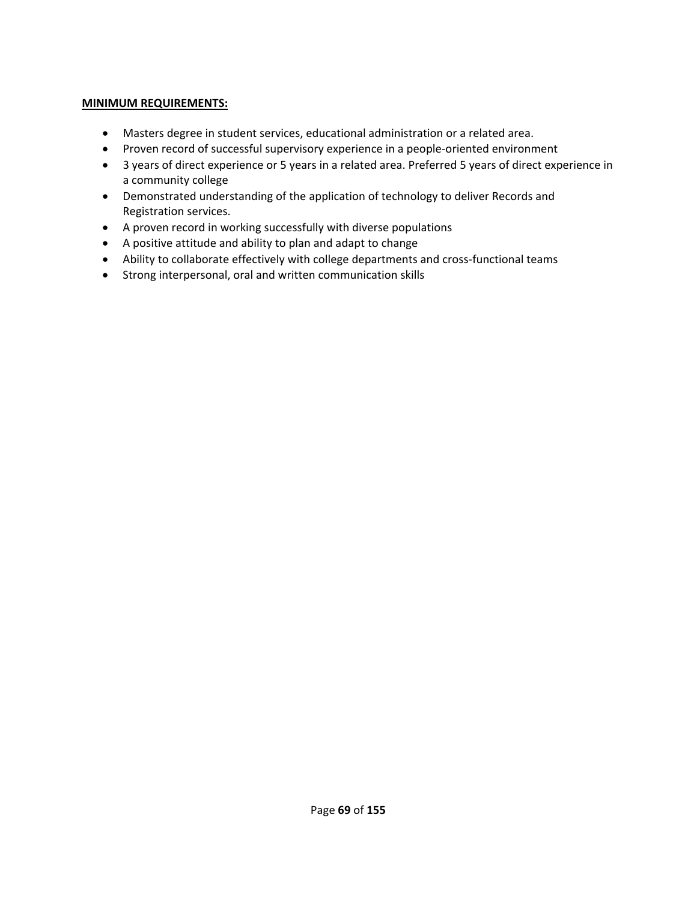#### **MINIMUM REQUIREMENTS:**

- Masters degree in student services, educational administration or a related area.
- Proven record of successful supervisory experience in a people-oriented environment
- 3 years of direct experience or 5 years in a related area. Preferred 5 years of direct experience in a community college
- Demonstrated understanding of the application of technology to deliver Records and Registration services.
- A proven record in working successfully with diverse populations
- A positive attitude and ability to plan and adapt to change
- Ability to collaborate effectively with college departments and cross-functional teams
- Strong interpersonal, oral and written communication skills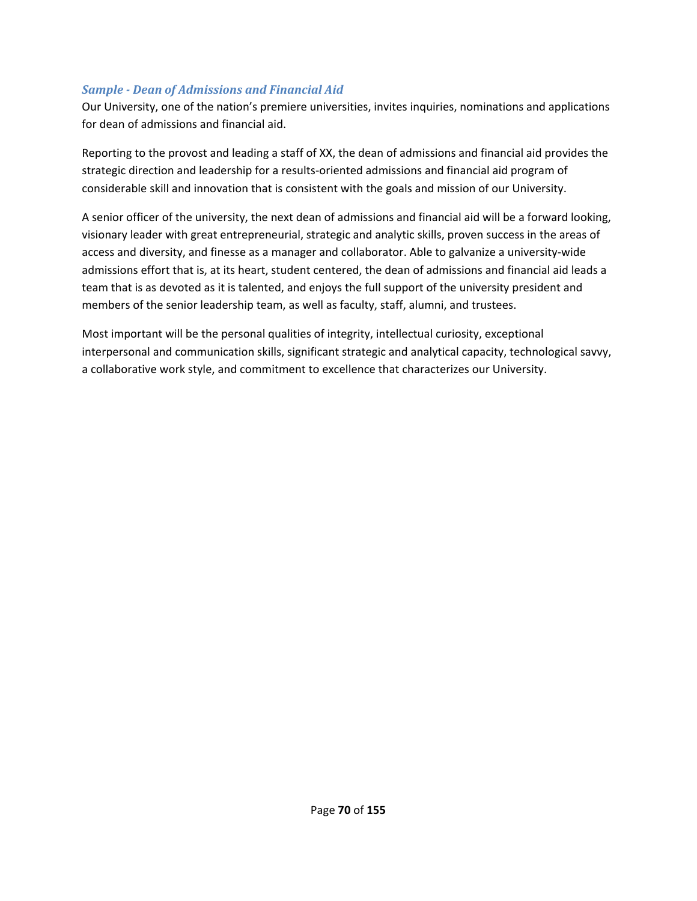## *Sample - Dean of Admissions and Financial Aid*

Our University, one of the nation's premiere universities, invites inquiries, nominations and applications for dean of admissions and financial aid.

Reporting to the provost and leading a staff of XX, the dean of admissions and financial aid provides the strategic direction and leadership for a results-oriented admissions and financial aid program of considerable skill and innovation that is consistent with the goals and mission of our University.

A senior officer of the university, the next dean of admissions and financial aid will be a forward looking, visionary leader with great entrepreneurial, strategic and analytic skills, proven success in the areas of access and diversity, and finesse as a manager and collaborator. Able to galvanize a university-wide admissions effort that is, at its heart, student centered, the dean of admissions and financial aid leads a team that is as devoted as it is talented, and enjoys the full support of the university president and members of the senior leadership team, as well as faculty, staff, alumni, and trustees.

Most important will be the personal qualities of integrity, intellectual curiosity, exceptional interpersonal and communication skills, significant strategic and analytical capacity, technological savvy, a collaborative work style, and commitment to excellence that characterizes our University.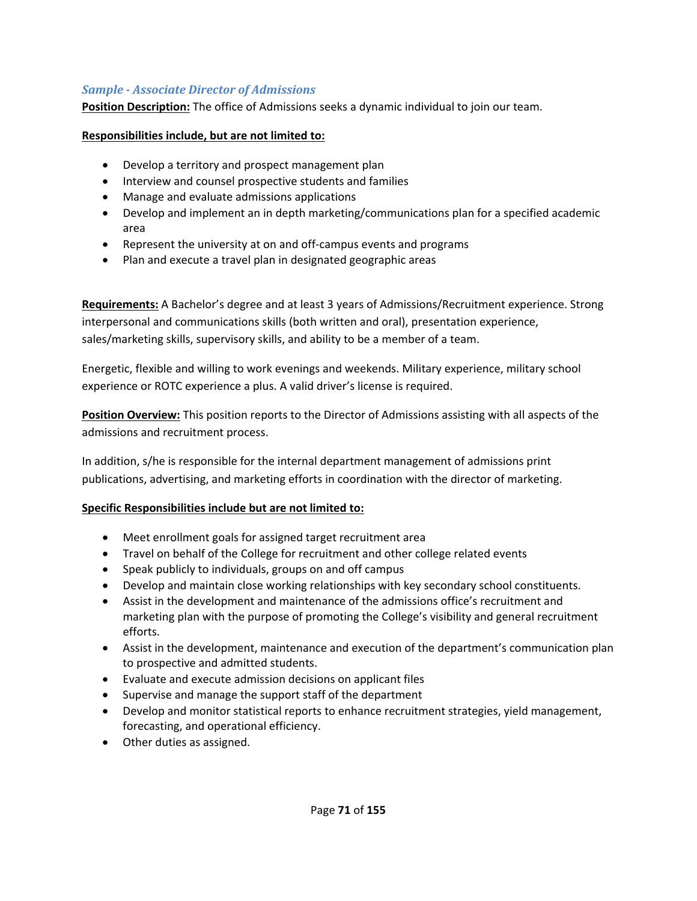### *Sample - Associate Director of Admissions*

**Position Description:** The office of Admissions seeks a dynamic individual to join our team.

### **Responsibilities include, but are not limited to:**

- Develop a territory and prospect management plan
- Interview and counsel prospective students and families
- Manage and evaluate admissions applications
- Develop and implement an in depth marketing/communications plan for a specified academic area
- Represent the university at on and off-campus events and programs
- Plan and execute a travel plan in designated geographic areas

**Requirements:** A Bachelor's degree and at least 3 years of Admissions/Recruitment experience. Strong interpersonal and communications skills (both written and oral), presentation experience, sales/marketing skills, supervisory skills, and ability to be a member of a team.

Energetic, flexible and willing to work evenings and weekends. Military experience, military school experience or ROTC experience a plus. A valid driver's license is required.

**Position Overview:** This position reports to the Director of Admissions assisting with all aspects of the admissions and recruitment process.

In addition, s/he is responsible for the internal department management of admissions print publications, advertising, and marketing efforts in coordination with the director of marketing.

# **Specific Responsibilities include but are not limited to:**

- Meet enrollment goals for assigned target recruitment area
- Travel on behalf of the College for recruitment and other college related events
- Speak publicly to individuals, groups on and off campus
- Develop and maintain close working relationships with key secondary school constituents.
- Assist in the development and maintenance of the admissions office's recruitment and marketing plan with the purpose of promoting the College's visibility and general recruitment efforts.
- Assist in the development, maintenance and execution of the department's communication plan to prospective and admitted students.
- Evaluate and execute admission decisions on applicant files
- Supervise and manage the support staff of the department
- Develop and monitor statistical reports to enhance recruitment strategies, yield management, forecasting, and operational efficiency.
- Other duties as assigned.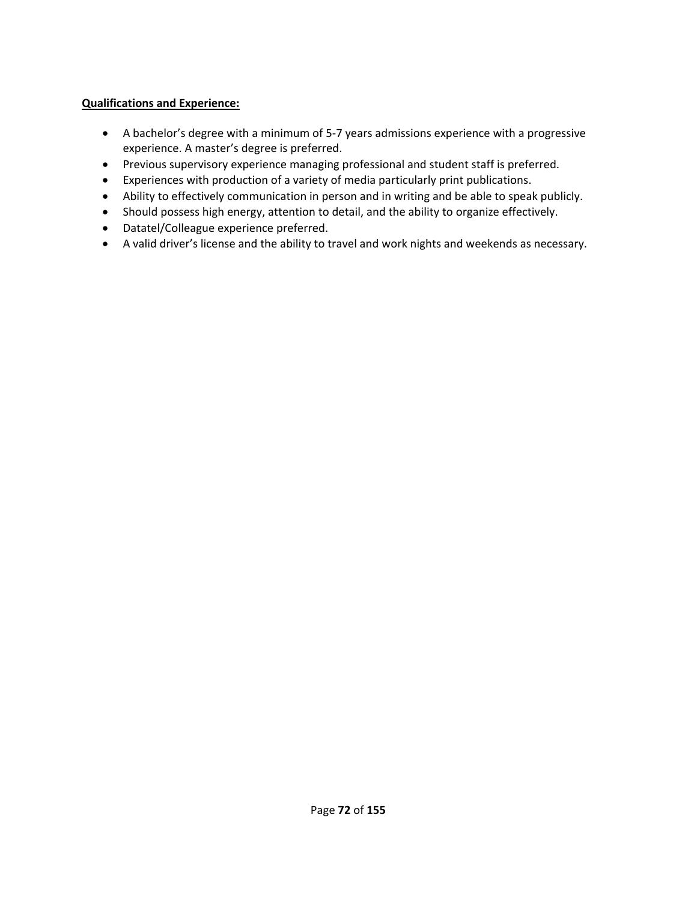## **Qualifications and Experience:**

- A bachelor's degree with a minimum of 5-7 years admissions experience with a progressive experience. A master's degree is preferred.
- Previous supervisory experience managing professional and student staff is preferred.
- Experiences with production of a variety of media particularly print publications.
- Ability to effectively communication in person and in writing and be able to speak publicly.
- Should possess high energy, attention to detail, and the ability to organize effectively.
- Datatel/Colleague experience preferred.
- A valid driver's license and the ability to travel and work nights and weekends as necessary.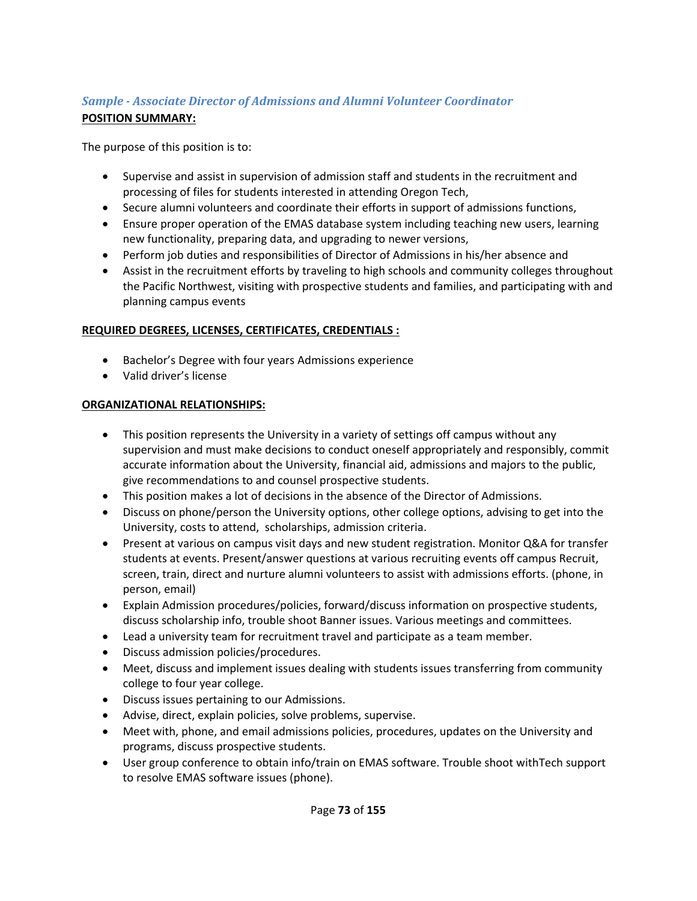## *Sample - Associate Director of Admissions and Alumni Volunteer Coordinator* **POSITION SUMMARY:**

The purpose of this position is to:

- Supervise and assist in supervision of admission staff and students in the recruitment and processing of files for students interested in attending Oregon Tech,
- Secure alumni volunteers and coordinate their efforts in support of admissions functions,
- Ensure proper operation of the EMAS database system including teaching new users, learning new functionality, preparing data, and upgrading to newer versions,
- Perform job duties and responsibilities of Director of Admissions in his/her absence and
- Assist in the recruitment efforts by traveling to high schools and community colleges throughout the Pacific Northwest, visiting with prospective students and families, and participating with and planning campus events

## **REQUIRED DEGREES, LICENSES, CERTIFICATES, CREDENTIALS :**

- Bachelor's Degree with four years Admissions experience
- Valid driver's license

## **ORGANIZATIONAL RELATIONSHIPS:**

- This position represents the University in a variety of settings off campus without any supervision and must make decisions to conduct oneself appropriately and responsibly, commit accurate information about the University, financial aid, admissions and majors to the public, give recommendations to and counsel prospective students.
- This position makes a lot of decisions in the absence of the Director of Admissions.
- Discuss on phone/person the University options, other college options, advising to get into the University, costs to attend, scholarships, admission criteria.
- Present at various on campus visit days and new student registration. Monitor Q&A for transfer students at events. Present/answer questions at various recruiting events off campus Recruit, screen, train, direct and nurture alumni volunteers to assist with admissions efforts. (phone, in person, email)
- Explain Admission procedures/policies, forward/discuss information on prospective students, discuss scholarship info, trouble shoot Banner issues. Various meetings and committees.
- Lead a university team for recruitment travel and participate as a team member.
- Discuss admission policies/procedures.
- Meet, discuss and implement issues dealing with students issues transferring from community college to four year college.
- Discuss issues pertaining to our Admissions.
- Advise, direct, explain policies, solve problems, supervise.
- Meet with, phone, and email admissions policies, procedures, updates on the University and programs, discuss prospective students.
- User group conference to obtain info/train on EMAS software. Trouble shoot withTech support to resolve EMAS software issues (phone).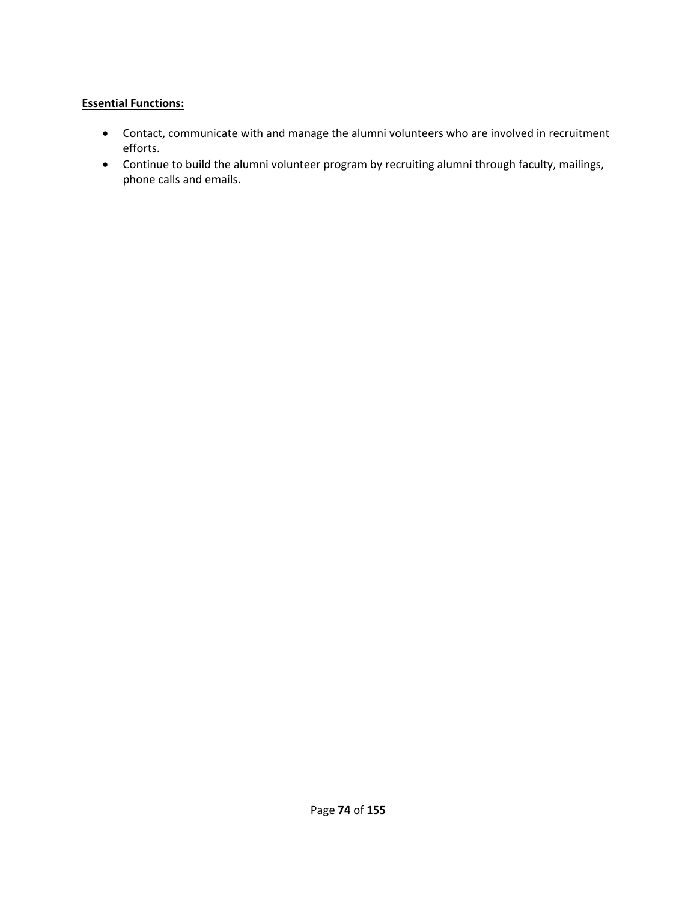### **Essential Functions:**

- Contact, communicate with and manage the alumni volunteers who are involved in recruitment efforts.
- Continue to build the alumni volunteer program by recruiting alumni through faculty, mailings, phone calls and emails.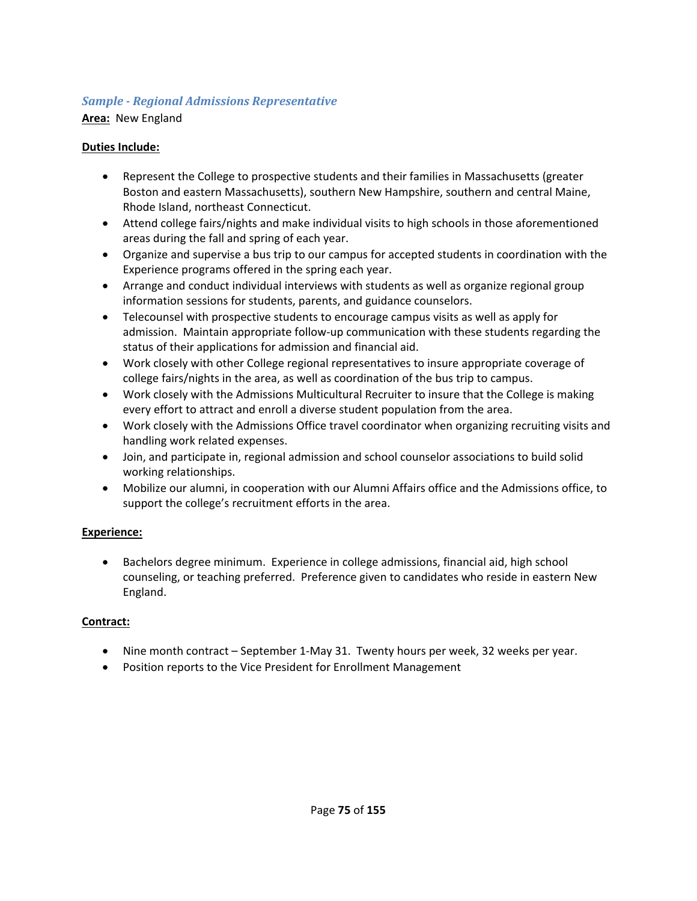## *Sample - Regional Admissions Representative*

**Area:** New England

## **Duties Include:**

- Represent the College to prospective students and their families in Massachusetts (greater Boston and eastern Massachusetts), southern New Hampshire, southern and central Maine, Rhode Island, northeast Connecticut.
- Attend college fairs/nights and make individual visits to high schools in those aforementioned areas during the fall and spring of each year.
- Organize and supervise a bus trip to our campus for accepted students in coordination with the Experience programs offered in the spring each year.
- Arrange and conduct individual interviews with students as well as organize regional group information sessions for students, parents, and guidance counselors.
- Telecounsel with prospective students to encourage campus visits as well as apply for admission. Maintain appropriate follow-up communication with these students regarding the status of their applications for admission and financial aid.
- Work closely with other College regional representatives to insure appropriate coverage of college fairs/nights in the area, as well as coordination of the bus trip to campus.
- Work closely with the Admissions Multicultural Recruiter to insure that the College is making every effort to attract and enroll a diverse student population from the area.
- Work closely with the Admissions Office travel coordinator when organizing recruiting visits and handling work related expenses.
- Join, and participate in, regional admission and school counselor associations to build solid working relationships.
- Mobilize our alumni, in cooperation with our Alumni Affairs office and the Admissions office, to support the college's recruitment efforts in the area.

## **Experience:**

• Bachelors degree minimum. Experience in college admissions, financial aid, high school counseling, or teaching preferred. Preference given to candidates who reside in eastern New England.

## **Contract:**

- Nine month contract September 1-May 31. Twenty hours per week, 32 weeks per year.
- Position reports to the Vice President for Enrollment Management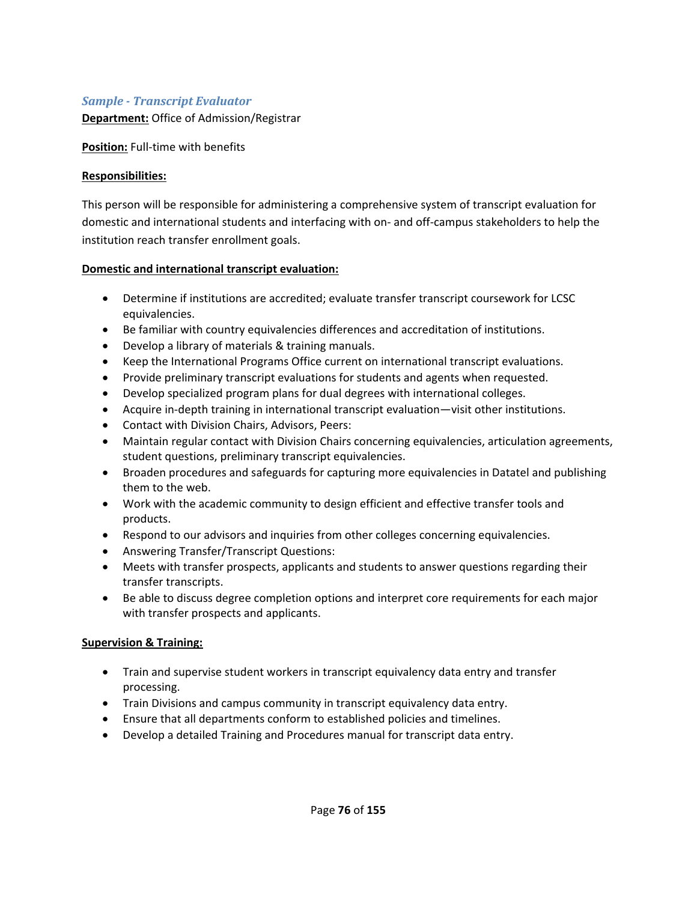## *Sample - Transcript Evaluator*

**Department:** Office of Admission/Registrar

## **Position:** Full-time with benefits

### **Responsibilities:**

This person will be responsible for administering a comprehensive system of transcript evaluation for domestic and international students and interfacing with on- and off-campus stakeholders to help the institution reach transfer enrollment goals.

### **Domestic and international transcript evaluation:**

- Determine if institutions are accredited; evaluate transfer transcript coursework for LCSC equivalencies.
- Be familiar with country equivalencies differences and accreditation of institutions.
- Develop a library of materials & training manuals.
- Keep the International Programs Office current on international transcript evaluations.
- Provide preliminary transcript evaluations for students and agents when requested.
- Develop specialized program plans for dual degrees with international colleges.
- Acquire in-depth training in international transcript evaluation—visit other institutions.
- Contact with Division Chairs, Advisors, Peers:
- Maintain regular contact with Division Chairs concerning equivalencies, articulation agreements, student questions, preliminary transcript equivalencies.
- Broaden procedures and safeguards for capturing more equivalencies in Datatel and publishing them to the web.
- Work with the academic community to design efficient and effective transfer tools and products.
- Respond to our advisors and inquiries from other colleges concerning equivalencies.
- Answering Transfer/Transcript Questions:
- Meets with transfer prospects, applicants and students to answer questions regarding their transfer transcripts.
- Be able to discuss degree completion options and interpret core requirements for each major with transfer prospects and applicants.

## **Supervision & Training:**

- Train and supervise student workers in transcript equivalency data entry and transfer processing.
- Train Divisions and campus community in transcript equivalency data entry.
- Ensure that all departments conform to established policies and timelines.
- Develop a detailed Training and Procedures manual for transcript data entry.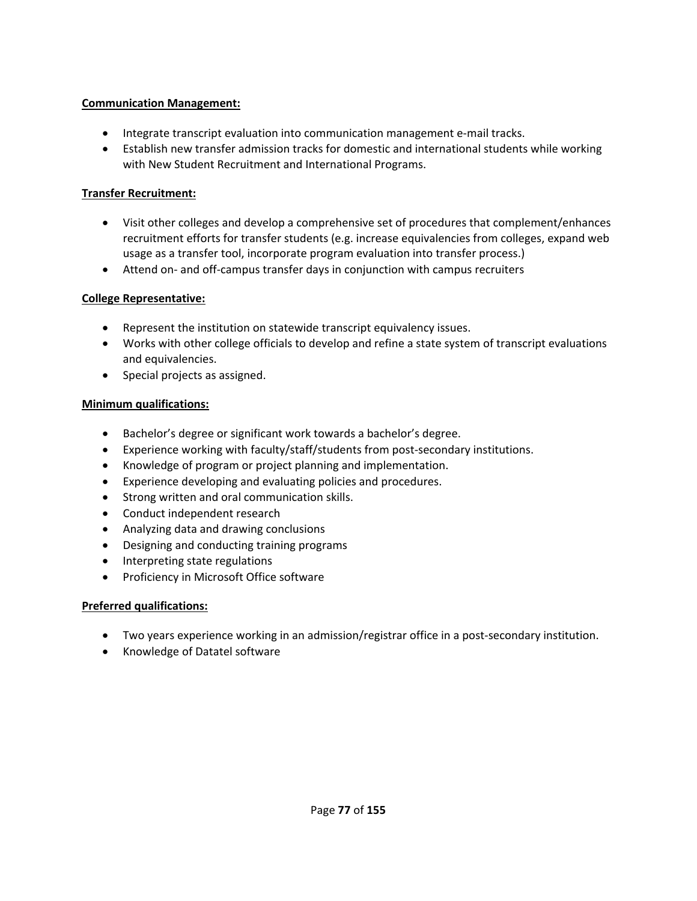## **Communication Management:**

- Integrate transcript evaluation into communication management e-mail tracks.
- Establish new transfer admission tracks for domestic and international students while working with New Student Recruitment and International Programs.

## **Transfer Recruitment:**

- Visit other colleges and develop a comprehensive set of procedures that complement/enhances recruitment efforts for transfer students (e.g. increase equivalencies from colleges, expand web usage as a transfer tool, incorporate program evaluation into transfer process.)
- Attend on- and off-campus transfer days in conjunction with campus recruiters

## **College Representative:**

- Represent the institution on statewide transcript equivalency issues.
- Works with other college officials to develop and refine a state system of transcript evaluations and equivalencies.
- Special projects as assigned.

## **Minimum qualifications:**

- Bachelor's degree or significant work towards a bachelor's degree.
- Experience working with faculty/staff/students from post-secondary institutions.
- Knowledge of program or project planning and implementation.
- Experience developing and evaluating policies and procedures.
- Strong written and oral communication skills.
- Conduct independent research
- Analyzing data and drawing conclusions
- Designing and conducting training programs
- Interpreting state regulations
- Proficiency in Microsoft Office software

## **Preferred qualifications:**

- Two years experience working in an admission/registrar office in a post-secondary institution.
- Knowledge of Datatel software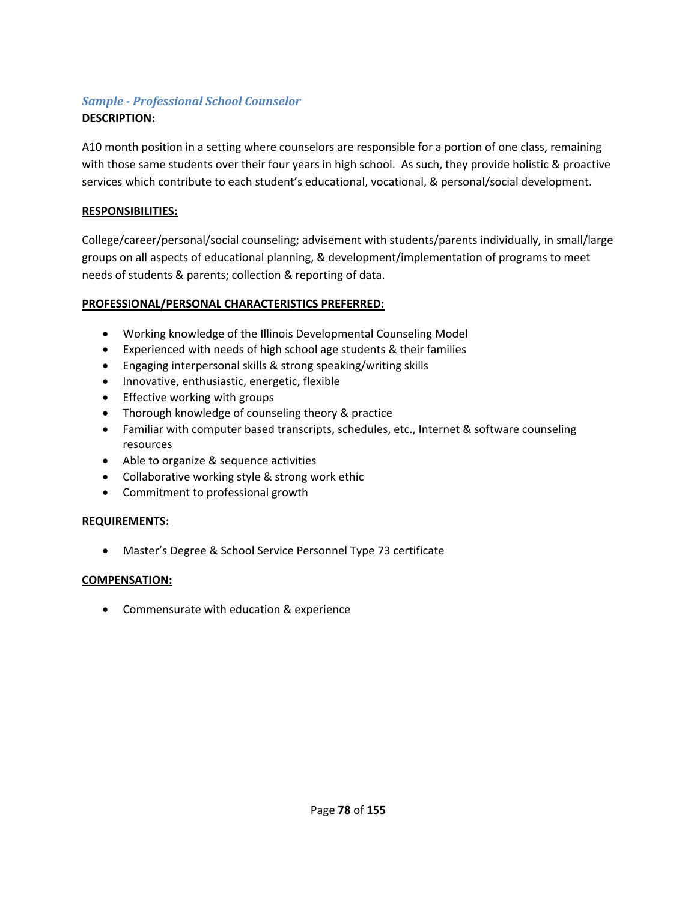# *Sample - Professional School Counselor* **DESCRIPTION:**

A10 month position in a setting where counselors are responsible for a portion of one class, remaining with those same students over their four years in high school. As such, they provide holistic & proactive services which contribute to each student's educational, vocational, & personal/social development.

## **RESPONSIBILITIES:**

College/career/personal/social counseling; advisement with students/parents individually, in small/large groups on all aspects of educational planning, & development/implementation of programs to meet needs of students & parents; collection & reporting of data.

## **PROFESSIONAL/PERSONAL CHARACTERISTICS PREFERRED:**

- Working knowledge of the Illinois Developmental Counseling Model
- Experienced with needs of high school age students & their families
- Engaging interpersonal skills & strong speaking/writing skills
- Innovative, enthusiastic, energetic, flexible
- Effective working with groups
- Thorough knowledge of counseling theory & practice
- Familiar with computer based transcripts, schedules, etc., Internet & software counseling resources
- Able to organize & sequence activities
- Collaborative working style & strong work ethic
- Commitment to professional growth

## **REQUIREMENTS:**

• Master's Degree & School Service Personnel Type 73 certificate

## **COMPENSATION:**

• Commensurate with education & experience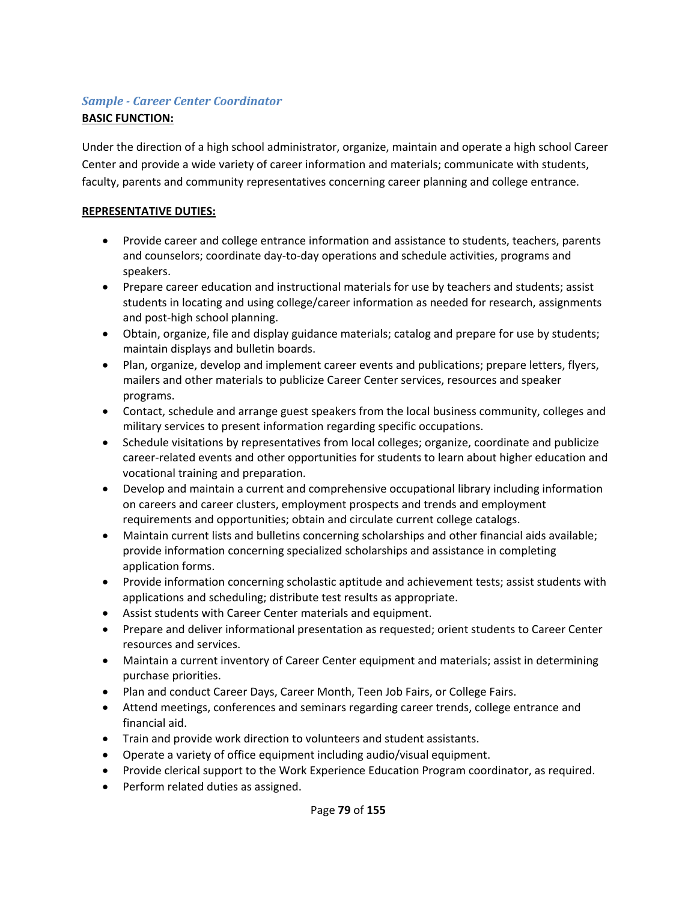### *Sample - Career Center Coordinator* **BASIC FUNCTION:**

Under the direction of a high school administrator, organize, maintain and operate a high school Career Center and provide a wide variety of career information and materials; communicate with students, faculty, parents and community representatives concerning career planning and college entrance.

### **REPRESENTATIVE DUTIES:**

- Provide career and college entrance information and assistance to students, teachers, parents and counselors; coordinate day-to-day operations and schedule activities, programs and speakers.
- Prepare career education and instructional materials for use by teachers and students; assist students in locating and using college/career information as needed for research, assignments and post-high school planning.
- Obtain, organize, file and display guidance materials; catalog and prepare for use by students; maintain displays and bulletin boards.
- Plan, organize, develop and implement career events and publications; prepare letters, flyers, mailers and other materials to publicize Career Center services, resources and speaker programs.
- Contact, schedule and arrange guest speakers from the local business community, colleges and military services to present information regarding specific occupations.
- Schedule visitations by representatives from local colleges; organize, coordinate and publicize career-related events and other opportunities for students to learn about higher education and vocational training and preparation.
- Develop and maintain a current and comprehensive occupational library including information on careers and career clusters, employment prospects and trends and employment requirements and opportunities; obtain and circulate current college catalogs.
- Maintain current lists and bulletins concerning scholarships and other financial aids available; provide information concerning specialized scholarships and assistance in completing application forms.
- Provide information concerning scholastic aptitude and achievement tests; assist students with applications and scheduling; distribute test results as appropriate.
- Assist students with Career Center materials and equipment.
- Prepare and deliver informational presentation as requested; orient students to Career Center resources and services.
- Maintain a current inventory of Career Center equipment and materials; assist in determining purchase priorities.
- Plan and conduct Career Days, Career Month, Teen Job Fairs, or College Fairs.
- Attend meetings, conferences and seminars regarding career trends, college entrance and financial aid.
- Train and provide work direction to volunteers and student assistants.
- Operate a variety of office equipment including audio/visual equipment.
- Provide clerical support to the Work Experience Education Program coordinator, as required.
- Perform related duties as assigned.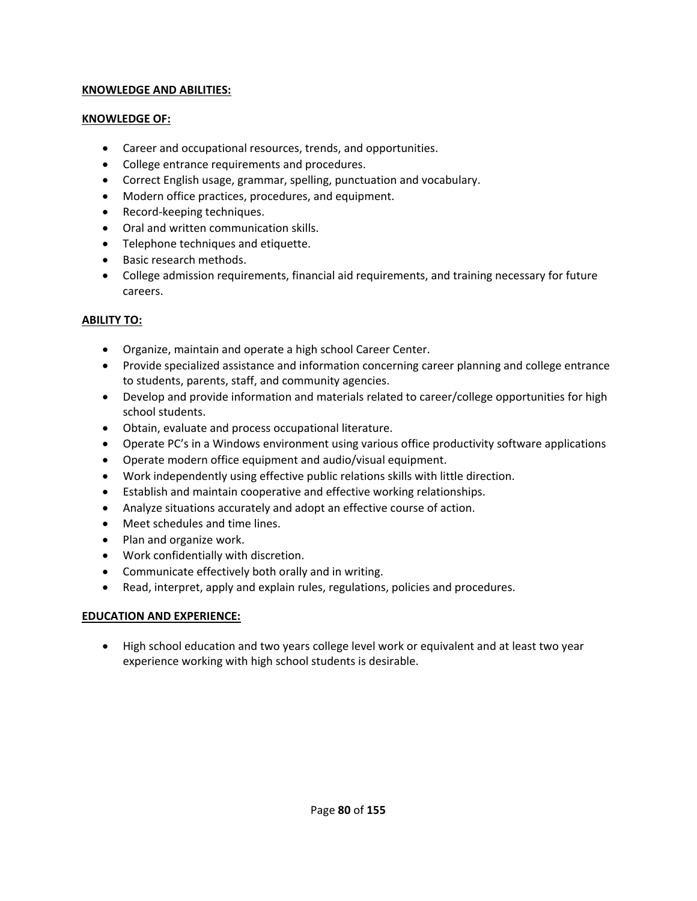#### **KNOWLEDGE AND ABILITIES:**

### **KNOWLEDGE OF:**

- Career and occupational resources, trends, and opportunities.
- College entrance requirements and procedures.
- Correct English usage, grammar, spelling, punctuation and vocabulary.
- Modern office practices, procedures, and equipment.
- Record-keeping techniques.
- Oral and written communication skills.
- Telephone techniques and etiquette.
- Basic research methods.
- College admission requirements, financial aid requirements, and training necessary for future careers.

## **ABILITY TO:**

- Organize, maintain and operate a high school Career Center.
- Provide specialized assistance and information concerning career planning and college entrance to students, parents, staff, and community agencies.
- Develop and provide information and materials related to career/college opportunities for high school students.
- Obtain, evaluate and process occupational literature.
- Operate PC's in a Windows environment using various office productivity software applications
- Operate modern office equipment and audio/visual equipment.
- Work independently using effective public relations skills with little direction.
- Establish and maintain cooperative and effective working relationships.
- Analyze situations accurately and adopt an effective course of action.
- Meet schedules and time lines.
- Plan and organize work.
- Work confidentially with discretion.
- Communicate effectively both orally and in writing.
- Read, interpret, apply and explain rules, regulations, policies and procedures.

## **EDUCATION AND EXPERIENCE:**

• High school education and two years college level work or equivalent and at least two year experience working with high school students is desirable.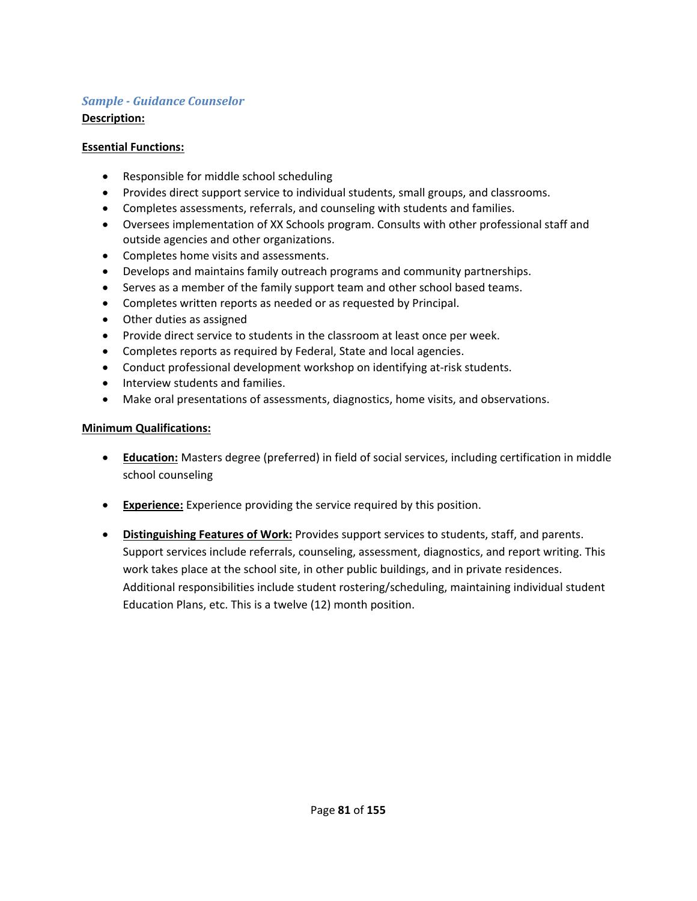### *Sample - Guidance Counselor*

## **Description:**

## **Essential Functions:**

- Responsible for middle school scheduling
- Provides direct support service to individual students, small groups, and classrooms.
- Completes assessments, referrals, and counseling with students and families.
- Oversees implementation of XX Schools program. Consults with other professional staff and outside agencies and other organizations.
- Completes home visits and assessments.
- Develops and maintains family outreach programs and community partnerships.
- Serves as a member of the family support team and other school based teams.
- Completes written reports as needed or as requested by Principal.
- Other duties as assigned
- Provide direct service to students in the classroom at least once per week.
- Completes reports as required by Federal, State and local agencies.
- Conduct professional development workshop on identifying at-risk students.
- Interview students and families.
- Make oral presentations of assessments, diagnostics, home visits, and observations.

## **Minimum Qualifications:**

- **Education:** Masters degree (preferred) in field of social services, including certification in middle school counseling
- **Experience:** Experience providing the service required by this position.
- **Distinguishing Features of Work:** Provides support services to students, staff, and parents. Support services include referrals, counseling, assessment, diagnostics, and report writing. This work takes place at the school site, in other public buildings, and in private residences. Additional responsibilities include student rostering/scheduling, maintaining individual student Education Plans, etc. This is a twelve (12) month position.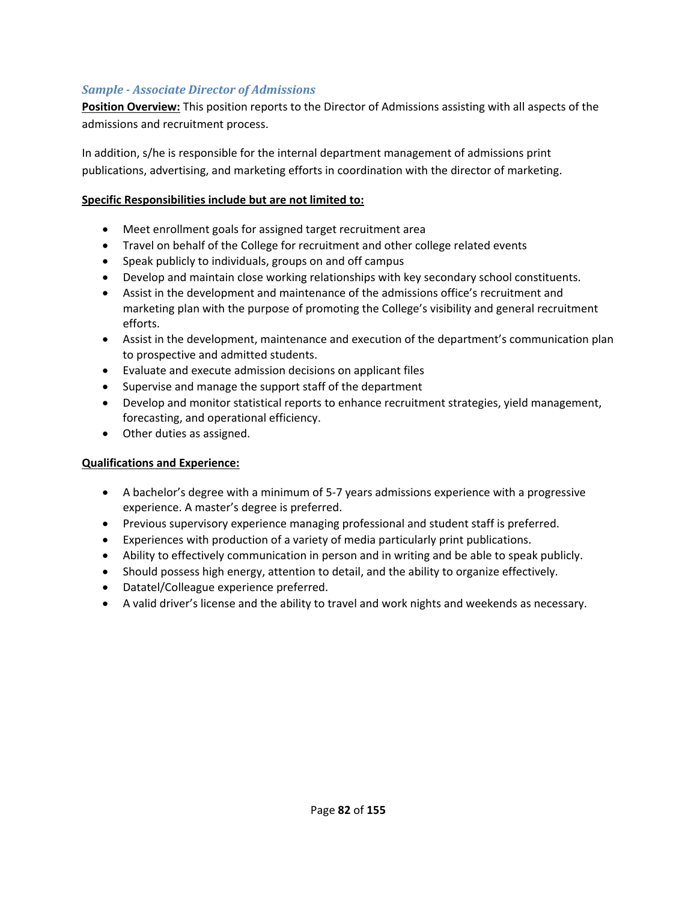## *Sample - Associate Director of Admissions*

**Position Overview:** This position reports to the Director of Admissions assisting with all aspects of the admissions and recruitment process.

In addition, s/he is responsible for the internal department management of admissions print publications, advertising, and marketing efforts in coordination with the director of marketing.

## **Specific Responsibilities include but are not limited to:**

- Meet enrollment goals for assigned target recruitment area
- Travel on behalf of the College for recruitment and other college related events
- Speak publicly to individuals, groups on and off campus
- Develop and maintain close working relationships with key secondary school constituents.
- Assist in the development and maintenance of the admissions office's recruitment and marketing plan with the purpose of promoting the College's visibility and general recruitment efforts.
- Assist in the development, maintenance and execution of the department's communication plan to prospective and admitted students.
- Evaluate and execute admission decisions on applicant files
- Supervise and manage the support staff of the department
- Develop and monitor statistical reports to enhance recruitment strategies, yield management, forecasting, and operational efficiency.
- Other duties as assigned.

## **Qualifications and Experience:**

- A bachelor's degree with a minimum of 5-7 years admissions experience with a progressive experience. A master's degree is preferred.
- Previous supervisory experience managing professional and student staff is preferred.
- Experiences with production of a variety of media particularly print publications.
- Ability to effectively communication in person and in writing and be able to speak publicly.
- Should possess high energy, attention to detail, and the ability to organize effectively.
- Datatel/Colleague experience preferred.
- A valid driver's license and the ability to travel and work nights and weekends as necessary.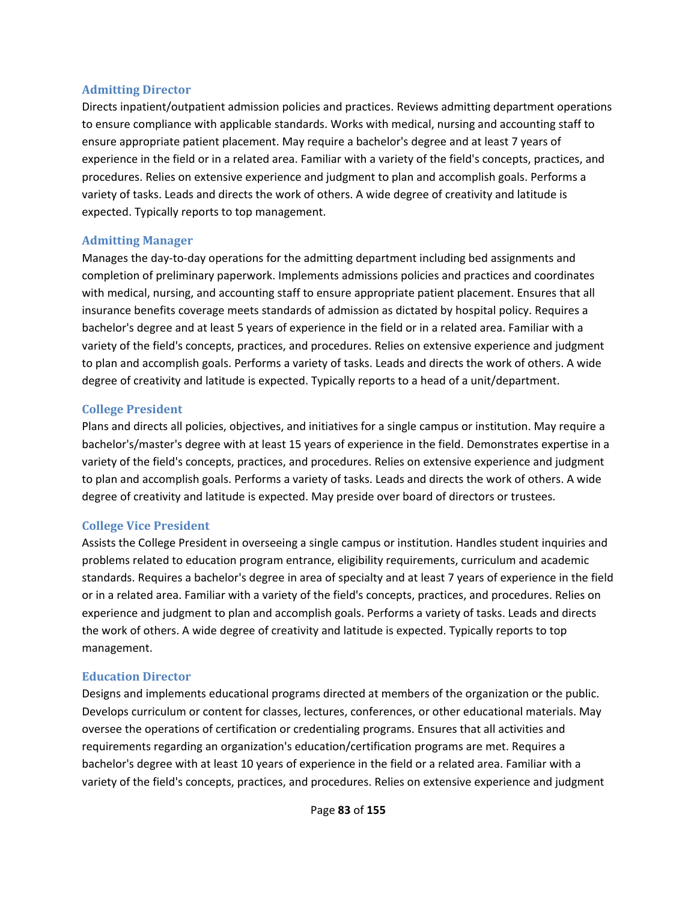### **Admitting Director**

Directs inpatient/outpatient admission policies and practices. Reviews admitting department operations to ensure compliance with applicable standards. Works with medical, nursing and accounting staff to ensure appropriate patient placement. May require a bachelor's degree and at least 7 years of experience in the field or in a related area. Familiar with a variety of the field's concepts, practices, and procedures. Relies on extensive experience and judgment to plan and accomplish goals. Performs a variety of tasks. Leads and directs the work of others. A wide degree of creativity and latitude is expected. Typically reports to top management.

## **Admitting Manager**

Manages the day-to-day operations for the admitting department including bed assignments and completion of preliminary paperwork. Implements admissions policies and practices and coordinates with medical, nursing, and accounting staff to ensure appropriate patient placement. Ensures that all insurance benefits coverage meets standards of admission as dictated by hospital policy. Requires a bachelor's degree and at least 5 years of experience in the field or in a related area. Familiar with a variety of the field's concepts, practices, and procedures. Relies on extensive experience and judgment to plan and accomplish goals. Performs a variety of tasks. Leads and directs the work of others. A wide degree of creativity and latitude is expected. Typically reports to a head of a unit/department.

### **College President**

Plans and directs all policies, objectives, and initiatives for a single campus or institution. May require a bachelor's/master's degree with at least 15 years of experience in the field. Demonstrates expertise in a variety of the field's concepts, practices, and procedures. Relies on extensive experience and judgment to plan and accomplish goals. Performs a variety of tasks. Leads and directs the work of others. A wide degree of creativity and latitude is expected. May preside over board of directors or trustees.

## **College Vice President**

Assists the College President in overseeing a single campus or institution. Handles student inquiries and problems related to education program entrance, eligibility requirements, curriculum and academic standards. Requires a bachelor's degree in area of specialty and at least 7 years of experience in the field or in a related area. Familiar with a variety of the field's concepts, practices, and procedures. Relies on experience and judgment to plan and accomplish goals. Performs a variety of tasks. Leads and directs the work of others. A wide degree of creativity and latitude is expected. Typically reports to top management.

## **Education Director**

Designs and implements educational programs directed at members of the organization or the public. Develops curriculum or content for classes, lectures, conferences, or other educational materials. May oversee the operations of certification or credentialing programs. Ensures that all activities and requirements regarding an organization's education/certification programs are met. Requires a bachelor's degree with at least 10 years of experience in the field or a related area. Familiar with a variety of the field's concepts, practices, and procedures. Relies on extensive experience and judgment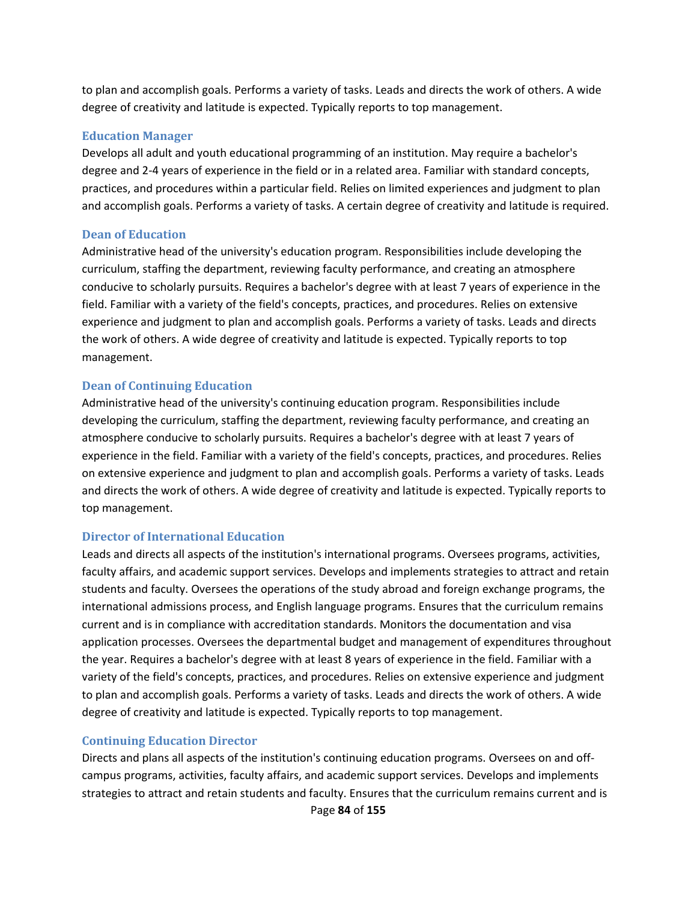to plan and accomplish goals. Performs a variety of tasks. Leads and directs the work of others. A wide degree of creativity and latitude is expected. Typically reports to top management.

#### **Education Manager**

Develops all adult and youth educational programming of an institution. May require a bachelor's degree and 2-4 years of experience in the field or in a related area. Familiar with standard concepts, practices, and procedures within a particular field. Relies on limited experiences and judgment to plan and accomplish goals. Performs a variety of tasks. A certain degree of creativity and latitude is required.

#### **Dean of Education**

Administrative head of the university's education program. Responsibilities include developing the curriculum, staffing the department, reviewing faculty performance, and creating an atmosphere conducive to scholarly pursuits. Requires a bachelor's degree with at least 7 years of experience in the field. Familiar with a variety of the field's concepts, practices, and procedures. Relies on extensive experience and judgment to plan and accomplish goals. Performs a variety of tasks. Leads and directs the work of others. A wide degree of creativity and latitude is expected. Typically reports to top management.

#### **Dean of Continuing Education**

Administrative head of the university's continuing education program. Responsibilities include developing the curriculum, staffing the department, reviewing faculty performance, and creating an atmosphere conducive to scholarly pursuits. Requires a bachelor's degree with at least 7 years of experience in the field. Familiar with a variety of the field's concepts, practices, and procedures. Relies on extensive experience and judgment to plan and accomplish goals. Performs a variety of tasks. Leads and directs the work of others. A wide degree of creativity and latitude is expected. Typically reports to top management.

#### **Director of International Education**

Leads and directs all aspects of the institution's international programs. Oversees programs, activities, faculty affairs, and academic support services. Develops and implements strategies to attract and retain students and faculty. Oversees the operations of the study abroad and foreign exchange programs, the international admissions process, and English language programs. Ensures that the curriculum remains current and is in compliance with accreditation standards. Monitors the documentation and visa application processes. Oversees the departmental budget and management of expenditures throughout the year. Requires a bachelor's degree with at least 8 years of experience in the field. Familiar with a variety of the field's concepts, practices, and procedures. Relies on extensive experience and judgment to plan and accomplish goals. Performs a variety of tasks. Leads and directs the work of others. A wide degree of creativity and latitude is expected. Typically reports to top management.

#### **Continuing Education Director**

Page **84** of **155** Directs and plans all aspects of the institution's continuing education programs. Oversees on and offcampus programs, activities, faculty affairs, and academic support services. Develops and implements strategies to attract and retain students and faculty. Ensures that the curriculum remains current and is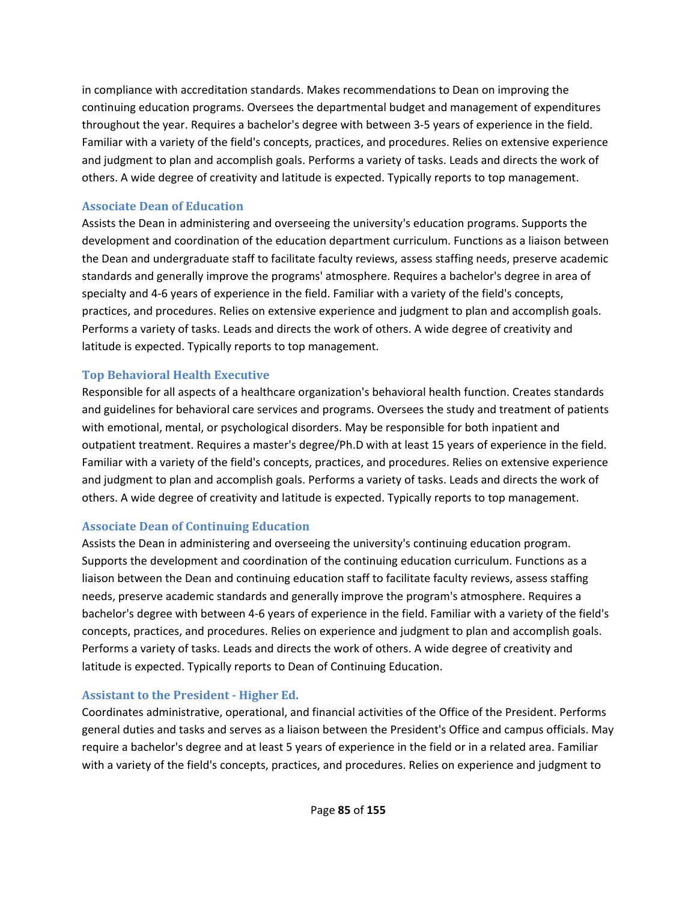in compliance with accreditation standards. Makes recommendations to Dean on improving the continuing education programs. Oversees the departmental budget and management of expenditures throughout the year. Requires a bachelor's degree with between 3-5 years of experience in the field. Familiar with a variety of the field's concepts, practices, and procedures. Relies on extensive experience and judgment to plan and accomplish goals. Performs a variety of tasks. Leads and directs the work of others. A wide degree of creativity and latitude is expected. Typically reports to top management.

## **Associate Dean of Education**

Assists the Dean in administering and overseeing the university's education programs. Supports the development and coordination of the education department curriculum. Functions as a liaison between the Dean and undergraduate staff to facilitate faculty reviews, assess staffing needs, preserve academic standards and generally improve the programs' atmosphere. Requires a bachelor's degree in area of specialty and 4-6 years of experience in the field. Familiar with a variety of the field's concepts, practices, and procedures. Relies on extensive experience and judgment to plan and accomplish goals. Performs a variety of tasks. Leads and directs the work of others. A wide degree of creativity and latitude is expected. Typically reports to top management.

## **Top Behavioral Health Executive**

Responsible for all aspects of a healthcare organization's behavioral health function. Creates standards and guidelines for behavioral care services and programs. Oversees the study and treatment of patients with emotional, mental, or psychological disorders. May be responsible for both inpatient and outpatient treatment. Requires a master's degree/Ph.D with at least 15 years of experience in the field. Familiar with a variety of the field's concepts, practices, and procedures. Relies on extensive experience and judgment to plan and accomplish goals. Performs a variety of tasks. Leads and directs the work of others. A wide degree of creativity and latitude is expected. Typically reports to top management.

# **Associate Dean of Continuing Education**

Assists the Dean in administering and overseeing the university's continuing education program. Supports the development and coordination of the continuing education curriculum. Functions as a liaison between the Dean and continuing education staff to facilitate faculty reviews, assess staffing needs, preserve academic standards and generally improve the program's atmosphere. Requires a bachelor's degree with between 4-6 years of experience in the field. Familiar with a variety of the field's concepts, practices, and procedures. Relies on experience and judgment to plan and accomplish goals. Performs a variety of tasks. Leads and directs the work of others. A wide degree of creativity and latitude is expected. Typically reports to Dean of Continuing Education.

# **Assistant to the President - Higher Ed.**

Coordinates administrative, operational, and financial activities of the Office of the President. Performs general duties and tasks and serves as a liaison between the President's Office and campus officials. May require a bachelor's degree and at least 5 years of experience in the field or in a related area. Familiar with a variety of the field's concepts, practices, and procedures. Relies on experience and judgment to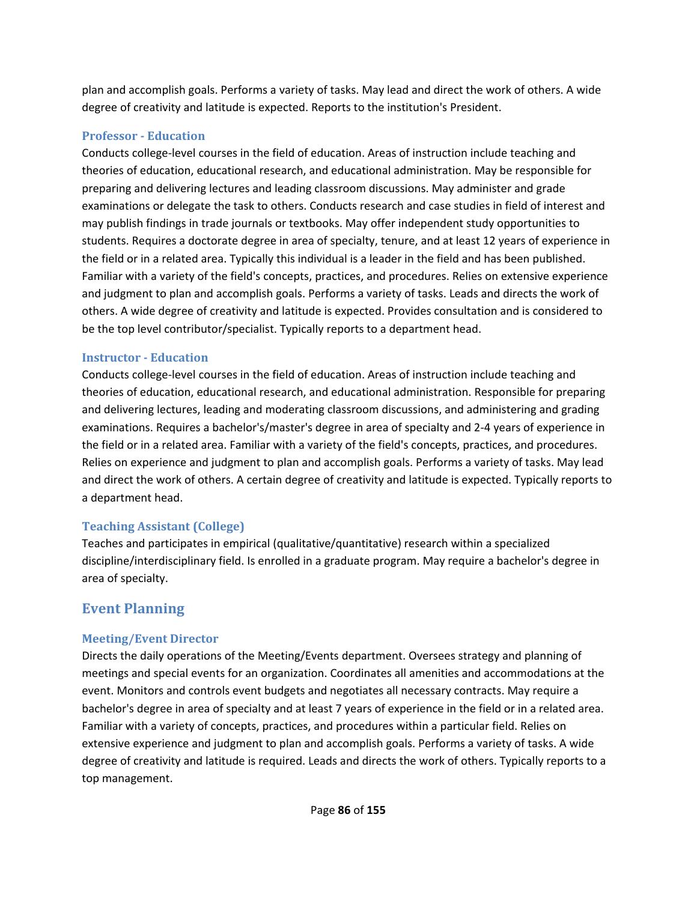plan and accomplish goals. Performs a variety of tasks. May lead and direct the work of others. A wide degree of creativity and latitude is expected. Reports to the institution's President.

## **Professor - Education**

Conducts college-level courses in the field of education. Areas of instruction include teaching and theories of education, educational research, and educational administration. May be responsible for preparing and delivering lectures and leading classroom discussions. May administer and grade examinations or delegate the task to others. Conducts research and case studies in field of interest and may publish findings in trade journals or textbooks. May offer independent study opportunities to students. Requires a doctorate degree in area of specialty, tenure, and at least 12 years of experience in the field or in a related area. Typically this individual is a leader in the field and has been published. Familiar with a variety of the field's concepts, practices, and procedures. Relies on extensive experience and judgment to plan and accomplish goals. Performs a variety of tasks. Leads and directs the work of others. A wide degree of creativity and latitude is expected. Provides consultation and is considered to be the top level contributor/specialist. Typically reports to a department head.

## **Instructor - Education**

Conducts college-level courses in the field of education. Areas of instruction include teaching and theories of education, educational research, and educational administration. Responsible for preparing and delivering lectures, leading and moderating classroom discussions, and administering and grading examinations. Requires a bachelor's/master's degree in area of specialty and 2-4 years of experience in the field or in a related area. Familiar with a variety of the field's concepts, practices, and procedures. Relies on experience and judgment to plan and accomplish goals. Performs a variety of tasks. May lead and direct the work of others. A certain degree of creativity and latitude is expected. Typically reports to a department head.

## **Teaching Assistant (College)**

Teaches and participates in empirical (qualitative/quantitative) research within a specialized discipline/interdisciplinary field. Is enrolled in a graduate program. May require a bachelor's degree in area of specialty.

# **Event Planning**

# **Meeting/Event Director**

Directs the daily operations of the Meeting/Events department. Oversees strategy and planning of meetings and special events for an organization. Coordinates all amenities and accommodations at the event. Monitors and controls event budgets and negotiates all necessary contracts. May require a bachelor's degree in area of specialty and at least 7 years of experience in the field or in a related area. Familiar with a variety of concepts, practices, and procedures within a particular field. Relies on extensive experience and judgment to plan and accomplish goals. Performs a variety of tasks. A wide degree of creativity and latitude is required. Leads and directs the work of others. Typically reports to a top management.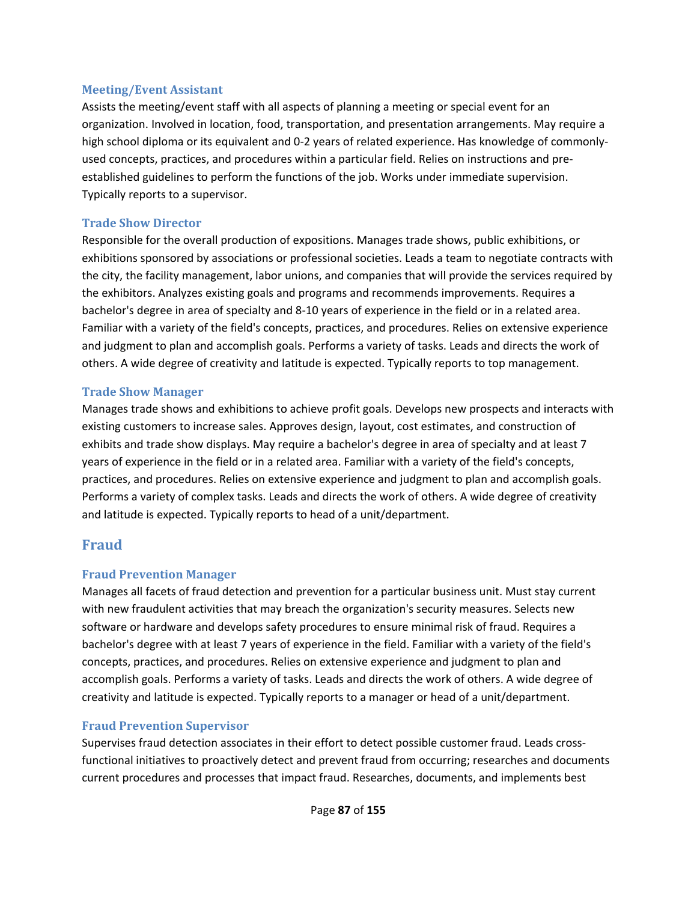## **Meeting/Event Assistant**

Assists the meeting/event staff with all aspects of planning a meeting or special event for an organization. Involved in location, food, transportation, and presentation arrangements. May require a high school diploma or its equivalent and 0-2 years of related experience. Has knowledge of commonlyused concepts, practices, and procedures within a particular field. Relies on instructions and preestablished guidelines to perform the functions of the job. Works under immediate supervision. Typically reports to a supervisor.

## **Trade Show Director**

Responsible for the overall production of expositions. Manages trade shows, public exhibitions, or exhibitions sponsored by associations or professional societies. Leads a team to negotiate contracts with the city, the facility management, labor unions, and companies that will provide the services required by the exhibitors. Analyzes existing goals and programs and recommends improvements. Requires a bachelor's degree in area of specialty and 8-10 years of experience in the field or in a related area. Familiar with a variety of the field's concepts, practices, and procedures. Relies on extensive experience and judgment to plan and accomplish goals. Performs a variety of tasks. Leads and directs the work of others. A wide degree of creativity and latitude is expected. Typically reports to top management.

## **Trade Show Manager**

Manages trade shows and exhibitions to achieve profit goals. Develops new prospects and interacts with existing customers to increase sales. Approves design, layout, cost estimates, and construction of exhibits and trade show displays. May require a bachelor's degree in area of specialty and at least 7 years of experience in the field or in a related area. Familiar with a variety of the field's concepts, practices, and procedures. Relies on extensive experience and judgment to plan and accomplish goals. Performs a variety of complex tasks. Leads and directs the work of others. A wide degree of creativity and latitude is expected. Typically reports to head of a unit/department.

## **Fraud**

## **Fraud Prevention Manager**

Manages all facets of fraud detection and prevention for a particular business unit. Must stay current with new fraudulent activities that may breach the organization's security measures. Selects new software or hardware and develops safety procedures to ensure minimal risk of fraud. Requires a bachelor's degree with at least 7 years of experience in the field. Familiar with a variety of the field's concepts, practices, and procedures. Relies on extensive experience and judgment to plan and accomplish goals. Performs a variety of tasks. Leads and directs the work of others. A wide degree of creativity and latitude is expected. Typically reports to a manager or head of a unit/department.

## **Fraud Prevention Supervisor**

Supervises fraud detection associates in their effort to detect possible customer fraud. Leads crossfunctional initiatives to proactively detect and prevent fraud from occurring; researches and documents current procedures and processes that impact fraud. Researches, documents, and implements best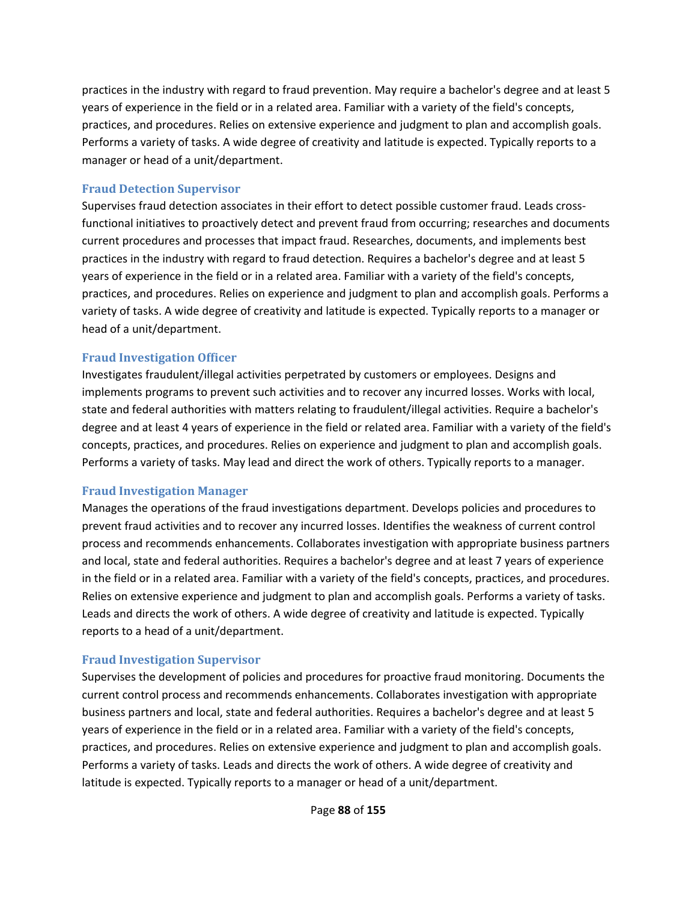practices in the industry with regard to fraud prevention. May require a bachelor's degree and at least 5 years of experience in the field or in a related area. Familiar with a variety of the field's concepts, practices, and procedures. Relies on extensive experience and judgment to plan and accomplish goals. Performs a variety of tasks. A wide degree of creativity and latitude is expected. Typically reports to a manager or head of a unit/department.

## **Fraud Detection Supervisor**

Supervises fraud detection associates in their effort to detect possible customer fraud. Leads crossfunctional initiatives to proactively detect and prevent fraud from occurring; researches and documents current procedures and processes that impact fraud. Researches, documents, and implements best practices in the industry with regard to fraud detection. Requires a bachelor's degree and at least 5 years of experience in the field or in a related area. Familiar with a variety of the field's concepts, practices, and procedures. Relies on experience and judgment to plan and accomplish goals. Performs a variety of tasks. A wide degree of creativity and latitude is expected. Typically reports to a manager or head of a unit/department.

### **Fraud Investigation Officer**

Investigates fraudulent/illegal activities perpetrated by customers or employees. Designs and implements programs to prevent such activities and to recover any incurred losses. Works with local, state and federal authorities with matters relating to fraudulent/illegal activities. Require a bachelor's degree and at least 4 years of experience in the field or related area. Familiar with a variety of the field's concepts, practices, and procedures. Relies on experience and judgment to plan and accomplish goals. Performs a variety of tasks. May lead and direct the work of others. Typically reports to a manager.

## **Fraud Investigation Manager**

Manages the operations of the fraud investigations department. Develops policies and procedures to prevent fraud activities and to recover any incurred losses. Identifies the weakness of current control process and recommends enhancements. Collaborates investigation with appropriate business partners and local, state and federal authorities. Requires a bachelor's degree and at least 7 years of experience in the field or in a related area. Familiar with a variety of the field's concepts, practices, and procedures. Relies on extensive experience and judgment to plan and accomplish goals. Performs a variety of tasks. Leads and directs the work of others. A wide degree of creativity and latitude is expected. Typically reports to a head of a unit/department.

## **Fraud Investigation Supervisor**

Supervises the development of policies and procedures for proactive fraud monitoring. Documents the current control process and recommends enhancements. Collaborates investigation with appropriate business partners and local, state and federal authorities. Requires a bachelor's degree and at least 5 years of experience in the field or in a related area. Familiar with a variety of the field's concepts, practices, and procedures. Relies on extensive experience and judgment to plan and accomplish goals. Performs a variety of tasks. Leads and directs the work of others. A wide degree of creativity and latitude is expected. Typically reports to a manager or head of a unit/department.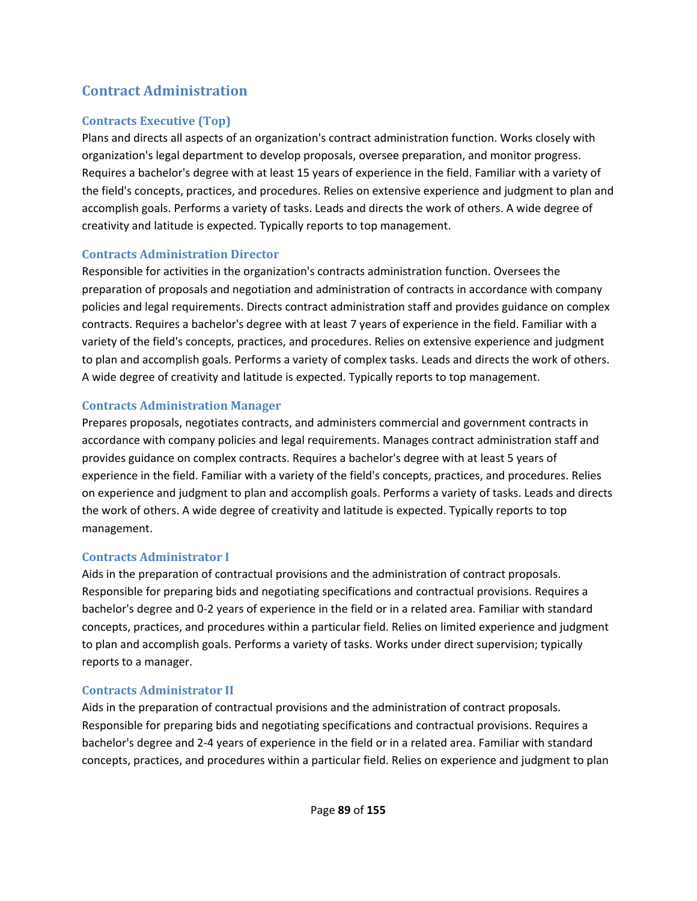# **Contract Administration**

## **Contracts Executive (Top)**

Plans and directs all aspects of an organization's contract administration function. Works closely with organization's legal department to develop proposals, oversee preparation, and monitor progress. Requires a bachelor's degree with at least 15 years of experience in the field. Familiar with a variety of the field's concepts, practices, and procedures. Relies on extensive experience and judgment to plan and accomplish goals. Performs a variety of tasks. Leads and directs the work of others. A wide degree of creativity and latitude is expected. Typically reports to top management.

## **Contracts Administration Director**

Responsible for activities in the organization's contracts administration function. Oversees the preparation of proposals and negotiation and administration of contracts in accordance with company policies and legal requirements. Directs contract administration staff and provides guidance on complex contracts. Requires a bachelor's degree with at least 7 years of experience in the field. Familiar with a variety of the field's concepts, practices, and procedures. Relies on extensive experience and judgment to plan and accomplish goals. Performs a variety of complex tasks. Leads and directs the work of others. A wide degree of creativity and latitude is expected. Typically reports to top management.

## **Contracts Administration Manager**

Prepares proposals, negotiates contracts, and administers commercial and government contracts in accordance with company policies and legal requirements. Manages contract administration staff and provides guidance on complex contracts. Requires a bachelor's degree with at least 5 years of experience in the field. Familiar with a variety of the field's concepts, practices, and procedures. Relies on experience and judgment to plan and accomplish goals. Performs a variety of tasks. Leads and directs the work of others. A wide degree of creativity and latitude is expected. Typically reports to top management.

# **Contracts Administrator I**

Aids in the preparation of contractual provisions and the administration of contract proposals. Responsible for preparing bids and negotiating specifications and contractual provisions. Requires a bachelor's degree and 0-2 years of experience in the field or in a related area. Familiar with standard concepts, practices, and procedures within a particular field. Relies on limited experience and judgment to plan and accomplish goals. Performs a variety of tasks. Works under direct supervision; typically reports to a manager.

# **Contracts Administrator II**

Aids in the preparation of contractual provisions and the administration of contract proposals. Responsible for preparing bids and negotiating specifications and contractual provisions. Requires a bachelor's degree and 2-4 years of experience in the field or in a related area. Familiar with standard concepts, practices, and procedures within a particular field. Relies on experience and judgment to plan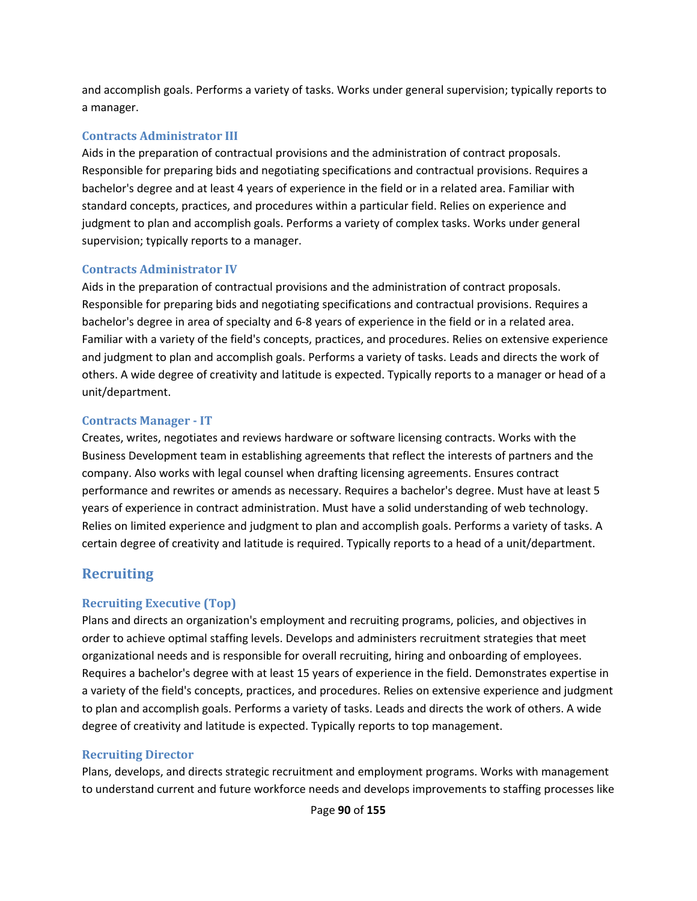and accomplish goals. Performs a variety of tasks. Works under general supervision; typically reports to a manager.

### **Contracts Administrator III**

Aids in the preparation of contractual provisions and the administration of contract proposals. Responsible for preparing bids and negotiating specifications and contractual provisions. Requires a bachelor's degree and at least 4 years of experience in the field or in a related area. Familiar with standard concepts, practices, and procedures within a particular field. Relies on experience and judgment to plan and accomplish goals. Performs a variety of complex tasks. Works under general supervision; typically reports to a manager.

### **Contracts Administrator IV**

Aids in the preparation of contractual provisions and the administration of contract proposals. Responsible for preparing bids and negotiating specifications and contractual provisions. Requires a bachelor's degree in area of specialty and 6-8 years of experience in the field or in a related area. Familiar with a variety of the field's concepts, practices, and procedures. Relies on extensive experience and judgment to plan and accomplish goals. Performs a variety of tasks. Leads and directs the work of others. A wide degree of creativity and latitude is expected. Typically reports to a manager or head of a unit/department.

### **Contracts Manager - IT**

Creates, writes, negotiates and reviews hardware or software licensing contracts. Works with the Business Development team in establishing agreements that reflect the interests of partners and the company. Also works with legal counsel when drafting licensing agreements. Ensures contract performance and rewrites or amends as necessary. Requires a bachelor's degree. Must have at least 5 years of experience in contract administration. Must have a solid understanding of web technology. Relies on limited experience and judgment to plan and accomplish goals. Performs a variety of tasks. A certain degree of creativity and latitude is required. Typically reports to a head of a unit/department.

## **Recruiting**

## **Recruiting Executive (Top)**

Plans and directs an organization's employment and recruiting programs, policies, and objectives in order to achieve optimal staffing levels. Develops and administers recruitment strategies that meet organizational needs and is responsible for overall recruiting, hiring and onboarding of employees. Requires a bachelor's degree with at least 15 years of experience in the field. Demonstrates expertise in a variety of the field's concepts, practices, and procedures. Relies on extensive experience and judgment to plan and accomplish goals. Performs a variety of tasks. Leads and directs the work of others. A wide degree of creativity and latitude is expected. Typically reports to top management.

## **Recruiting Director**

Plans, develops, and directs strategic recruitment and employment programs. Works with management to understand current and future workforce needs and develops improvements to staffing processes like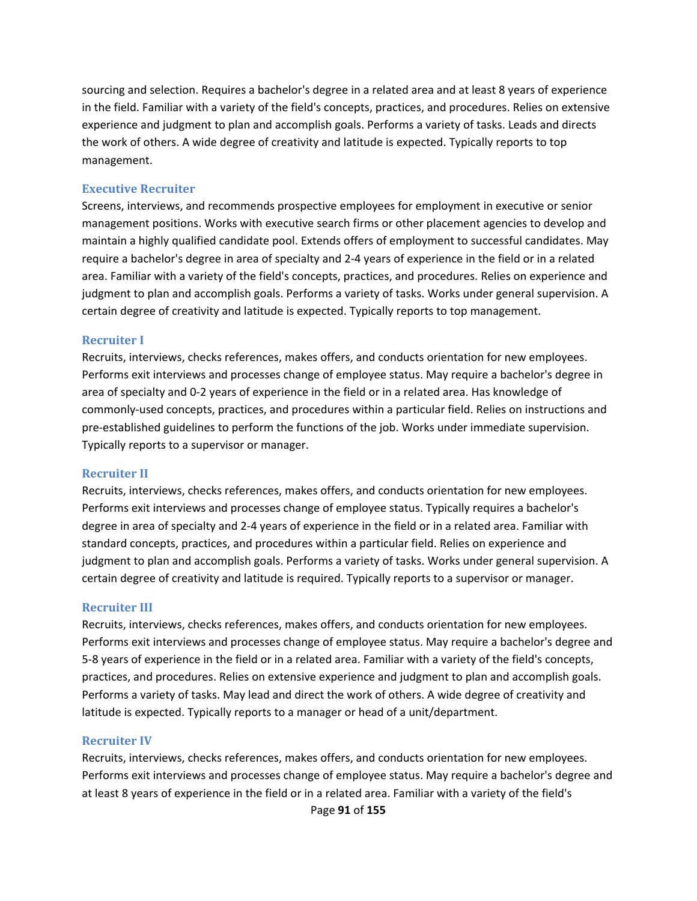sourcing and selection. Requires a bachelor's degree in a related area and at least 8 years of experience in the field. Familiar with a variety of the field's concepts, practices, and procedures. Relies on extensive experience and judgment to plan and accomplish goals. Performs a variety of tasks. Leads and directs the work of others. A wide degree of creativity and latitude is expected. Typically reports to top management.

#### **Executive Recruiter**

Screens, interviews, and recommends prospective employees for employment in executive or senior management positions. Works with executive search firms or other placement agencies to develop and maintain a highly qualified candidate pool. Extends offers of employment to successful candidates. May require a bachelor's degree in area of specialty and 2-4 years of experience in the field or in a related area. Familiar with a variety of the field's concepts, practices, and procedures. Relies on experience and judgment to plan and accomplish goals. Performs a variety of tasks. Works under general supervision. A certain degree of creativity and latitude is expected. Typically reports to top management.

#### **Recruiter I**

Recruits, interviews, checks references, makes offers, and conducts orientation for new employees. Performs exit interviews and processes change of employee status. May require a bachelor's degree in area of specialty and 0-2 years of experience in the field or in a related area. Has knowledge of commonly-used concepts, practices, and procedures within a particular field. Relies on instructions and pre-established guidelines to perform the functions of the job. Works under immediate supervision. Typically reports to a supervisor or manager.

#### **Recruiter II**

Recruits, interviews, checks references, makes offers, and conducts orientation for new employees. Performs exit interviews and processes change of employee status. Typically requires a bachelor's degree in area of specialty and 2-4 years of experience in the field or in a related area. Familiar with standard concepts, practices, and procedures within a particular field. Relies on experience and judgment to plan and accomplish goals. Performs a variety of tasks. Works under general supervision. A certain degree of creativity and latitude is required. Typically reports to a supervisor or manager.

#### **Recruiter III**

Recruits, interviews, checks references, makes offers, and conducts orientation for new employees. Performs exit interviews and processes change of employee status. May require a bachelor's degree and 5-8 years of experience in the field or in a related area. Familiar with a variety of the field's concepts, practices, and procedures. Relies on extensive experience and judgment to plan and accomplish goals. Performs a variety of tasks. May lead and direct the work of others. A wide degree of creativity and latitude is expected. Typically reports to a manager or head of a unit/department.

#### **Recruiter IV**

Recruits, interviews, checks references, makes offers, and conducts orientation for new employees. Performs exit interviews and processes change of employee status. May require a bachelor's degree and at least 8 years of experience in the field or in a related area. Familiar with a variety of the field's

Page **91** of **155**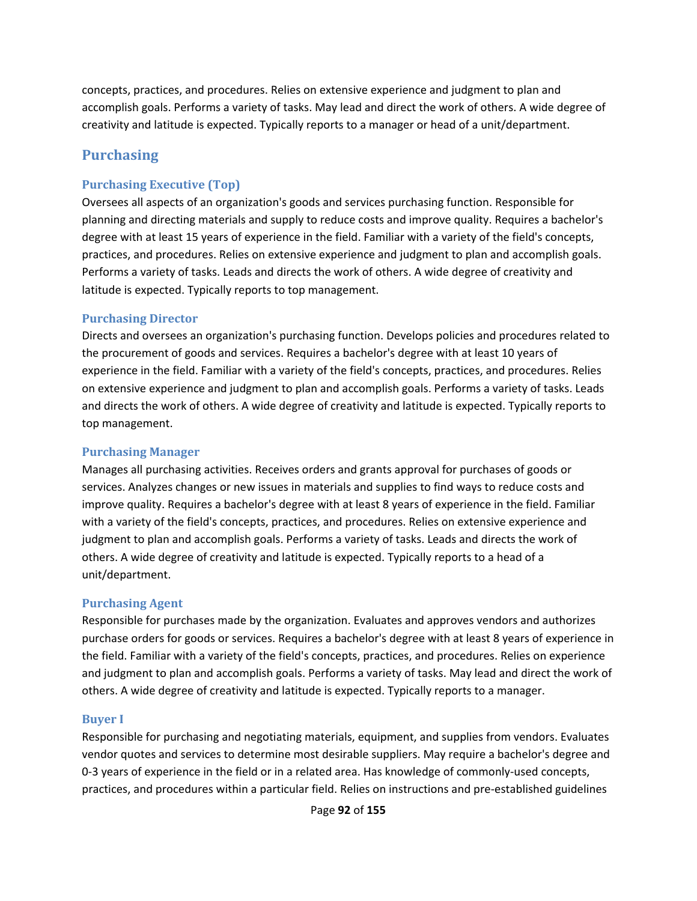concepts, practices, and procedures. Relies on extensive experience and judgment to plan and accomplish goals. Performs a variety of tasks. May lead and direct the work of others. A wide degree of creativity and latitude is expected. Typically reports to a manager or head of a unit/department.

## **Purchasing**

## **Purchasing Executive (Top)**

Oversees all aspects of an organization's goods and services purchasing function. Responsible for planning and directing materials and supply to reduce costs and improve quality. Requires a bachelor's degree with at least 15 years of experience in the field. Familiar with a variety of the field's concepts, practices, and procedures. Relies on extensive experience and judgment to plan and accomplish goals. Performs a variety of tasks. Leads and directs the work of others. A wide degree of creativity and latitude is expected. Typically reports to top management.

## **Purchasing Director**

Directs and oversees an organization's purchasing function. Develops policies and procedures related to the procurement of goods and services. Requires a bachelor's degree with at least 10 years of experience in the field. Familiar with a variety of the field's concepts, practices, and procedures. Relies on extensive experience and judgment to plan and accomplish goals. Performs a variety of tasks. Leads and directs the work of others. A wide degree of creativity and latitude is expected. Typically reports to top management.

## **Purchasing Manager**

Manages all purchasing activities. Receives orders and grants approval for purchases of goods or services. Analyzes changes or new issues in materials and supplies to find ways to reduce costs and improve quality. Requires a bachelor's degree with at least 8 years of experience in the field. Familiar with a variety of the field's concepts, practices, and procedures. Relies on extensive experience and judgment to plan and accomplish goals. Performs a variety of tasks. Leads and directs the work of others. A wide degree of creativity and latitude is expected. Typically reports to a head of a unit/department.

## **Purchasing Agent**

Responsible for purchases made by the organization. Evaluates and approves vendors and authorizes purchase orders for goods or services. Requires a bachelor's degree with at least 8 years of experience in the field. Familiar with a variety of the field's concepts, practices, and procedures. Relies on experience and judgment to plan and accomplish goals. Performs a variety of tasks. May lead and direct the work of others. A wide degree of creativity and latitude is expected. Typically reports to a manager.

#### **Buyer I**

Responsible for purchasing and negotiating materials, equipment, and supplies from vendors. Evaluates vendor quotes and services to determine most desirable suppliers. May require a bachelor's degree and 0-3 years of experience in the field or in a related area. Has knowledge of commonly-used concepts, practices, and procedures within a particular field. Relies on instructions and pre-established guidelines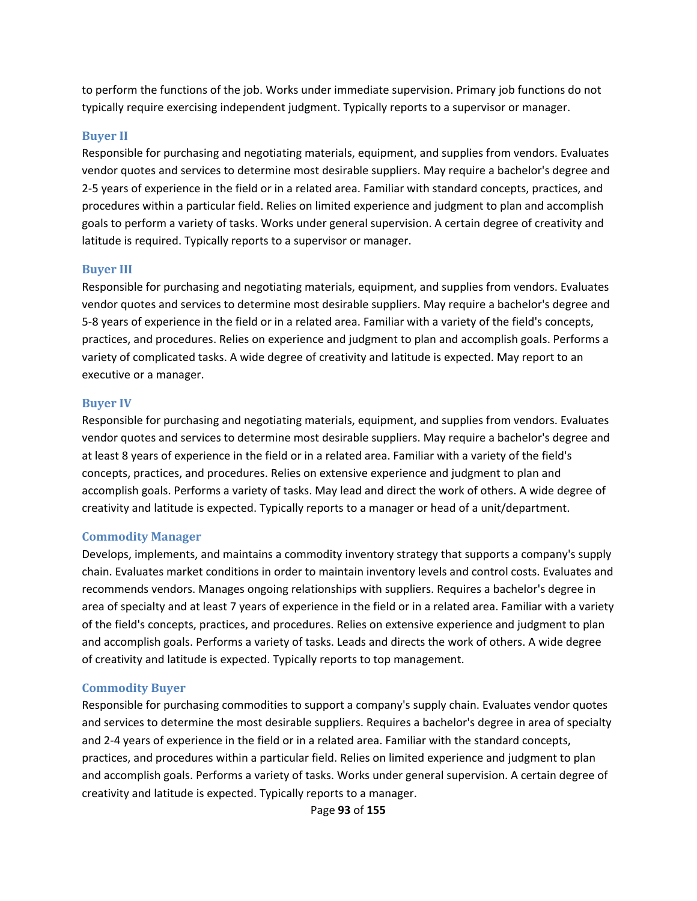to perform the functions of the job. Works under immediate supervision. Primary job functions do not typically require exercising independent judgment. Typically reports to a supervisor or manager.

#### **Buyer II**

Responsible for purchasing and negotiating materials, equipment, and supplies from vendors. Evaluates vendor quotes and services to determine most desirable suppliers. May require a bachelor's degree and 2-5 years of experience in the field or in a related area. Familiar with standard concepts, practices, and procedures within a particular field. Relies on limited experience and judgment to plan and accomplish goals to perform a variety of tasks. Works under general supervision. A certain degree of creativity and latitude is required. Typically reports to a supervisor or manager.

#### **Buyer III**

Responsible for purchasing and negotiating materials, equipment, and supplies from vendors. Evaluates vendor quotes and services to determine most desirable suppliers. May require a bachelor's degree and 5-8 years of experience in the field or in a related area. Familiar with a variety of the field's concepts, practices, and procedures. Relies on experience and judgment to plan and accomplish goals. Performs a variety of complicated tasks. A wide degree of creativity and latitude is expected. May report to an executive or a manager.

#### **Buyer IV**

Responsible for purchasing and negotiating materials, equipment, and supplies from vendors. Evaluates vendor quotes and services to determine most desirable suppliers. May require a bachelor's degree and at least 8 years of experience in the field or in a related area. Familiar with a variety of the field's concepts, practices, and procedures. Relies on extensive experience and judgment to plan and accomplish goals. Performs a variety of tasks. May lead and direct the work of others. A wide degree of creativity and latitude is expected. Typically reports to a manager or head of a unit/department.

#### **Commodity Manager**

Develops, implements, and maintains a commodity inventory strategy that supports a company's supply chain. Evaluates market conditions in order to maintain inventory levels and control costs. Evaluates and recommends vendors. Manages ongoing relationships with suppliers. Requires a bachelor's degree in area of specialty and at least 7 years of experience in the field or in a related area. Familiar with a variety of the field's concepts, practices, and procedures. Relies on extensive experience and judgment to plan and accomplish goals. Performs a variety of tasks. Leads and directs the work of others. A wide degree of creativity and latitude is expected. Typically reports to top management.

#### **Commodity Buyer**

Responsible for purchasing commodities to support a company's supply chain. Evaluates vendor quotes and services to determine the most desirable suppliers. Requires a bachelor's degree in area of specialty and 2-4 years of experience in the field or in a related area. Familiar with the standard concepts, practices, and procedures within a particular field. Relies on limited experience and judgment to plan and accomplish goals. Performs a variety of tasks. Works under general supervision. A certain degree of creativity and latitude is expected. Typically reports to a manager.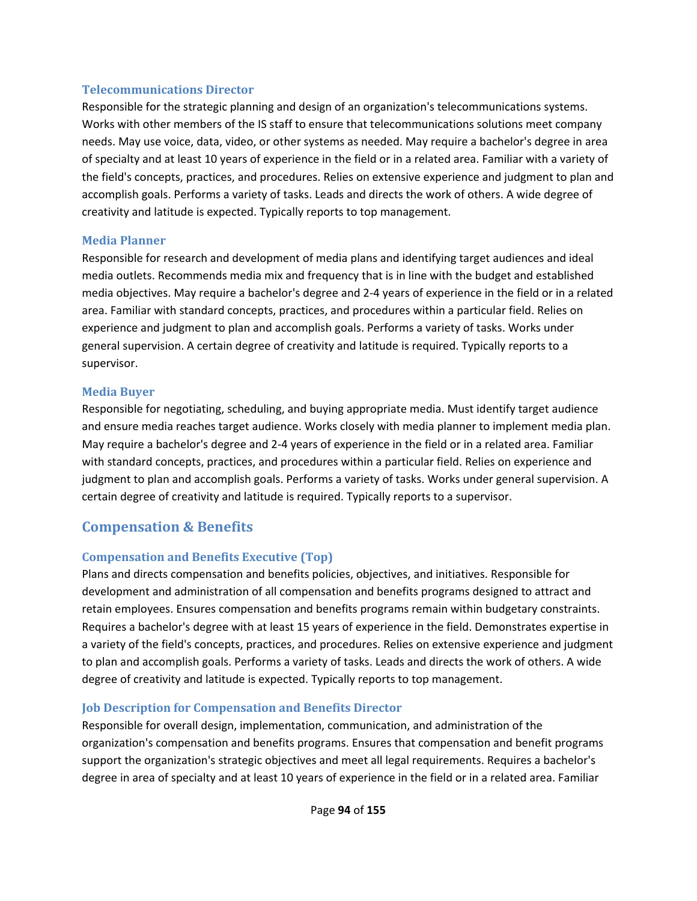### **Telecommunications Director**

Responsible for the strategic planning and design of an organization's telecommunications systems. Works with other members of the IS staff to ensure that telecommunications solutions meet company needs. May use voice, data, video, or other systems as needed. May require a bachelor's degree in area of specialty and at least 10 years of experience in the field or in a related area. Familiar with a variety of the field's concepts, practices, and procedures. Relies on extensive experience and judgment to plan and accomplish goals. Performs a variety of tasks. Leads and directs the work of others. A wide degree of creativity and latitude is expected. Typically reports to top management.

### **Media Planner**

Responsible for research and development of media plans and identifying target audiences and ideal media outlets. Recommends media mix and frequency that is in line with the budget and established media objectives. May require a bachelor's degree and 2-4 years of experience in the field or in a related area. Familiar with standard concepts, practices, and procedures within a particular field. Relies on experience and judgment to plan and accomplish goals. Performs a variety of tasks. Works under general supervision. A certain degree of creativity and latitude is required. Typically reports to a supervisor.

## **Media Buyer**

Responsible for negotiating, scheduling, and buying appropriate media. Must identify target audience and ensure media reaches target audience. Works closely with media planner to implement media plan. May require a bachelor's degree and 2-4 years of experience in the field or in a related area. Familiar with standard concepts, practices, and procedures within a particular field. Relies on experience and judgment to plan and accomplish goals. Performs a variety of tasks. Works under general supervision. A certain degree of creativity and latitude is required. Typically reports to a supervisor.

# **Compensation & Benefits**

## **Compensation and Benefits Executive (Top)**

Plans and directs compensation and benefits policies, objectives, and initiatives. Responsible for development and administration of all compensation and benefits programs designed to attract and retain employees. Ensures compensation and benefits programs remain within budgetary constraints. Requires a bachelor's degree with at least 15 years of experience in the field. Demonstrates expertise in a variety of the field's concepts, practices, and procedures. Relies on extensive experience and judgment to plan and accomplish goals. Performs a variety of tasks. Leads and directs the work of others. A wide degree of creativity and latitude is expected. Typically reports to top management.

## **Job Description for Compensation and Benefits Director**

Responsible for overall design, implementation, communication, and administration of the organization's compensation and benefits programs. Ensures that compensation and benefit programs support the organization's strategic objectives and meet all legal requirements. Requires a bachelor's degree in area of specialty and at least 10 years of experience in the field or in a related area. Familiar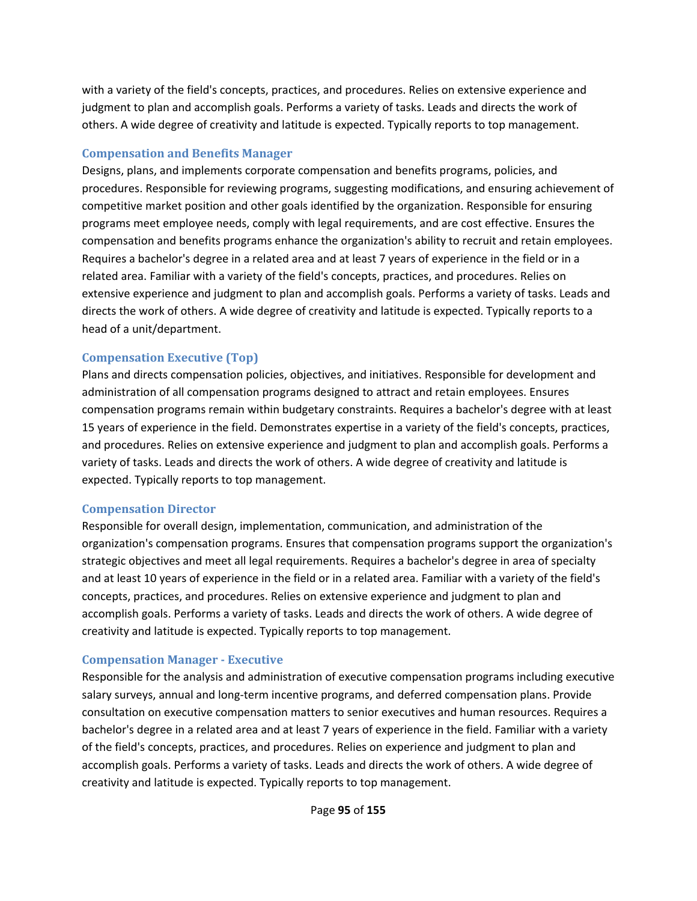with a variety of the field's concepts, practices, and procedures. Relies on extensive experience and judgment to plan and accomplish goals. Performs a variety of tasks. Leads and directs the work of others. A wide degree of creativity and latitude is expected. Typically reports to top management.

## **Compensation and Benefits Manager**

Designs, plans, and implements corporate compensation and benefits programs, policies, and procedures. Responsible for reviewing programs, suggesting modifications, and ensuring achievement of competitive market position and other goals identified by the organization. Responsible for ensuring programs meet employee needs, comply with legal requirements, and are cost effective. Ensures the compensation and benefits programs enhance the organization's ability to recruit and retain employees. Requires a bachelor's degree in a related area and at least 7 years of experience in the field or in a related area. Familiar with a variety of the field's concepts, practices, and procedures. Relies on extensive experience and judgment to plan and accomplish goals. Performs a variety of tasks. Leads and directs the work of others. A wide degree of creativity and latitude is expected. Typically reports to a head of a unit/department.

## **Compensation Executive (Top)**

Plans and directs compensation policies, objectives, and initiatives. Responsible for development and administration of all compensation programs designed to attract and retain employees. Ensures compensation programs remain within budgetary constraints. Requires a bachelor's degree with at least 15 years of experience in the field. Demonstrates expertise in a variety of the field's concepts, practices, and procedures. Relies on extensive experience and judgment to plan and accomplish goals. Performs a variety of tasks. Leads and directs the work of others. A wide degree of creativity and latitude is expected. Typically reports to top management.

## **Compensation Director**

Responsible for overall design, implementation, communication, and administration of the organization's compensation programs. Ensures that compensation programs support the organization's strategic objectives and meet all legal requirements. Requires a bachelor's degree in area of specialty and at least 10 years of experience in the field or in a related area. Familiar with a variety of the field's concepts, practices, and procedures. Relies on extensive experience and judgment to plan and accomplish goals. Performs a variety of tasks. Leads and directs the work of others. A wide degree of creativity and latitude is expected. Typically reports to top management.

## **Compensation Manager - Executive**

Responsible for the analysis and administration of executive compensation programs including executive salary surveys, annual and long-term incentive programs, and deferred compensation plans. Provide consultation on executive compensation matters to senior executives and human resources. Requires a bachelor's degree in a related area and at least 7 years of experience in the field. Familiar with a variety of the field's concepts, practices, and procedures. Relies on experience and judgment to plan and accomplish goals. Performs a variety of tasks. Leads and directs the work of others. A wide degree of creativity and latitude is expected. Typically reports to top management.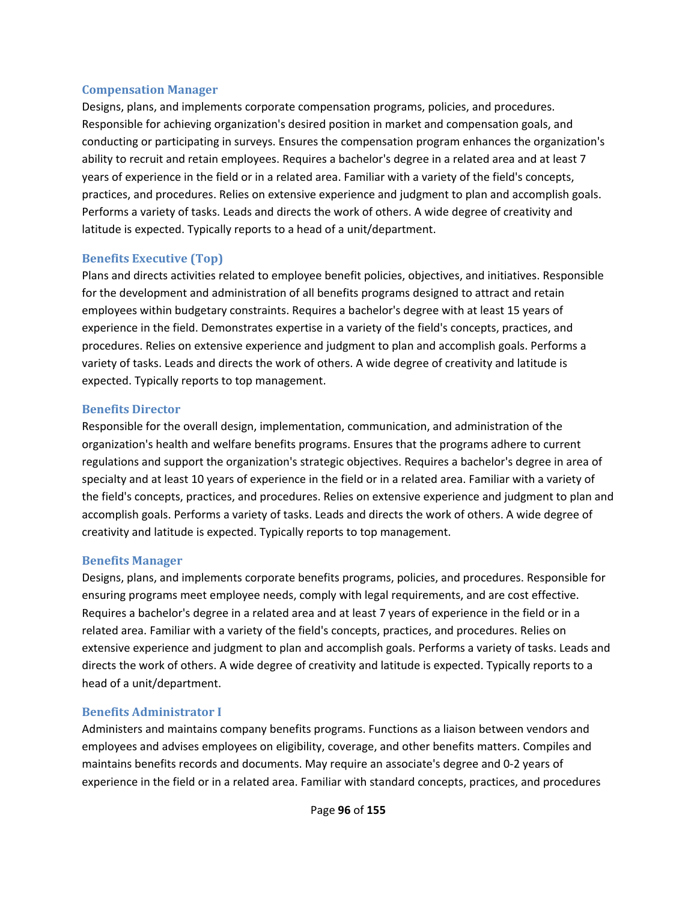#### **Compensation Manager**

Designs, plans, and implements corporate compensation programs, policies, and procedures. Responsible for achieving organization's desired position in market and compensation goals, and conducting or participating in surveys. Ensures the compensation program enhances the organization's ability to recruit and retain employees. Requires a bachelor's degree in a related area and at least 7 years of experience in the field or in a related area. Familiar with a variety of the field's concepts, practices, and procedures. Relies on extensive experience and judgment to plan and accomplish goals. Performs a variety of tasks. Leads and directs the work of others. A wide degree of creativity and latitude is expected. Typically reports to a head of a unit/department.

### **Benefits Executive (Top)**

Plans and directs activities related to employee benefit policies, objectives, and initiatives. Responsible for the development and administration of all benefits programs designed to attract and retain employees within budgetary constraints. Requires a bachelor's degree with at least 15 years of experience in the field. Demonstrates expertise in a variety of the field's concepts, practices, and procedures. Relies on extensive experience and judgment to plan and accomplish goals. Performs a variety of tasks. Leads and directs the work of others. A wide degree of creativity and latitude is expected. Typically reports to top management.

#### **Benefits Director**

Responsible for the overall design, implementation, communication, and administration of the organization's health and welfare benefits programs. Ensures that the programs adhere to current regulations and support the organization's strategic objectives. Requires a bachelor's degree in area of specialty and at least 10 years of experience in the field or in a related area. Familiar with a variety of the field's concepts, practices, and procedures. Relies on extensive experience and judgment to plan and accomplish goals. Performs a variety of tasks. Leads and directs the work of others. A wide degree of creativity and latitude is expected. Typically reports to top management.

#### **Benefits Manager**

Designs, plans, and implements corporate benefits programs, policies, and procedures. Responsible for ensuring programs meet employee needs, comply with legal requirements, and are cost effective. Requires a bachelor's degree in a related area and at least 7 years of experience in the field or in a related area. Familiar with a variety of the field's concepts, practices, and procedures. Relies on extensive experience and judgment to plan and accomplish goals. Performs a variety of tasks. Leads and directs the work of others. A wide degree of creativity and latitude is expected. Typically reports to a head of a unit/department.

## **Benefits Administrator I**

Administers and maintains company benefits programs. Functions as a liaison between vendors and employees and advises employees on eligibility, coverage, and other benefits matters. Compiles and maintains benefits records and documents. May require an associate's degree and 0-2 years of experience in the field or in a related area. Familiar with standard concepts, practices, and procedures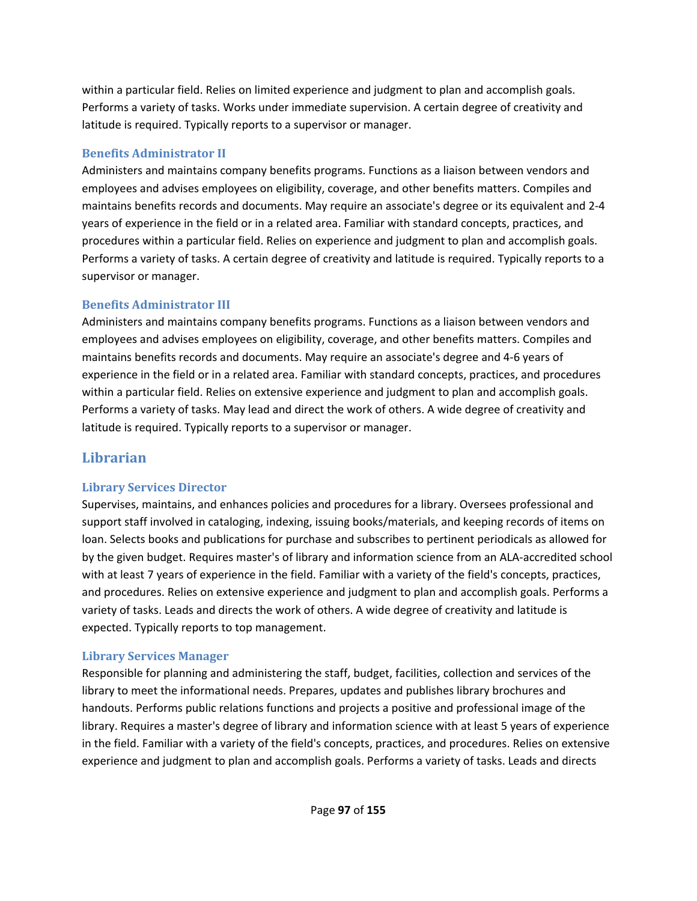within a particular field. Relies on limited experience and judgment to plan and accomplish goals. Performs a variety of tasks. Works under immediate supervision. A certain degree of creativity and latitude is required. Typically reports to a supervisor or manager.

## **Benefits Administrator II**

Administers and maintains company benefits programs. Functions as a liaison between vendors and employees and advises employees on eligibility, coverage, and other benefits matters. Compiles and maintains benefits records and documents. May require an associate's degree or its equivalent and 2-4 years of experience in the field or in a related area. Familiar with standard concepts, practices, and procedures within a particular field. Relies on experience and judgment to plan and accomplish goals. Performs a variety of tasks. A certain degree of creativity and latitude is required. Typically reports to a supervisor or manager.

# **Benefits Administrator III**

Administers and maintains company benefits programs. Functions as a liaison between vendors and employees and advises employees on eligibility, coverage, and other benefits matters. Compiles and maintains benefits records and documents. May require an associate's degree and 4-6 years of experience in the field or in a related area. Familiar with standard concepts, practices, and procedures within a particular field. Relies on extensive experience and judgment to plan and accomplish goals. Performs a variety of tasks. May lead and direct the work of others. A wide degree of creativity and latitude is required. Typically reports to a supervisor or manager.

# **Librarian**

# **Library Services Director**

Supervises, maintains, and enhances policies and procedures for a library. Oversees professional and support staff involved in cataloging, indexing, issuing books/materials, and keeping records of items on loan. Selects books and publications for purchase and subscribes to pertinent periodicals as allowed for by the given budget. Requires master's of library and information science from an ALA-accredited school with at least 7 years of experience in the field. Familiar with a variety of the field's concepts, practices, and procedures. Relies on extensive experience and judgment to plan and accomplish goals. Performs a variety of tasks. Leads and directs the work of others. A wide degree of creativity and latitude is expected. Typically reports to top management.

# **Library Services Manager**

Responsible for planning and administering the staff, budget, facilities, collection and services of the library to meet the informational needs. Prepares, updates and publishes library brochures and handouts. Performs public relations functions and projects a positive and professional image of the library. Requires a master's degree of library and information science with at least 5 years of experience in the field. Familiar with a variety of the field's concepts, practices, and procedures. Relies on extensive experience and judgment to plan and accomplish goals. Performs a variety of tasks. Leads and directs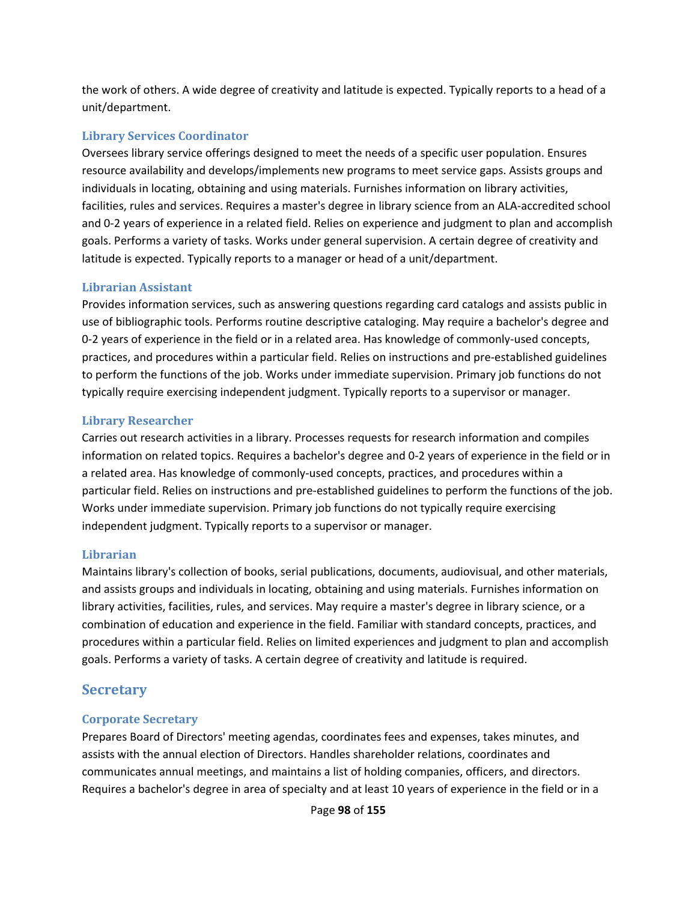the work of others. A wide degree of creativity and latitude is expected. Typically reports to a head of a unit/department.

### **Library Services Coordinator**

Oversees library service offerings designed to meet the needs of a specific user population. Ensures resource availability and develops/implements new programs to meet service gaps. Assists groups and individuals in locating, obtaining and using materials. Furnishes information on library activities, facilities, rules and services. Requires a master's degree in library science from an ALA-accredited school and 0-2 years of experience in a related field. Relies on experience and judgment to plan and accomplish goals. Performs a variety of tasks. Works under general supervision. A certain degree of creativity and latitude is expected. Typically reports to a manager or head of a unit/department.

### **Librarian Assistant**

Provides information services, such as answering questions regarding card catalogs and assists public in use of bibliographic tools. Performs routine descriptive cataloging. May require a bachelor's degree and 0-2 years of experience in the field or in a related area. Has knowledge of commonly-used concepts, practices, and procedures within a particular field. Relies on instructions and pre-established guidelines to perform the functions of the job. Works under immediate supervision. Primary job functions do not typically require exercising independent judgment. Typically reports to a supervisor or manager.

### **Library Researcher**

Carries out research activities in a library. Processes requests for research information and compiles information on related topics. Requires a bachelor's degree and 0-2 years of experience in the field or in a related area. Has knowledge of commonly-used concepts, practices, and procedures within a particular field. Relies on instructions and pre-established guidelines to perform the functions of the job. Works under immediate supervision. Primary job functions do not typically require exercising independent judgment. Typically reports to a supervisor or manager.

#### **Librarian**

Maintains library's collection of books, serial publications, documents, audiovisual, and other materials, and assists groups and individuals in locating, obtaining and using materials. Furnishes information on library activities, facilities, rules, and services. May require a master's degree in library science, or a combination of education and experience in the field. Familiar with standard concepts, practices, and procedures within a particular field. Relies on limited experiences and judgment to plan and accomplish goals. Performs a variety of tasks. A certain degree of creativity and latitude is required.

## **Secretary**

## **Corporate Secretary**

Prepares Board of Directors' meeting agendas, coordinates fees and expenses, takes minutes, and assists with the annual election of Directors. Handles shareholder relations, coordinates and communicates annual meetings, and maintains a list of holding companies, officers, and directors. Requires a bachelor's degree in area of specialty and at least 10 years of experience in the field or in a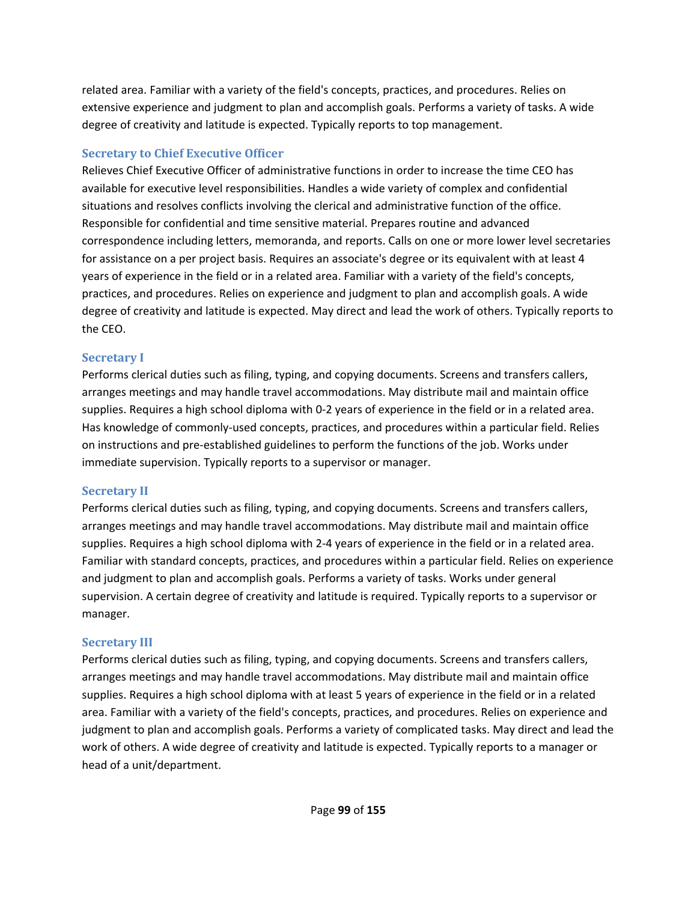related area. Familiar with a variety of the field's concepts, practices, and procedures. Relies on extensive experience and judgment to plan and accomplish goals. Performs a variety of tasks. A wide degree of creativity and latitude is expected. Typically reports to top management.

## **Secretary to Chief Executive Officer**

Relieves Chief Executive Officer of administrative functions in order to increase the time CEO has available for executive level responsibilities. Handles a wide variety of complex and confidential situations and resolves conflicts involving the clerical and administrative function of the office. Responsible for confidential and time sensitive material. Prepares routine and advanced correspondence including letters, memoranda, and reports. Calls on one or more lower level secretaries for assistance on a per project basis. Requires an associate's degree or its equivalent with at least 4 years of experience in the field or in a related area. Familiar with a variety of the field's concepts, practices, and procedures. Relies on experience and judgment to plan and accomplish goals. A wide degree of creativity and latitude is expected. May direct and lead the work of others. Typically reports to the CEO.

## **Secretary I**

Performs clerical duties such as filing, typing, and copying documents. Screens and transfers callers, arranges meetings and may handle travel accommodations. May distribute mail and maintain office supplies. Requires a high school diploma with 0-2 years of experience in the field or in a related area. Has knowledge of commonly-used concepts, practices, and procedures within a particular field. Relies on instructions and pre-established guidelines to perform the functions of the job. Works under immediate supervision. Typically reports to a supervisor or manager.

# **Secretary II**

Performs clerical duties such as filing, typing, and copying documents. Screens and transfers callers, arranges meetings and may handle travel accommodations. May distribute mail and maintain office supplies. Requires a high school diploma with 2-4 years of experience in the field or in a related area. Familiar with standard concepts, practices, and procedures within a particular field. Relies on experience and judgment to plan and accomplish goals. Performs a variety of tasks. Works under general supervision. A certain degree of creativity and latitude is required. Typically reports to a supervisor or manager.

# **Secretary III**

Performs clerical duties such as filing, typing, and copying documents. Screens and transfers callers, arranges meetings and may handle travel accommodations. May distribute mail and maintain office supplies. Requires a high school diploma with at least 5 years of experience in the field or in a related area. Familiar with a variety of the field's concepts, practices, and procedures. Relies on experience and judgment to plan and accomplish goals. Performs a variety of complicated tasks. May direct and lead the work of others. A wide degree of creativity and latitude is expected. Typically reports to a manager or head of a unit/department.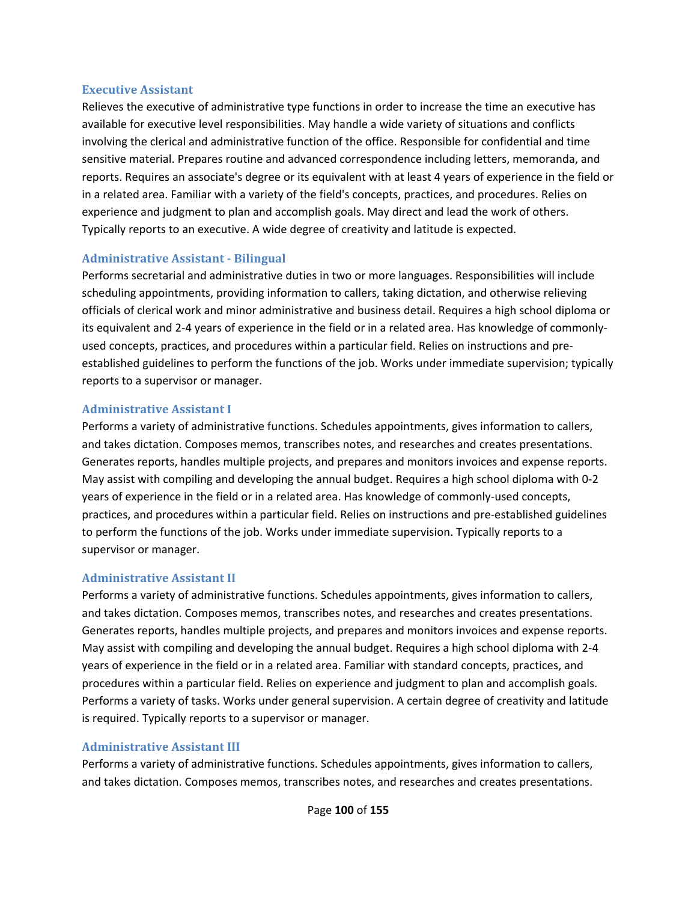#### **Executive Assistant**

Relieves the executive of administrative type functions in order to increase the time an executive has available for executive level responsibilities. May handle a wide variety of situations and conflicts involving the clerical and administrative function of the office. Responsible for confidential and time sensitive material. Prepares routine and advanced correspondence including letters, memoranda, and reports. Requires an associate's degree or its equivalent with at least 4 years of experience in the field or in a related area. Familiar with a variety of the field's concepts, practices, and procedures. Relies on experience and judgment to plan and accomplish goals. May direct and lead the work of others. Typically reports to an executive. A wide degree of creativity and latitude is expected.

### **Administrative Assistant - Bilingual**

Performs secretarial and administrative duties in two or more languages. Responsibilities will include scheduling appointments, providing information to callers, taking dictation, and otherwise relieving officials of clerical work and minor administrative and business detail. Requires a high school diploma or its equivalent and 2-4 years of experience in the field or in a related area. Has knowledge of commonlyused concepts, practices, and procedures within a particular field. Relies on instructions and preestablished guidelines to perform the functions of the job. Works under immediate supervision; typically reports to a supervisor or manager.

#### **Administrative Assistant I**

Performs a variety of administrative functions. Schedules appointments, gives information to callers, and takes dictation. Composes memos, transcribes notes, and researches and creates presentations. Generates reports, handles multiple projects, and prepares and monitors invoices and expense reports. May assist with compiling and developing the annual budget. Requires a high school diploma with 0-2 years of experience in the field or in a related area. Has knowledge of commonly-used concepts, practices, and procedures within a particular field. Relies on instructions and pre-established guidelines to perform the functions of the job. Works under immediate supervision. Typically reports to a supervisor or manager.

## **Administrative Assistant II**

Performs a variety of administrative functions. Schedules appointments, gives information to callers, and takes dictation. Composes memos, transcribes notes, and researches and creates presentations. Generates reports, handles multiple projects, and prepares and monitors invoices and expense reports. May assist with compiling and developing the annual budget. Requires a high school diploma with 2-4 years of experience in the field or in a related area. Familiar with standard concepts, practices, and procedures within a particular field. Relies on experience and judgment to plan and accomplish goals. Performs a variety of tasks. Works under general supervision. A certain degree of creativity and latitude is required. Typically reports to a supervisor or manager.

## **Administrative Assistant III**

Performs a variety of administrative functions. Schedules appointments, gives information to callers, and takes dictation. Composes memos, transcribes notes, and researches and creates presentations.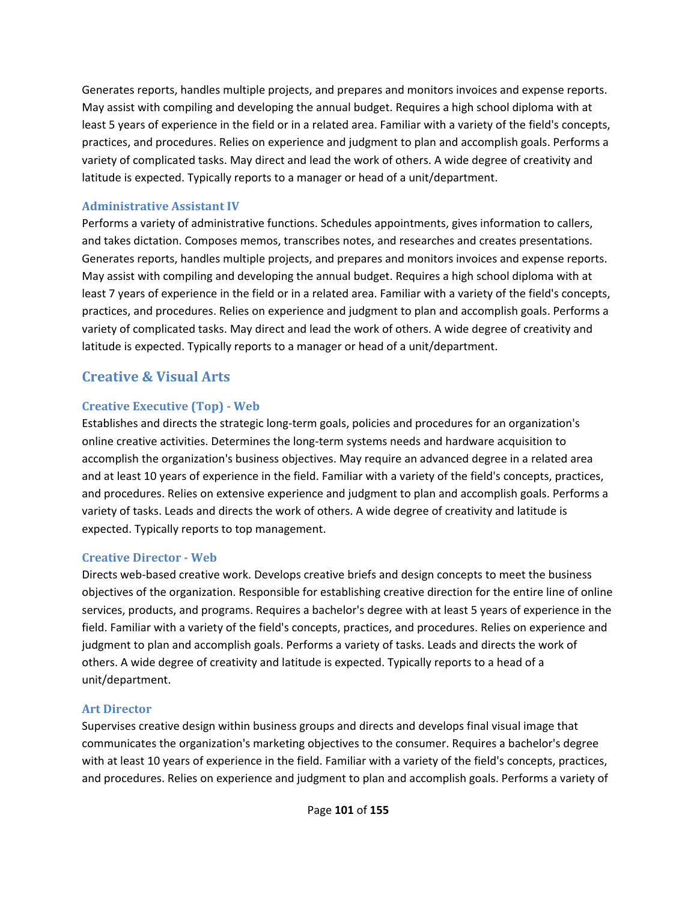Generates reports, handles multiple projects, and prepares and monitors invoices and expense reports. May assist with compiling and developing the annual budget. Requires a high school diploma with at least 5 years of experience in the field or in a related area. Familiar with a variety of the field's concepts, practices, and procedures. Relies on experience and judgment to plan and accomplish goals. Performs a variety of complicated tasks. May direct and lead the work of others. A wide degree of creativity and latitude is expected. Typically reports to a manager or head of a unit/department.

## **Administrative Assistant IV**

Performs a variety of administrative functions. Schedules appointments, gives information to callers, and takes dictation. Composes memos, transcribes notes, and researches and creates presentations. Generates reports, handles multiple projects, and prepares and monitors invoices and expense reports. May assist with compiling and developing the annual budget. Requires a high school diploma with at least 7 years of experience in the field or in a related area. Familiar with a variety of the field's concepts, practices, and procedures. Relies on experience and judgment to plan and accomplish goals. Performs a variety of complicated tasks. May direct and lead the work of others. A wide degree of creativity and latitude is expected. Typically reports to a manager or head of a unit/department.

# **Creative & Visual Arts**

## **Creative Executive (Top) - Web**

Establishes and directs the strategic long-term goals, policies and procedures for an organization's online creative activities. Determines the long-term systems needs and hardware acquisition to accomplish the organization's business objectives. May require an advanced degree in a related area and at least 10 years of experience in the field. Familiar with a variety of the field's concepts, practices, and procedures. Relies on extensive experience and judgment to plan and accomplish goals. Performs a variety of tasks. Leads and directs the work of others. A wide degree of creativity and latitude is expected. Typically reports to top management.

## **Creative Director - Web**

Directs web-based creative work. Develops creative briefs and design concepts to meet the business objectives of the organization. Responsible for establishing creative direction for the entire line of online services, products, and programs. Requires a bachelor's degree with at least 5 years of experience in the field. Familiar with a variety of the field's concepts, practices, and procedures. Relies on experience and judgment to plan and accomplish goals. Performs a variety of tasks. Leads and directs the work of others. A wide degree of creativity and latitude is expected. Typically reports to a head of a unit/department.

#### **Art Director**

Supervises creative design within business groups and directs and develops final visual image that communicates the organization's marketing objectives to the consumer. Requires a bachelor's degree with at least 10 years of experience in the field. Familiar with a variety of the field's concepts, practices, and procedures. Relies on experience and judgment to plan and accomplish goals. Performs a variety of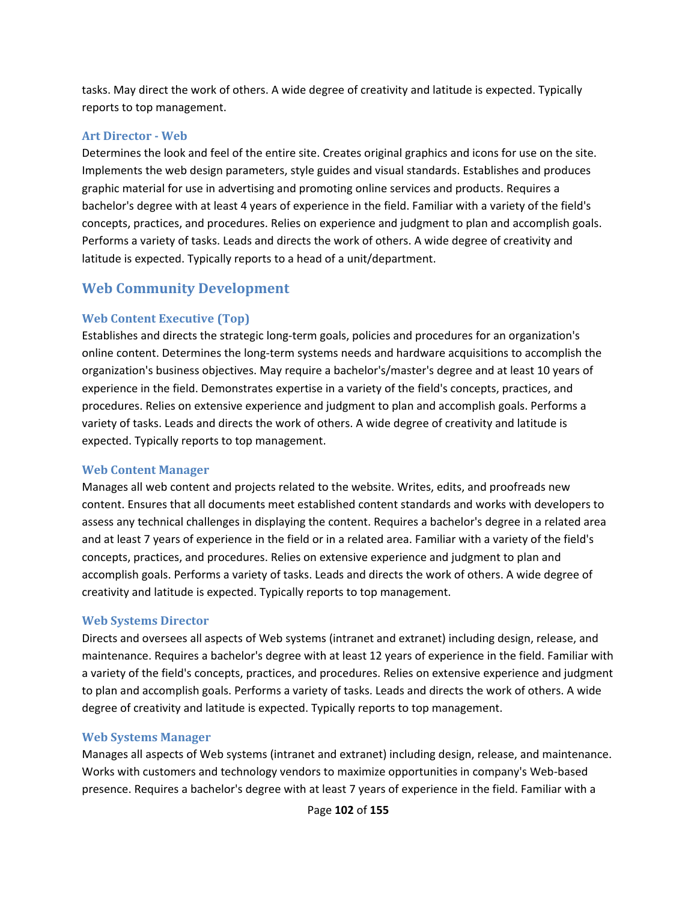tasks. May direct the work of others. A wide degree of creativity and latitude is expected. Typically reports to top management.

#### **Art Director - Web**

Determines the look and feel of the entire site. Creates original graphics and icons for use on the site. Implements the web design parameters, style guides and visual standards. Establishes and produces graphic material for use in advertising and promoting online services and products. Requires a bachelor's degree with at least 4 years of experience in the field. Familiar with a variety of the field's concepts, practices, and procedures. Relies on experience and judgment to plan and accomplish goals. Performs a variety of tasks. Leads and directs the work of others. A wide degree of creativity and latitude is expected. Typically reports to a head of a unit/department.

# **Web Community Development**

### **Web Content Executive (Top)**

Establishes and directs the strategic long-term goals, policies and procedures for an organization's online content. Determines the long-term systems needs and hardware acquisitions to accomplish the organization's business objectives. May require a bachelor's/master's degree and at least 10 years of experience in the field. Demonstrates expertise in a variety of the field's concepts, practices, and procedures. Relies on extensive experience and judgment to plan and accomplish goals. Performs a variety of tasks. Leads and directs the work of others. A wide degree of creativity and latitude is expected. Typically reports to top management.

#### **Web Content Manager**

Manages all web content and projects related to the website. Writes, edits, and proofreads new content. Ensures that all documents meet established content standards and works with developers to assess any technical challenges in displaying the content. Requires a bachelor's degree in a related area and at least 7 years of experience in the field or in a related area. Familiar with a variety of the field's concepts, practices, and procedures. Relies on extensive experience and judgment to plan and accomplish goals. Performs a variety of tasks. Leads and directs the work of others. A wide degree of creativity and latitude is expected. Typically reports to top management.

#### **Web Systems Director**

Directs and oversees all aspects of Web systems (intranet and extranet) including design, release, and maintenance. Requires a bachelor's degree with at least 12 years of experience in the field. Familiar with a variety of the field's concepts, practices, and procedures. Relies on extensive experience and judgment to plan and accomplish goals. Performs a variety of tasks. Leads and directs the work of others. A wide degree of creativity and latitude is expected. Typically reports to top management.

#### **Web Systems Manager**

Manages all aspects of Web systems (intranet and extranet) including design, release, and maintenance. Works with customers and technology vendors to maximize opportunities in company's Web-based presence. Requires a bachelor's degree with at least 7 years of experience in the field. Familiar with a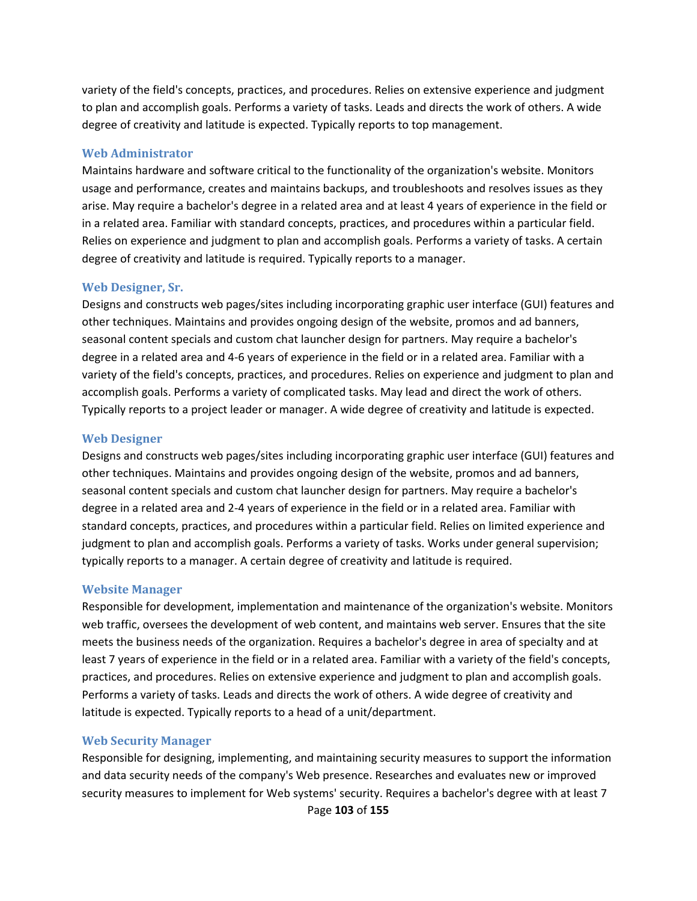variety of the field's concepts, practices, and procedures. Relies on extensive experience and judgment to plan and accomplish goals. Performs a variety of tasks. Leads and directs the work of others. A wide degree of creativity and latitude is expected. Typically reports to top management.

#### **Web Administrator**

Maintains hardware and software critical to the functionality of the organization's website. Monitors usage and performance, creates and maintains backups, and troubleshoots and resolves issues as they arise. May require a bachelor's degree in a related area and at least 4 years of experience in the field or in a related area. Familiar with standard concepts, practices, and procedures within a particular field. Relies on experience and judgment to plan and accomplish goals. Performs a variety of tasks. A certain degree of creativity and latitude is required. Typically reports to a manager.

#### **Web Designer, Sr.**

Designs and constructs web pages/sites including incorporating graphic user interface (GUI) features and other techniques. Maintains and provides ongoing design of the website, promos and ad banners, seasonal content specials and custom chat launcher design for partners. May require a bachelor's degree in a related area and 4-6 years of experience in the field or in a related area. Familiar with a variety of the field's concepts, practices, and procedures. Relies on experience and judgment to plan and accomplish goals. Performs a variety of complicated tasks. May lead and direct the work of others. Typically reports to a project leader or manager. A wide degree of creativity and latitude is expected.

#### **Web Designer**

Designs and constructs web pages/sites including incorporating graphic user interface (GUI) features and other techniques. Maintains and provides ongoing design of the website, promos and ad banners, seasonal content specials and custom chat launcher design for partners. May require a bachelor's degree in a related area and 2-4 years of experience in the field or in a related area. Familiar with standard concepts, practices, and procedures within a particular field. Relies on limited experience and judgment to plan and accomplish goals. Performs a variety of tasks. Works under general supervision; typically reports to a manager. A certain degree of creativity and latitude is required.

#### **Website Manager**

Responsible for development, implementation and maintenance of the organization's website. Monitors web traffic, oversees the development of web content, and maintains web server. Ensures that the site meets the business needs of the organization. Requires a bachelor's degree in area of specialty and at least 7 years of experience in the field or in a related area. Familiar with a variety of the field's concepts, practices, and procedures. Relies on extensive experience and judgment to plan and accomplish goals. Performs a variety of tasks. Leads and directs the work of others. A wide degree of creativity and latitude is expected. Typically reports to a head of a unit/department.

#### **Web Security Manager**

Responsible for designing, implementing, and maintaining security measures to support the information and data security needs of the company's Web presence. Researches and evaluates new or improved security measures to implement for Web systems' security. Requires a bachelor's degree with at least 7

Page **103** of **155**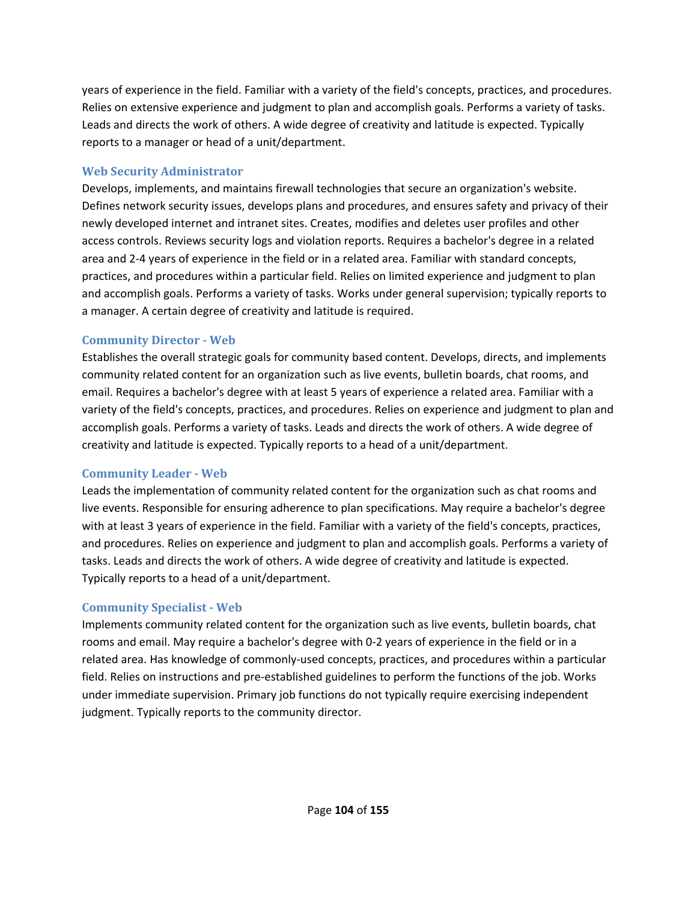years of experience in the field. Familiar with a variety of the field's concepts, practices, and procedures. Relies on extensive experience and judgment to plan and accomplish goals. Performs a variety of tasks. Leads and directs the work of others. A wide degree of creativity and latitude is expected. Typically reports to a manager or head of a unit/department.

## **Web Security Administrator**

Develops, implements, and maintains firewall technologies that secure an organization's website. Defines network security issues, develops plans and procedures, and ensures safety and privacy of their newly developed internet and intranet sites. Creates, modifies and deletes user profiles and other access controls. Reviews security logs and violation reports. Requires a bachelor's degree in a related area and 2-4 years of experience in the field or in a related area. Familiar with standard concepts, practices, and procedures within a particular field. Relies on limited experience and judgment to plan and accomplish goals. Performs a variety of tasks. Works under general supervision; typically reports to a manager. A certain degree of creativity and latitude is required.

## **Community Director - Web**

Establishes the overall strategic goals for community based content. Develops, directs, and implements community related content for an organization such as live events, bulletin boards, chat rooms, and email. Requires a bachelor's degree with at least 5 years of experience a related area. Familiar with a variety of the field's concepts, practices, and procedures. Relies on experience and judgment to plan and accomplish goals. Performs a variety of tasks. Leads and directs the work of others. A wide degree of creativity and latitude is expected. Typically reports to a head of a unit/department.

## **Community Leader - Web**

Leads the implementation of community related content for the organization such as chat rooms and live events. Responsible for ensuring adherence to plan specifications. May require a bachelor's degree with at least 3 years of experience in the field. Familiar with a variety of the field's concepts, practices, and procedures. Relies on experience and judgment to plan and accomplish goals. Performs a variety of tasks. Leads and directs the work of others. A wide degree of creativity and latitude is expected. Typically reports to a head of a unit/department.

## **Community Specialist - Web**

Implements community related content for the organization such as live events, bulletin boards, chat rooms and email. May require a bachelor's degree with 0-2 years of experience in the field or in a related area. Has knowledge of commonly-used concepts, practices, and procedures within a particular field. Relies on instructions and pre-established guidelines to perform the functions of the job. Works under immediate supervision. Primary job functions do not typically require exercising independent judgment. Typically reports to the community director.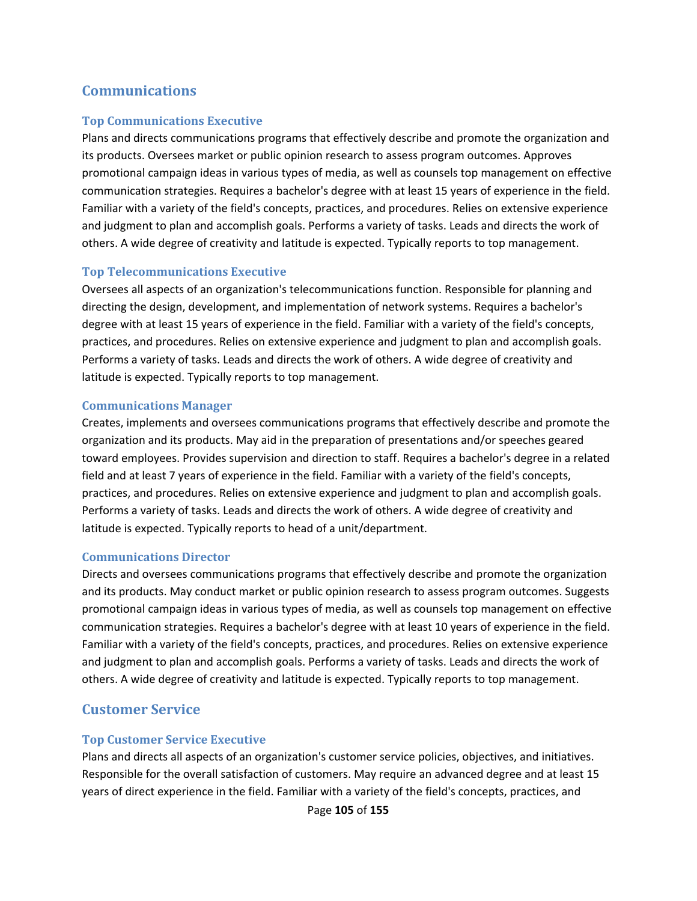## **Communications**

#### **Top Communications Executive**

Plans and directs communications programs that effectively describe and promote the organization and its products. Oversees market or public opinion research to assess program outcomes. Approves promotional campaign ideas in various types of media, as well as counsels top management on effective communication strategies. Requires a bachelor's degree with at least 15 years of experience in the field. Familiar with a variety of the field's concepts, practices, and procedures. Relies on extensive experience and judgment to plan and accomplish goals. Performs a variety of tasks. Leads and directs the work of others. A wide degree of creativity and latitude is expected. Typically reports to top management.

#### **Top Telecommunications Executive**

Oversees all aspects of an organization's telecommunications function. Responsible for planning and directing the design, development, and implementation of network systems. Requires a bachelor's degree with at least 15 years of experience in the field. Familiar with a variety of the field's concepts, practices, and procedures. Relies on extensive experience and judgment to plan and accomplish goals. Performs a variety of tasks. Leads and directs the work of others. A wide degree of creativity and latitude is expected. Typically reports to top management.

#### **Communications Manager**

Creates, implements and oversees communications programs that effectively describe and promote the organization and its products. May aid in the preparation of presentations and/or speeches geared toward employees. Provides supervision and direction to staff. Requires a bachelor's degree in a related field and at least 7 years of experience in the field. Familiar with a variety of the field's concepts, practices, and procedures. Relies on extensive experience and judgment to plan and accomplish goals. Performs a variety of tasks. Leads and directs the work of others. A wide degree of creativity and latitude is expected. Typically reports to head of a unit/department.

#### **Communications Director**

Directs and oversees communications programs that effectively describe and promote the organization and its products. May conduct market or public opinion research to assess program outcomes. Suggests promotional campaign ideas in various types of media, as well as counsels top management on effective communication strategies. Requires a bachelor's degree with at least 10 years of experience in the field. Familiar with a variety of the field's concepts, practices, and procedures. Relies on extensive experience and judgment to plan and accomplish goals. Performs a variety of tasks. Leads and directs the work of others. A wide degree of creativity and latitude is expected. Typically reports to top management.

## **Customer Service**

#### **Top Customer Service Executive**

Plans and directs all aspects of an organization's customer service policies, objectives, and initiatives. Responsible for the overall satisfaction of customers. May require an advanced degree and at least 15 years of direct experience in the field. Familiar with a variety of the field's concepts, practices, and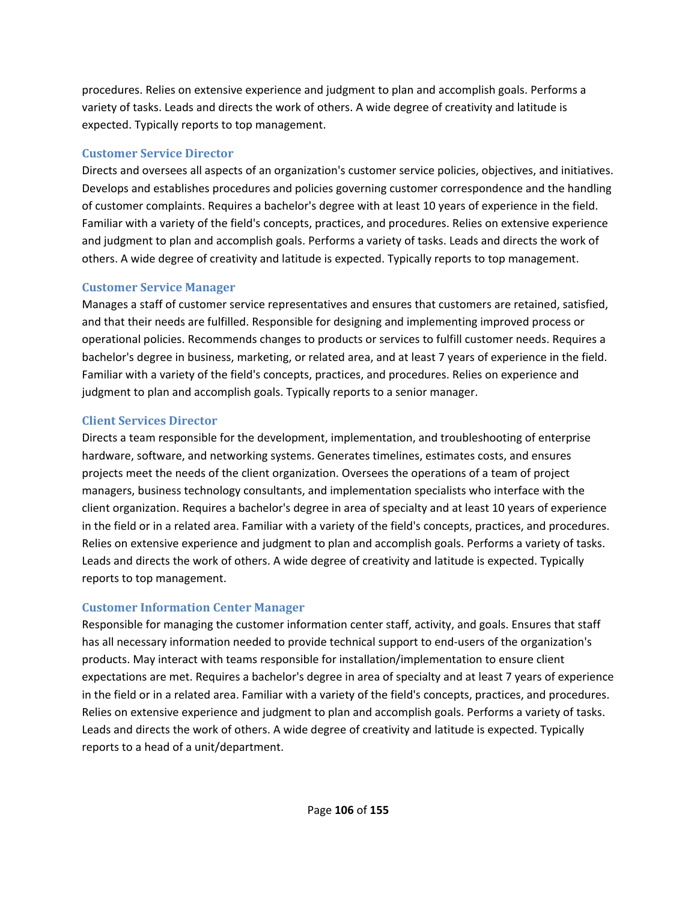procedures. Relies on extensive experience and judgment to plan and accomplish goals. Performs a variety of tasks. Leads and directs the work of others. A wide degree of creativity and latitude is expected. Typically reports to top management.

## **Customer Service Director**

Directs and oversees all aspects of an organization's customer service policies, objectives, and initiatives. Develops and establishes procedures and policies governing customer correspondence and the handling of customer complaints. Requires a bachelor's degree with at least 10 years of experience in the field. Familiar with a variety of the field's concepts, practices, and procedures. Relies on extensive experience and judgment to plan and accomplish goals. Performs a variety of tasks. Leads and directs the work of others. A wide degree of creativity and latitude is expected. Typically reports to top management.

## **Customer Service Manager**

Manages a staff of customer service representatives and ensures that customers are retained, satisfied, and that their needs are fulfilled. Responsible for designing and implementing improved process or operational policies. Recommends changes to products or services to fulfill customer needs. Requires a bachelor's degree in business, marketing, or related area, and at least 7 years of experience in the field. Familiar with a variety of the field's concepts, practices, and procedures. Relies on experience and judgment to plan and accomplish goals. Typically reports to a senior manager.

## **Client Services Director**

Directs a team responsible for the development, implementation, and troubleshooting of enterprise hardware, software, and networking systems. Generates timelines, estimates costs, and ensures projects meet the needs of the client organization. Oversees the operations of a team of project managers, business technology consultants, and implementation specialists who interface with the client organization. Requires a bachelor's degree in area of specialty and at least 10 years of experience in the field or in a related area. Familiar with a variety of the field's concepts, practices, and procedures. Relies on extensive experience and judgment to plan and accomplish goals. Performs a variety of tasks. Leads and directs the work of others. A wide degree of creativity and latitude is expected. Typically reports to top management.

## **Customer Information Center Manager**

Responsible for managing the customer information center staff, activity, and goals. Ensures that staff has all necessary information needed to provide technical support to end-users of the organization's products. May interact with teams responsible for installation/implementation to ensure client expectations are met. Requires a bachelor's degree in area of specialty and at least 7 years of experience in the field or in a related area. Familiar with a variety of the field's concepts, practices, and procedures. Relies on extensive experience and judgment to plan and accomplish goals. Performs a variety of tasks. Leads and directs the work of others. A wide degree of creativity and latitude is expected. Typically reports to a head of a unit/department.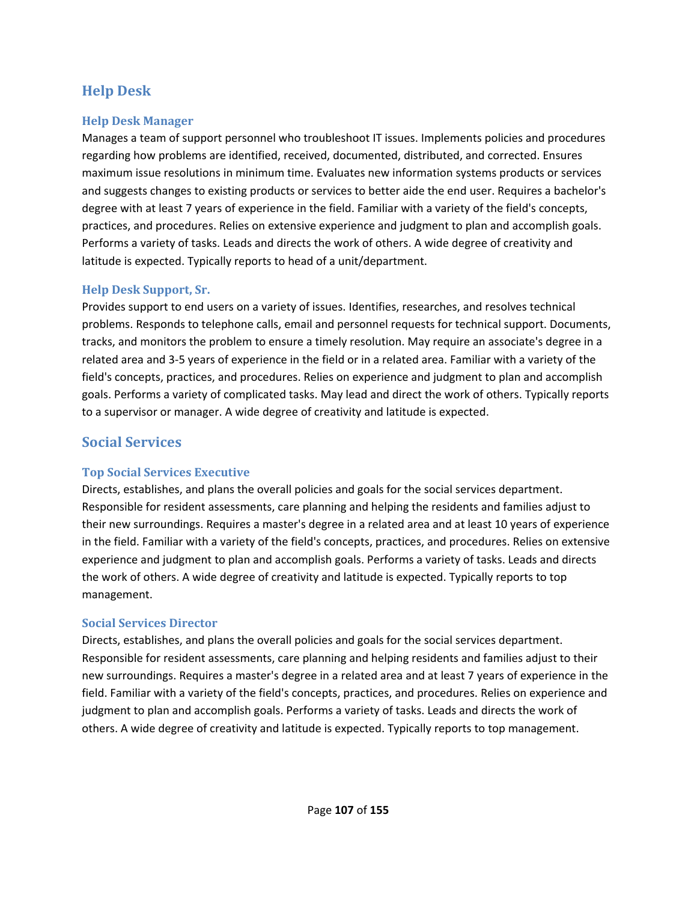# **Help Desk**

## **Help Desk Manager**

Manages a team of support personnel who troubleshoot IT issues. Implements policies and procedures regarding how problems are identified, received, documented, distributed, and corrected. Ensures maximum issue resolutions in minimum time. Evaluates new information systems products or services and suggests changes to existing products or services to better aide the end user. Requires a bachelor's degree with at least 7 years of experience in the field. Familiar with a variety of the field's concepts, practices, and procedures. Relies on extensive experience and judgment to plan and accomplish goals. Performs a variety of tasks. Leads and directs the work of others. A wide degree of creativity and latitude is expected. Typically reports to head of a unit/department.

## **Help Desk Support, Sr.**

Provides support to end users on a variety of issues. Identifies, researches, and resolves technical problems. Responds to telephone calls, email and personnel requests for technical support. Documents, tracks, and monitors the problem to ensure a timely resolution. May require an associate's degree in a related area and 3-5 years of experience in the field or in a related area. Familiar with a variety of the field's concepts, practices, and procedures. Relies on experience and judgment to plan and accomplish goals. Performs a variety of complicated tasks. May lead and direct the work of others. Typically reports to a supervisor or manager. A wide degree of creativity and latitude is expected.

# **Social Services**

## **Top Social Services Executive**

Directs, establishes, and plans the overall policies and goals for the social services department. Responsible for resident assessments, care planning and helping the residents and families adjust to their new surroundings. Requires a master's degree in a related area and at least 10 years of experience in the field. Familiar with a variety of the field's concepts, practices, and procedures. Relies on extensive experience and judgment to plan and accomplish goals. Performs a variety of tasks. Leads and directs the work of others. A wide degree of creativity and latitude is expected. Typically reports to top management.

## **Social Services Director**

Directs, establishes, and plans the overall policies and goals for the social services department. Responsible for resident assessments, care planning and helping residents and families adjust to their new surroundings. Requires a master's degree in a related area and at least 7 years of experience in the field. Familiar with a variety of the field's concepts, practices, and procedures. Relies on experience and judgment to plan and accomplish goals. Performs a variety of tasks. Leads and directs the work of others. A wide degree of creativity and latitude is expected. Typically reports to top management.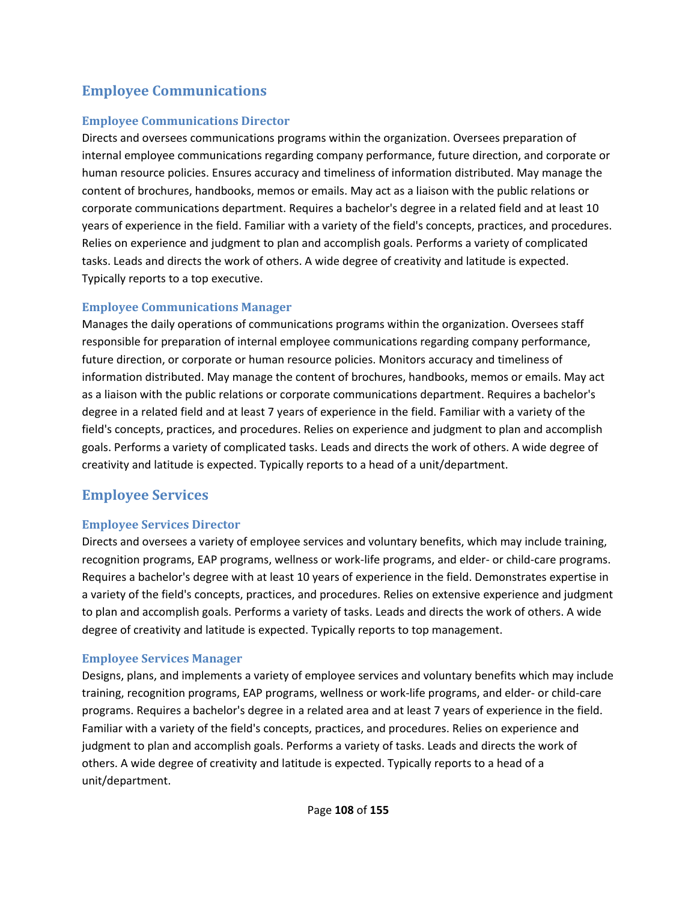# **Employee Communications**

# **Employee Communications Director**

Directs and oversees communications programs within the organization. Oversees preparation of internal employee communications regarding company performance, future direction, and corporate or human resource policies. Ensures accuracy and timeliness of information distributed. May manage the content of brochures, handbooks, memos or emails. May act as a liaison with the public relations or corporate communications department. Requires a bachelor's degree in a related field and at least 10 years of experience in the field. Familiar with a variety of the field's concepts, practices, and procedures. Relies on experience and judgment to plan and accomplish goals. Performs a variety of complicated tasks. Leads and directs the work of others. A wide degree of creativity and latitude is expected. Typically reports to a top executive.

# **Employee Communications Manager**

Manages the daily operations of communications programs within the organization. Oversees staff responsible for preparation of internal employee communications regarding company performance, future direction, or corporate or human resource policies. Monitors accuracy and timeliness of information distributed. May manage the content of brochures, handbooks, memos or emails. May act as a liaison with the public relations or corporate communications department. Requires a bachelor's degree in a related field and at least 7 years of experience in the field. Familiar with a variety of the field's concepts, practices, and procedures. Relies on experience and judgment to plan and accomplish goals. Performs a variety of complicated tasks. Leads and directs the work of others. A wide degree of creativity and latitude is expected. Typically reports to a head of a unit/department.

# **Employee Services**

# **Employee Services Director**

Directs and oversees a variety of employee services and voluntary benefits, which may include training, recognition programs, EAP programs, wellness or work-life programs, and elder- or child-care programs. Requires a bachelor's degree with at least 10 years of experience in the field. Demonstrates expertise in a variety of the field's concepts, practices, and procedures. Relies on extensive experience and judgment to plan and accomplish goals. Performs a variety of tasks. Leads and directs the work of others. A wide degree of creativity and latitude is expected. Typically reports to top management.

# **Employee Services Manager**

Designs, plans, and implements a variety of employee services and voluntary benefits which may include training, recognition programs, EAP programs, wellness or work-life programs, and elder- or child-care programs. Requires a bachelor's degree in a related area and at least 7 years of experience in the field. Familiar with a variety of the field's concepts, practices, and procedures. Relies on experience and judgment to plan and accomplish goals. Performs a variety of tasks. Leads and directs the work of others. A wide degree of creativity and latitude is expected. Typically reports to a head of a unit/department.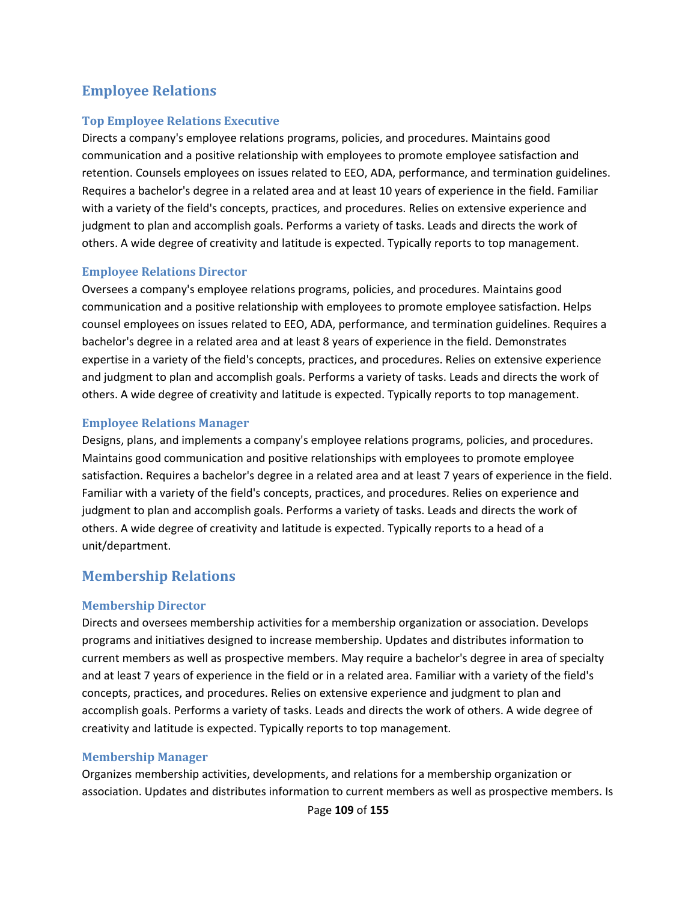# **Employee Relations**

#### **Top Employee Relations Executive**

Directs a company's employee relations programs, policies, and procedures. Maintains good communication and a positive relationship with employees to promote employee satisfaction and retention. Counsels employees on issues related to EEO, ADA, performance, and termination guidelines. Requires a bachelor's degree in a related area and at least 10 years of experience in the field. Familiar with a variety of the field's concepts, practices, and procedures. Relies on extensive experience and judgment to plan and accomplish goals. Performs a variety of tasks. Leads and directs the work of others. A wide degree of creativity and latitude is expected. Typically reports to top management.

#### **Employee Relations Director**

Oversees a company's employee relations programs, policies, and procedures. Maintains good communication and a positive relationship with employees to promote employee satisfaction. Helps counsel employees on issues related to EEO, ADA, performance, and termination guidelines. Requires a bachelor's degree in a related area and at least 8 years of experience in the field. Demonstrates expertise in a variety of the field's concepts, practices, and procedures. Relies on extensive experience and judgment to plan and accomplish goals. Performs a variety of tasks. Leads and directs the work of others. A wide degree of creativity and latitude is expected. Typically reports to top management.

#### **Employee Relations Manager**

Designs, plans, and implements a company's employee relations programs, policies, and procedures. Maintains good communication and positive relationships with employees to promote employee satisfaction. Requires a bachelor's degree in a related area and at least 7 years of experience in the field. Familiar with a variety of the field's concepts, practices, and procedures. Relies on experience and judgment to plan and accomplish goals. Performs a variety of tasks. Leads and directs the work of others. A wide degree of creativity and latitude is expected. Typically reports to a head of a unit/department.

# **Membership Relations**

#### **Membership Director**

Directs and oversees membership activities for a membership organization or association. Develops programs and initiatives designed to increase membership. Updates and distributes information to current members as well as prospective members. May require a bachelor's degree in area of specialty and at least 7 years of experience in the field or in a related area. Familiar with a variety of the field's concepts, practices, and procedures. Relies on extensive experience and judgment to plan and accomplish goals. Performs a variety of tasks. Leads and directs the work of others. A wide degree of creativity and latitude is expected. Typically reports to top management.

### **Membership Manager**

Organizes membership activities, developments, and relations for a membership organization or association. Updates and distributes information to current members as well as prospective members. Is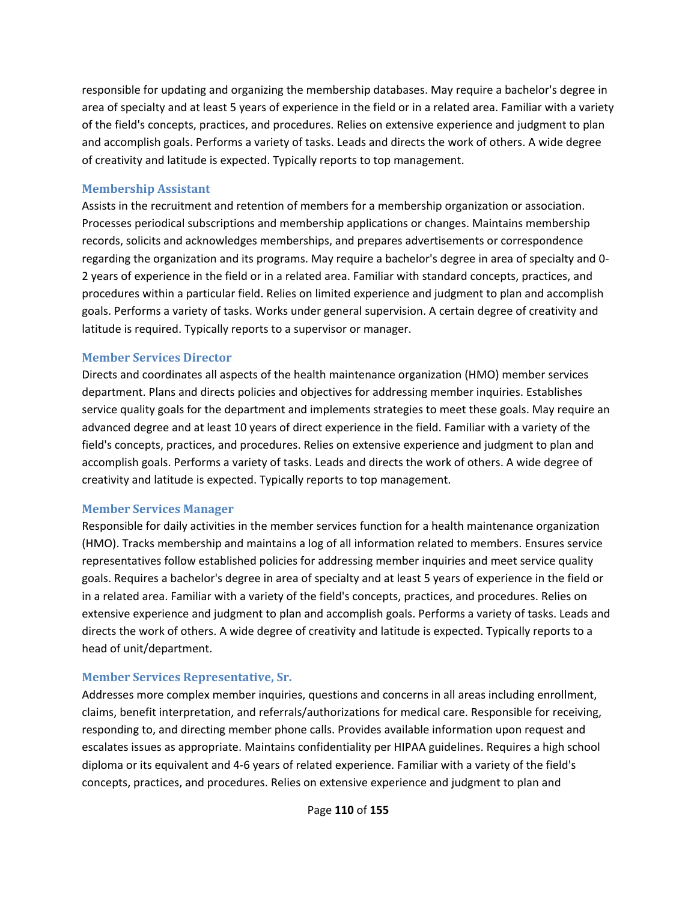responsible for updating and organizing the membership databases. May require a bachelor's degree in area of specialty and at least 5 years of experience in the field or in a related area. Familiar with a variety of the field's concepts, practices, and procedures. Relies on extensive experience and judgment to plan and accomplish goals. Performs a variety of tasks. Leads and directs the work of others. A wide degree of creativity and latitude is expected. Typically reports to top management.

### **Membership Assistant**

Assists in the recruitment and retention of members for a membership organization or association. Processes periodical subscriptions and membership applications or changes. Maintains membership records, solicits and acknowledges memberships, and prepares advertisements or correspondence regarding the organization and its programs. May require a bachelor's degree in area of specialty and 0- 2 years of experience in the field or in a related area. Familiar with standard concepts, practices, and procedures within a particular field. Relies on limited experience and judgment to plan and accomplish goals. Performs a variety of tasks. Works under general supervision. A certain degree of creativity and latitude is required. Typically reports to a supervisor or manager.

### **Member Services Director**

Directs and coordinates all aspects of the health maintenance organization (HMO) member services department. Plans and directs policies and objectives for addressing member inquiries. Establishes service quality goals for the department and implements strategies to meet these goals. May require an advanced degree and at least 10 years of direct experience in the field. Familiar with a variety of the field's concepts, practices, and procedures. Relies on extensive experience and judgment to plan and accomplish goals. Performs a variety of tasks. Leads and directs the work of others. A wide degree of creativity and latitude is expected. Typically reports to top management.

### **Member Services Manager**

Responsible for daily activities in the member services function for a health maintenance organization (HMO). Tracks membership and maintains a log of all information related to members. Ensures service representatives follow established policies for addressing member inquiries and meet service quality goals. Requires a bachelor's degree in area of specialty and at least 5 years of experience in the field or in a related area. Familiar with a variety of the field's concepts, practices, and procedures. Relies on extensive experience and judgment to plan and accomplish goals. Performs a variety of tasks. Leads and directs the work of others. A wide degree of creativity and latitude is expected. Typically reports to a head of unit/department.

# **Member Services Representative, Sr.**

Addresses more complex member inquiries, questions and concerns in all areas including enrollment, claims, benefit interpretation, and referrals/authorizations for medical care. Responsible for receiving, responding to, and directing member phone calls. Provides available information upon request and escalates issues as appropriate. Maintains confidentiality per HIPAA guidelines. Requires a high school diploma or its equivalent and 4-6 years of related experience. Familiar with a variety of the field's concepts, practices, and procedures. Relies on extensive experience and judgment to plan and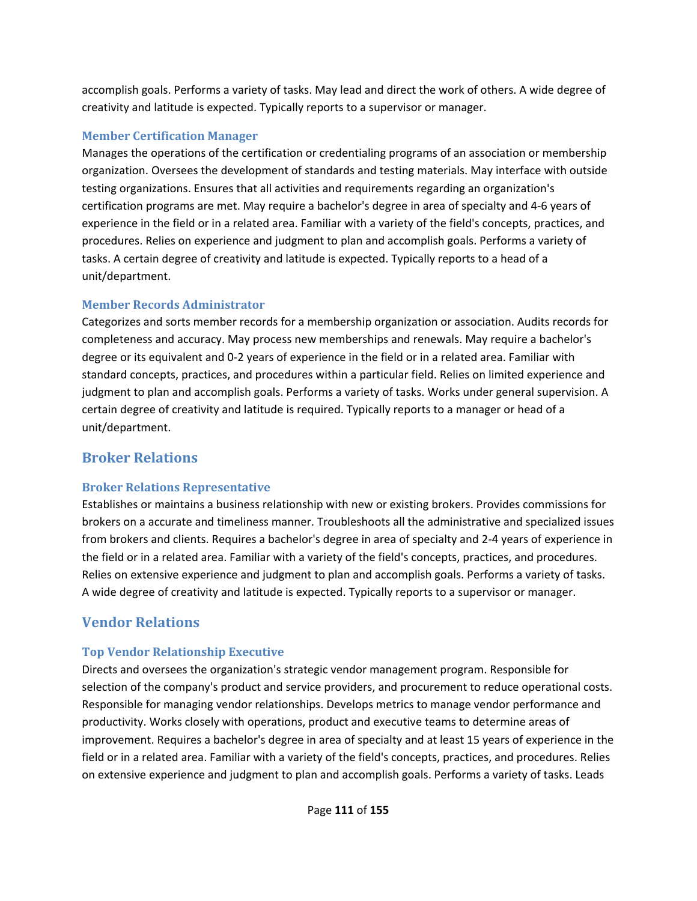accomplish goals. Performs a variety of tasks. May lead and direct the work of others. A wide degree of creativity and latitude is expected. Typically reports to a supervisor or manager.

### **Member Certification Manager**

Manages the operations of the certification or credentialing programs of an association or membership organization. Oversees the development of standards and testing materials. May interface with outside testing organizations. Ensures that all activities and requirements regarding an organization's certification programs are met. May require a bachelor's degree in area of specialty and 4-6 years of experience in the field or in a related area. Familiar with a variety of the field's concepts, practices, and procedures. Relies on experience and judgment to plan and accomplish goals. Performs a variety of tasks. A certain degree of creativity and latitude is expected. Typically reports to a head of a unit/department.

# **Member Records Administrator**

Categorizes and sorts member records for a membership organization or association. Audits records for completeness and accuracy. May process new memberships and renewals. May require a bachelor's degree or its equivalent and 0-2 years of experience in the field or in a related area. Familiar with standard concepts, practices, and procedures within a particular field. Relies on limited experience and judgment to plan and accomplish goals. Performs a variety of tasks. Works under general supervision. A certain degree of creativity and latitude is required. Typically reports to a manager or head of a unit/department.

# **Broker Relations**

# **Broker Relations Representative**

Establishes or maintains a business relationship with new or existing brokers. Provides commissions for brokers on a accurate and timeliness manner. Troubleshoots all the administrative and specialized issues from brokers and clients. Requires a bachelor's degree in area of specialty and 2-4 years of experience in the field or in a related area. Familiar with a variety of the field's concepts, practices, and procedures. Relies on extensive experience and judgment to plan and accomplish goals. Performs a variety of tasks. A wide degree of creativity and latitude is expected. Typically reports to a supervisor or manager.

# **Vendor Relations**

# **Top Vendor Relationship Executive**

Directs and oversees the organization's strategic vendor management program. Responsible for selection of the company's product and service providers, and procurement to reduce operational costs. Responsible for managing vendor relationships. Develops metrics to manage vendor performance and productivity. Works closely with operations, product and executive teams to determine areas of improvement. Requires a bachelor's degree in area of specialty and at least 15 years of experience in the field or in a related area. Familiar with a variety of the field's concepts, practices, and procedures. Relies on extensive experience and judgment to plan and accomplish goals. Performs a variety of tasks. Leads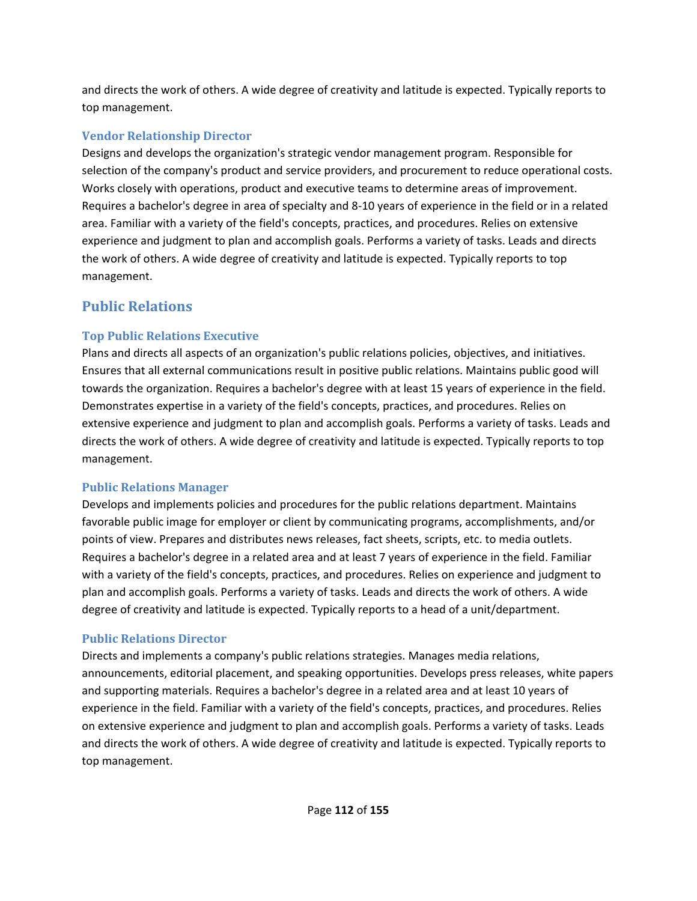and directs the work of others. A wide degree of creativity and latitude is expected. Typically reports to top management.

### **Vendor Relationship Director**

Designs and develops the organization's strategic vendor management program. Responsible for selection of the company's product and service providers, and procurement to reduce operational costs. Works closely with operations, product and executive teams to determine areas of improvement. Requires a bachelor's degree in area of specialty and 8-10 years of experience in the field or in a related area. Familiar with a variety of the field's concepts, practices, and procedures. Relies on extensive experience and judgment to plan and accomplish goals. Performs a variety of tasks. Leads and directs the work of others. A wide degree of creativity and latitude is expected. Typically reports to top management.

# **Public Relations**

# **Top Public Relations Executive**

Plans and directs all aspects of an organization's public relations policies, objectives, and initiatives. Ensures that all external communications result in positive public relations. Maintains public good will towards the organization. Requires a bachelor's degree with at least 15 years of experience in the field. Demonstrates expertise in a variety of the field's concepts, practices, and procedures. Relies on extensive experience and judgment to plan and accomplish goals. Performs a variety of tasks. Leads and directs the work of others. A wide degree of creativity and latitude is expected. Typically reports to top management.

# **Public Relations Manager**

Develops and implements policies and procedures for the public relations department. Maintains favorable public image for employer or client by communicating programs, accomplishments, and/or points of view. Prepares and distributes news releases, fact sheets, scripts, etc. to media outlets. Requires a bachelor's degree in a related area and at least 7 years of experience in the field. Familiar with a variety of the field's concepts, practices, and procedures. Relies on experience and judgment to plan and accomplish goals. Performs a variety of tasks. Leads and directs the work of others. A wide degree of creativity and latitude is expected. Typically reports to a head of a unit/department.

# **Public Relations Director**

Directs and implements a company's public relations strategies. Manages media relations, announcements, editorial placement, and speaking opportunities. Develops press releases, white papers and supporting materials. Requires a bachelor's degree in a related area and at least 10 years of experience in the field. Familiar with a variety of the field's concepts, practices, and procedures. Relies on extensive experience and judgment to plan and accomplish goals. Performs a variety of tasks. Leads and directs the work of others. A wide degree of creativity and latitude is expected. Typically reports to top management.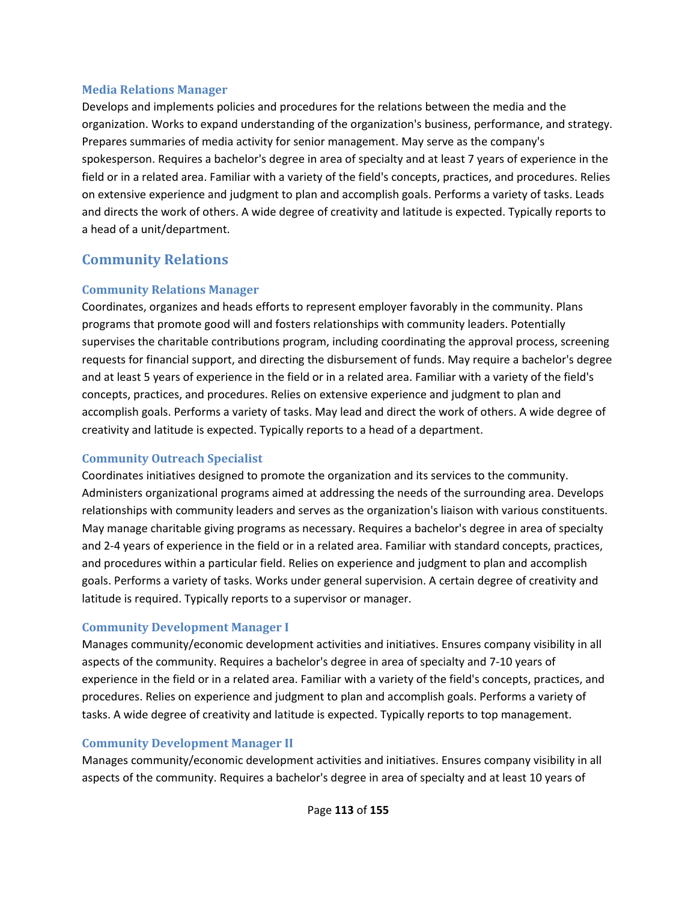#### **Media Relations Manager**

Develops and implements policies and procedures for the relations between the media and the organization. Works to expand understanding of the organization's business, performance, and strategy. Prepares summaries of media activity for senior management. May serve as the company's spokesperson. Requires a bachelor's degree in area of specialty and at least 7 years of experience in the field or in a related area. Familiar with a variety of the field's concepts, practices, and procedures. Relies on extensive experience and judgment to plan and accomplish goals. Performs a variety of tasks. Leads and directs the work of others. A wide degree of creativity and latitude is expected. Typically reports to a head of a unit/department.

# **Community Relations**

### **Community Relations Manager**

Coordinates, organizes and heads efforts to represent employer favorably in the community. Plans programs that promote good will and fosters relationships with community leaders. Potentially supervises the charitable contributions program, including coordinating the approval process, screening requests for financial support, and directing the disbursement of funds. May require a bachelor's degree and at least 5 years of experience in the field or in a related area. Familiar with a variety of the field's concepts, practices, and procedures. Relies on extensive experience and judgment to plan and accomplish goals. Performs a variety of tasks. May lead and direct the work of others. A wide degree of creativity and latitude is expected. Typically reports to a head of a department.

### **Community Outreach Specialist**

Coordinates initiatives designed to promote the organization and its services to the community. Administers organizational programs aimed at addressing the needs of the surrounding area. Develops relationships with community leaders and serves as the organization's liaison with various constituents. May manage charitable giving programs as necessary. Requires a bachelor's degree in area of specialty and 2-4 years of experience in the field or in a related area. Familiar with standard concepts, practices, and procedures within a particular field. Relies on experience and judgment to plan and accomplish goals. Performs a variety of tasks. Works under general supervision. A certain degree of creativity and latitude is required. Typically reports to a supervisor or manager.

### **Community Development Manager I**

Manages community/economic development activities and initiatives. Ensures company visibility in all aspects of the community. Requires a bachelor's degree in area of specialty and 7-10 years of experience in the field or in a related area. Familiar with a variety of the field's concepts, practices, and procedures. Relies on experience and judgment to plan and accomplish goals. Performs a variety of tasks. A wide degree of creativity and latitude is expected. Typically reports to top management.

### **Community Development Manager II**

Manages community/economic development activities and initiatives. Ensures company visibility in all aspects of the community. Requires a bachelor's degree in area of specialty and at least 10 years of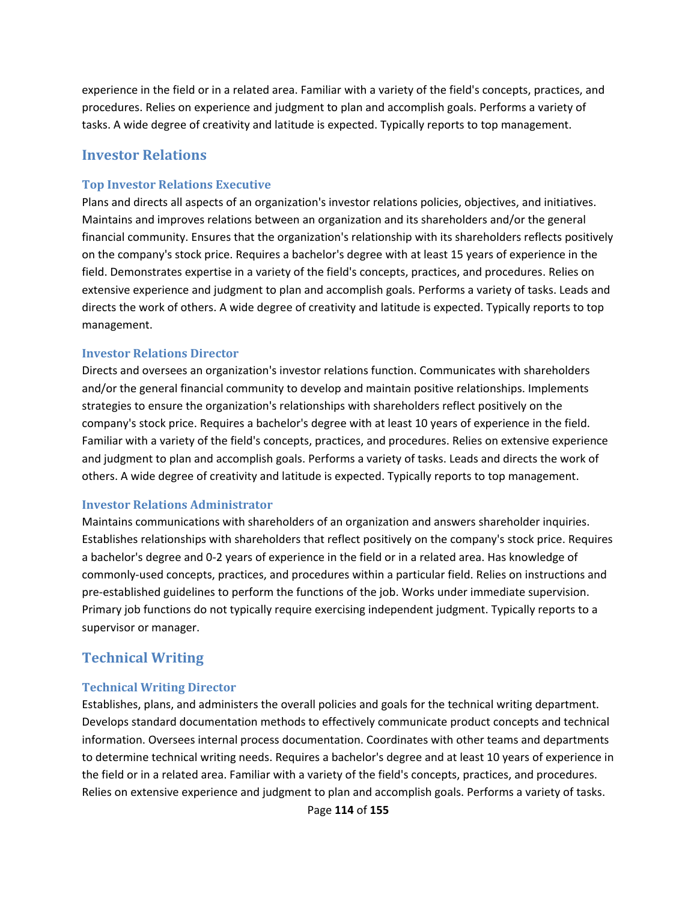experience in the field or in a related area. Familiar with a variety of the field's concepts, practices, and procedures. Relies on experience and judgment to plan and accomplish goals. Performs a variety of tasks. A wide degree of creativity and latitude is expected. Typically reports to top management.

### **Investor Relations**

#### **Top Investor Relations Executive**

Plans and directs all aspects of an organization's investor relations policies, objectives, and initiatives. Maintains and improves relations between an organization and its shareholders and/or the general financial community. Ensures that the organization's relationship with its shareholders reflects positively on the company's stock price. Requires a bachelor's degree with at least 15 years of experience in the field. Demonstrates expertise in a variety of the field's concepts, practices, and procedures. Relies on extensive experience and judgment to plan and accomplish goals. Performs a variety of tasks. Leads and directs the work of others. A wide degree of creativity and latitude is expected. Typically reports to top management.

#### **Investor Relations Director**

Directs and oversees an organization's investor relations function. Communicates with shareholders and/or the general financial community to develop and maintain positive relationships. Implements strategies to ensure the organization's relationships with shareholders reflect positively on the company's stock price. Requires a bachelor's degree with at least 10 years of experience in the field. Familiar with a variety of the field's concepts, practices, and procedures. Relies on extensive experience and judgment to plan and accomplish goals. Performs a variety of tasks. Leads and directs the work of others. A wide degree of creativity and latitude is expected. Typically reports to top management.

#### **Investor Relations Administrator**

Maintains communications with shareholders of an organization and answers shareholder inquiries. Establishes relationships with shareholders that reflect positively on the company's stock price. Requires a bachelor's degree and 0-2 years of experience in the field or in a related area. Has knowledge of commonly-used concepts, practices, and procedures within a particular field. Relies on instructions and pre-established guidelines to perform the functions of the job. Works under immediate supervision. Primary job functions do not typically require exercising independent judgment. Typically reports to a supervisor or manager.

# **Technical Writing**

#### **Technical Writing Director**

Establishes, plans, and administers the overall policies and goals for the technical writing department. Develops standard documentation methods to effectively communicate product concepts and technical information. Oversees internal process documentation. Coordinates with other teams and departments to determine technical writing needs. Requires a bachelor's degree and at least 10 years of experience in the field or in a related area. Familiar with a variety of the field's concepts, practices, and procedures. Relies on extensive experience and judgment to plan and accomplish goals. Performs a variety of tasks.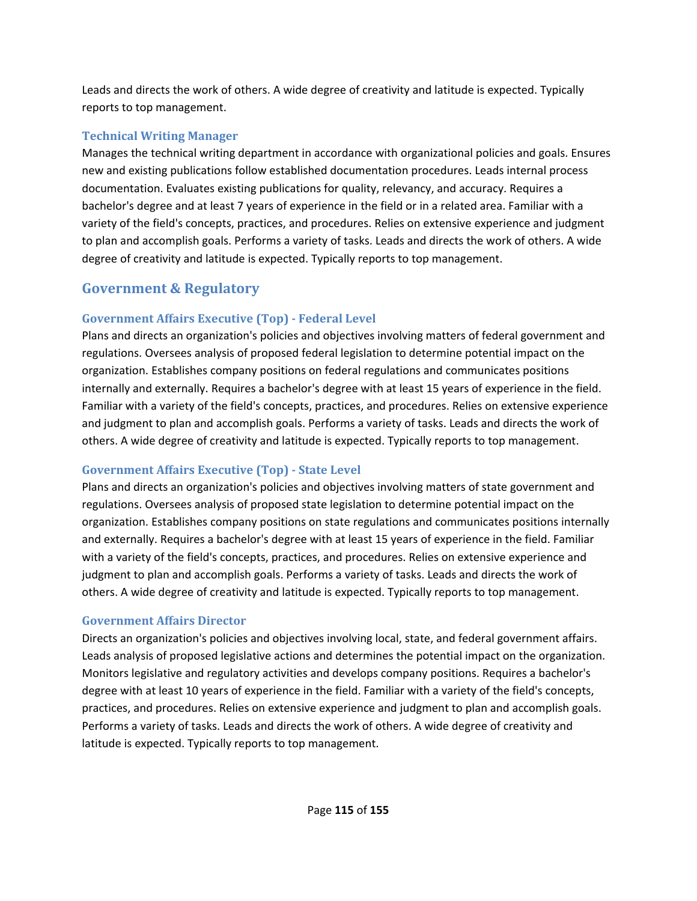Leads and directs the work of others. A wide degree of creativity and latitude is expected. Typically reports to top management.

### **Technical Writing Manager**

Manages the technical writing department in accordance with organizational policies and goals. Ensures new and existing publications follow established documentation procedures. Leads internal process documentation. Evaluates existing publications for quality, relevancy, and accuracy. Requires a bachelor's degree and at least 7 years of experience in the field or in a related area. Familiar with a variety of the field's concepts, practices, and procedures. Relies on extensive experience and judgment to plan and accomplish goals. Performs a variety of tasks. Leads and directs the work of others. A wide degree of creativity and latitude is expected. Typically reports to top management.

# **Government & Regulatory**

# **Government Affairs Executive (Top) - Federal Level**

Plans and directs an organization's policies and objectives involving matters of federal government and regulations. Oversees analysis of proposed federal legislation to determine potential impact on the organization. Establishes company positions on federal regulations and communicates positions internally and externally. Requires a bachelor's degree with at least 15 years of experience in the field. Familiar with a variety of the field's concepts, practices, and procedures. Relies on extensive experience and judgment to plan and accomplish goals. Performs a variety of tasks. Leads and directs the work of others. A wide degree of creativity and latitude is expected. Typically reports to top management.

# **Government Affairs Executive (Top) - State Level**

Plans and directs an organization's policies and objectives involving matters of state government and regulations. Oversees analysis of proposed state legislation to determine potential impact on the organization. Establishes company positions on state regulations and communicates positions internally and externally. Requires a bachelor's degree with at least 15 years of experience in the field. Familiar with a variety of the field's concepts, practices, and procedures. Relies on extensive experience and judgment to plan and accomplish goals. Performs a variety of tasks. Leads and directs the work of others. A wide degree of creativity and latitude is expected. Typically reports to top management.

### **Government Affairs Director**

Directs an organization's policies and objectives involving local, state, and federal government affairs. Leads analysis of proposed legislative actions and determines the potential impact on the organization. Monitors legislative and regulatory activities and develops company positions. Requires a bachelor's degree with at least 10 years of experience in the field. Familiar with a variety of the field's concepts, practices, and procedures. Relies on extensive experience and judgment to plan and accomplish goals. Performs a variety of tasks. Leads and directs the work of others. A wide degree of creativity and latitude is expected. Typically reports to top management.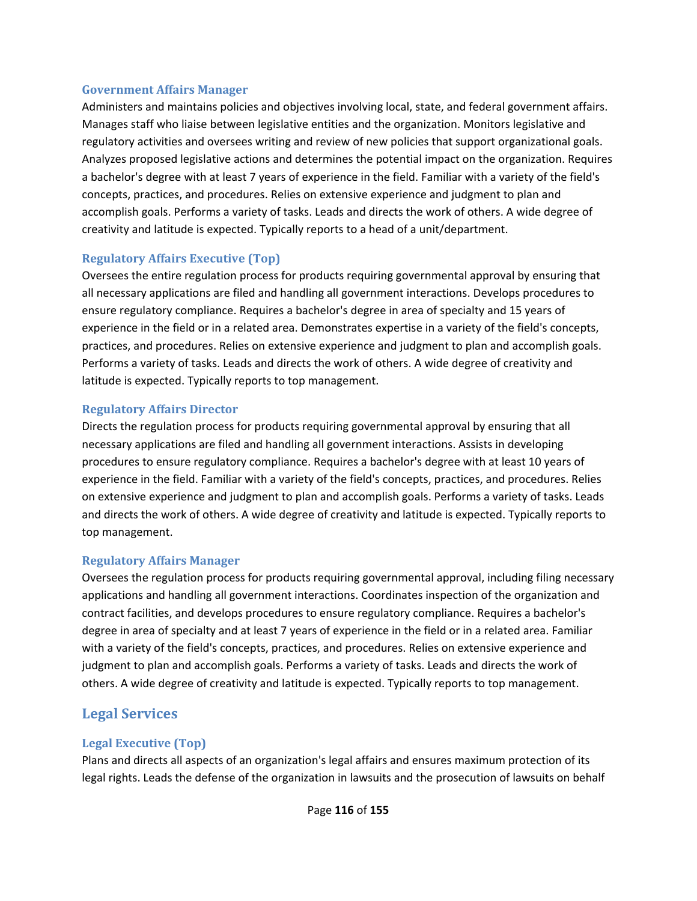#### **Government Affairs Manager**

Administers and maintains policies and objectives involving local, state, and federal government affairs. Manages staff who liaise between legislative entities and the organization. Monitors legislative and regulatory activities and oversees writing and review of new policies that support organizational goals. Analyzes proposed legislative actions and determines the potential impact on the organization. Requires a bachelor's degree with at least 7 years of experience in the field. Familiar with a variety of the field's concepts, practices, and procedures. Relies on extensive experience and judgment to plan and accomplish goals. Performs a variety of tasks. Leads and directs the work of others. A wide degree of creativity and latitude is expected. Typically reports to a head of a unit/department.

### **Regulatory Affairs Executive (Top)**

Oversees the entire regulation process for products requiring governmental approval by ensuring that all necessary applications are filed and handling all government interactions. Develops procedures to ensure regulatory compliance. Requires a bachelor's degree in area of specialty and 15 years of experience in the field or in a related area. Demonstrates expertise in a variety of the field's concepts, practices, and procedures. Relies on extensive experience and judgment to plan and accomplish goals. Performs a variety of tasks. Leads and directs the work of others. A wide degree of creativity and latitude is expected. Typically reports to top management.

### **Regulatory Affairs Director**

Directs the regulation process for products requiring governmental approval by ensuring that all necessary applications are filed and handling all government interactions. Assists in developing procedures to ensure regulatory compliance. Requires a bachelor's degree with at least 10 years of experience in the field. Familiar with a variety of the field's concepts, practices, and procedures. Relies on extensive experience and judgment to plan and accomplish goals. Performs a variety of tasks. Leads and directs the work of others. A wide degree of creativity and latitude is expected. Typically reports to top management.

### **Regulatory Affairs Manager**

Oversees the regulation process for products requiring governmental approval, including filing necessary applications and handling all government interactions. Coordinates inspection of the organization and contract facilities, and develops procedures to ensure regulatory compliance. Requires a bachelor's degree in area of specialty and at least 7 years of experience in the field or in a related area. Familiar with a variety of the field's concepts, practices, and procedures. Relies on extensive experience and judgment to plan and accomplish goals. Performs a variety of tasks. Leads and directs the work of others. A wide degree of creativity and latitude is expected. Typically reports to top management.

# **Legal Services**

# **Legal Executive (Top)**

Plans and directs all aspects of an organization's legal affairs and ensures maximum protection of its legal rights. Leads the defense of the organization in lawsuits and the prosecution of lawsuits on behalf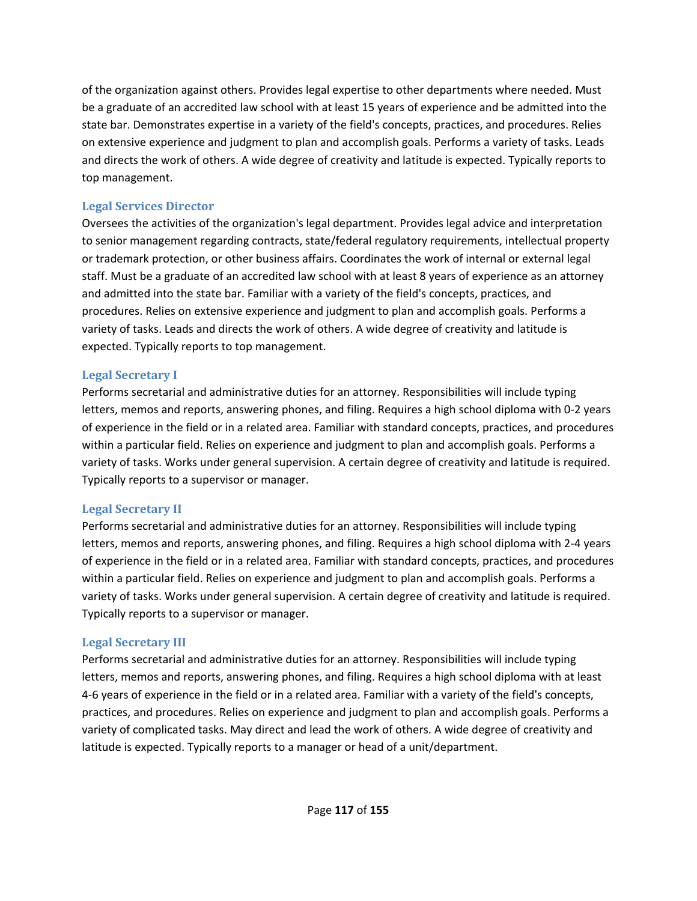of the organization against others. Provides legal expertise to other departments where needed. Must be a graduate of an accredited law school with at least 15 years of experience and be admitted into the state bar. Demonstrates expertise in a variety of the field's concepts, practices, and procedures. Relies on extensive experience and judgment to plan and accomplish goals. Performs a variety of tasks. Leads and directs the work of others. A wide degree of creativity and latitude is expected. Typically reports to top management.

### **Legal Services Director**

Oversees the activities of the organization's legal department. Provides legal advice and interpretation to senior management regarding contracts, state/federal regulatory requirements, intellectual property or trademark protection, or other business affairs. Coordinates the work of internal or external legal staff. Must be a graduate of an accredited law school with at least 8 years of experience as an attorney and admitted into the state bar. Familiar with a variety of the field's concepts, practices, and procedures. Relies on extensive experience and judgment to plan and accomplish goals. Performs a variety of tasks. Leads and directs the work of others. A wide degree of creativity and latitude is expected. Typically reports to top management.

### **Legal Secretary I**

Performs secretarial and administrative duties for an attorney. Responsibilities will include typing letters, memos and reports, answering phones, and filing. Requires a high school diploma with 0-2 years of experience in the field or in a related area. Familiar with standard concepts, practices, and procedures within a particular field. Relies on experience and judgment to plan and accomplish goals. Performs a variety of tasks. Works under general supervision. A certain degree of creativity and latitude is required. Typically reports to a supervisor or manager.

### **Legal Secretary II**

Performs secretarial and administrative duties for an attorney. Responsibilities will include typing letters, memos and reports, answering phones, and filing. Requires a high school diploma with 2-4 years of experience in the field or in a related area. Familiar with standard concepts, practices, and procedures within a particular field. Relies on experience and judgment to plan and accomplish goals. Performs a variety of tasks. Works under general supervision. A certain degree of creativity and latitude is required. Typically reports to a supervisor or manager.

# **Legal Secretary III**

Performs secretarial and administrative duties for an attorney. Responsibilities will include typing letters, memos and reports, answering phones, and filing. Requires a high school diploma with at least 4-6 years of experience in the field or in a related area. Familiar with a variety of the field's concepts, practices, and procedures. Relies on experience and judgment to plan and accomplish goals. Performs a variety of complicated tasks. May direct and lead the work of others. A wide degree of creativity and latitude is expected. Typically reports to a manager or head of a unit/department.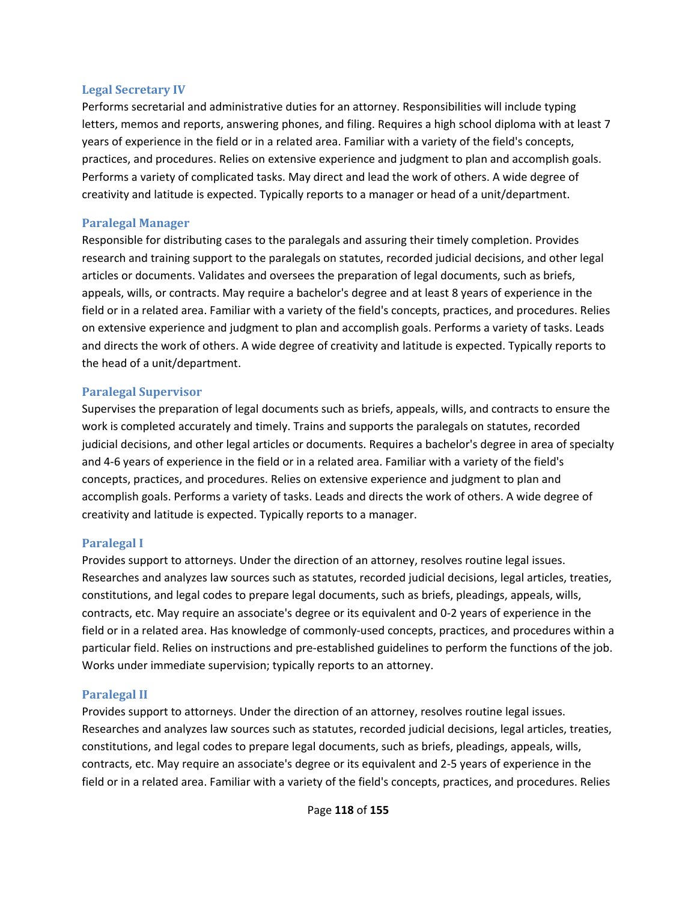#### **Legal Secretary IV**

Performs secretarial and administrative duties for an attorney. Responsibilities will include typing letters, memos and reports, answering phones, and filing. Requires a high school diploma with at least 7 years of experience in the field or in a related area. Familiar with a variety of the field's concepts, practices, and procedures. Relies on extensive experience and judgment to plan and accomplish goals. Performs a variety of complicated tasks. May direct and lead the work of others. A wide degree of creativity and latitude is expected. Typically reports to a manager or head of a unit/department.

#### **Paralegal Manager**

Responsible for distributing cases to the paralegals and assuring their timely completion. Provides research and training support to the paralegals on statutes, recorded judicial decisions, and other legal articles or documents. Validates and oversees the preparation of legal documents, such as briefs, appeals, wills, or contracts. May require a bachelor's degree and at least 8 years of experience in the field or in a related area. Familiar with a variety of the field's concepts, practices, and procedures. Relies on extensive experience and judgment to plan and accomplish goals. Performs a variety of tasks. Leads and directs the work of others. A wide degree of creativity and latitude is expected. Typically reports to the head of a unit/department.

#### **Paralegal Supervisor**

Supervises the preparation of legal documents such as briefs, appeals, wills, and contracts to ensure the work is completed accurately and timely. Trains and supports the paralegals on statutes, recorded judicial decisions, and other legal articles or documents. Requires a bachelor's degree in area of specialty and 4-6 years of experience in the field or in a related area. Familiar with a variety of the field's concepts, practices, and procedures. Relies on extensive experience and judgment to plan and accomplish goals. Performs a variety of tasks. Leads and directs the work of others. A wide degree of creativity and latitude is expected. Typically reports to a manager.

#### **Paralegal I**

Provides support to attorneys. Under the direction of an attorney, resolves routine legal issues. Researches and analyzes law sources such as statutes, recorded judicial decisions, legal articles, treaties, constitutions, and legal codes to prepare legal documents, such as briefs, pleadings, appeals, wills, contracts, etc. May require an associate's degree or its equivalent and 0-2 years of experience in the field or in a related area. Has knowledge of commonly-used concepts, practices, and procedures within a particular field. Relies on instructions and pre-established guidelines to perform the functions of the job. Works under immediate supervision; typically reports to an attorney.

### **Paralegal II**

Provides support to attorneys. Under the direction of an attorney, resolves routine legal issues. Researches and analyzes law sources such as statutes, recorded judicial decisions, legal articles, treaties, constitutions, and legal codes to prepare legal documents, such as briefs, pleadings, appeals, wills, contracts, etc. May require an associate's degree or its equivalent and 2-5 years of experience in the field or in a related area. Familiar with a variety of the field's concepts, practices, and procedures. Relies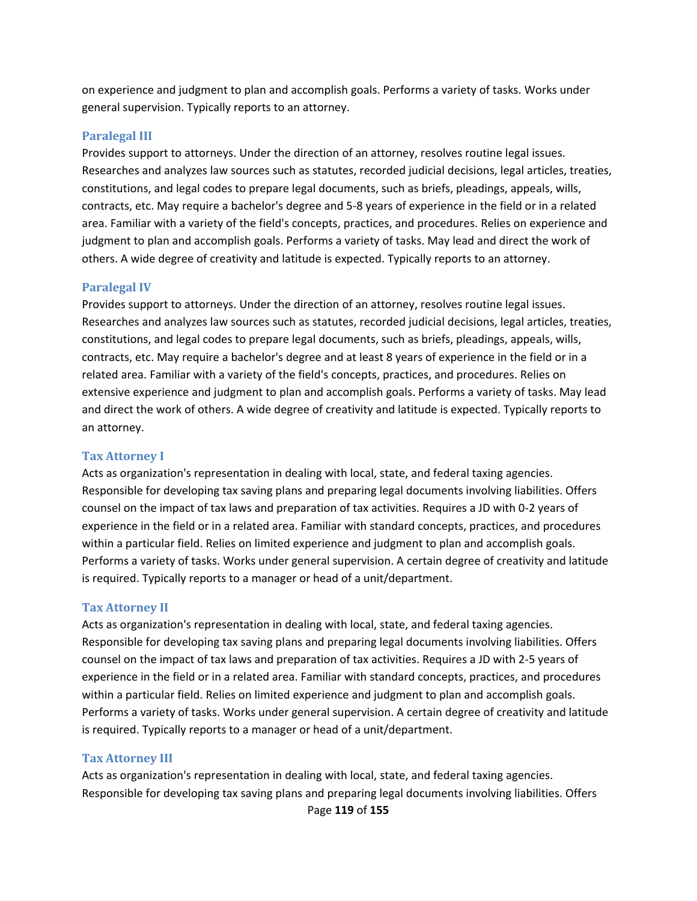on experience and judgment to plan and accomplish goals. Performs a variety of tasks. Works under general supervision. Typically reports to an attorney.

#### **Paralegal III**

Provides support to attorneys. Under the direction of an attorney, resolves routine legal issues. Researches and analyzes law sources such as statutes, recorded judicial decisions, legal articles, treaties, constitutions, and legal codes to prepare legal documents, such as briefs, pleadings, appeals, wills, contracts, etc. May require a bachelor's degree and 5-8 years of experience in the field or in a related area. Familiar with a variety of the field's concepts, practices, and procedures. Relies on experience and judgment to plan and accomplish goals. Performs a variety of tasks. May lead and direct the work of others. A wide degree of creativity and latitude is expected. Typically reports to an attorney.

#### **Paralegal IV**

Provides support to attorneys. Under the direction of an attorney, resolves routine legal issues. Researches and analyzes law sources such as statutes, recorded judicial decisions, legal articles, treaties, constitutions, and legal codes to prepare legal documents, such as briefs, pleadings, appeals, wills, contracts, etc. May require a bachelor's degree and at least 8 years of experience in the field or in a related area. Familiar with a variety of the field's concepts, practices, and procedures. Relies on extensive experience and judgment to plan and accomplish goals. Performs a variety of tasks. May lead and direct the work of others. A wide degree of creativity and latitude is expected. Typically reports to an attorney.

#### **Tax Attorney I**

Acts as organization's representation in dealing with local, state, and federal taxing agencies. Responsible for developing tax saving plans and preparing legal documents involving liabilities. Offers counsel on the impact of tax laws and preparation of tax activities. Requires a JD with 0-2 years of experience in the field or in a related area. Familiar with standard concepts, practices, and procedures within a particular field. Relies on limited experience and judgment to plan and accomplish goals. Performs a variety of tasks. Works under general supervision. A certain degree of creativity and latitude is required. Typically reports to a manager or head of a unit/department.

#### **Tax Attorney II**

Acts as organization's representation in dealing with local, state, and federal taxing agencies. Responsible for developing tax saving plans and preparing legal documents involving liabilities. Offers counsel on the impact of tax laws and preparation of tax activities. Requires a JD with 2-5 years of experience in the field or in a related area. Familiar with standard concepts, practices, and procedures within a particular field. Relies on limited experience and judgment to plan and accomplish goals. Performs a variety of tasks. Works under general supervision. A certain degree of creativity and latitude is required. Typically reports to a manager or head of a unit/department.

#### **Tax Attorney III**

Acts as organization's representation in dealing with local, state, and federal taxing agencies. Responsible for developing tax saving plans and preparing legal documents involving liabilities. Offers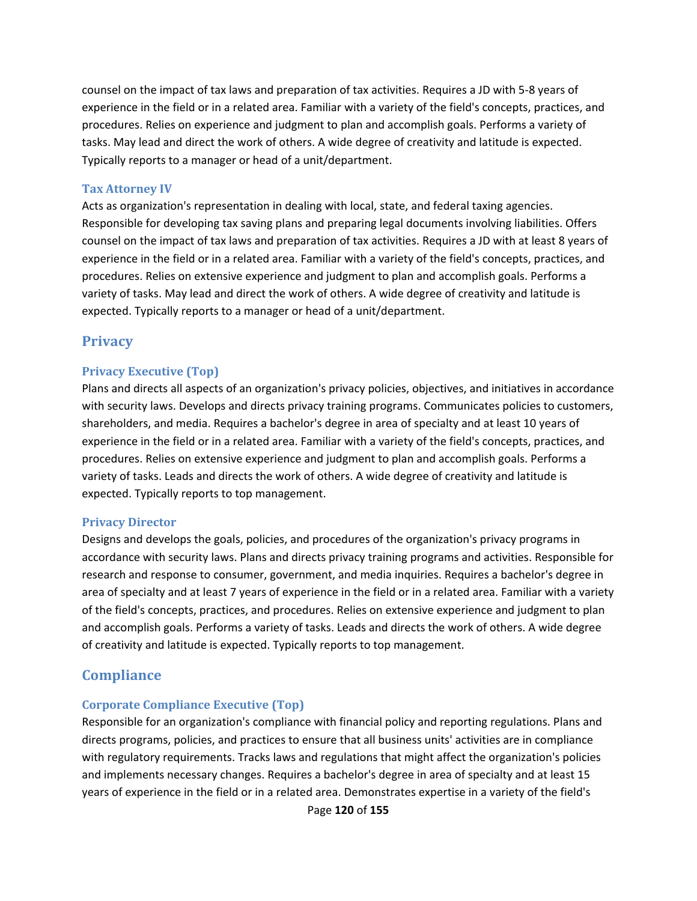counsel on the impact of tax laws and preparation of tax activities. Requires a JD with 5-8 years of experience in the field or in a related area. Familiar with a variety of the field's concepts, practices, and procedures. Relies on experience and judgment to plan and accomplish goals. Performs a variety of tasks. May lead and direct the work of others. A wide degree of creativity and latitude is expected. Typically reports to a manager or head of a unit/department.

#### **Tax Attorney IV**

Acts as organization's representation in dealing with local, state, and federal taxing agencies. Responsible for developing tax saving plans and preparing legal documents involving liabilities. Offers counsel on the impact of tax laws and preparation of tax activities. Requires a JD with at least 8 years of experience in the field or in a related area. Familiar with a variety of the field's concepts, practices, and procedures. Relies on extensive experience and judgment to plan and accomplish goals. Performs a variety of tasks. May lead and direct the work of others. A wide degree of creativity and latitude is expected. Typically reports to a manager or head of a unit/department.

### **Privacy**

#### **Privacy Executive (Top)**

Plans and directs all aspects of an organization's privacy policies, objectives, and initiatives in accordance with security laws. Develops and directs privacy training programs. Communicates policies to customers, shareholders, and media. Requires a bachelor's degree in area of specialty and at least 10 years of experience in the field or in a related area. Familiar with a variety of the field's concepts, practices, and procedures. Relies on extensive experience and judgment to plan and accomplish goals. Performs a variety of tasks. Leads and directs the work of others. A wide degree of creativity and latitude is expected. Typically reports to top management.

#### **Privacy Director**

Designs and develops the goals, policies, and procedures of the organization's privacy programs in accordance with security laws. Plans and directs privacy training programs and activities. Responsible for research and response to consumer, government, and media inquiries. Requires a bachelor's degree in area of specialty and at least 7 years of experience in the field or in a related area. Familiar with a variety of the field's concepts, practices, and procedures. Relies on extensive experience and judgment to plan and accomplish goals. Performs a variety of tasks. Leads and directs the work of others. A wide degree of creativity and latitude is expected. Typically reports to top management.

### **Compliance**

#### **Corporate Compliance Executive (Top)**

Responsible for an organization's compliance with financial policy and reporting regulations. Plans and directs programs, policies, and practices to ensure that all business units' activities are in compliance with regulatory requirements. Tracks laws and regulations that might affect the organization's policies and implements necessary changes. Requires a bachelor's degree in area of specialty and at least 15 years of experience in the field or in a related area. Demonstrates expertise in a variety of the field's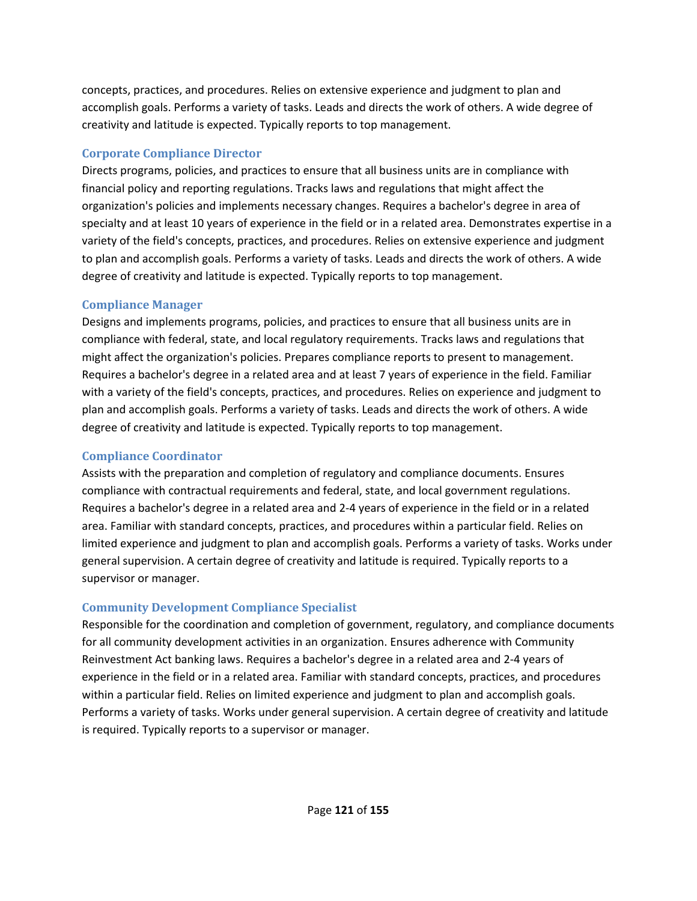concepts, practices, and procedures. Relies on extensive experience and judgment to plan and accomplish goals. Performs a variety of tasks. Leads and directs the work of others. A wide degree of creativity and latitude is expected. Typically reports to top management.

# **Corporate Compliance Director**

Directs programs, policies, and practices to ensure that all business units are in compliance with financial policy and reporting regulations. Tracks laws and regulations that might affect the organization's policies and implements necessary changes. Requires a bachelor's degree in area of specialty and at least 10 years of experience in the field or in a related area. Demonstrates expertise in a variety of the field's concepts, practices, and procedures. Relies on extensive experience and judgment to plan and accomplish goals. Performs a variety of tasks. Leads and directs the work of others. A wide degree of creativity and latitude is expected. Typically reports to top management.

# **Compliance Manager**

Designs and implements programs, policies, and practices to ensure that all business units are in compliance with federal, state, and local regulatory requirements. Tracks laws and regulations that might affect the organization's policies. Prepares compliance reports to present to management. Requires a bachelor's degree in a related area and at least 7 years of experience in the field. Familiar with a variety of the field's concepts, practices, and procedures. Relies on experience and judgment to plan and accomplish goals. Performs a variety of tasks. Leads and directs the work of others. A wide degree of creativity and latitude is expected. Typically reports to top management.

# **Compliance Coordinator**

Assists with the preparation and completion of regulatory and compliance documents. Ensures compliance with contractual requirements and federal, state, and local government regulations. Requires a bachelor's degree in a related area and 2-4 years of experience in the field or in a related area. Familiar with standard concepts, practices, and procedures within a particular field. Relies on limited experience and judgment to plan and accomplish goals. Performs a variety of tasks. Works under general supervision. A certain degree of creativity and latitude is required. Typically reports to a supervisor or manager.

# **Community Development Compliance Specialist**

Responsible for the coordination and completion of government, regulatory, and compliance documents for all community development activities in an organization. Ensures adherence with Community Reinvestment Act banking laws. Requires a bachelor's degree in a related area and 2-4 years of experience in the field or in a related area. Familiar with standard concepts, practices, and procedures within a particular field. Relies on limited experience and judgment to plan and accomplish goals. Performs a variety of tasks. Works under general supervision. A certain degree of creativity and latitude is required. Typically reports to a supervisor or manager.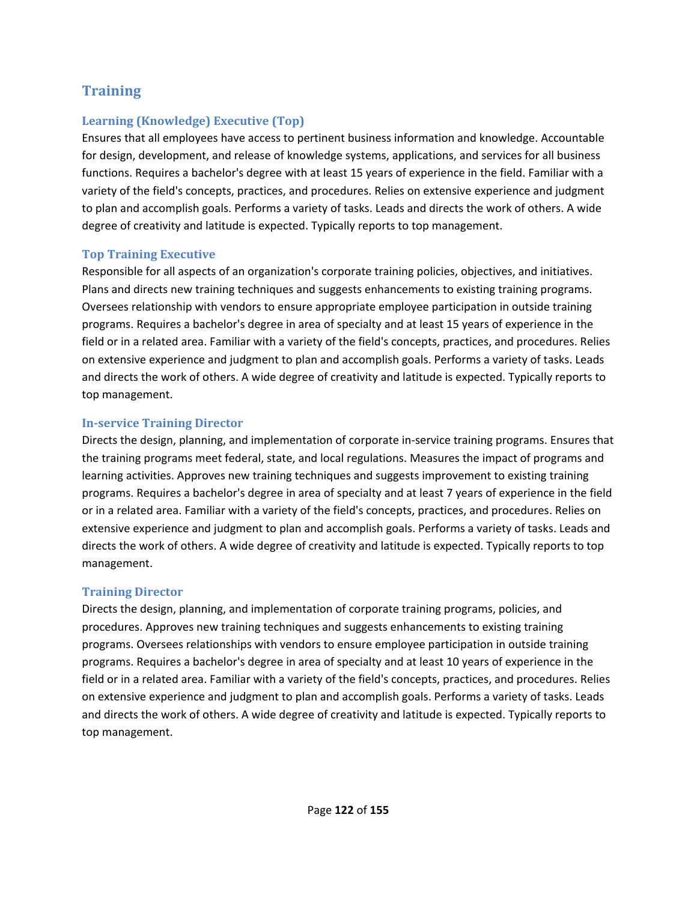# **Training**

# **Learning (Knowledge) Executive (Top)**

Ensures that all employees have access to pertinent business information and knowledge. Accountable for design, development, and release of knowledge systems, applications, and services for all business functions. Requires a bachelor's degree with at least 15 years of experience in the field. Familiar with a variety of the field's concepts, practices, and procedures. Relies on extensive experience and judgment to plan and accomplish goals. Performs a variety of tasks. Leads and directs the work of others. A wide degree of creativity and latitude is expected. Typically reports to top management.

# **Top Training Executive**

Responsible for all aspects of an organization's corporate training policies, objectives, and initiatives. Plans and directs new training techniques and suggests enhancements to existing training programs. Oversees relationship with vendors to ensure appropriate employee participation in outside training programs. Requires a bachelor's degree in area of specialty and at least 15 years of experience in the field or in a related area. Familiar with a variety of the field's concepts, practices, and procedures. Relies on extensive experience and judgment to plan and accomplish goals. Performs a variety of tasks. Leads and directs the work of others. A wide degree of creativity and latitude is expected. Typically reports to top management.

### **In-service Training Director**

Directs the design, planning, and implementation of corporate in-service training programs. Ensures that the training programs meet federal, state, and local regulations. Measures the impact of programs and learning activities. Approves new training techniques and suggests improvement to existing training programs. Requires a bachelor's degree in area of specialty and at least 7 years of experience in the field or in a related area. Familiar with a variety of the field's concepts, practices, and procedures. Relies on extensive experience and judgment to plan and accomplish goals. Performs a variety of tasks. Leads and directs the work of others. A wide degree of creativity and latitude is expected. Typically reports to top management.

# **Training Director**

Directs the design, planning, and implementation of corporate training programs, policies, and procedures. Approves new training techniques and suggests enhancements to existing training programs. Oversees relationships with vendors to ensure employee participation in outside training programs. Requires a bachelor's degree in area of specialty and at least 10 years of experience in the field or in a related area. Familiar with a variety of the field's concepts, practices, and procedures. Relies on extensive experience and judgment to plan and accomplish goals. Performs a variety of tasks. Leads and directs the work of others. A wide degree of creativity and latitude is expected. Typically reports to top management.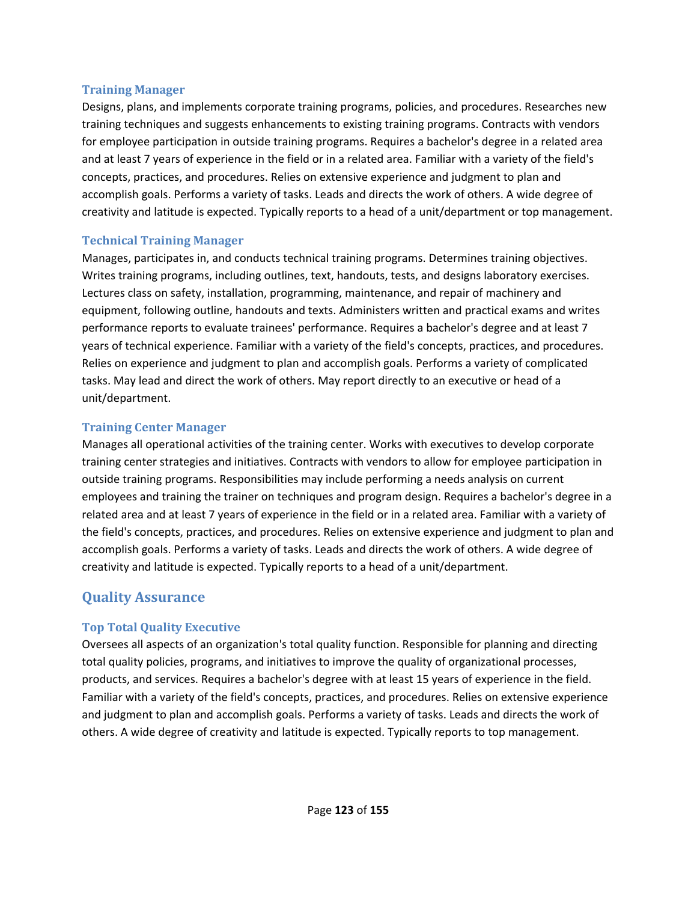#### **Training Manager**

Designs, plans, and implements corporate training programs, policies, and procedures. Researches new training techniques and suggests enhancements to existing training programs. Contracts with vendors for employee participation in outside training programs. Requires a bachelor's degree in a related area and at least 7 years of experience in the field or in a related area. Familiar with a variety of the field's concepts, practices, and procedures. Relies on extensive experience and judgment to plan and accomplish goals. Performs a variety of tasks. Leads and directs the work of others. A wide degree of creativity and latitude is expected. Typically reports to a head of a unit/department or top management.

### **Technical Training Manager**

Manages, participates in, and conducts technical training programs. Determines training objectives. Writes training programs, including outlines, text, handouts, tests, and designs laboratory exercises. Lectures class on safety, installation, programming, maintenance, and repair of machinery and equipment, following outline, handouts and texts. Administers written and practical exams and writes performance reports to evaluate trainees' performance. Requires a bachelor's degree and at least 7 years of technical experience. Familiar with a variety of the field's concepts, practices, and procedures. Relies on experience and judgment to plan and accomplish goals. Performs a variety of complicated tasks. May lead and direct the work of others. May report directly to an executive or head of a unit/department.

# **Training Center Manager**

Manages all operational activities of the training center. Works with executives to develop corporate training center strategies and initiatives. Contracts with vendors to allow for employee participation in outside training programs. Responsibilities may include performing a needs analysis on current employees and training the trainer on techniques and program design. Requires a bachelor's degree in a related area and at least 7 years of experience in the field or in a related area. Familiar with a variety of the field's concepts, practices, and procedures. Relies on extensive experience and judgment to plan and accomplish goals. Performs a variety of tasks. Leads and directs the work of others. A wide degree of creativity and latitude is expected. Typically reports to a head of a unit/department.

# **Quality Assurance**

# **Top Total Quality Executive**

Oversees all aspects of an organization's total quality function. Responsible for planning and directing total quality policies, programs, and initiatives to improve the quality of organizational processes, products, and services. Requires a bachelor's degree with at least 15 years of experience in the field. Familiar with a variety of the field's concepts, practices, and procedures. Relies on extensive experience and judgment to plan and accomplish goals. Performs a variety of tasks. Leads and directs the work of others. A wide degree of creativity and latitude is expected. Typically reports to top management.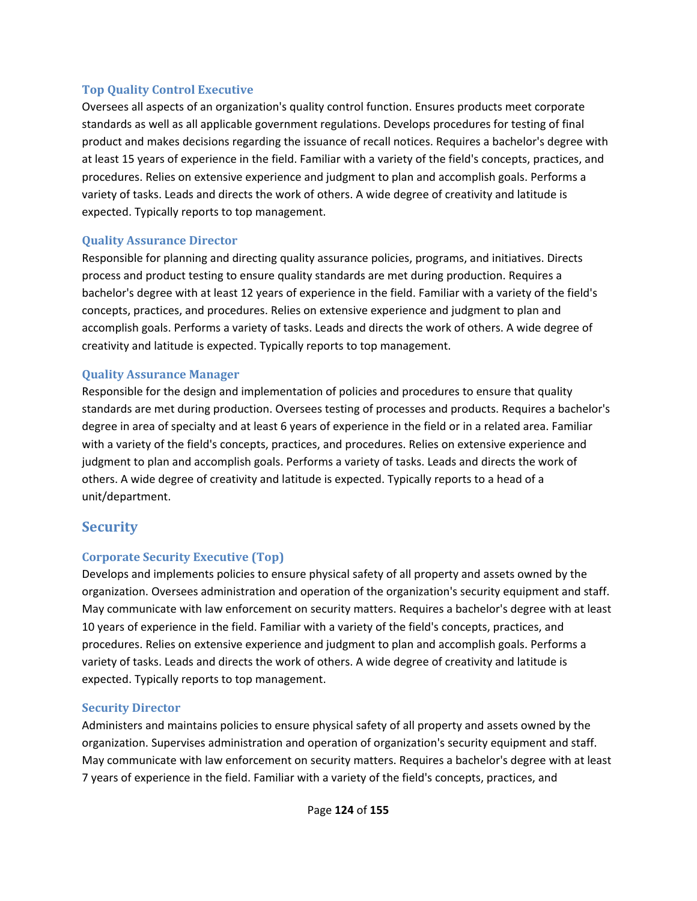### **Top Quality Control Executive**

Oversees all aspects of an organization's quality control function. Ensures products meet corporate standards as well as all applicable government regulations. Develops procedures for testing of final product and makes decisions regarding the issuance of recall notices. Requires a bachelor's degree with at least 15 years of experience in the field. Familiar with a variety of the field's concepts, practices, and procedures. Relies on extensive experience and judgment to plan and accomplish goals. Performs a variety of tasks. Leads and directs the work of others. A wide degree of creativity and latitude is expected. Typically reports to top management.

### **Quality Assurance Director**

Responsible for planning and directing quality assurance policies, programs, and initiatives. Directs process and product testing to ensure quality standards are met during production. Requires a bachelor's degree with at least 12 years of experience in the field. Familiar with a variety of the field's concepts, practices, and procedures. Relies on extensive experience and judgment to plan and accomplish goals. Performs a variety of tasks. Leads and directs the work of others. A wide degree of creativity and latitude is expected. Typically reports to top management.

### **Quality Assurance Manager**

Responsible for the design and implementation of policies and procedures to ensure that quality standards are met during production. Oversees testing of processes and products. Requires a bachelor's degree in area of specialty and at least 6 years of experience in the field or in a related area. Familiar with a variety of the field's concepts, practices, and procedures. Relies on extensive experience and judgment to plan and accomplish goals. Performs a variety of tasks. Leads and directs the work of others. A wide degree of creativity and latitude is expected. Typically reports to a head of a unit/department.

# **Security**

# **Corporate Security Executive (Top)**

Develops and implements policies to ensure physical safety of all property and assets owned by the organization. Oversees administration and operation of the organization's security equipment and staff. May communicate with law enforcement on security matters. Requires a bachelor's degree with at least 10 years of experience in the field. Familiar with a variety of the field's concepts, practices, and procedures. Relies on extensive experience and judgment to plan and accomplish goals. Performs a variety of tasks. Leads and directs the work of others. A wide degree of creativity and latitude is expected. Typically reports to top management.

### **Security Director**

Administers and maintains policies to ensure physical safety of all property and assets owned by the organization. Supervises administration and operation of organization's security equipment and staff. May communicate with law enforcement on security matters. Requires a bachelor's degree with at least 7 years of experience in the field. Familiar with a variety of the field's concepts, practices, and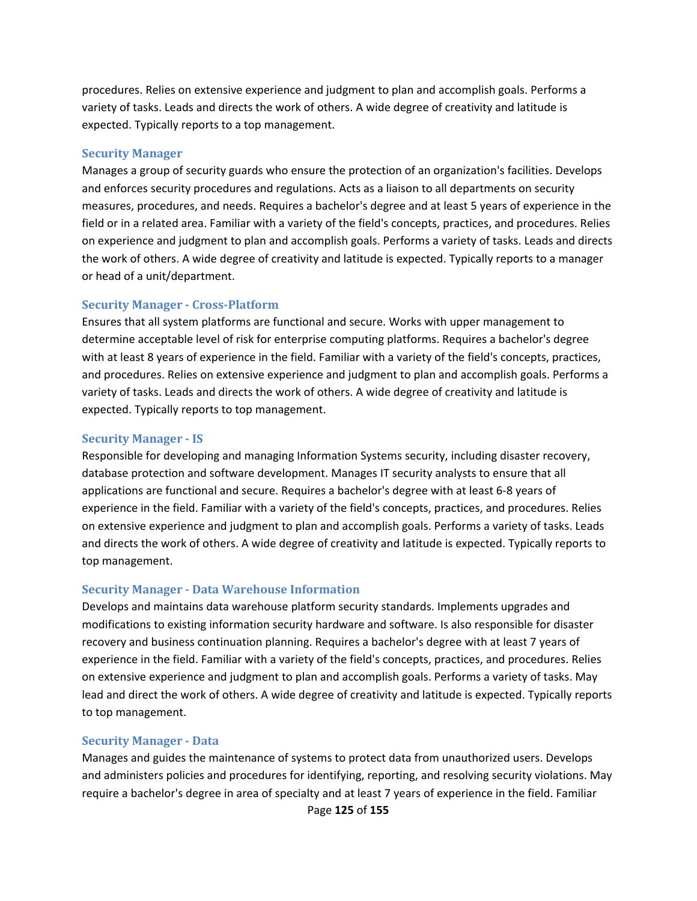procedures. Relies on extensive experience and judgment to plan and accomplish goals. Performs a variety of tasks. Leads and directs the work of others. A wide degree of creativity and latitude is expected. Typically reports to a top management.

#### **Security Manager**

Manages a group of security guards who ensure the protection of an organization's facilities. Develops and enforces security procedures and regulations. Acts as a liaison to all departments on security measures, procedures, and needs. Requires a bachelor's degree and at least 5 years of experience in the field or in a related area. Familiar with a variety of the field's concepts, practices, and procedures. Relies on experience and judgment to plan and accomplish goals. Performs a variety of tasks. Leads and directs the work of others. A wide degree of creativity and latitude is expected. Typically reports to a manager or head of a unit/department.

#### **Security Manager - Cross-Platform**

Ensures that all system platforms are functional and secure. Works with upper management to determine acceptable level of risk for enterprise computing platforms. Requires a bachelor's degree with at least 8 years of experience in the field. Familiar with a variety of the field's concepts, practices, and procedures. Relies on extensive experience and judgment to plan and accomplish goals. Performs a variety of tasks. Leads and directs the work of others. A wide degree of creativity and latitude is expected. Typically reports to top management.

#### **Security Manager - IS**

Responsible for developing and managing Information Systems security, including disaster recovery, database protection and software development. Manages IT security analysts to ensure that all applications are functional and secure. Requires a bachelor's degree with at least 6-8 years of experience in the field. Familiar with a variety of the field's concepts, practices, and procedures. Relies on extensive experience and judgment to plan and accomplish goals. Performs a variety of tasks. Leads and directs the work of others. A wide degree of creativity and latitude is expected. Typically reports to top management.

#### **Security Manager - Data Warehouse Information**

Develops and maintains data warehouse platform security standards. Implements upgrades and modifications to existing information security hardware and software. Is also responsible for disaster recovery and business continuation planning. Requires a bachelor's degree with at least 7 years of experience in the field. Familiar with a variety of the field's concepts, practices, and procedures. Relies on extensive experience and judgment to plan and accomplish goals. Performs a variety of tasks. May lead and direct the work of others. A wide degree of creativity and latitude is expected. Typically reports to top management.

#### **Security Manager - Data**

Manages and guides the maintenance of systems to protect data from unauthorized users. Develops and administers policies and procedures for identifying, reporting, and resolving security violations. May require a bachelor's degree in area of specialty and at least 7 years of experience in the field. Familiar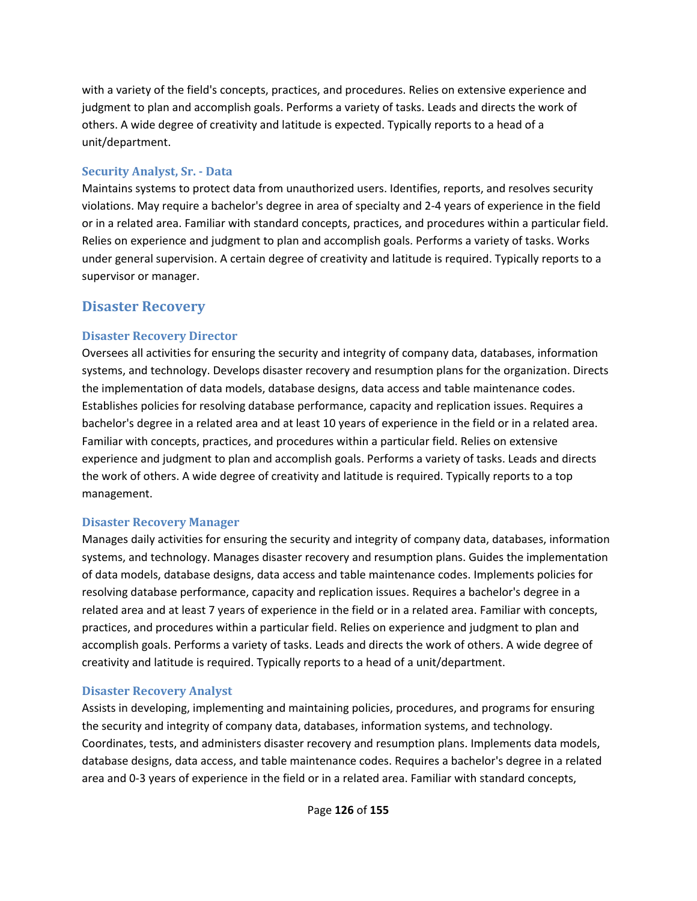with a variety of the field's concepts, practices, and procedures. Relies on extensive experience and judgment to plan and accomplish goals. Performs a variety of tasks. Leads and directs the work of others. A wide degree of creativity and latitude is expected. Typically reports to a head of a unit/department.

### **Security Analyst, Sr. - Data**

Maintains systems to protect data from unauthorized users. Identifies, reports, and resolves security violations. May require a bachelor's degree in area of specialty and 2-4 years of experience in the field or in a related area. Familiar with standard concepts, practices, and procedures within a particular field. Relies on experience and judgment to plan and accomplish goals. Performs a variety of tasks. Works under general supervision. A certain degree of creativity and latitude is required. Typically reports to a supervisor or manager.

# **Disaster Recovery**

### **Disaster Recovery Director**

Oversees all activities for ensuring the security and integrity of company data, databases, information systems, and technology. Develops disaster recovery and resumption plans for the organization. Directs the implementation of data models, database designs, data access and table maintenance codes. Establishes policies for resolving database performance, capacity and replication issues. Requires a bachelor's degree in a related area and at least 10 years of experience in the field or in a related area. Familiar with concepts, practices, and procedures within a particular field. Relies on extensive experience and judgment to plan and accomplish goals. Performs a variety of tasks. Leads and directs the work of others. A wide degree of creativity and latitude is required. Typically reports to a top management.

# **Disaster Recovery Manager**

Manages daily activities for ensuring the security and integrity of company data, databases, information systems, and technology. Manages disaster recovery and resumption plans. Guides the implementation of data models, database designs, data access and table maintenance codes. Implements policies for resolving database performance, capacity and replication issues. Requires a bachelor's degree in a related area and at least 7 years of experience in the field or in a related area. Familiar with concepts, practices, and procedures within a particular field. Relies on experience and judgment to plan and accomplish goals. Performs a variety of tasks. Leads and directs the work of others. A wide degree of creativity and latitude is required. Typically reports to a head of a unit/department.

# **Disaster Recovery Analyst**

Assists in developing, implementing and maintaining policies, procedures, and programs for ensuring the security and integrity of company data, databases, information systems, and technology. Coordinates, tests, and administers disaster recovery and resumption plans. Implements data models, database designs, data access, and table maintenance codes. Requires a bachelor's degree in a related area and 0-3 years of experience in the field or in a related area. Familiar with standard concepts,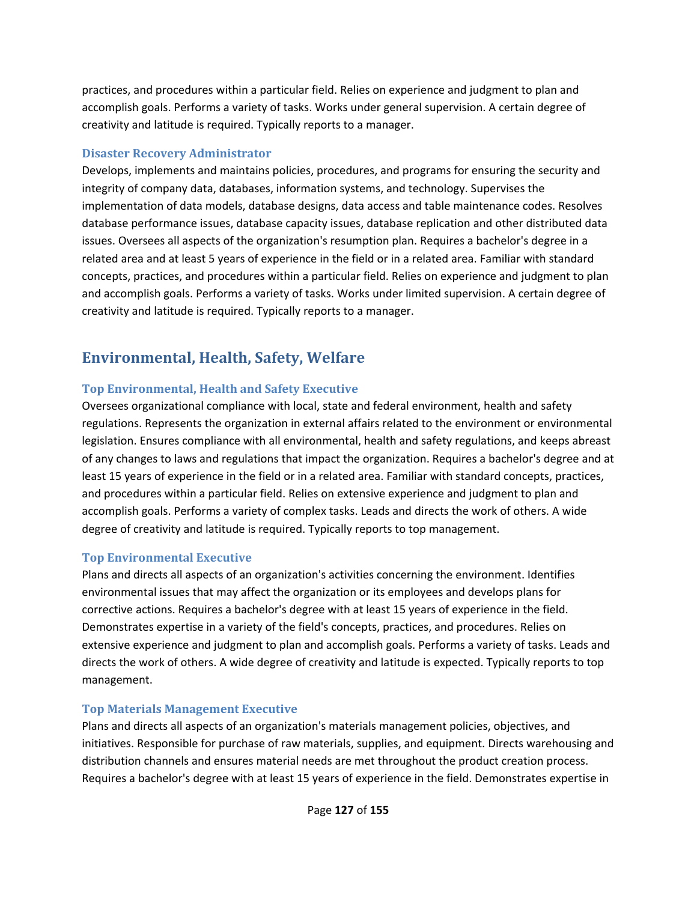practices, and procedures within a particular field. Relies on experience and judgment to plan and accomplish goals. Performs a variety of tasks. Works under general supervision. A certain degree of creativity and latitude is required. Typically reports to a manager.

# **Disaster Recovery Administrator**

Develops, implements and maintains policies, procedures, and programs for ensuring the security and integrity of company data, databases, information systems, and technology. Supervises the implementation of data models, database designs, data access and table maintenance codes. Resolves database performance issues, database capacity issues, database replication and other distributed data issues. Oversees all aspects of the organization's resumption plan. Requires a bachelor's degree in a related area and at least 5 years of experience in the field or in a related area. Familiar with standard concepts, practices, and procedures within a particular field. Relies on experience and judgment to plan and accomplish goals. Performs a variety of tasks. Works under limited supervision. A certain degree of creativity and latitude is required. Typically reports to a manager.

# **Environmental, Health, Safety, Welfare**

# **Top Environmental, Health and Safety Executive**

Oversees organizational compliance with local, state and federal environment, health and safety regulations. Represents the organization in external affairs related to the environment or environmental legislation. Ensures compliance with all environmental, health and safety regulations, and keeps abreast of any changes to laws and regulations that impact the organization. Requires a bachelor's degree and at least 15 years of experience in the field or in a related area. Familiar with standard concepts, practices, and procedures within a particular field. Relies on extensive experience and judgment to plan and accomplish goals. Performs a variety of complex tasks. Leads and directs the work of others. A wide degree of creativity and latitude is required. Typically reports to top management.

# **Top Environmental Executive**

Plans and directs all aspects of an organization's activities concerning the environment. Identifies environmental issues that may affect the organization or its employees and develops plans for corrective actions. Requires a bachelor's degree with at least 15 years of experience in the field. Demonstrates expertise in a variety of the field's concepts, practices, and procedures. Relies on extensive experience and judgment to plan and accomplish goals. Performs a variety of tasks. Leads and directs the work of others. A wide degree of creativity and latitude is expected. Typically reports to top management.

# **Top Materials Management Executive**

Plans and directs all aspects of an organization's materials management policies, objectives, and initiatives. Responsible for purchase of raw materials, supplies, and equipment. Directs warehousing and distribution channels and ensures material needs are met throughout the product creation process. Requires a bachelor's degree with at least 15 years of experience in the field. Demonstrates expertise in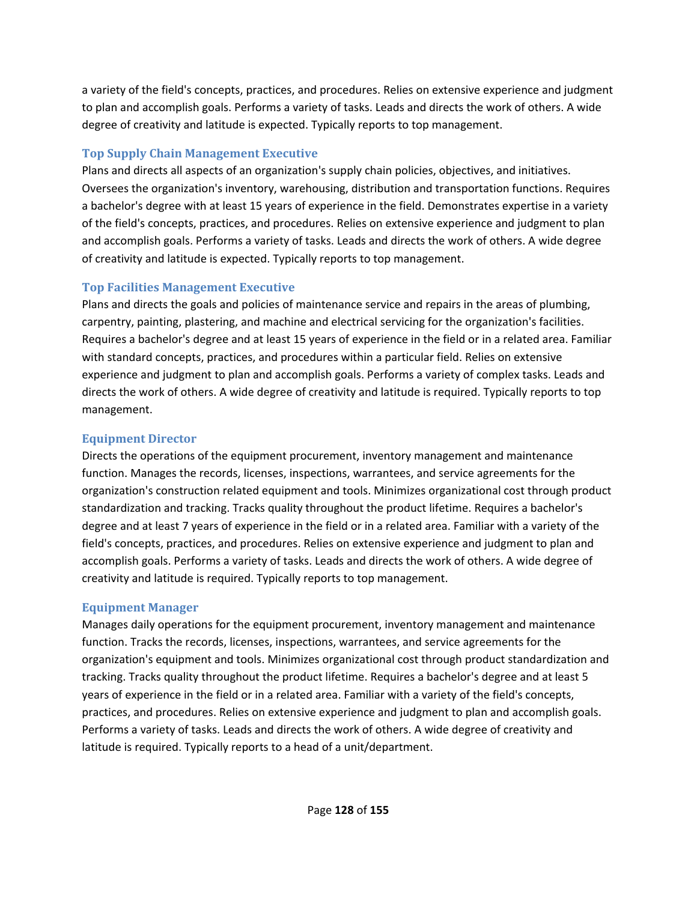a variety of the field's concepts, practices, and procedures. Relies on extensive experience and judgment to plan and accomplish goals. Performs a variety of tasks. Leads and directs the work of others. A wide degree of creativity and latitude is expected. Typically reports to top management.

# **Top Supply Chain Management Executive**

Plans and directs all aspects of an organization's supply chain policies, objectives, and initiatives. Oversees the organization's inventory, warehousing, distribution and transportation functions. Requires a bachelor's degree with at least 15 years of experience in the field. Demonstrates expertise in a variety of the field's concepts, practices, and procedures. Relies on extensive experience and judgment to plan and accomplish goals. Performs a variety of tasks. Leads and directs the work of others. A wide degree of creativity and latitude is expected. Typically reports to top management.

# **Top Facilities Management Executive**

Plans and directs the goals and policies of maintenance service and repairs in the areas of plumbing, carpentry, painting, plastering, and machine and electrical servicing for the organization's facilities. Requires a bachelor's degree and at least 15 years of experience in the field or in a related area. Familiar with standard concepts, practices, and procedures within a particular field. Relies on extensive experience and judgment to plan and accomplish goals. Performs a variety of complex tasks. Leads and directs the work of others. A wide degree of creativity and latitude is required. Typically reports to top management.

# **Equipment Director**

Directs the operations of the equipment procurement, inventory management and maintenance function. Manages the records, licenses, inspections, warrantees, and service agreements for the organization's construction related equipment and tools. Minimizes organizational cost through product standardization and tracking. Tracks quality throughout the product lifetime. Requires a bachelor's degree and at least 7 years of experience in the field or in a related area. Familiar with a variety of the field's concepts, practices, and procedures. Relies on extensive experience and judgment to plan and accomplish goals. Performs a variety of tasks. Leads and directs the work of others. A wide degree of creativity and latitude is required. Typically reports to top management.

# **Equipment Manager**

Manages daily operations for the equipment procurement, inventory management and maintenance function. Tracks the records, licenses, inspections, warrantees, and service agreements for the organization's equipment and tools. Minimizes organizational cost through product standardization and tracking. Tracks quality throughout the product lifetime. Requires a bachelor's degree and at least 5 years of experience in the field or in a related area. Familiar with a variety of the field's concepts, practices, and procedures. Relies on extensive experience and judgment to plan and accomplish goals. Performs a variety of tasks. Leads and directs the work of others. A wide degree of creativity and latitude is required. Typically reports to a head of a unit/department.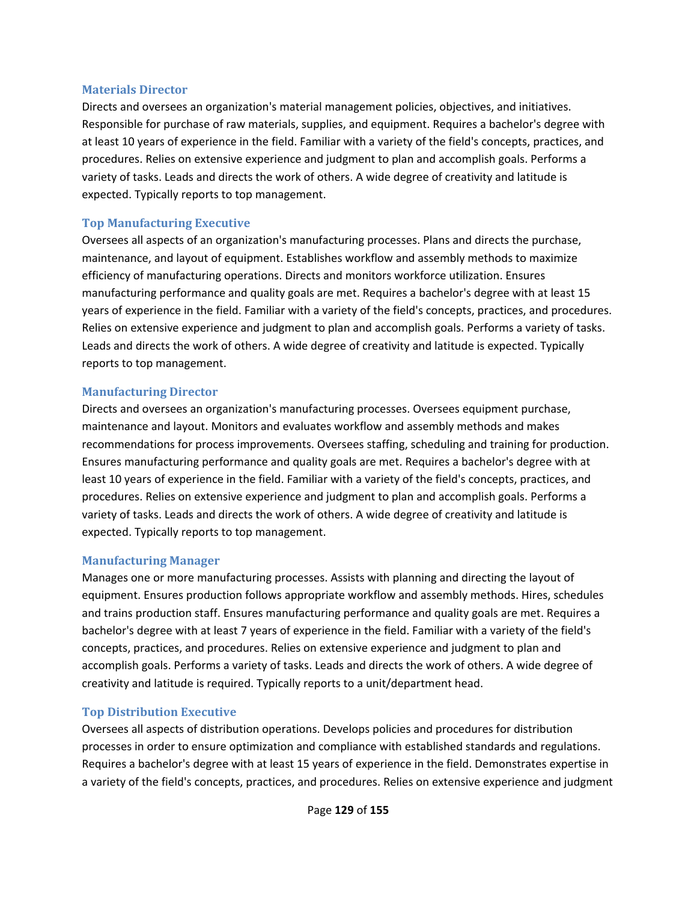#### **Materials Director**

Directs and oversees an organization's material management policies, objectives, and initiatives. Responsible for purchase of raw materials, supplies, and equipment. Requires a bachelor's degree with at least 10 years of experience in the field. Familiar with a variety of the field's concepts, practices, and procedures. Relies on extensive experience and judgment to plan and accomplish goals. Performs a variety of tasks. Leads and directs the work of others. A wide degree of creativity and latitude is expected. Typically reports to top management.

#### **Top Manufacturing Executive**

Oversees all aspects of an organization's manufacturing processes. Plans and directs the purchase, maintenance, and layout of equipment. Establishes workflow and assembly methods to maximize efficiency of manufacturing operations. Directs and monitors workforce utilization. Ensures manufacturing performance and quality goals are met. Requires a bachelor's degree with at least 15 years of experience in the field. Familiar with a variety of the field's concepts, practices, and procedures. Relies on extensive experience and judgment to plan and accomplish goals. Performs a variety of tasks. Leads and directs the work of others. A wide degree of creativity and latitude is expected. Typically reports to top management.

### **Manufacturing Director**

Directs and oversees an organization's manufacturing processes. Oversees equipment purchase, maintenance and layout. Monitors and evaluates workflow and assembly methods and makes recommendations for process improvements. Oversees staffing, scheduling and training for production. Ensures manufacturing performance and quality goals are met. Requires a bachelor's degree with at least 10 years of experience in the field. Familiar with a variety of the field's concepts, practices, and procedures. Relies on extensive experience and judgment to plan and accomplish goals. Performs a variety of tasks. Leads and directs the work of others. A wide degree of creativity and latitude is expected. Typically reports to top management.

### **Manufacturing Manager**

Manages one or more manufacturing processes. Assists with planning and directing the layout of equipment. Ensures production follows appropriate workflow and assembly methods. Hires, schedules and trains production staff. Ensures manufacturing performance and quality goals are met. Requires a bachelor's degree with at least 7 years of experience in the field. Familiar with a variety of the field's concepts, practices, and procedures. Relies on extensive experience and judgment to plan and accomplish goals. Performs a variety of tasks. Leads and directs the work of others. A wide degree of creativity and latitude is required. Typically reports to a unit/department head.

### **Top Distribution Executive**

Oversees all aspects of distribution operations. Develops policies and procedures for distribution processes in order to ensure optimization and compliance with established standards and regulations. Requires a bachelor's degree with at least 15 years of experience in the field. Demonstrates expertise in a variety of the field's concepts, practices, and procedures. Relies on extensive experience and judgment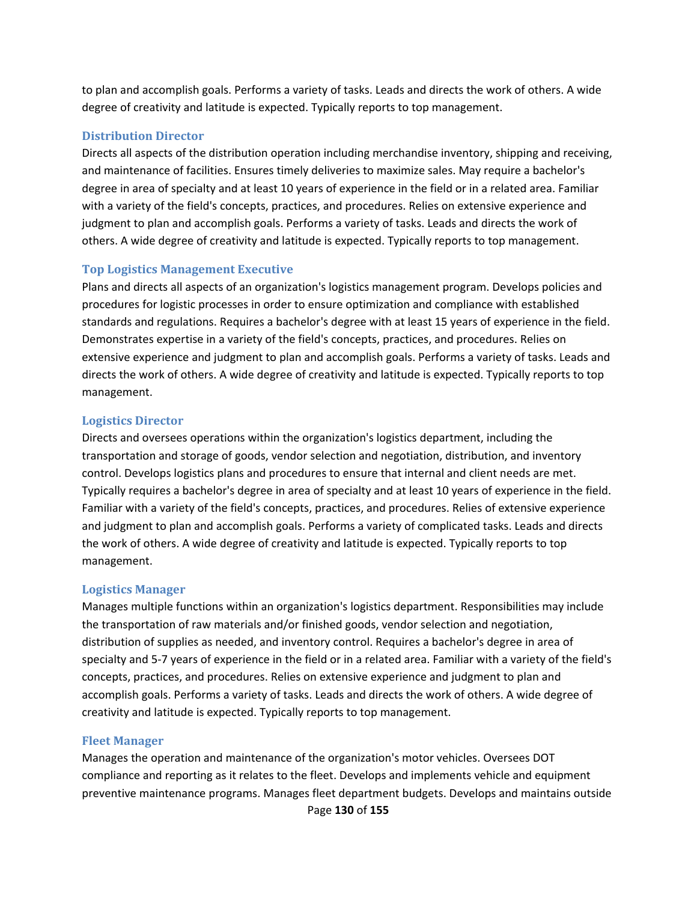to plan and accomplish goals. Performs a variety of tasks. Leads and directs the work of others. A wide degree of creativity and latitude is expected. Typically reports to top management.

#### **Distribution Director**

Directs all aspects of the distribution operation including merchandise inventory, shipping and receiving, and maintenance of facilities. Ensures timely deliveries to maximize sales. May require a bachelor's degree in area of specialty and at least 10 years of experience in the field or in a related area. Familiar with a variety of the field's concepts, practices, and procedures. Relies on extensive experience and judgment to plan and accomplish goals. Performs a variety of tasks. Leads and directs the work of others. A wide degree of creativity and latitude is expected. Typically reports to top management.

#### **Top Logistics Management Executive**

Plans and directs all aspects of an organization's logistics management program. Develops policies and procedures for logistic processes in order to ensure optimization and compliance with established standards and regulations. Requires a bachelor's degree with at least 15 years of experience in the field. Demonstrates expertise in a variety of the field's concepts, practices, and procedures. Relies on extensive experience and judgment to plan and accomplish goals. Performs a variety of tasks. Leads and directs the work of others. A wide degree of creativity and latitude is expected. Typically reports to top management.

#### **Logistics Director**

Directs and oversees operations within the organization's logistics department, including the transportation and storage of goods, vendor selection and negotiation, distribution, and inventory control. Develops logistics plans and procedures to ensure that internal and client needs are met. Typically requires a bachelor's degree in area of specialty and at least 10 years of experience in the field. Familiar with a variety of the field's concepts, practices, and procedures. Relies of extensive experience and judgment to plan and accomplish goals. Performs a variety of complicated tasks. Leads and directs the work of others. A wide degree of creativity and latitude is expected. Typically reports to top management.

#### **Logistics Manager**

Manages multiple functions within an organization's logistics department. Responsibilities may include the transportation of raw materials and/or finished goods, vendor selection and negotiation, distribution of supplies as needed, and inventory control. Requires a bachelor's degree in area of specialty and 5-7 years of experience in the field or in a related area. Familiar with a variety of the field's concepts, practices, and procedures. Relies on extensive experience and judgment to plan and accomplish goals. Performs a variety of tasks. Leads and directs the work of others. A wide degree of creativity and latitude is expected. Typically reports to top management.

#### **Fleet Manager**

Manages the operation and maintenance of the organization's motor vehicles. Oversees DOT compliance and reporting as it relates to the fleet. Develops and implements vehicle and equipment preventive maintenance programs. Manages fleet department budgets. Develops and maintains outside

Page **130** of **155**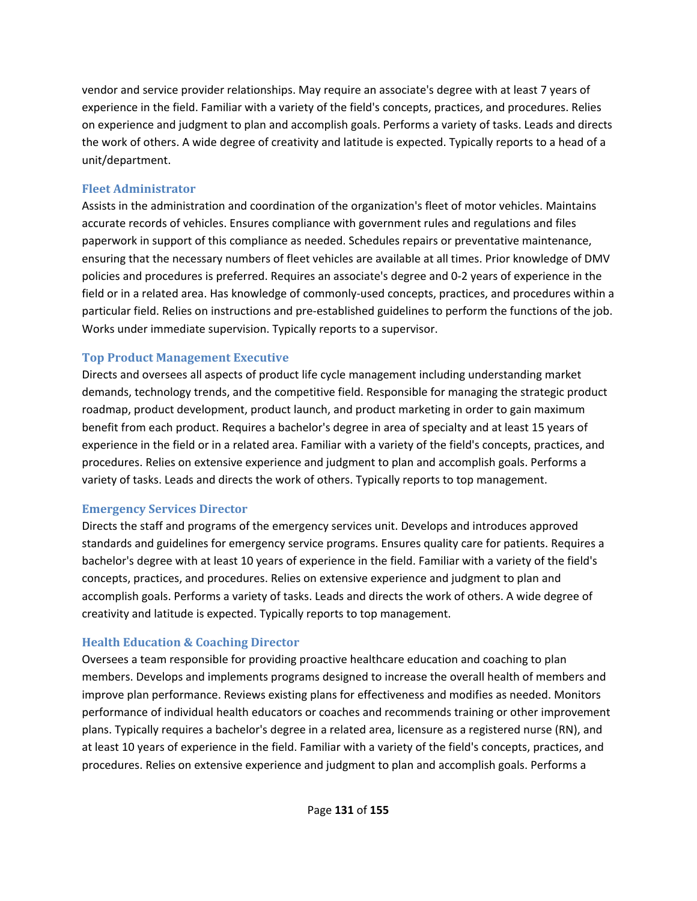vendor and service provider relationships. May require an associate's degree with at least 7 years of experience in the field. Familiar with a variety of the field's concepts, practices, and procedures. Relies on experience and judgment to plan and accomplish goals. Performs a variety of tasks. Leads and directs the work of others. A wide degree of creativity and latitude is expected. Typically reports to a head of a unit/department.

### **Fleet Administrator**

Assists in the administration and coordination of the organization's fleet of motor vehicles. Maintains accurate records of vehicles. Ensures compliance with government rules and regulations and files paperwork in support of this compliance as needed. Schedules repairs or preventative maintenance, ensuring that the necessary numbers of fleet vehicles are available at all times. Prior knowledge of DMV policies and procedures is preferred. Requires an associate's degree and 0-2 years of experience in the field or in a related area. Has knowledge of commonly-used concepts, practices, and procedures within a particular field. Relies on instructions and pre-established guidelines to perform the functions of the job. Works under immediate supervision. Typically reports to a supervisor.

# **Top Product Management Executive**

Directs and oversees all aspects of product life cycle management including understanding market demands, technology trends, and the competitive field. Responsible for managing the strategic product roadmap, product development, product launch, and product marketing in order to gain maximum benefit from each product. Requires a bachelor's degree in area of specialty and at least 15 years of experience in the field or in a related area. Familiar with a variety of the field's concepts, practices, and procedures. Relies on extensive experience and judgment to plan and accomplish goals. Performs a variety of tasks. Leads and directs the work of others. Typically reports to top management.

# **Emergency Services Director**

Directs the staff and programs of the emergency services unit. Develops and introduces approved standards and guidelines for emergency service programs. Ensures quality care for patients. Requires a bachelor's degree with at least 10 years of experience in the field. Familiar with a variety of the field's concepts, practices, and procedures. Relies on extensive experience and judgment to plan and accomplish goals. Performs a variety of tasks. Leads and directs the work of others. A wide degree of creativity and latitude is expected. Typically reports to top management.

# **Health Education & Coaching Director**

Oversees a team responsible for providing proactive healthcare education and coaching to plan members. Develops and implements programs designed to increase the overall health of members and improve plan performance. Reviews existing plans for effectiveness and modifies as needed. Monitors performance of individual health educators or coaches and recommends training or other improvement plans. Typically requires a bachelor's degree in a related area, licensure as a registered nurse (RN), and at least 10 years of experience in the field. Familiar with a variety of the field's concepts, practices, and procedures. Relies on extensive experience and judgment to plan and accomplish goals. Performs a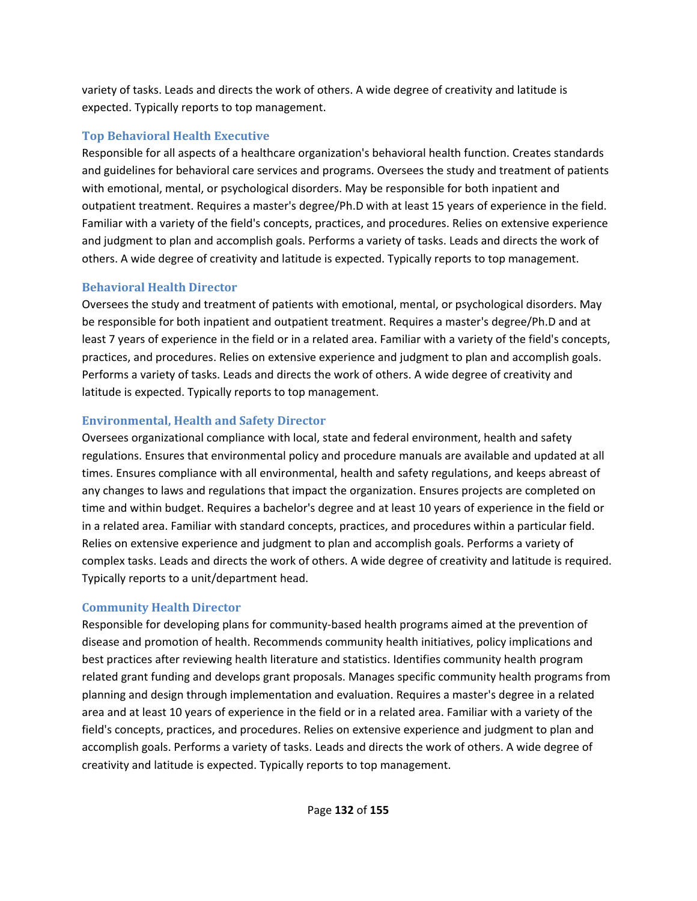variety of tasks. Leads and directs the work of others. A wide degree of creativity and latitude is expected. Typically reports to top management.

### **Top Behavioral Health Executive**

Responsible for all aspects of a healthcare organization's behavioral health function. Creates standards and guidelines for behavioral care services and programs. Oversees the study and treatment of patients with emotional, mental, or psychological disorders. May be responsible for both inpatient and outpatient treatment. Requires a master's degree/Ph.D with at least 15 years of experience in the field. Familiar with a variety of the field's concepts, practices, and procedures. Relies on extensive experience and judgment to plan and accomplish goals. Performs a variety of tasks. Leads and directs the work of others. A wide degree of creativity and latitude is expected. Typically reports to top management.

# **Behavioral Health Director**

Oversees the study and treatment of patients with emotional, mental, or psychological disorders. May be responsible for both inpatient and outpatient treatment. Requires a master's degree/Ph.D and at least 7 years of experience in the field or in a related area. Familiar with a variety of the field's concepts, practices, and procedures. Relies on extensive experience and judgment to plan and accomplish goals. Performs a variety of tasks. Leads and directs the work of others. A wide degree of creativity and latitude is expected. Typically reports to top management.

# **Environmental, Health and Safety Director**

Oversees organizational compliance with local, state and federal environment, health and safety regulations. Ensures that environmental policy and procedure manuals are available and updated at all times. Ensures compliance with all environmental, health and safety regulations, and keeps abreast of any changes to laws and regulations that impact the organization. Ensures projects are completed on time and within budget. Requires a bachelor's degree and at least 10 years of experience in the field or in a related area. Familiar with standard concepts, practices, and procedures within a particular field. Relies on extensive experience and judgment to plan and accomplish goals. Performs a variety of complex tasks. Leads and directs the work of others. A wide degree of creativity and latitude is required. Typically reports to a unit/department head.

# **Community Health Director**

Responsible for developing plans for community-based health programs aimed at the prevention of disease and promotion of health. Recommends community health initiatives, policy implications and best practices after reviewing health literature and statistics. Identifies community health program related grant funding and develops grant proposals. Manages specific community health programs from planning and design through implementation and evaluation. Requires a master's degree in a related area and at least 10 years of experience in the field or in a related area. Familiar with a variety of the field's concepts, practices, and procedures. Relies on extensive experience and judgment to plan and accomplish goals. Performs a variety of tasks. Leads and directs the work of others. A wide degree of creativity and latitude is expected. Typically reports to top management.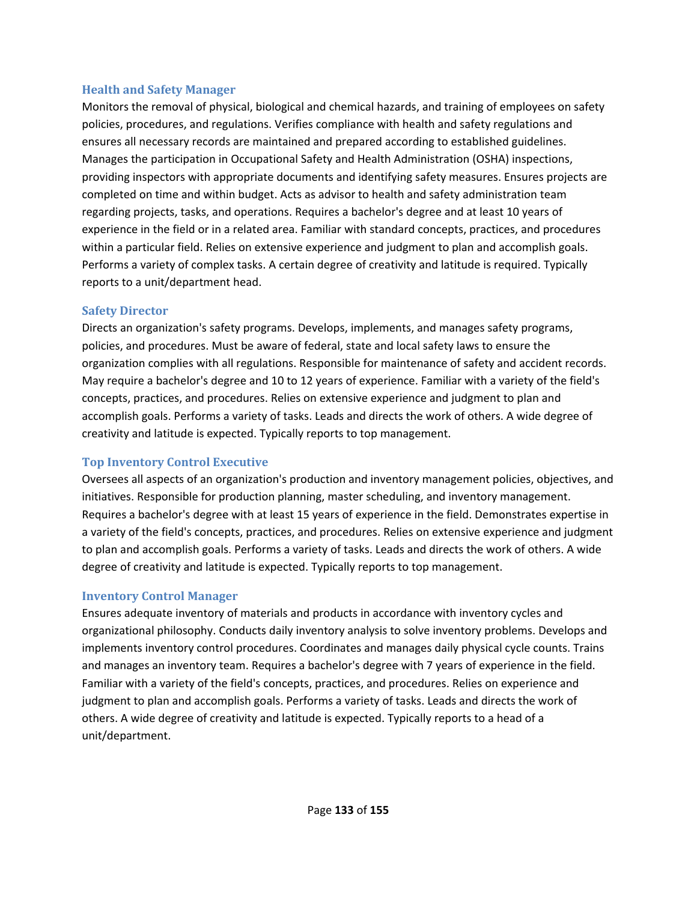#### **Health and Safety Manager**

Monitors the removal of physical, biological and chemical hazards, and training of employees on safety policies, procedures, and regulations. Verifies compliance with health and safety regulations and ensures all necessary records are maintained and prepared according to established guidelines. Manages the participation in Occupational Safety and Health Administration (OSHA) inspections, providing inspectors with appropriate documents and identifying safety measures. Ensures projects are completed on time and within budget. Acts as advisor to health and safety administration team regarding projects, tasks, and operations. Requires a bachelor's degree and at least 10 years of experience in the field or in a related area. Familiar with standard concepts, practices, and procedures within a particular field. Relies on extensive experience and judgment to plan and accomplish goals. Performs a variety of complex tasks. A certain degree of creativity and latitude is required. Typically reports to a unit/department head.

#### **Safety Director**

Directs an organization's safety programs. Develops, implements, and manages safety programs, policies, and procedures. Must be aware of federal, state and local safety laws to ensure the organization complies with all regulations. Responsible for maintenance of safety and accident records. May require a bachelor's degree and 10 to 12 years of experience. Familiar with a variety of the field's concepts, practices, and procedures. Relies on extensive experience and judgment to plan and accomplish goals. Performs a variety of tasks. Leads and directs the work of others. A wide degree of creativity and latitude is expected. Typically reports to top management.

### **Top Inventory Control Executive**

Oversees all aspects of an organization's production and inventory management policies, objectives, and initiatives. Responsible for production planning, master scheduling, and inventory management. Requires a bachelor's degree with at least 15 years of experience in the field. Demonstrates expertise in a variety of the field's concepts, practices, and procedures. Relies on extensive experience and judgment to plan and accomplish goals. Performs a variety of tasks. Leads and directs the work of others. A wide degree of creativity and latitude is expected. Typically reports to top management.

### **Inventory Control Manager**

Ensures adequate inventory of materials and products in accordance with inventory cycles and organizational philosophy. Conducts daily inventory analysis to solve inventory problems. Develops and implements inventory control procedures. Coordinates and manages daily physical cycle counts. Trains and manages an inventory team. Requires a bachelor's degree with 7 years of experience in the field. Familiar with a variety of the field's concepts, practices, and procedures. Relies on experience and judgment to plan and accomplish goals. Performs a variety of tasks. Leads and directs the work of others. A wide degree of creativity and latitude is expected. Typically reports to a head of a unit/department.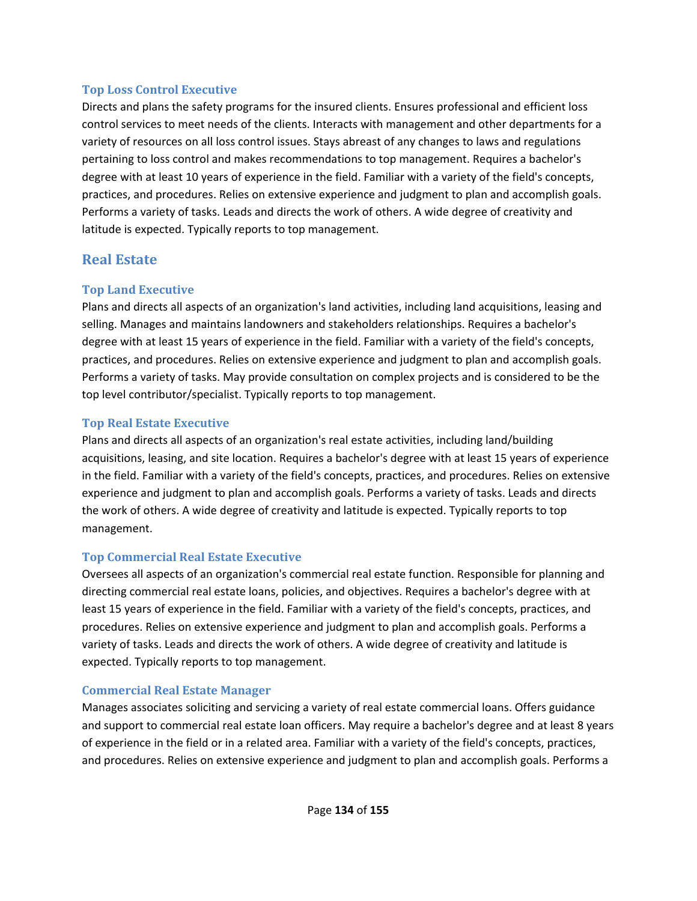### **Top Loss Control Executive**

Directs and plans the safety programs for the insured clients. Ensures professional and efficient loss control services to meet needs of the clients. Interacts with management and other departments for a variety of resources on all loss control issues. Stays abreast of any changes to laws and regulations pertaining to loss control and makes recommendations to top management. Requires a bachelor's degree with at least 10 years of experience in the field. Familiar with a variety of the field's concepts, practices, and procedures. Relies on extensive experience and judgment to plan and accomplish goals. Performs a variety of tasks. Leads and directs the work of others. A wide degree of creativity and latitude is expected. Typically reports to top management.

# **Real Estate**

### **Top Land Executive**

Plans and directs all aspects of an organization's land activities, including land acquisitions, leasing and selling. Manages and maintains landowners and stakeholders relationships. Requires a bachelor's degree with at least 15 years of experience in the field. Familiar with a variety of the field's concepts, practices, and procedures. Relies on extensive experience and judgment to plan and accomplish goals. Performs a variety of tasks. May provide consultation on complex projects and is considered to be the top level contributor/specialist. Typically reports to top management.

### **Top Real Estate Executive**

Plans and directs all aspects of an organization's real estate activities, including land/building acquisitions, leasing, and site location. Requires a bachelor's degree with at least 15 years of experience in the field. Familiar with a variety of the field's concepts, practices, and procedures. Relies on extensive experience and judgment to plan and accomplish goals. Performs a variety of tasks. Leads and directs the work of others. A wide degree of creativity and latitude is expected. Typically reports to top management.

# **Top Commercial Real Estate Executive**

Oversees all aspects of an organization's commercial real estate function. Responsible for planning and directing commercial real estate loans, policies, and objectives. Requires a bachelor's degree with at least 15 years of experience in the field. Familiar with a variety of the field's concepts, practices, and procedures. Relies on extensive experience and judgment to plan and accomplish goals. Performs a variety of tasks. Leads and directs the work of others. A wide degree of creativity and latitude is expected. Typically reports to top management.

### **Commercial Real Estate Manager**

Manages associates soliciting and servicing a variety of real estate commercial loans. Offers guidance and support to commercial real estate loan officers. May require a bachelor's degree and at least 8 years of experience in the field or in a related area. Familiar with a variety of the field's concepts, practices, and procedures. Relies on extensive experience and judgment to plan and accomplish goals. Performs a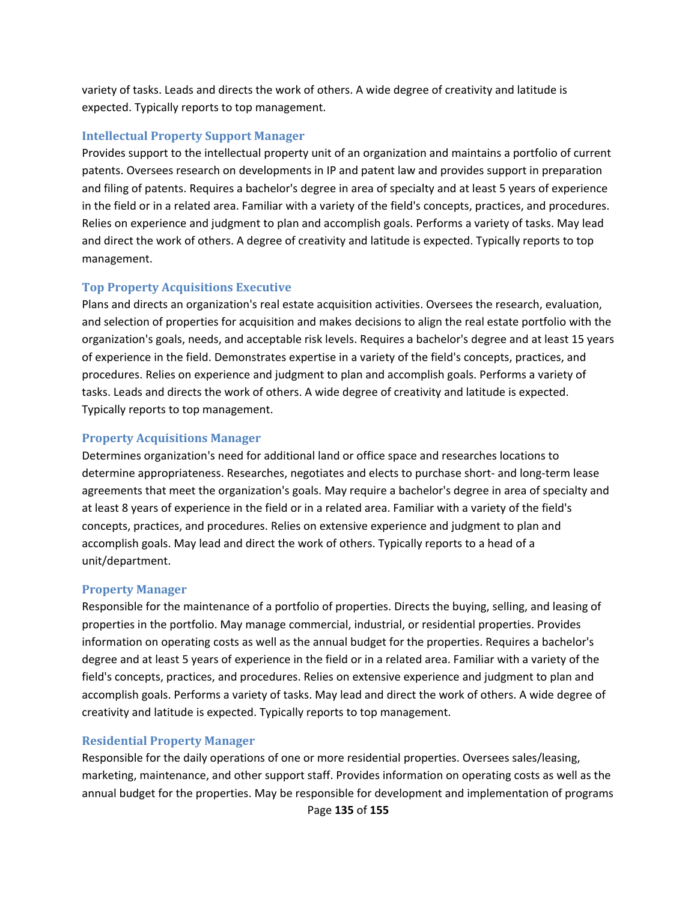variety of tasks. Leads and directs the work of others. A wide degree of creativity and latitude is expected. Typically reports to top management.

#### **Intellectual Property Support Manager**

Provides support to the intellectual property unit of an organization and maintains a portfolio of current patents. Oversees research on developments in IP and patent law and provides support in preparation and filing of patents. Requires a bachelor's degree in area of specialty and at least 5 years of experience in the field or in a related area. Familiar with a variety of the field's concepts, practices, and procedures. Relies on experience and judgment to plan and accomplish goals. Performs a variety of tasks. May lead and direct the work of others. A degree of creativity and latitude is expected. Typically reports to top management.

#### **Top Property Acquisitions Executive**

Plans and directs an organization's real estate acquisition activities. Oversees the research, evaluation, and selection of properties for acquisition and makes decisions to align the real estate portfolio with the organization's goals, needs, and acceptable risk levels. Requires a bachelor's degree and at least 15 years of experience in the field. Demonstrates expertise in a variety of the field's concepts, practices, and procedures. Relies on experience and judgment to plan and accomplish goals. Performs a variety of tasks. Leads and directs the work of others. A wide degree of creativity and latitude is expected. Typically reports to top management.

#### **Property Acquisitions Manager**

Determines organization's need for additional land or office space and researches locations to determine appropriateness. Researches, negotiates and elects to purchase short- and long-term lease agreements that meet the organization's goals. May require a bachelor's degree in area of specialty and at least 8 years of experience in the field or in a related area. Familiar with a variety of the field's concepts, practices, and procedures. Relies on extensive experience and judgment to plan and accomplish goals. May lead and direct the work of others. Typically reports to a head of a unit/department.

#### **Property Manager**

Responsible for the maintenance of a portfolio of properties. Directs the buying, selling, and leasing of properties in the portfolio. May manage commercial, industrial, or residential properties. Provides information on operating costs as well as the annual budget for the properties. Requires a bachelor's degree and at least 5 years of experience in the field or in a related area. Familiar with a variety of the field's concepts, practices, and procedures. Relies on extensive experience and judgment to plan and accomplish goals. Performs a variety of tasks. May lead and direct the work of others. A wide degree of creativity and latitude is expected. Typically reports to top management.

#### **Residential Property Manager**

Responsible for the daily operations of one or more residential properties. Oversees sales/leasing, marketing, maintenance, and other support staff. Provides information on operating costs as well as the annual budget for the properties. May be responsible for development and implementation of programs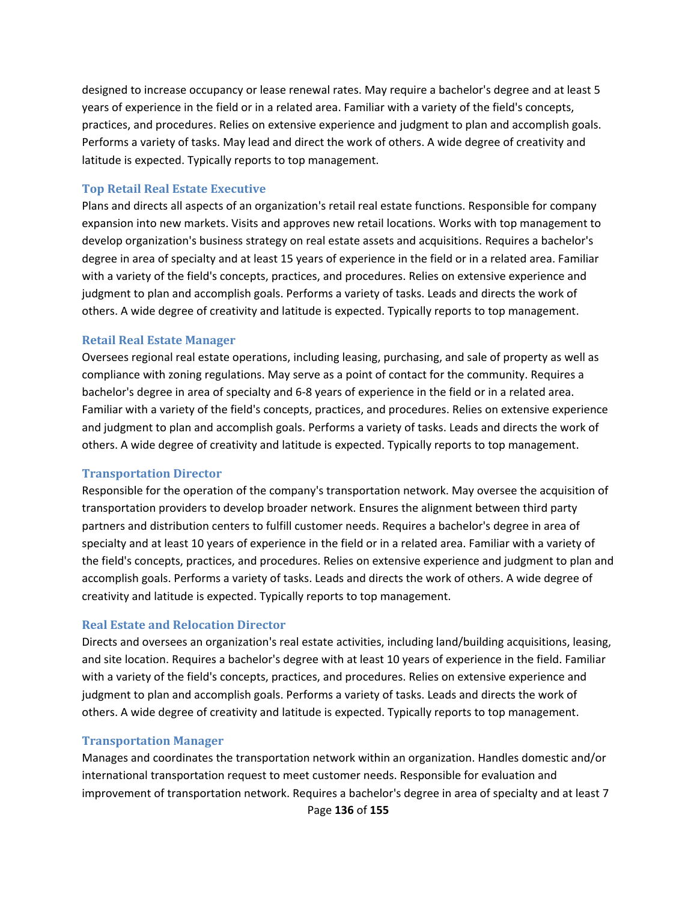designed to increase occupancy or lease renewal rates. May require a bachelor's degree and at least 5 years of experience in the field or in a related area. Familiar with a variety of the field's concepts, practices, and procedures. Relies on extensive experience and judgment to plan and accomplish goals. Performs a variety of tasks. May lead and direct the work of others. A wide degree of creativity and latitude is expected. Typically reports to top management.

#### **Top Retail Real Estate Executive**

Plans and directs all aspects of an organization's retail real estate functions. Responsible for company expansion into new markets. Visits and approves new retail locations. Works with top management to develop organization's business strategy on real estate assets and acquisitions. Requires a bachelor's degree in area of specialty and at least 15 years of experience in the field or in a related area. Familiar with a variety of the field's concepts, practices, and procedures. Relies on extensive experience and judgment to plan and accomplish goals. Performs a variety of tasks. Leads and directs the work of others. A wide degree of creativity and latitude is expected. Typically reports to top management.

#### **Retail Real Estate Manager**

Oversees regional real estate operations, including leasing, purchasing, and sale of property as well as compliance with zoning regulations. May serve as a point of contact for the community. Requires a bachelor's degree in area of specialty and 6-8 years of experience in the field or in a related area. Familiar with a variety of the field's concepts, practices, and procedures. Relies on extensive experience and judgment to plan and accomplish goals. Performs a variety of tasks. Leads and directs the work of others. A wide degree of creativity and latitude is expected. Typically reports to top management.

#### **Transportation Director**

Responsible for the operation of the company's transportation network. May oversee the acquisition of transportation providers to develop broader network. Ensures the alignment between third party partners and distribution centers to fulfill customer needs. Requires a bachelor's degree in area of specialty and at least 10 years of experience in the field or in a related area. Familiar with a variety of the field's concepts, practices, and procedures. Relies on extensive experience and judgment to plan and accomplish goals. Performs a variety of tasks. Leads and directs the work of others. A wide degree of creativity and latitude is expected. Typically reports to top management.

#### **Real Estate and Relocation Director**

Directs and oversees an organization's real estate activities, including land/building acquisitions, leasing, and site location. Requires a bachelor's degree with at least 10 years of experience in the field. Familiar with a variety of the field's concepts, practices, and procedures. Relies on extensive experience and judgment to plan and accomplish goals. Performs a variety of tasks. Leads and directs the work of others. A wide degree of creativity and latitude is expected. Typically reports to top management.

#### **Transportation Manager**

Page **136** of **155** Manages and coordinates the transportation network within an organization. Handles domestic and/or international transportation request to meet customer needs. Responsible for evaluation and improvement of transportation network. Requires a bachelor's degree in area of specialty and at least 7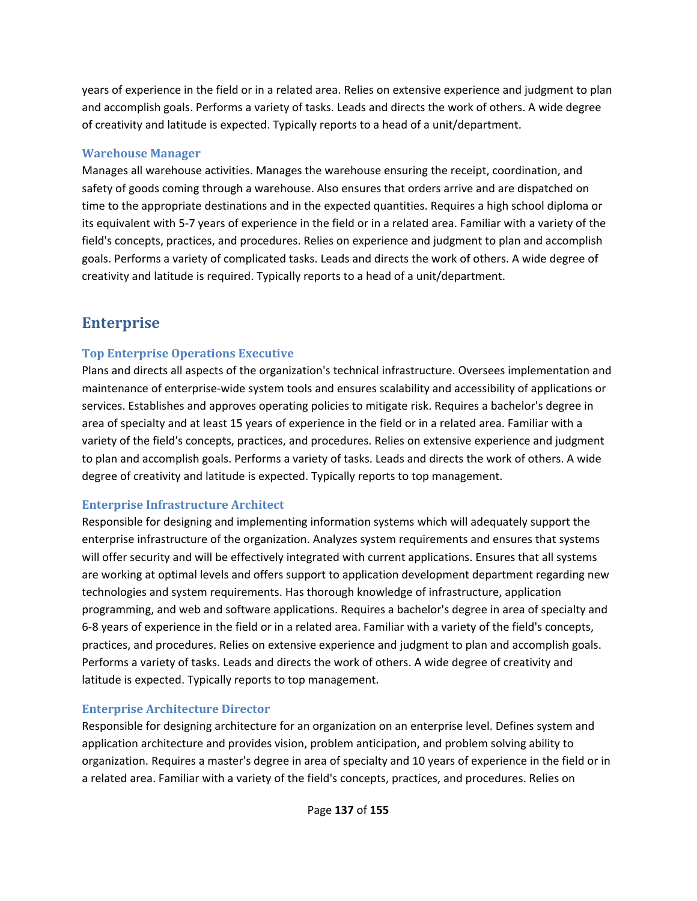years of experience in the field or in a related area. Relies on extensive experience and judgment to plan and accomplish goals. Performs a variety of tasks. Leads and directs the work of others. A wide degree of creativity and latitude is expected. Typically reports to a head of a unit/department.

### **Warehouse Manager**

Manages all warehouse activities. Manages the warehouse ensuring the receipt, coordination, and safety of goods coming through a warehouse. Also ensures that orders arrive and are dispatched on time to the appropriate destinations and in the expected quantities. Requires a high school diploma or its equivalent with 5-7 years of experience in the field or in a related area. Familiar with a variety of the field's concepts, practices, and procedures. Relies on experience and judgment to plan and accomplish goals. Performs a variety of complicated tasks. Leads and directs the work of others. A wide degree of creativity and latitude is required. Typically reports to a head of a unit/department.

# **Enterprise**

# **Top Enterprise Operations Executive**

Plans and directs all aspects of the organization's technical infrastructure. Oversees implementation and maintenance of enterprise-wide system tools and ensures scalability and accessibility of applications or services. Establishes and approves operating policies to mitigate risk. Requires a bachelor's degree in area of specialty and at least 15 years of experience in the field or in a related area. Familiar with a variety of the field's concepts, practices, and procedures. Relies on extensive experience and judgment to plan and accomplish goals. Performs a variety of tasks. Leads and directs the work of others. A wide degree of creativity and latitude is expected. Typically reports to top management.

# **Enterprise Infrastructure Architect**

Responsible for designing and implementing information systems which will adequately support the enterprise infrastructure of the organization. Analyzes system requirements and ensures that systems will offer security and will be effectively integrated with current applications. Ensures that all systems are working at optimal levels and offers support to application development department regarding new technologies and system requirements. Has thorough knowledge of infrastructure, application programming, and web and software applications. Requires a bachelor's degree in area of specialty and 6-8 years of experience in the field or in a related area. Familiar with a variety of the field's concepts, practices, and procedures. Relies on extensive experience and judgment to plan and accomplish goals. Performs a variety of tasks. Leads and directs the work of others. A wide degree of creativity and latitude is expected. Typically reports to top management.

# **Enterprise Architecture Director**

Responsible for designing architecture for an organization on an enterprise level. Defines system and application architecture and provides vision, problem anticipation, and problem solving ability to organization. Requires a master's degree in area of specialty and 10 years of experience in the field or in a related area. Familiar with a variety of the field's concepts, practices, and procedures. Relies on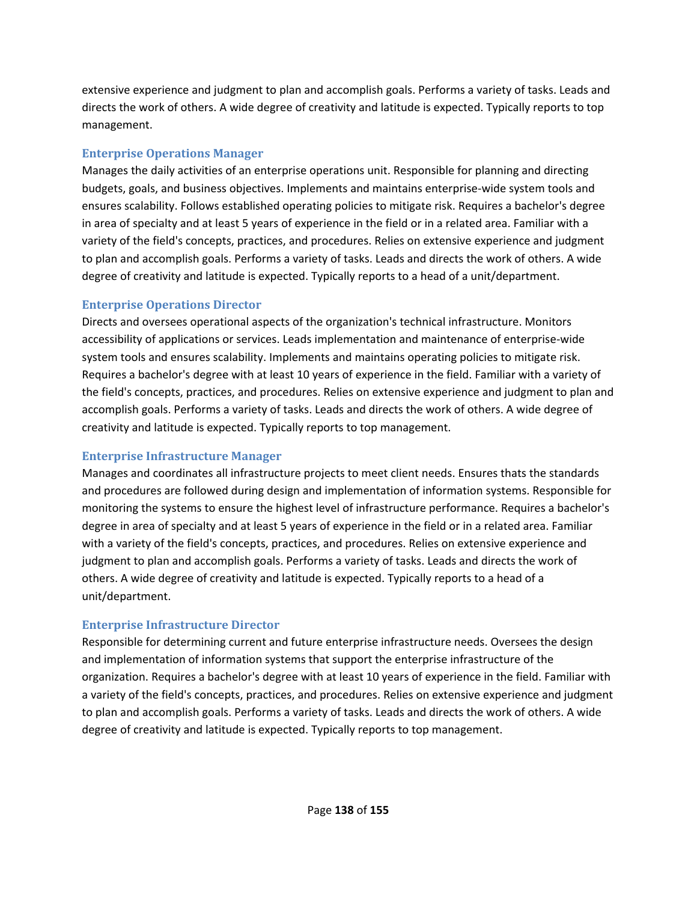extensive experience and judgment to plan and accomplish goals. Performs a variety of tasks. Leads and directs the work of others. A wide degree of creativity and latitude is expected. Typically reports to top management.

### **Enterprise Operations Manager**

Manages the daily activities of an enterprise operations unit. Responsible for planning and directing budgets, goals, and business objectives. Implements and maintains enterprise-wide system tools and ensures scalability. Follows established operating policies to mitigate risk. Requires a bachelor's degree in area of specialty and at least 5 years of experience in the field or in a related area. Familiar with a variety of the field's concepts, practices, and procedures. Relies on extensive experience and judgment to plan and accomplish goals. Performs a variety of tasks. Leads and directs the work of others. A wide degree of creativity and latitude is expected. Typically reports to a head of a unit/department.

### **Enterprise Operations Director**

Directs and oversees operational aspects of the organization's technical infrastructure. Monitors accessibility of applications or services. Leads implementation and maintenance of enterprise-wide system tools and ensures scalability. Implements and maintains operating policies to mitigate risk. Requires a bachelor's degree with at least 10 years of experience in the field. Familiar with a variety of the field's concepts, practices, and procedures. Relies on extensive experience and judgment to plan and accomplish goals. Performs a variety of tasks. Leads and directs the work of others. A wide degree of creativity and latitude is expected. Typically reports to top management.

# **Enterprise Infrastructure Manager**

Manages and coordinates all infrastructure projects to meet client needs. Ensures thats the standards and procedures are followed during design and implementation of information systems. Responsible for monitoring the systems to ensure the highest level of infrastructure performance. Requires a bachelor's degree in area of specialty and at least 5 years of experience in the field or in a related area. Familiar with a variety of the field's concepts, practices, and procedures. Relies on extensive experience and judgment to plan and accomplish goals. Performs a variety of tasks. Leads and directs the work of others. A wide degree of creativity and latitude is expected. Typically reports to a head of a unit/department.

# **Enterprise Infrastructure Director**

Responsible for determining current and future enterprise infrastructure needs. Oversees the design and implementation of information systems that support the enterprise infrastructure of the organization. Requires a bachelor's degree with at least 10 years of experience in the field. Familiar with a variety of the field's concepts, practices, and procedures. Relies on extensive experience and judgment to plan and accomplish goals. Performs a variety of tasks. Leads and directs the work of others. A wide degree of creativity and latitude is expected. Typically reports to top management.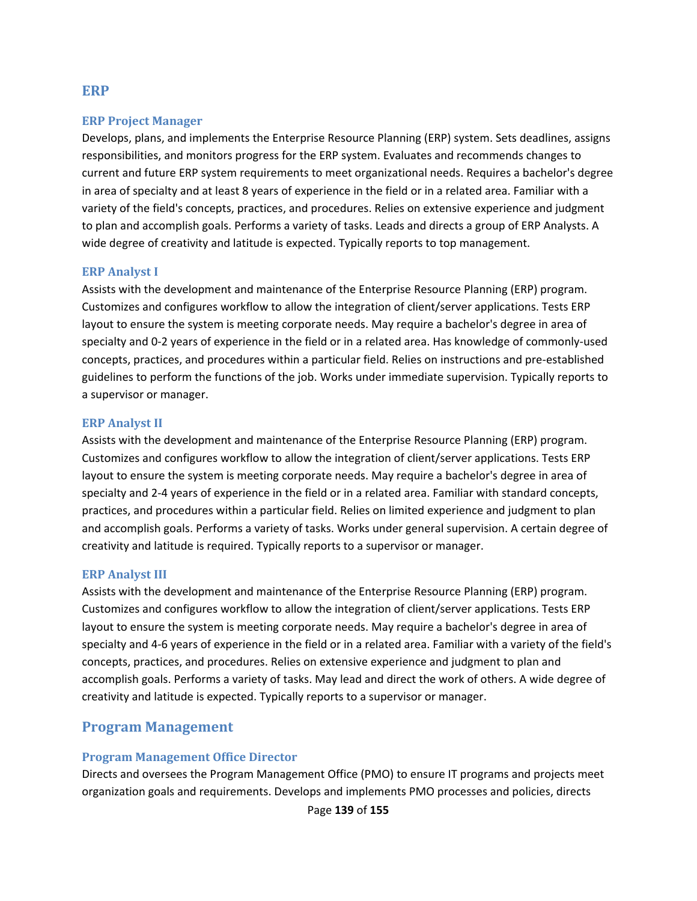### **ERP**

#### **ERP Project Manager**

Develops, plans, and implements the Enterprise Resource Planning (ERP) system. Sets deadlines, assigns responsibilities, and monitors progress for the ERP system. Evaluates and recommends changes to current and future ERP system requirements to meet organizational needs. Requires a bachelor's degree in area of specialty and at least 8 years of experience in the field or in a related area. Familiar with a variety of the field's concepts, practices, and procedures. Relies on extensive experience and judgment to plan and accomplish goals. Performs a variety of tasks. Leads and directs a group of ERP Analysts. A wide degree of creativity and latitude is expected. Typically reports to top management.

#### **ERP Analyst I**

Assists with the development and maintenance of the Enterprise Resource Planning (ERP) program. Customizes and configures workflow to allow the integration of client/server applications. Tests ERP layout to ensure the system is meeting corporate needs. May require a bachelor's degree in area of specialty and 0-2 years of experience in the field or in a related area. Has knowledge of commonly-used concepts, practices, and procedures within a particular field. Relies on instructions and pre-established guidelines to perform the functions of the job. Works under immediate supervision. Typically reports to a supervisor or manager.

#### **ERP Analyst II**

Assists with the development and maintenance of the Enterprise Resource Planning (ERP) program. Customizes and configures workflow to allow the integration of client/server applications. Tests ERP layout to ensure the system is meeting corporate needs. May require a bachelor's degree in area of specialty and 2-4 years of experience in the field or in a related area. Familiar with standard concepts, practices, and procedures within a particular field. Relies on limited experience and judgment to plan and accomplish goals. Performs a variety of tasks. Works under general supervision. A certain degree of creativity and latitude is required. Typically reports to a supervisor or manager.

#### **ERP Analyst III**

Assists with the development and maintenance of the Enterprise Resource Planning (ERP) program. Customizes and configures workflow to allow the integration of client/server applications. Tests ERP layout to ensure the system is meeting corporate needs. May require a bachelor's degree in area of specialty and 4-6 years of experience in the field or in a related area. Familiar with a variety of the field's concepts, practices, and procedures. Relies on extensive experience and judgment to plan and accomplish goals. Performs a variety of tasks. May lead and direct the work of others. A wide degree of creativity and latitude is expected. Typically reports to a supervisor or manager.

#### **Program Management**

#### **Program Management Office Director**

Directs and oversees the Program Management Office (PMO) to ensure IT programs and projects meet organization goals and requirements. Develops and implements PMO processes and policies, directs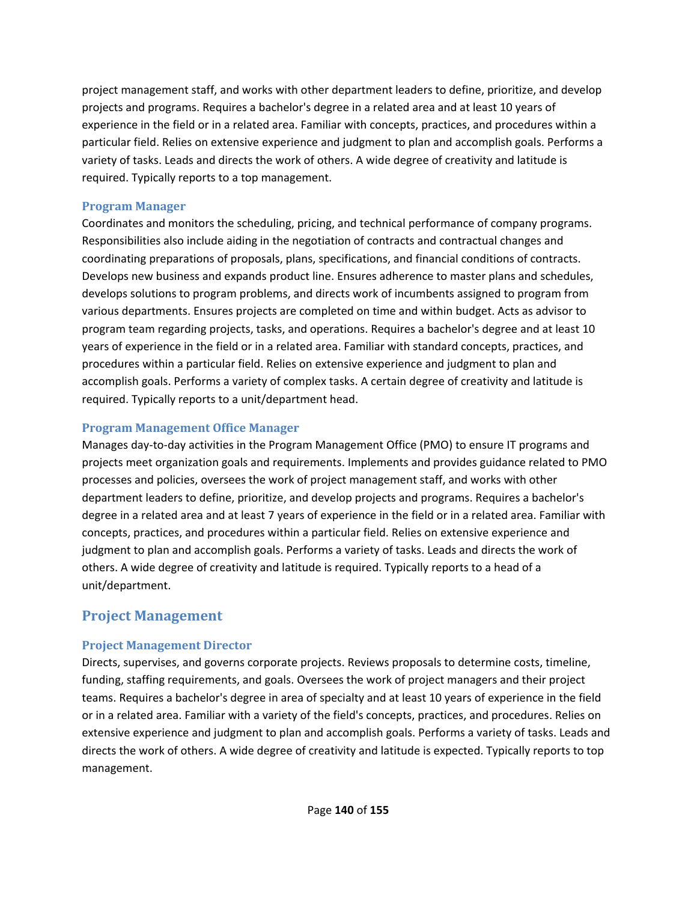project management staff, and works with other department leaders to define, prioritize, and develop projects and programs. Requires a bachelor's degree in a related area and at least 10 years of experience in the field or in a related area. Familiar with concepts, practices, and procedures within a particular field. Relies on extensive experience and judgment to plan and accomplish goals. Performs a variety of tasks. Leads and directs the work of others. A wide degree of creativity and latitude is required. Typically reports to a top management.

### **Program Manager**

Coordinates and monitors the scheduling, pricing, and technical performance of company programs. Responsibilities also include aiding in the negotiation of contracts and contractual changes and coordinating preparations of proposals, plans, specifications, and financial conditions of contracts. Develops new business and expands product line. Ensures adherence to master plans and schedules, develops solutions to program problems, and directs work of incumbents assigned to program from various departments. Ensures projects are completed on time and within budget. Acts as advisor to program team regarding projects, tasks, and operations. Requires a bachelor's degree and at least 10 years of experience in the field or in a related area. Familiar with standard concepts, practices, and procedures within a particular field. Relies on extensive experience and judgment to plan and accomplish goals. Performs a variety of complex tasks. A certain degree of creativity and latitude is required. Typically reports to a unit/department head.

# **Program Management Office Manager**

Manages day-to-day activities in the Program Management Office (PMO) to ensure IT programs and projects meet organization goals and requirements. Implements and provides guidance related to PMO processes and policies, oversees the work of project management staff, and works with other department leaders to define, prioritize, and develop projects and programs. Requires a bachelor's degree in a related area and at least 7 years of experience in the field or in a related area. Familiar with concepts, practices, and procedures within a particular field. Relies on extensive experience and judgment to plan and accomplish goals. Performs a variety of tasks. Leads and directs the work of others. A wide degree of creativity and latitude is required. Typically reports to a head of a unit/department.

# **Project Management**

# **Project Management Director**

Directs, supervises, and governs corporate projects. Reviews proposals to determine costs, timeline, funding, staffing requirements, and goals. Oversees the work of project managers and their project teams. Requires a bachelor's degree in area of specialty and at least 10 years of experience in the field or in a related area. Familiar with a variety of the field's concepts, practices, and procedures. Relies on extensive experience and judgment to plan and accomplish goals. Performs a variety of tasks. Leads and directs the work of others. A wide degree of creativity and latitude is expected. Typically reports to top management.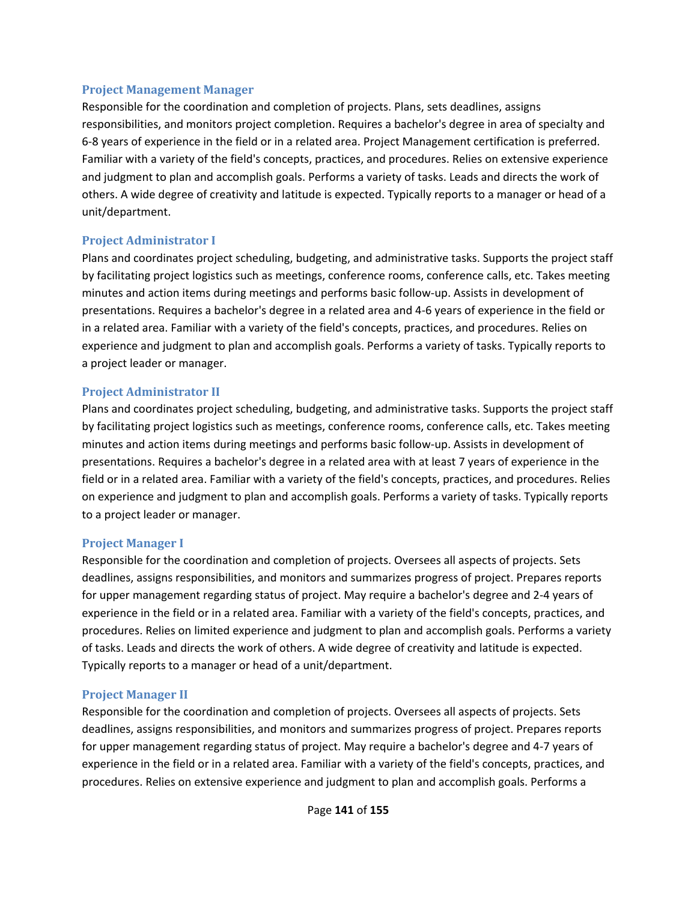#### **Project Management Manager**

Responsible for the coordination and completion of projects. Plans, sets deadlines, assigns responsibilities, and monitors project completion. Requires a bachelor's degree in area of specialty and 6-8 years of experience in the field or in a related area. Project Management certification is preferred. Familiar with a variety of the field's concepts, practices, and procedures. Relies on extensive experience and judgment to plan and accomplish goals. Performs a variety of tasks. Leads and directs the work of others. A wide degree of creativity and latitude is expected. Typically reports to a manager or head of a unit/department.

### **Project Administrator I**

Plans and coordinates project scheduling, budgeting, and administrative tasks. Supports the project staff by facilitating project logistics such as meetings, conference rooms, conference calls, etc. Takes meeting minutes and action items during meetings and performs basic follow-up. Assists in development of presentations. Requires a bachelor's degree in a related area and 4-6 years of experience in the field or in a related area. Familiar with a variety of the field's concepts, practices, and procedures. Relies on experience and judgment to plan and accomplish goals. Performs a variety of tasks. Typically reports to a project leader or manager.

### **Project Administrator II**

Plans and coordinates project scheduling, budgeting, and administrative tasks. Supports the project staff by facilitating project logistics such as meetings, conference rooms, conference calls, etc. Takes meeting minutes and action items during meetings and performs basic follow-up. Assists in development of presentations. Requires a bachelor's degree in a related area with at least 7 years of experience in the field or in a related area. Familiar with a variety of the field's concepts, practices, and procedures. Relies on experience and judgment to plan and accomplish goals. Performs a variety of tasks. Typically reports to a project leader or manager.

### **Project Manager I**

Responsible for the coordination and completion of projects. Oversees all aspects of projects. Sets deadlines, assigns responsibilities, and monitors and summarizes progress of project. Prepares reports for upper management regarding status of project. May require a bachelor's degree and 2-4 years of experience in the field or in a related area. Familiar with a variety of the field's concepts, practices, and procedures. Relies on limited experience and judgment to plan and accomplish goals. Performs a variety of tasks. Leads and directs the work of others. A wide degree of creativity and latitude is expected. Typically reports to a manager or head of a unit/department.

# **Project Manager II**

Responsible for the coordination and completion of projects. Oversees all aspects of projects. Sets deadlines, assigns responsibilities, and monitors and summarizes progress of project. Prepares reports for upper management regarding status of project. May require a bachelor's degree and 4-7 years of experience in the field or in a related area. Familiar with a variety of the field's concepts, practices, and procedures. Relies on extensive experience and judgment to plan and accomplish goals. Performs a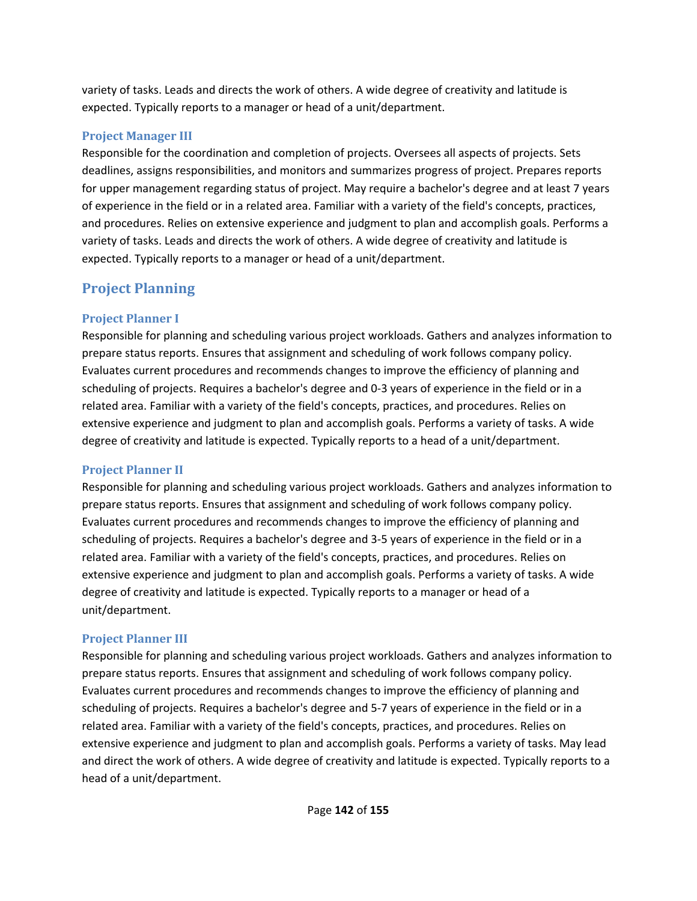variety of tasks. Leads and directs the work of others. A wide degree of creativity and latitude is expected. Typically reports to a manager or head of a unit/department.

### **Project Manager III**

Responsible for the coordination and completion of projects. Oversees all aspects of projects. Sets deadlines, assigns responsibilities, and monitors and summarizes progress of project. Prepares reports for upper management regarding status of project. May require a bachelor's degree and at least 7 years of experience in the field or in a related area. Familiar with a variety of the field's concepts, practices, and procedures. Relies on extensive experience and judgment to plan and accomplish goals. Performs a variety of tasks. Leads and directs the work of others. A wide degree of creativity and latitude is expected. Typically reports to a manager or head of a unit/department.

# **Project Planning**

# **Project Planner I**

Responsible for planning and scheduling various project workloads. Gathers and analyzes information to prepare status reports. Ensures that assignment and scheduling of work follows company policy. Evaluates current procedures and recommends changes to improve the efficiency of planning and scheduling of projects. Requires a bachelor's degree and 0-3 years of experience in the field or in a related area. Familiar with a variety of the field's concepts, practices, and procedures. Relies on extensive experience and judgment to plan and accomplish goals. Performs a variety of tasks. A wide degree of creativity and latitude is expected. Typically reports to a head of a unit/department.

# **Project Planner II**

Responsible for planning and scheduling various project workloads. Gathers and analyzes information to prepare status reports. Ensures that assignment and scheduling of work follows company policy. Evaluates current procedures and recommends changes to improve the efficiency of planning and scheduling of projects. Requires a bachelor's degree and 3-5 years of experience in the field or in a related area. Familiar with a variety of the field's concepts, practices, and procedures. Relies on extensive experience and judgment to plan and accomplish goals. Performs a variety of tasks. A wide degree of creativity and latitude is expected. Typically reports to a manager or head of a unit/department.

# **Project Planner III**

Responsible for planning and scheduling various project workloads. Gathers and analyzes information to prepare status reports. Ensures that assignment and scheduling of work follows company policy. Evaluates current procedures and recommends changes to improve the efficiency of planning and scheduling of projects. Requires a bachelor's degree and 5-7 years of experience in the field or in a related area. Familiar with a variety of the field's concepts, practices, and procedures. Relies on extensive experience and judgment to plan and accomplish goals. Performs a variety of tasks. May lead and direct the work of others. A wide degree of creativity and latitude is expected. Typically reports to a head of a unit/department.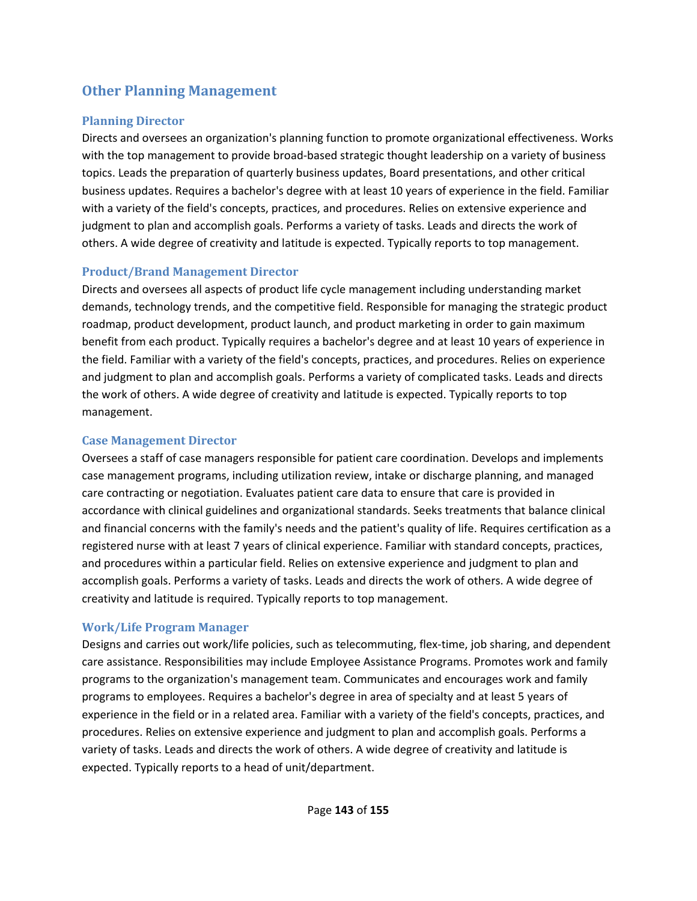# **Other Planning Management**

### **Planning Director**

Directs and oversees an organization's planning function to promote organizational effectiveness. Works with the top management to provide broad-based strategic thought leadership on a variety of business topics. Leads the preparation of quarterly business updates, Board presentations, and other critical business updates. Requires a bachelor's degree with at least 10 years of experience in the field. Familiar with a variety of the field's concepts, practices, and procedures. Relies on extensive experience and judgment to plan and accomplish goals. Performs a variety of tasks. Leads and directs the work of others. A wide degree of creativity and latitude is expected. Typically reports to top management.

# **Product/Brand Management Director**

Directs and oversees all aspects of product life cycle management including understanding market demands, technology trends, and the competitive field. Responsible for managing the strategic product roadmap, product development, product launch, and product marketing in order to gain maximum benefit from each product. Typically requires a bachelor's degree and at least 10 years of experience in the field. Familiar with a variety of the field's concepts, practices, and procedures. Relies on experience and judgment to plan and accomplish goals. Performs a variety of complicated tasks. Leads and directs the work of others. A wide degree of creativity and latitude is expected. Typically reports to top management.

# **Case Management Director**

Oversees a staff of case managers responsible for patient care coordination. Develops and implements case management programs, including utilization review, intake or discharge planning, and managed care contracting or negotiation. Evaluates patient care data to ensure that care is provided in accordance with clinical guidelines and organizational standards. Seeks treatments that balance clinical and financial concerns with the family's needs and the patient's quality of life. Requires certification as a registered nurse with at least 7 years of clinical experience. Familiar with standard concepts, practices, and procedures within a particular field. Relies on extensive experience and judgment to plan and accomplish goals. Performs a variety of tasks. Leads and directs the work of others. A wide degree of creativity and latitude is required. Typically reports to top management.

# **Work/Life Program Manager**

Designs and carries out work/life policies, such as telecommuting, flex-time, job sharing, and dependent care assistance. Responsibilities may include Employee Assistance Programs. Promotes work and family programs to the organization's management team. Communicates and encourages work and family programs to employees. Requires a bachelor's degree in area of specialty and at least 5 years of experience in the field or in a related area. Familiar with a variety of the field's concepts, practices, and procedures. Relies on extensive experience and judgment to plan and accomplish goals. Performs a variety of tasks. Leads and directs the work of others. A wide degree of creativity and latitude is expected. Typically reports to a head of unit/department.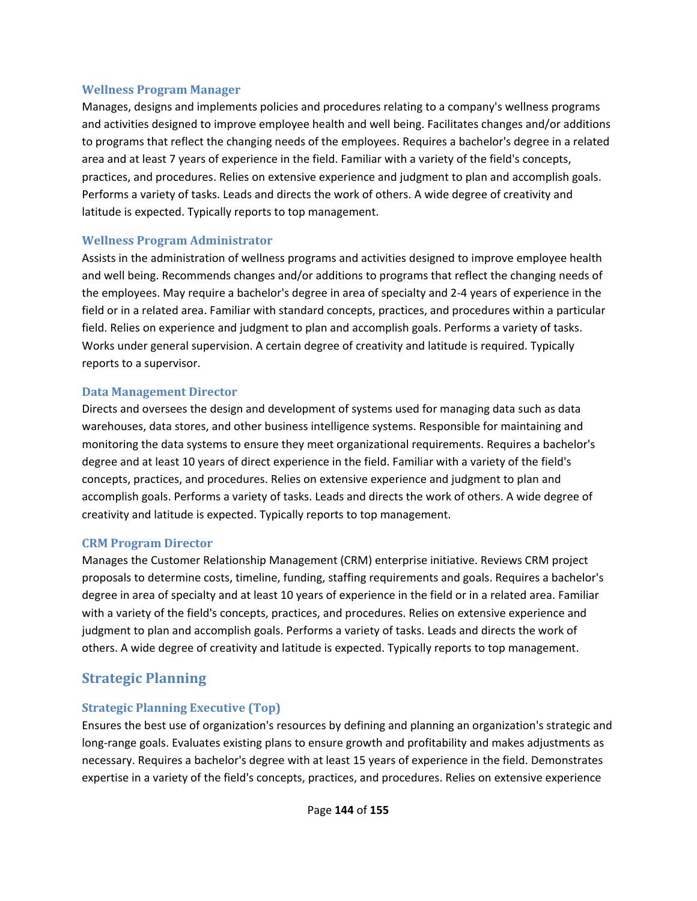#### **Wellness Program Manager**

Manages, designs and implements policies and procedures relating to a company's wellness programs and activities designed to improve employee health and well being. Facilitates changes and/or additions to programs that reflect the changing needs of the employees. Requires a bachelor's degree in a related area and at least 7 years of experience in the field. Familiar with a variety of the field's concepts, practices, and procedures. Relies on extensive experience and judgment to plan and accomplish goals. Performs a variety of tasks. Leads and directs the work of others. A wide degree of creativity and latitude is expected. Typically reports to top management.

### **Wellness Program Administrator**

Assists in the administration of wellness programs and activities designed to improve employee health and well being. Recommends changes and/or additions to programs that reflect the changing needs of the employees. May require a bachelor's degree in area of specialty and 2-4 years of experience in the field or in a related area. Familiar with standard concepts, practices, and procedures within a particular field. Relies on experience and judgment to plan and accomplish goals. Performs a variety of tasks. Works under general supervision. A certain degree of creativity and latitude is required. Typically reports to a supervisor.

#### **Data Management Director**

Directs and oversees the design and development of systems used for managing data such as data warehouses, data stores, and other business intelligence systems. Responsible for maintaining and monitoring the data systems to ensure they meet organizational requirements. Requires a bachelor's degree and at least 10 years of direct experience in the field. Familiar with a variety of the field's concepts, practices, and procedures. Relies on extensive experience and judgment to plan and accomplish goals. Performs a variety of tasks. Leads and directs the work of others. A wide degree of creativity and latitude is expected. Typically reports to top management.

### **CRM Program Director**

Manages the Customer Relationship Management (CRM) enterprise initiative. Reviews CRM project proposals to determine costs, timeline, funding, staffing requirements and goals. Requires a bachelor's degree in area of specialty and at least 10 years of experience in the field or in a related area. Familiar with a variety of the field's concepts, practices, and procedures. Relies on extensive experience and judgment to plan and accomplish goals. Performs a variety of tasks. Leads and directs the work of others. A wide degree of creativity and latitude is expected. Typically reports to top management.

## **Strategic Planning**

### **Strategic Planning Executive (Top)**

Ensures the best use of organization's resources by defining and planning an organization's strategic and long-range goals. Evaluates existing plans to ensure growth and profitability and makes adjustments as necessary. Requires a bachelor's degree with at least 15 years of experience in the field. Demonstrates expertise in a variety of the field's concepts, practices, and procedures. Relies on extensive experience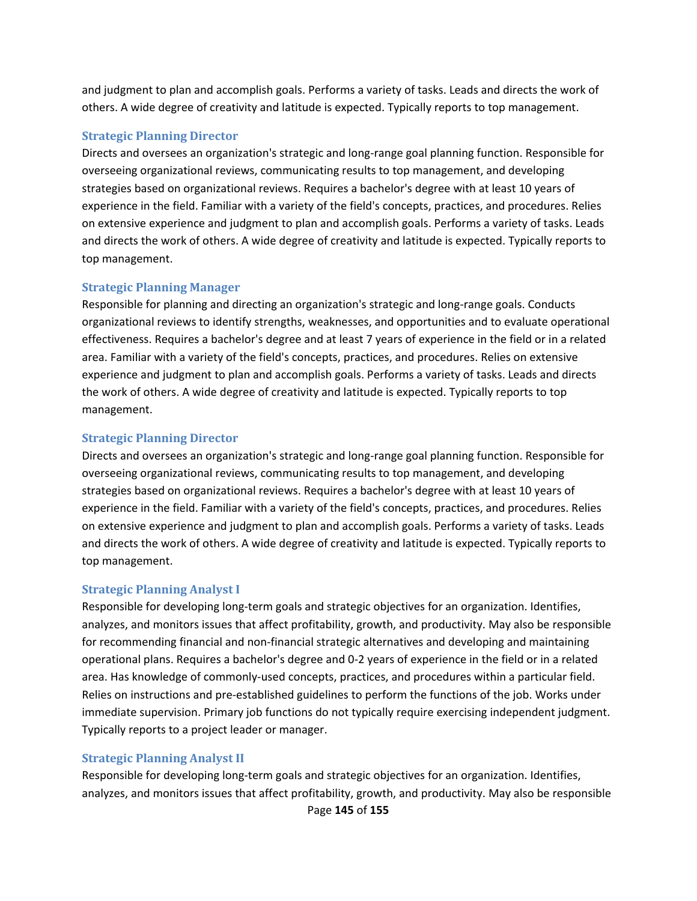and judgment to plan and accomplish goals. Performs a variety of tasks. Leads and directs the work of others. A wide degree of creativity and latitude is expected. Typically reports to top management.

#### **Strategic Planning Director**

Directs and oversees an organization's strategic and long-range goal planning function. Responsible for overseeing organizational reviews, communicating results to top management, and developing strategies based on organizational reviews. Requires a bachelor's degree with at least 10 years of experience in the field. Familiar with a variety of the field's concepts, practices, and procedures. Relies on extensive experience and judgment to plan and accomplish goals. Performs a variety of tasks. Leads and directs the work of others. A wide degree of creativity and latitude is expected. Typically reports to top management.

#### **Strategic Planning Manager**

Responsible for planning and directing an organization's strategic and long-range goals. Conducts organizational reviews to identify strengths, weaknesses, and opportunities and to evaluate operational effectiveness. Requires a bachelor's degree and at least 7 years of experience in the field or in a related area. Familiar with a variety of the field's concepts, practices, and procedures. Relies on extensive experience and judgment to plan and accomplish goals. Performs a variety of tasks. Leads and directs the work of others. A wide degree of creativity and latitude is expected. Typically reports to top management.

#### **Strategic Planning Director**

Directs and oversees an organization's strategic and long-range goal planning function. Responsible for overseeing organizational reviews, communicating results to top management, and developing strategies based on organizational reviews. Requires a bachelor's degree with at least 10 years of experience in the field. Familiar with a variety of the field's concepts, practices, and procedures. Relies on extensive experience and judgment to plan and accomplish goals. Performs a variety of tasks. Leads and directs the work of others. A wide degree of creativity and latitude is expected. Typically reports to top management.

#### **Strategic Planning Analyst I**

Responsible for developing long-term goals and strategic objectives for an organization. Identifies, analyzes, and monitors issues that affect profitability, growth, and productivity. May also be responsible for recommending financial and non-financial strategic alternatives and developing and maintaining operational plans. Requires a bachelor's degree and 0-2 years of experience in the field or in a related area. Has knowledge of commonly-used concepts, practices, and procedures within a particular field. Relies on instructions and pre-established guidelines to perform the functions of the job. Works under immediate supervision. Primary job functions do not typically require exercising independent judgment. Typically reports to a project leader or manager.

#### **Strategic Planning Analyst II**

Responsible for developing long-term goals and strategic objectives for an organization. Identifies, analyzes, and monitors issues that affect profitability, growth, and productivity. May also be responsible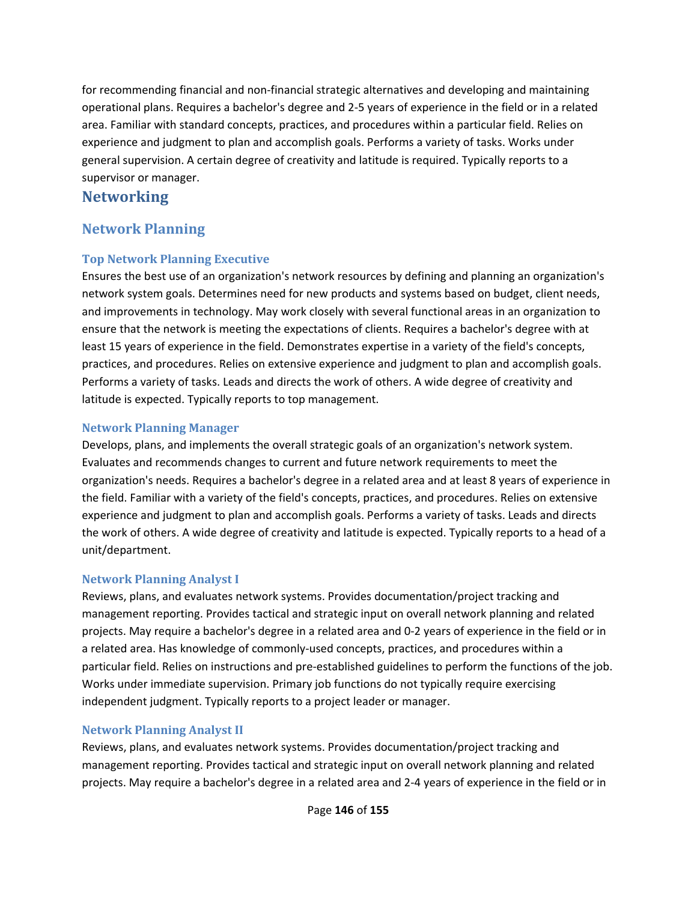for recommending financial and non-financial strategic alternatives and developing and maintaining operational plans. Requires a bachelor's degree and 2-5 years of experience in the field or in a related area. Familiar with standard concepts, practices, and procedures within a particular field. Relies on experience and judgment to plan and accomplish goals. Performs a variety of tasks. Works under general supervision. A certain degree of creativity and latitude is required. Typically reports to a supervisor or manager.

# **Networking**

# **Network Planning**

### **Top Network Planning Executive**

Ensures the best use of an organization's network resources by defining and planning an organization's network system goals. Determines need for new products and systems based on budget, client needs, and improvements in technology. May work closely with several functional areas in an organization to ensure that the network is meeting the expectations of clients. Requires a bachelor's degree with at least 15 years of experience in the field. Demonstrates expertise in a variety of the field's concepts, practices, and procedures. Relies on extensive experience and judgment to plan and accomplish goals. Performs a variety of tasks. Leads and directs the work of others. A wide degree of creativity and latitude is expected. Typically reports to top management.

### **Network Planning Manager**

Develops, plans, and implements the overall strategic goals of an organization's network system. Evaluates and recommends changes to current and future network requirements to meet the organization's needs. Requires a bachelor's degree in a related area and at least 8 years of experience in the field. Familiar with a variety of the field's concepts, practices, and procedures. Relies on extensive experience and judgment to plan and accomplish goals. Performs a variety of tasks. Leads and directs the work of others. A wide degree of creativity and latitude is expected. Typically reports to a head of a unit/department.

### **Network Planning Analyst I**

Reviews, plans, and evaluates network systems. Provides documentation/project tracking and management reporting. Provides tactical and strategic input on overall network planning and related projects. May require a bachelor's degree in a related area and 0-2 years of experience in the field or in a related area. Has knowledge of commonly-used concepts, practices, and procedures within a particular field. Relies on instructions and pre-established guidelines to perform the functions of the job. Works under immediate supervision. Primary job functions do not typically require exercising independent judgment. Typically reports to a project leader or manager.

### **Network Planning Analyst II**

Reviews, plans, and evaluates network systems. Provides documentation/project tracking and management reporting. Provides tactical and strategic input on overall network planning and related projects. May require a bachelor's degree in a related area and 2-4 years of experience in the field or in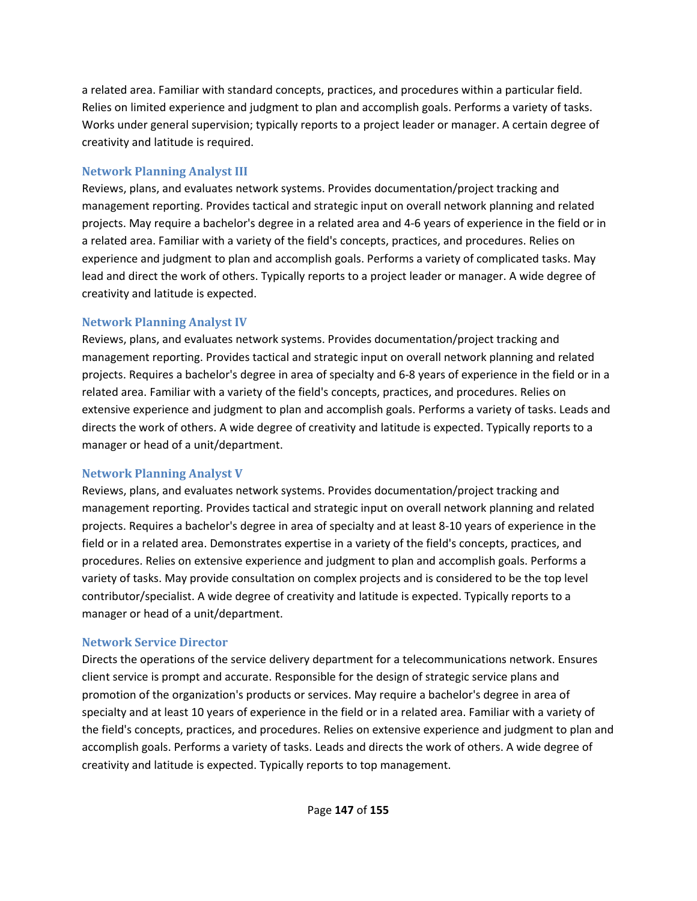a related area. Familiar with standard concepts, practices, and procedures within a particular field. Relies on limited experience and judgment to plan and accomplish goals. Performs a variety of tasks. Works under general supervision; typically reports to a project leader or manager. A certain degree of creativity and latitude is required.

### **Network Planning Analyst III**

Reviews, plans, and evaluates network systems. Provides documentation/project tracking and management reporting. Provides tactical and strategic input on overall network planning and related projects. May require a bachelor's degree in a related area and 4-6 years of experience in the field or in a related area. Familiar with a variety of the field's concepts, practices, and procedures. Relies on experience and judgment to plan and accomplish goals. Performs a variety of complicated tasks. May lead and direct the work of others. Typically reports to a project leader or manager. A wide degree of creativity and latitude is expected.

## **Network Planning Analyst IV**

Reviews, plans, and evaluates network systems. Provides documentation/project tracking and management reporting. Provides tactical and strategic input on overall network planning and related projects. Requires a bachelor's degree in area of specialty and 6-8 years of experience in the field or in a related area. Familiar with a variety of the field's concepts, practices, and procedures. Relies on extensive experience and judgment to plan and accomplish goals. Performs a variety of tasks. Leads and directs the work of others. A wide degree of creativity and latitude is expected. Typically reports to a manager or head of a unit/department.

## **Network Planning Analyst V**

Reviews, plans, and evaluates network systems. Provides documentation/project tracking and management reporting. Provides tactical and strategic input on overall network planning and related projects. Requires a bachelor's degree in area of specialty and at least 8-10 years of experience in the field or in a related area. Demonstrates expertise in a variety of the field's concepts, practices, and procedures. Relies on extensive experience and judgment to plan and accomplish goals. Performs a variety of tasks. May provide consultation on complex projects and is considered to be the top level contributor/specialist. A wide degree of creativity and latitude is expected. Typically reports to a manager or head of a unit/department.

## **Network Service Director**

Directs the operations of the service delivery department for a telecommunications network. Ensures client service is prompt and accurate. Responsible for the design of strategic service plans and promotion of the organization's products or services. May require a bachelor's degree in area of specialty and at least 10 years of experience in the field or in a related area. Familiar with a variety of the field's concepts, practices, and procedures. Relies on extensive experience and judgment to plan and accomplish goals. Performs a variety of tasks. Leads and directs the work of others. A wide degree of creativity and latitude is expected. Typically reports to top management.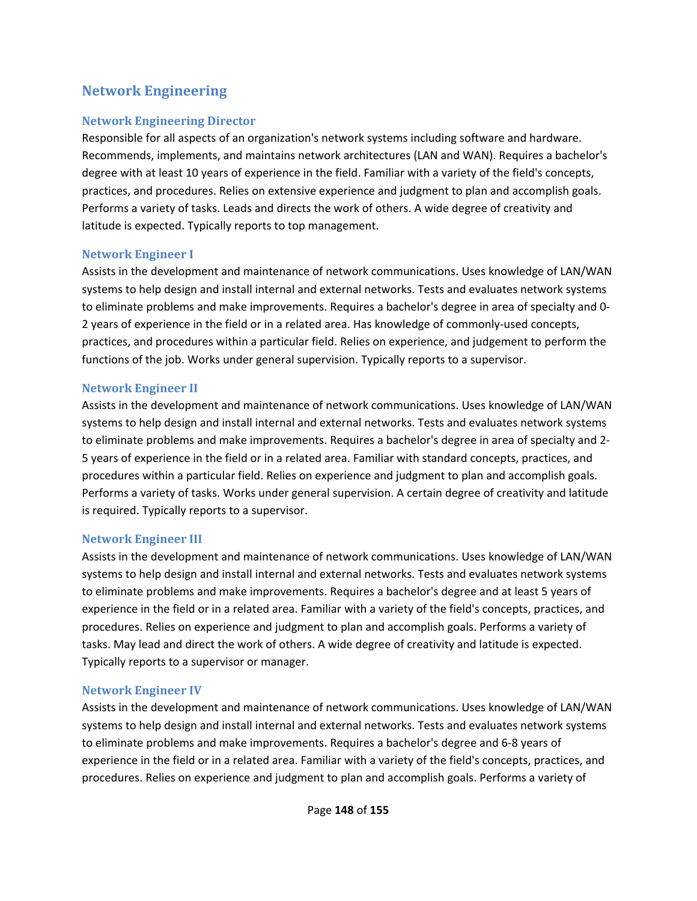# **Network Engineering**

### **Network Engineering Director**

Responsible for all aspects of an organization's network systems including software and hardware. Recommends, implements, and maintains network architectures (LAN and WAN). Requires a bachelor's degree with at least 10 years of experience in the field. Familiar with a variety of the field's concepts, practices, and procedures. Relies on extensive experience and judgment to plan and accomplish goals. Performs a variety of tasks. Leads and directs the work of others. A wide degree of creativity and latitude is expected. Typically reports to top management.

### **Network Engineer I**

Assists in the development and maintenance of network communications. Uses knowledge of LAN/WAN systems to help design and install internal and external networks. Tests and evaluates network systems to eliminate problems and make improvements. Requires a bachelor's degree in area of specialty and 0- 2 years of experience in the field or in a related area. Has knowledge of commonly-used concepts, practices, and procedures within a particular field. Relies on experience, and judgement to perform the functions of the job. Works under general supervision. Typically reports to a supervisor.

### **Network Engineer II**

Assists in the development and maintenance of network communications. Uses knowledge of LAN/WAN systems to help design and install internal and external networks. Tests and evaluates network systems to eliminate problems and make improvements. Requires a bachelor's degree in area of specialty and 2- 5 years of experience in the field or in a related area. Familiar with standard concepts, practices, and procedures within a particular field. Relies on experience and judgment to plan and accomplish goals. Performs a variety of tasks. Works under general supervision. A certain degree of creativity and latitude is required. Typically reports to a supervisor.

### **Network Engineer III**

Assists in the development and maintenance of network communications. Uses knowledge of LAN/WAN systems to help design and install internal and external networks. Tests and evaluates network systems to eliminate problems and make improvements. Requires a bachelor's degree and at least 5 years of experience in the field or in a related area. Familiar with a variety of the field's concepts, practices, and procedures. Relies on experience and judgment to plan and accomplish goals. Performs a variety of tasks. May lead and direct the work of others. A wide degree of creativity and latitude is expected. Typically reports to a supervisor or manager.

## **Network Engineer IV**

Assists in the development and maintenance of network communications. Uses knowledge of LAN/WAN systems to help design and install internal and external networks. Tests and evaluates network systems to eliminate problems and make improvements. Requires a bachelor's degree and 6-8 years of experience in the field or in a related area. Familiar with a variety of the field's concepts, practices, and procedures. Relies on experience and judgment to plan and accomplish goals. Performs a variety of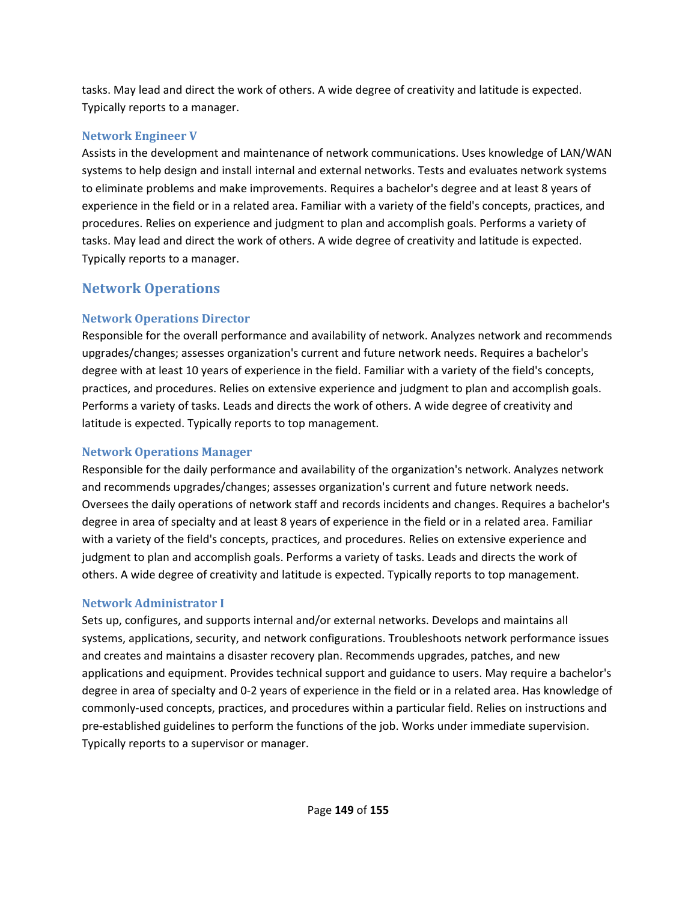tasks. May lead and direct the work of others. A wide degree of creativity and latitude is expected. Typically reports to a manager.

### **Network Engineer V**

Assists in the development and maintenance of network communications. Uses knowledge of LAN/WAN systems to help design and install internal and external networks. Tests and evaluates network systems to eliminate problems and make improvements. Requires a bachelor's degree and at least 8 years of experience in the field or in a related area. Familiar with a variety of the field's concepts, practices, and procedures. Relies on experience and judgment to plan and accomplish goals. Performs a variety of tasks. May lead and direct the work of others. A wide degree of creativity and latitude is expected. Typically reports to a manager.

# **Network Operations**

## **Network Operations Director**

Responsible for the overall performance and availability of network. Analyzes network and recommends upgrades/changes; assesses organization's current and future network needs. Requires a bachelor's degree with at least 10 years of experience in the field. Familiar with a variety of the field's concepts, practices, and procedures. Relies on extensive experience and judgment to plan and accomplish goals. Performs a variety of tasks. Leads and directs the work of others. A wide degree of creativity and latitude is expected. Typically reports to top management.

## **Network Operations Manager**

Responsible for the daily performance and availability of the organization's network. Analyzes network and recommends upgrades/changes; assesses organization's current and future network needs. Oversees the daily operations of network staff and records incidents and changes. Requires a bachelor's degree in area of specialty and at least 8 years of experience in the field or in a related area. Familiar with a variety of the field's concepts, practices, and procedures. Relies on extensive experience and judgment to plan and accomplish goals. Performs a variety of tasks. Leads and directs the work of others. A wide degree of creativity and latitude is expected. Typically reports to top management.

## **Network Administrator I**

Sets up, configures, and supports internal and/or external networks. Develops and maintains all systems, applications, security, and network configurations. Troubleshoots network performance issues and creates and maintains a disaster recovery plan. Recommends upgrades, patches, and new applications and equipment. Provides technical support and guidance to users. May require a bachelor's degree in area of specialty and 0-2 years of experience in the field or in a related area. Has knowledge of commonly-used concepts, practices, and procedures within a particular field. Relies on instructions and pre-established guidelines to perform the functions of the job. Works under immediate supervision. Typically reports to a supervisor or manager.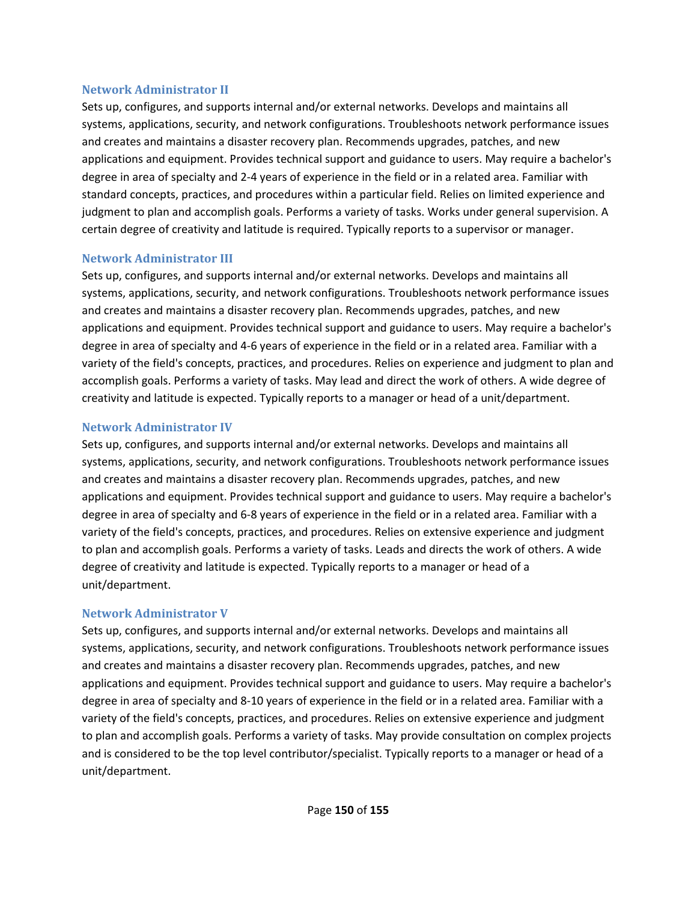#### **Network Administrator II**

Sets up, configures, and supports internal and/or external networks. Develops and maintains all systems, applications, security, and network configurations. Troubleshoots network performance issues and creates and maintains a disaster recovery plan. Recommends upgrades, patches, and new applications and equipment. Provides technical support and guidance to users. May require a bachelor's degree in area of specialty and 2-4 years of experience in the field or in a related area. Familiar with standard concepts, practices, and procedures within a particular field. Relies on limited experience and judgment to plan and accomplish goals. Performs a variety of tasks. Works under general supervision. A certain degree of creativity and latitude is required. Typically reports to a supervisor or manager.

### **Network Administrator III**

Sets up, configures, and supports internal and/or external networks. Develops and maintains all systems, applications, security, and network configurations. Troubleshoots network performance issues and creates and maintains a disaster recovery plan. Recommends upgrades, patches, and new applications and equipment. Provides technical support and guidance to users. May require a bachelor's degree in area of specialty and 4-6 years of experience in the field or in a related area. Familiar with a variety of the field's concepts, practices, and procedures. Relies on experience and judgment to plan and accomplish goals. Performs a variety of tasks. May lead and direct the work of others. A wide degree of creativity and latitude is expected. Typically reports to a manager or head of a unit/department.

### **Network Administrator IV**

Sets up, configures, and supports internal and/or external networks. Develops and maintains all systems, applications, security, and network configurations. Troubleshoots network performance issues and creates and maintains a disaster recovery plan. Recommends upgrades, patches, and new applications and equipment. Provides technical support and guidance to users. May require a bachelor's degree in area of specialty and 6-8 years of experience in the field or in a related area. Familiar with a variety of the field's concepts, practices, and procedures. Relies on extensive experience and judgment to plan and accomplish goals. Performs a variety of tasks. Leads and directs the work of others. A wide degree of creativity and latitude is expected. Typically reports to a manager or head of a unit/department.

### **Network Administrator V**

Sets up, configures, and supports internal and/or external networks. Develops and maintains all systems, applications, security, and network configurations. Troubleshoots network performance issues and creates and maintains a disaster recovery plan. Recommends upgrades, patches, and new applications and equipment. Provides technical support and guidance to users. May require a bachelor's degree in area of specialty and 8-10 years of experience in the field or in a related area. Familiar with a variety of the field's concepts, practices, and procedures. Relies on extensive experience and judgment to plan and accomplish goals. Performs a variety of tasks. May provide consultation on complex projects and is considered to be the top level contributor/specialist. Typically reports to a manager or head of a unit/department.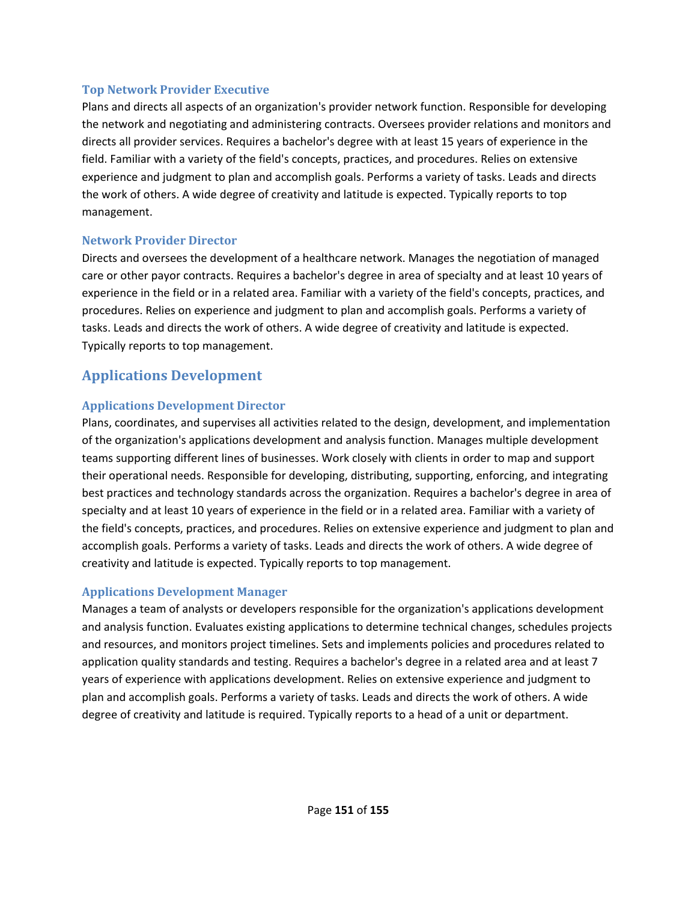### **Top Network Provider Executive**

Plans and directs all aspects of an organization's provider network function. Responsible for developing the network and negotiating and administering contracts. Oversees provider relations and monitors and directs all provider services. Requires a bachelor's degree with at least 15 years of experience in the field. Familiar with a variety of the field's concepts, practices, and procedures. Relies on extensive experience and judgment to plan and accomplish goals. Performs a variety of tasks. Leads and directs the work of others. A wide degree of creativity and latitude is expected. Typically reports to top management.

### **Network Provider Director**

Directs and oversees the development of a healthcare network. Manages the negotiation of managed care or other payor contracts. Requires a bachelor's degree in area of specialty and at least 10 years of experience in the field or in a related area. Familiar with a variety of the field's concepts, practices, and procedures. Relies on experience and judgment to plan and accomplish goals. Performs a variety of tasks. Leads and directs the work of others. A wide degree of creativity and latitude is expected. Typically reports to top management.

# **Applications Development**

### **Applications Development Director**

Plans, coordinates, and supervises all activities related to the design, development, and implementation of the organization's applications development and analysis function. Manages multiple development teams supporting different lines of businesses. Work closely with clients in order to map and support their operational needs. Responsible for developing, distributing, supporting, enforcing, and integrating best practices and technology standards across the organization. Requires a bachelor's degree in area of specialty and at least 10 years of experience in the field or in a related area. Familiar with a variety of the field's concepts, practices, and procedures. Relies on extensive experience and judgment to plan and accomplish goals. Performs a variety of tasks. Leads and directs the work of others. A wide degree of creativity and latitude is expected. Typically reports to top management.

### **Applications Development Manager**

Manages a team of analysts or developers responsible for the organization's applications development and analysis function. Evaluates existing applications to determine technical changes, schedules projects and resources, and monitors project timelines. Sets and implements policies and procedures related to application quality standards and testing. Requires a bachelor's degree in a related area and at least 7 years of experience with applications development. Relies on extensive experience and judgment to plan and accomplish goals. Performs a variety of tasks. Leads and directs the work of others. A wide degree of creativity and latitude is required. Typically reports to a head of a unit or department.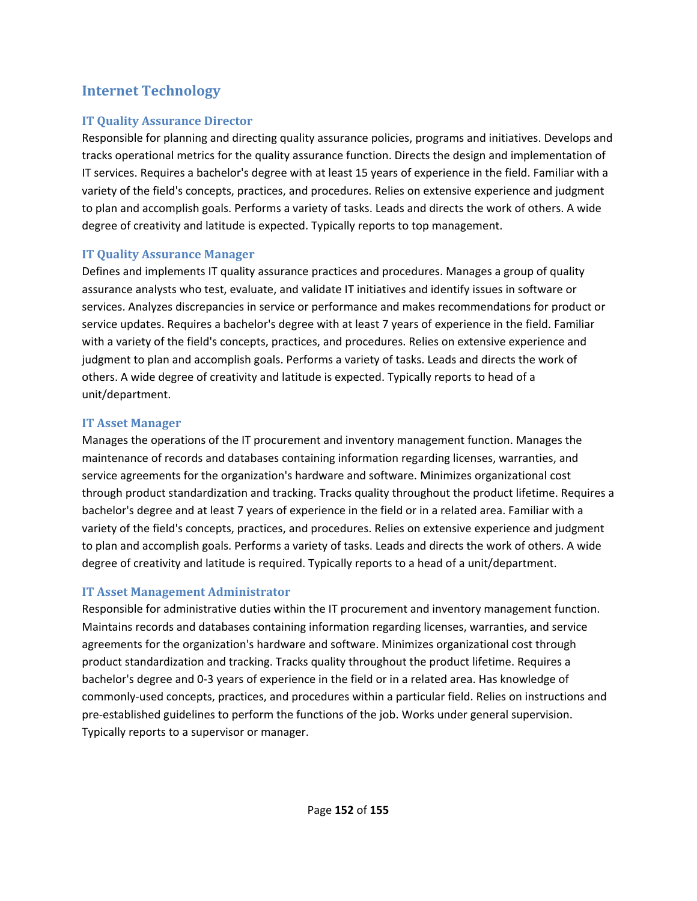# **Internet Technology**

## **IT Quality Assurance Director**

Responsible for planning and directing quality assurance policies, programs and initiatives. Develops and tracks operational metrics for the quality assurance function. Directs the design and implementation of IT services. Requires a bachelor's degree with at least 15 years of experience in the field. Familiar with a variety of the field's concepts, practices, and procedures. Relies on extensive experience and judgment to plan and accomplish goals. Performs a variety of tasks. Leads and directs the work of others. A wide degree of creativity and latitude is expected. Typically reports to top management.

### **IT Quality Assurance Manager**

Defines and implements IT quality assurance practices and procedures. Manages a group of quality assurance analysts who test, evaluate, and validate IT initiatives and identify issues in software or services. Analyzes discrepancies in service or performance and makes recommendations for product or service updates. Requires a bachelor's degree with at least 7 years of experience in the field. Familiar with a variety of the field's concepts, practices, and procedures. Relies on extensive experience and judgment to plan and accomplish goals. Performs a variety of tasks. Leads and directs the work of others. A wide degree of creativity and latitude is expected. Typically reports to head of a unit/department.

### **IT Asset Manager**

Manages the operations of the IT procurement and inventory management function. Manages the maintenance of records and databases containing information regarding licenses, warranties, and service agreements for the organization's hardware and software. Minimizes organizational cost through product standardization and tracking. Tracks quality throughout the product lifetime. Requires a bachelor's degree and at least 7 years of experience in the field or in a related area. Familiar with a variety of the field's concepts, practices, and procedures. Relies on extensive experience and judgment to plan and accomplish goals. Performs a variety of tasks. Leads and directs the work of others. A wide degree of creativity and latitude is required. Typically reports to a head of a unit/department.

## **IT Asset Management Administrator**

Responsible for administrative duties within the IT procurement and inventory management function. Maintains records and databases containing information regarding licenses, warranties, and service agreements for the organization's hardware and software. Minimizes organizational cost through product standardization and tracking. Tracks quality throughout the product lifetime. Requires a bachelor's degree and 0-3 years of experience in the field or in a related area. Has knowledge of commonly-used concepts, practices, and procedures within a particular field. Relies on instructions and pre-established guidelines to perform the functions of the job. Works under general supervision. Typically reports to a supervisor or manager.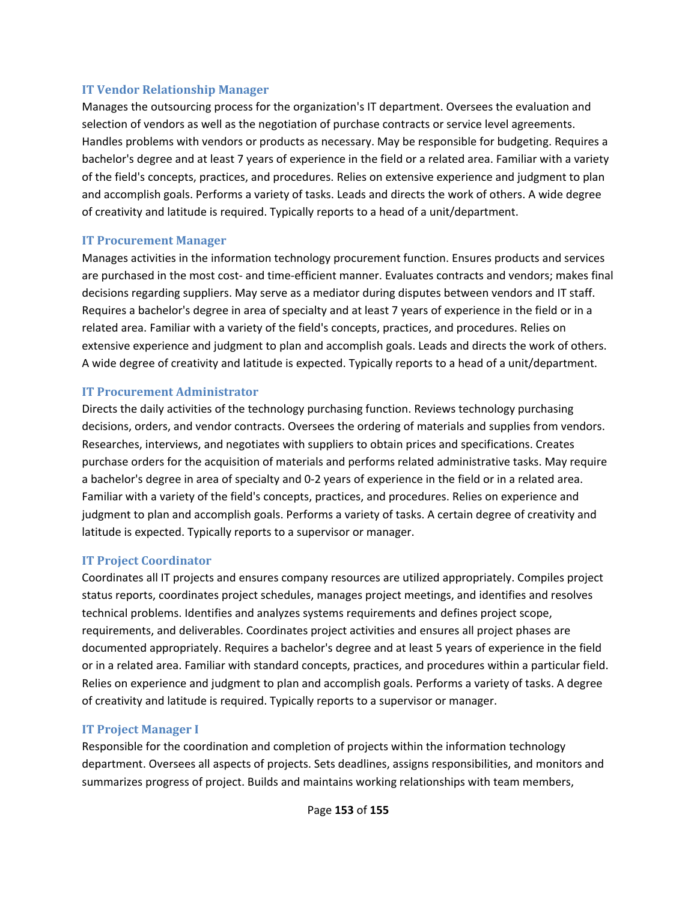### **IT Vendor Relationship Manager**

Manages the outsourcing process for the organization's IT department. Oversees the evaluation and selection of vendors as well as the negotiation of purchase contracts or service level agreements. Handles problems with vendors or products as necessary. May be responsible for budgeting. Requires a bachelor's degree and at least 7 years of experience in the field or a related area. Familiar with a variety of the field's concepts, practices, and procedures. Relies on extensive experience and judgment to plan and accomplish goals. Performs a variety of tasks. Leads and directs the work of others. A wide degree of creativity and latitude is required. Typically reports to a head of a unit/department.

#### **IT Procurement Manager**

Manages activities in the information technology procurement function. Ensures products and services are purchased in the most cost- and time-efficient manner. Evaluates contracts and vendors; makes final decisions regarding suppliers. May serve as a mediator during disputes between vendors and IT staff. Requires a bachelor's degree in area of specialty and at least 7 years of experience in the field or in a related area. Familiar with a variety of the field's concepts, practices, and procedures. Relies on extensive experience and judgment to plan and accomplish goals. Leads and directs the work of others. A wide degree of creativity and latitude is expected. Typically reports to a head of a unit/department.

#### **IT Procurement Administrator**

Directs the daily activities of the technology purchasing function. Reviews technology purchasing decisions, orders, and vendor contracts. Oversees the ordering of materials and supplies from vendors. Researches, interviews, and negotiates with suppliers to obtain prices and specifications. Creates purchase orders for the acquisition of materials and performs related administrative tasks. May require a bachelor's degree in area of specialty and 0-2 years of experience in the field or in a related area. Familiar with a variety of the field's concepts, practices, and procedures. Relies on experience and judgment to plan and accomplish goals. Performs a variety of tasks. A certain degree of creativity and latitude is expected. Typically reports to a supervisor or manager.

### **IT Project Coordinator**

Coordinates all IT projects and ensures company resources are utilized appropriately. Compiles project status reports, coordinates project schedules, manages project meetings, and identifies and resolves technical problems. Identifies and analyzes systems requirements and defines project scope, requirements, and deliverables. Coordinates project activities and ensures all project phases are documented appropriately. Requires a bachelor's degree and at least 5 years of experience in the field or in a related area. Familiar with standard concepts, practices, and procedures within a particular field. Relies on experience and judgment to plan and accomplish goals. Performs a variety of tasks. A degree of creativity and latitude is required. Typically reports to a supervisor or manager.

### **IT Project Manager I**

Responsible for the coordination and completion of projects within the information technology department. Oversees all aspects of projects. Sets deadlines, assigns responsibilities, and monitors and summarizes progress of project. Builds and maintains working relationships with team members,